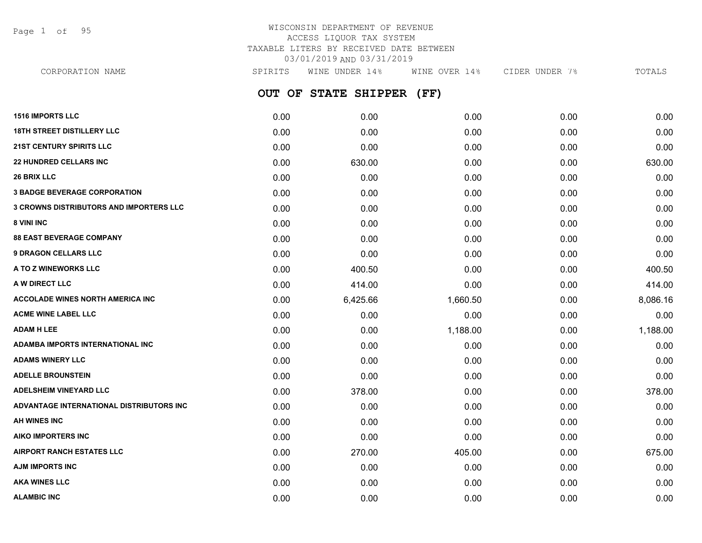Page 1 of 95

## WISCONSIN DEPARTMENT OF REVENUE ACCESS LIQUOR TAX SYSTEM TAXABLE LITERS BY RECEIVED DATE BETWEEN 03/01/2019 AND 03/31/2019

**OUT OF STATE SHIPPER (FF) 1516 IMPORTS LLC** 0.00 0.00 0.00 0.00 0.00 **18TH STREET DISTILLERY LLC** 0.00 0.00 0.00 0.00 0.00 **21ST CENTURY SPIRITS LLC** 0.00 0.00 0.00 0.00 0.00 **22 HUNDRED CELLARS INC** 0.00 630.00 0.00 0.00 630.00 **26 BRIX LLC** 0.00 0.00 0.00 0.00 0.00 **3 BADGE BEVERAGE CORPORATION** 0.00 0.00 0.00 0.00 0.00 **3 CROWNS DISTRIBUTORS AND IMPORTERS LLC** 0.00 0.00 0.00 0.00 0.00 **8 VINI INC** 0.00 0.00 0.00 0.00 0.00 **88 EAST BEVERAGE COMPANY** 0.00 0.00 0.00 0.00 0.00 **9 DRAGON CELLARS LLC** 0.00 0.00 0.00 0.00 0.00 **A TO Z WINEWORKS LLC** 0.00 400.50 0.00 0.00 400.50 **A W DIRECT LLC** 0.00 414.00 0.00 0.00 414.00 **ACCOLADE WINES NORTH AMERICA INC 1.060.00 6.425.66** 1,660.50 **0.00 0.00** 8.086.16 **ACME WINE LABEL LLC** 0.00 0.00 0.00 0.00 0.00 **ADAM H LEE** 0.00 0.00 1,188.00 0.00 1,188.00 **ADAMBA IMPORTS INTERNATIONAL INC** 0.00 0.00 0.00 0.00 0.00 **ADAMS WINERY LLC** 0.00 0.00 0.00 0.00 0.00 **ADELLE BROUNSTEIN** 0.00 0.00 0.00 0.00 0.00 **ADELSHEIM VINEYARD LLC** 0.00 378.00 0.00 0.00 378.00 **ADVANTAGE INTERNATIONAL DISTRIBUTORS INC** 0.00 0.00 0.00 0.00 0.00 **AH WINES INC** 0.00 0.00 0.00 0.00 0.00 **AIKO IMPORTERS INC** 0.00 0.00 0.00 0.00 0.00 **AIRPORT RANCH ESTATES LLC** 0.00 270.00 405.00 0.00 675.00 **AJM IMPORTS INC** 0.00 0.00 0.00 0.00 0.00 **AKA WINES LLC** 0.00 0.00 0.00 0.00 0.00 CORPORATION NAME SPIRITS WINE UNDER 14% WINE OVER 14% CIDER UNDER 7% TOTALS

**ALAMBIC INC** 0.00 0.00 0.00 0.00 0.00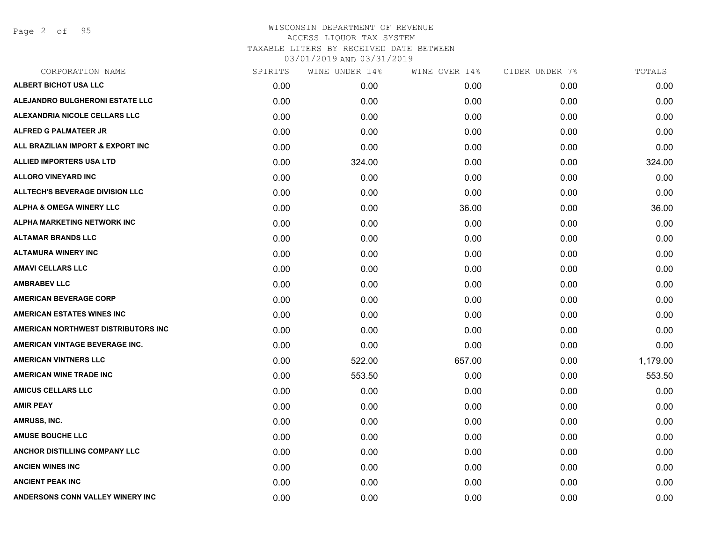Page 2 of 95

| CORPORATION NAME                       | SPIRITS | WINE UNDER 14% | WINE OVER 14% | CIDER UNDER 7% | TOTALS   |
|----------------------------------------|---------|----------------|---------------|----------------|----------|
| <b>ALBERT BICHOT USA LLC</b>           | 0.00    | 0.00           | 0.00          | 0.00           | 0.00     |
| <b>ALEJANDRO BULGHERONI ESTATE LLC</b> | 0.00    | 0.00           | 0.00          | 0.00           | 0.00     |
| ALEXANDRIA NICOLE CELLARS LLC          | 0.00    | 0.00           | 0.00          | 0.00           | 0.00     |
| <b>ALFRED G PALMATEER JR</b>           | 0.00    | 0.00           | 0.00          | 0.00           | 0.00     |
| ALL BRAZILIAN IMPORT & EXPORT INC      | 0.00    | 0.00           | 0.00          | 0.00           | 0.00     |
| <b>ALLIED IMPORTERS USA LTD</b>        | 0.00    | 324.00         | 0.00          | 0.00           | 324.00   |
| ALLORO VINEYARD INC                    | 0.00    | 0.00           | 0.00          | 0.00           | 0.00     |
| <b>ALLTECH'S BEVERAGE DIVISION LLC</b> | 0.00    | 0.00           | 0.00          | 0.00           | 0.00     |
| <b>ALPHA &amp; OMEGA WINERY LLC</b>    | 0.00    | 0.00           | 36.00         | 0.00           | 36.00    |
| ALPHA MARKETING NETWORK INC            | 0.00    | 0.00           | 0.00          | 0.00           | 0.00     |
| <b>ALTAMAR BRANDS LLC</b>              | 0.00    | 0.00           | 0.00          | 0.00           | 0.00     |
| <b>ALTAMURA WINERY INC</b>             | 0.00    | 0.00           | 0.00          | 0.00           | 0.00     |
| <b>AMAVI CELLARS LLC</b>               | 0.00    | 0.00           | 0.00          | 0.00           | 0.00     |
| <b>AMBRABEV LLC</b>                    | 0.00    | 0.00           | 0.00          | 0.00           | 0.00     |
| <b>AMERICAN BEVERAGE CORP</b>          | 0.00    | 0.00           | 0.00          | 0.00           | 0.00     |
| <b>AMERICAN ESTATES WINES INC</b>      | 0.00    | 0.00           | 0.00          | 0.00           | 0.00     |
| AMERICAN NORTHWEST DISTRIBUTORS INC    | 0.00    | 0.00           | 0.00          | 0.00           | 0.00     |
| AMERICAN VINTAGE BEVERAGE INC.         | 0.00    | 0.00           | 0.00          | 0.00           | 0.00     |
| <b>AMERICAN VINTNERS LLC</b>           | 0.00    | 522.00         | 657.00        | 0.00           | 1,179.00 |
| <b>AMERICAN WINE TRADE INC</b>         | 0.00    | 553.50         | 0.00          | 0.00           | 553.50   |
| <b>AMICUS CELLARS LLC</b>              | 0.00    | 0.00           | 0.00          | 0.00           | 0.00     |
| <b>AMIR PEAY</b>                       | 0.00    | 0.00           | 0.00          | 0.00           | 0.00     |
| AMRUSS, INC.                           | 0.00    | 0.00           | 0.00          | 0.00           | 0.00     |
| <b>AMUSE BOUCHE LLC</b>                | 0.00    | 0.00           | 0.00          | 0.00           | 0.00     |
| ANCHOR DISTILLING COMPANY LLC          | 0.00    | 0.00           | 0.00          | 0.00           | 0.00     |
| <b>ANCIEN WINES INC</b>                | 0.00    | 0.00           | 0.00          | 0.00           | 0.00     |
| <b>ANCIENT PEAK INC</b>                | 0.00    | 0.00           | 0.00          | 0.00           | 0.00     |
| ANDERSONS CONN VALLEY WINERY INC       | 0.00    | 0.00           | 0.00          | 0.00           | 0.00     |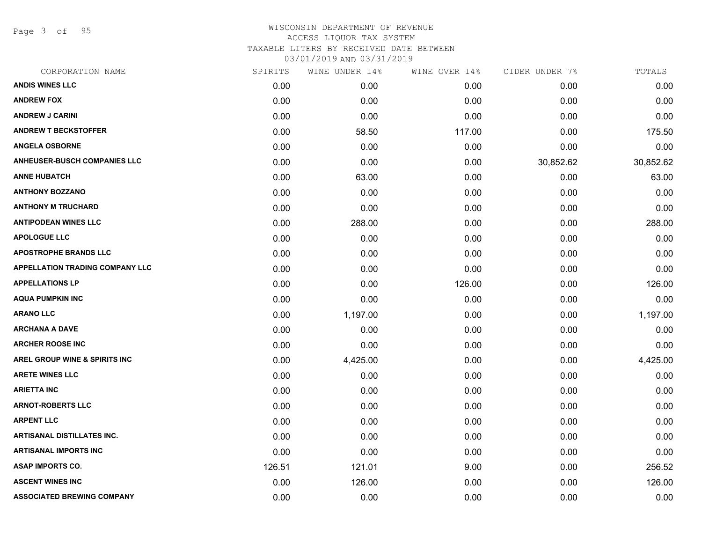Page 3 of 95

## WISCONSIN DEPARTMENT OF REVENUE ACCESS LIQUOR TAX SYSTEM TAXABLE LITERS BY RECEIVED DATE BETWEEN

| CORPORATION NAME                    | SPIRITS | WINE UNDER 14% | WINE OVER 14% | CIDER UNDER 7% | TOTALS    |
|-------------------------------------|---------|----------------|---------------|----------------|-----------|
| <b>ANDIS WINES LLC</b>              | 0.00    | 0.00           | 0.00          | 0.00           | 0.00      |
| <b>ANDREW FOX</b>                   | 0.00    | 0.00           | 0.00          | 0.00           | 0.00      |
| <b>ANDREW J CARINI</b>              | 0.00    | 0.00           | 0.00          | 0.00           | 0.00      |
| <b>ANDREW T BECKSTOFFER</b>         | 0.00    | 58.50          | 117.00        | 0.00           | 175.50    |
| <b>ANGELA OSBORNE</b>               | 0.00    | 0.00           | 0.00          | 0.00           | 0.00      |
| <b>ANHEUSER-BUSCH COMPANIES LLC</b> | 0.00    | 0.00           | 0.00          | 30,852.62      | 30,852.62 |
| <b>ANNE HUBATCH</b>                 | 0.00    | 63.00          | 0.00          | 0.00           | 63.00     |
| <b>ANTHONY BOZZANO</b>              | 0.00    | 0.00           | 0.00          | 0.00           | 0.00      |
| <b>ANTHONY M TRUCHARD</b>           | 0.00    | 0.00           | 0.00          | 0.00           | 0.00      |
| <b>ANTIPODEAN WINES LLC</b>         | 0.00    | 288.00         | 0.00          | 0.00           | 288.00    |
| <b>APOLOGUE LLC</b>                 | 0.00    | 0.00           | 0.00          | 0.00           | 0.00      |
| <b>APOSTROPHE BRANDS LLC</b>        | 0.00    | 0.00           | 0.00          | 0.00           | 0.00      |
| APPELLATION TRADING COMPANY LLC     | 0.00    | 0.00           | 0.00          | 0.00           | 0.00      |
| <b>APPELLATIONS LP</b>              | 0.00    | 0.00           | 126.00        | 0.00           | 126.00    |
| <b>AQUA PUMPKIN INC</b>             | 0.00    | 0.00           | 0.00          | 0.00           | 0.00      |
| <b>ARANO LLC</b>                    | 0.00    | 1,197.00       | 0.00          | 0.00           | 1,197.00  |
| <b>ARCHANA A DAVE</b>               | 0.00    | 0.00           | 0.00          | 0.00           | 0.00      |
| <b>ARCHER ROOSE INC</b>             | 0.00    | 0.00           | 0.00          | 0.00           | 0.00      |
| AREL GROUP WINE & SPIRITS INC       | 0.00    | 4,425.00       | 0.00          | 0.00           | 4,425.00  |
| <b>ARETE WINES LLC</b>              | 0.00    | 0.00           | 0.00          | 0.00           | 0.00      |
| <b>ARIETTA INC</b>                  | 0.00    | 0.00           | 0.00          | 0.00           | 0.00      |
| <b>ARNOT-ROBERTS LLC</b>            | 0.00    | 0.00           | 0.00          | 0.00           | 0.00      |
| <b>ARPENT LLC</b>                   | 0.00    | 0.00           | 0.00          | 0.00           | 0.00      |
| <b>ARTISANAL DISTILLATES INC.</b>   | 0.00    | 0.00           | 0.00          | 0.00           | 0.00      |
| <b>ARTISANAL IMPORTS INC</b>        | 0.00    | 0.00           | 0.00          | 0.00           | 0.00      |
| <b>ASAP IMPORTS CO.</b>             | 126.51  | 121.01         | 9.00          | 0.00           | 256.52    |
| <b>ASCENT WINES INC</b>             | 0.00    | 126.00         | 0.00          | 0.00           | 126.00    |
| <b>ASSOCIATED BREWING COMPANY</b>   | 0.00    | 0.00           | 0.00          | 0.00           | 0.00      |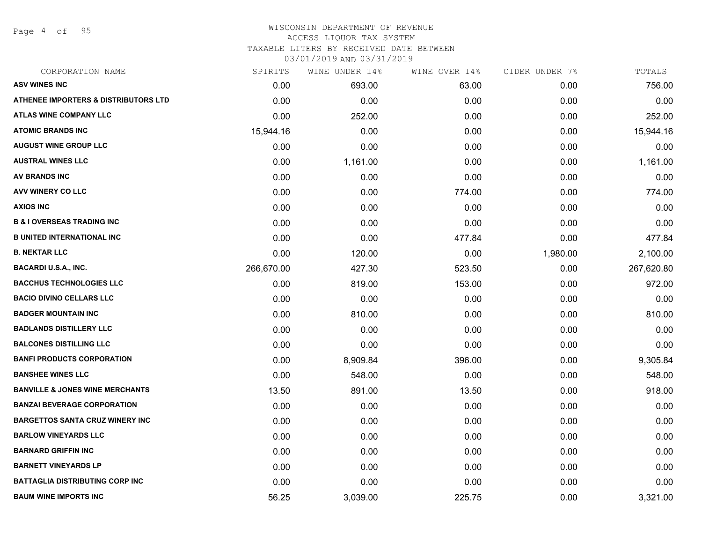Page 4 of 95

### WISCONSIN DEPARTMENT OF REVENUE ACCESS LIQUOR TAX SYSTEM

TAXABLE LITERS BY RECEIVED DATE BETWEEN

| CORPORATION NAME                                | SPIRITS    | WINE UNDER 14% | WINE OVER 14% | CIDER UNDER 7% | TOTALS     |
|-------------------------------------------------|------------|----------------|---------------|----------------|------------|
| <b>ASV WINES INC</b>                            | 0.00       | 693.00         | 63.00         | 0.00           | 756.00     |
| <b>ATHENEE IMPORTERS &amp; DISTRIBUTORS LTD</b> | 0.00       | 0.00           | 0.00          | 0.00           | 0.00       |
| <b>ATLAS WINE COMPANY LLC</b>                   | 0.00       | 252.00         | 0.00          | 0.00           | 252.00     |
| <b>ATOMIC BRANDS INC</b>                        | 15,944.16  | 0.00           | 0.00          | 0.00           | 15,944.16  |
| <b>AUGUST WINE GROUP LLC</b>                    | 0.00       | 0.00           | 0.00          | 0.00           | 0.00       |
| <b>AUSTRAL WINES LLC</b>                        | 0.00       | 1,161.00       | 0.00          | 0.00           | 1,161.00   |
| <b>AV BRANDS INC</b>                            | 0.00       | 0.00           | 0.00          | 0.00           | 0.00       |
| <b>AVV WINERY CO LLC</b>                        | 0.00       | 0.00           | 774.00        | 0.00           | 774.00     |
| <b>AXIOS INC</b>                                | 0.00       | 0.00           | 0.00          | 0.00           | 0.00       |
| <b>B &amp; I OVERSEAS TRADING INC</b>           | 0.00       | 0.00           | 0.00          | 0.00           | 0.00       |
| <b>B UNITED INTERNATIONAL INC</b>               | 0.00       | 0.00           | 477.84        | 0.00           | 477.84     |
| <b>B. NEKTAR LLC</b>                            | 0.00       | 120.00         | 0.00          | 1,980.00       | 2,100.00   |
| <b>BACARDI U.S.A., INC.</b>                     | 266,670.00 | 427.30         | 523.50        | 0.00           | 267,620.80 |
| <b>BACCHUS TECHNOLOGIES LLC</b>                 | 0.00       | 819.00         | 153.00        | 0.00           | 972.00     |
| <b>BACIO DIVINO CELLARS LLC</b>                 | 0.00       | 0.00           | 0.00          | 0.00           | 0.00       |
| <b>BADGER MOUNTAIN INC</b>                      | 0.00       | 810.00         | 0.00          | 0.00           | 810.00     |
| <b>BADLANDS DISTILLERY LLC</b>                  | 0.00       | 0.00           | 0.00          | 0.00           | 0.00       |
| <b>BALCONES DISTILLING LLC</b>                  | 0.00       | 0.00           | 0.00          | 0.00           | 0.00       |
| <b>BANFI PRODUCTS CORPORATION</b>               | 0.00       | 8,909.84       | 396.00        | 0.00           | 9,305.84   |
| <b>BANSHEE WINES LLC</b>                        | 0.00       | 548.00         | 0.00          | 0.00           | 548.00     |
| <b>BANVILLE &amp; JONES WINE MERCHANTS</b>      | 13.50      | 891.00         | 13.50         | 0.00           | 918.00     |
| <b>BANZAI BEVERAGE CORPORATION</b>              | 0.00       | 0.00           | 0.00          | 0.00           | 0.00       |
| <b>BARGETTOS SANTA CRUZ WINERY INC</b>          | 0.00       | 0.00           | 0.00          | 0.00           | 0.00       |
| <b>BARLOW VINEYARDS LLC</b>                     | 0.00       | 0.00           | 0.00          | 0.00           | 0.00       |
| <b>BARNARD GRIFFIN INC</b>                      | 0.00       | 0.00           | 0.00          | 0.00           | 0.00       |
| <b>BARNETT VINEYARDS LP</b>                     | 0.00       | 0.00           | 0.00          | 0.00           | 0.00       |
| <b>BATTAGLIA DISTRIBUTING CORP INC</b>          | 0.00       | 0.00           | 0.00          | 0.00           | 0.00       |
| <b>BAUM WINE IMPORTS INC</b>                    | 56.25      | 3,039.00       | 225.75        | 0.00           | 3,321.00   |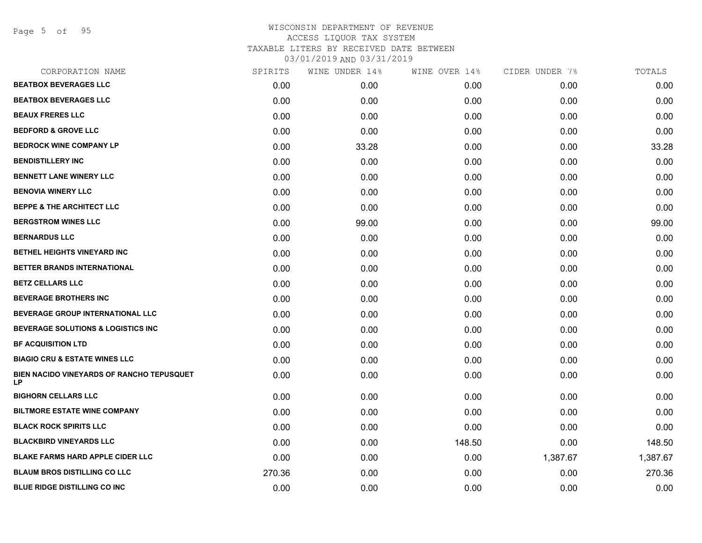Page 5 of 95

| CORPORATION NAME                                        | SPIRITS | WINE UNDER 14% | WINE OVER 14% | CIDER UNDER 7% | TOTALS   |
|---------------------------------------------------------|---------|----------------|---------------|----------------|----------|
| <b>BEATBOX BEVERAGES LLC</b>                            | 0.00    | 0.00           | 0.00          | 0.00           | 0.00     |
| <b>BEATBOX BEVERAGES LLC</b>                            | 0.00    | 0.00           | 0.00          | 0.00           | 0.00     |
| <b>BEAUX FRERES LLC</b>                                 | 0.00    | 0.00           | 0.00          | 0.00           | 0.00     |
| <b>BEDFORD &amp; GROVE LLC</b>                          | 0.00    | 0.00           | 0.00          | 0.00           | 0.00     |
| <b>BEDROCK WINE COMPANY LP</b>                          | 0.00    | 33.28          | 0.00          | 0.00           | 33.28    |
| <b>BENDISTILLERY INC</b>                                | 0.00    | 0.00           | 0.00          | 0.00           | 0.00     |
| <b>BENNETT LANE WINERY LLC</b>                          | 0.00    | 0.00           | 0.00          | 0.00           | 0.00     |
| <b>BENOVIA WINERY LLC</b>                               | 0.00    | 0.00           | 0.00          | 0.00           | 0.00     |
| <b>BEPPE &amp; THE ARCHITECT LLC</b>                    | 0.00    | 0.00           | 0.00          | 0.00           | 0.00     |
| <b>BERGSTROM WINES LLC</b>                              | 0.00    | 99.00          | 0.00          | 0.00           | 99.00    |
| <b>BERNARDUS LLC</b>                                    | 0.00    | 0.00           | 0.00          | 0.00           | 0.00     |
| BETHEL HEIGHTS VINEYARD INC                             | 0.00    | 0.00           | 0.00          | 0.00           | 0.00     |
| <b>BETTER BRANDS INTERNATIONAL</b>                      | 0.00    | 0.00           | 0.00          | 0.00           | 0.00     |
| <b>BETZ CELLARS LLC</b>                                 | 0.00    | 0.00           | 0.00          | 0.00           | 0.00     |
| <b>BEVERAGE BROTHERS INC</b>                            | 0.00    | 0.00           | 0.00          | 0.00           | 0.00     |
| BEVERAGE GROUP INTERNATIONAL LLC                        | 0.00    | 0.00           | 0.00          | 0.00           | 0.00     |
| <b>BEVERAGE SOLUTIONS &amp; LOGISTICS INC</b>           | 0.00    | 0.00           | 0.00          | 0.00           | 0.00     |
| <b>BF ACQUISITION LTD</b>                               | 0.00    | 0.00           | 0.00          | 0.00           | 0.00     |
| <b>BIAGIO CRU &amp; ESTATE WINES LLC</b>                | 0.00    | 0.00           | 0.00          | 0.00           | 0.00     |
| <b>BIEN NACIDO VINEYARDS OF RANCHO TEPUSQUET</b><br>LP. | 0.00    | 0.00           | 0.00          | 0.00           | 0.00     |
| <b>BIGHORN CELLARS LLC</b>                              | 0.00    | 0.00           | 0.00          | 0.00           | 0.00     |
| <b>BILTMORE ESTATE WINE COMPANY</b>                     | 0.00    | 0.00           | 0.00          | 0.00           | 0.00     |
| <b>BLACK ROCK SPIRITS LLC</b>                           | 0.00    | 0.00           | 0.00          | 0.00           | 0.00     |
| <b>BLACKBIRD VINEYARDS LLC</b>                          | 0.00    | 0.00           | 148.50        | 0.00           | 148.50   |
| <b>BLAKE FARMS HARD APPLE CIDER LLC</b>                 | 0.00    | 0.00           | 0.00          | 1,387.67       | 1,387.67 |
| <b>BLAUM BROS DISTILLING CO LLC</b>                     | 270.36  | 0.00           | 0.00          | 0.00           | 270.36   |
| BLUE RIDGE DISTILLING CO INC                            | 0.00    | 0.00           | 0.00          | 0.00           | 0.00     |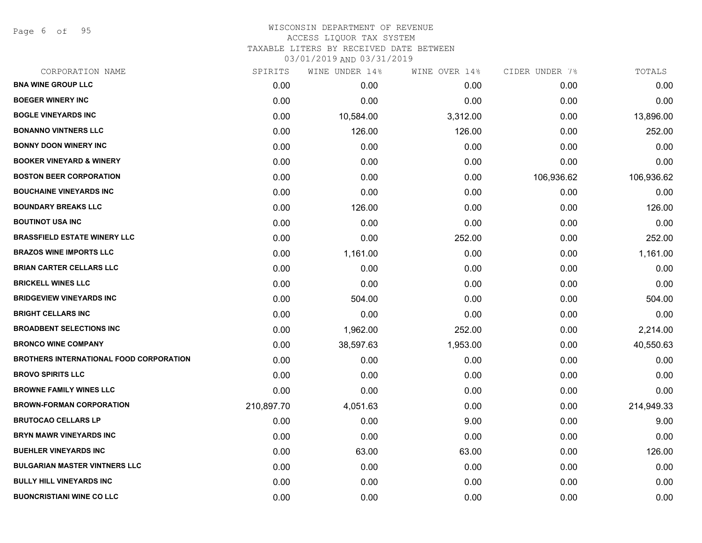Page 6 of 95

| CORPORATION NAME                               | SPIRITS    | WINE UNDER 14% | WINE OVER 14% | CIDER UNDER 7% | TOTALS     |
|------------------------------------------------|------------|----------------|---------------|----------------|------------|
| <b>BNA WINE GROUP LLC</b>                      | 0.00       | 0.00           | 0.00          | 0.00           | 0.00       |
| <b>BOEGER WINERY INC</b>                       | 0.00       | 0.00           | 0.00          | 0.00           | 0.00       |
| <b>BOGLE VINEYARDS INC</b>                     | 0.00       | 10,584.00      | 3,312.00      | 0.00           | 13,896.00  |
| <b>BONANNO VINTNERS LLC</b>                    | 0.00       | 126.00         | 126.00        | 0.00           | 252.00     |
| <b>BONNY DOON WINERY INC</b>                   | 0.00       | 0.00           | 0.00          | 0.00           | 0.00       |
| <b>BOOKER VINEYARD &amp; WINERY</b>            | 0.00       | 0.00           | 0.00          | 0.00           | 0.00       |
| <b>BOSTON BEER CORPORATION</b>                 | 0.00       | 0.00           | 0.00          | 106,936.62     | 106,936.62 |
| <b>BOUCHAINE VINEYARDS INC</b>                 | 0.00       | 0.00           | 0.00          | 0.00           | 0.00       |
| <b>BOUNDARY BREAKS LLC</b>                     | 0.00       | 126.00         | 0.00          | 0.00           | 126.00     |
| <b>BOUTINOT USA INC</b>                        | 0.00       | 0.00           | 0.00          | 0.00           | 0.00       |
| <b>BRASSFIELD ESTATE WINERY LLC</b>            | 0.00       | 0.00           | 252.00        | 0.00           | 252.00     |
| <b>BRAZOS WINE IMPORTS LLC</b>                 | 0.00       | 1,161.00       | 0.00          | 0.00           | 1,161.00   |
| <b>BRIAN CARTER CELLARS LLC</b>                | 0.00       | 0.00           | 0.00          | 0.00           | 0.00       |
| <b>BRICKELL WINES LLC</b>                      | 0.00       | 0.00           | 0.00          | 0.00           | 0.00       |
| <b>BRIDGEVIEW VINEYARDS INC</b>                | 0.00       | 504.00         | 0.00          | 0.00           | 504.00     |
| <b>BRIGHT CELLARS INC</b>                      | 0.00       | 0.00           | 0.00          | 0.00           | 0.00       |
| <b>BROADBENT SELECTIONS INC.</b>               | 0.00       | 1,962.00       | 252.00        | 0.00           | 2,214.00   |
| <b>BRONCO WINE COMPANY</b>                     | 0.00       | 38,597.63      | 1,953.00      | 0.00           | 40,550.63  |
| <b>BROTHERS INTERNATIONAL FOOD CORPORATION</b> | 0.00       | 0.00           | 0.00          | 0.00           | 0.00       |
| <b>BROVO SPIRITS LLC</b>                       | 0.00       | 0.00           | 0.00          | 0.00           | 0.00       |
| <b>BROWNE FAMILY WINES LLC</b>                 | 0.00       | 0.00           | 0.00          | 0.00           | 0.00       |
| <b>BROWN-FORMAN CORPORATION</b>                | 210,897.70 | 4,051.63       | 0.00          | 0.00           | 214,949.33 |
| <b>BRUTOCAO CELLARS LP</b>                     | 0.00       | 0.00           | 9.00          | 0.00           | 9.00       |
| <b>BRYN MAWR VINEYARDS INC</b>                 | 0.00       | 0.00           | 0.00          | 0.00           | 0.00       |
| <b>BUEHLER VINEYARDS INC</b>                   | 0.00       | 63.00          | 63.00         | 0.00           | 126.00     |
| <b>BULGARIAN MASTER VINTNERS LLC</b>           | 0.00       | 0.00           | 0.00          | 0.00           | 0.00       |
| <b>BULLY HILL VINEYARDS INC</b>                | 0.00       | 0.00           | 0.00          | 0.00           | 0.00       |
| <b>BUONCRISTIANI WINE CO LLC</b>               | 0.00       | 0.00           | 0.00          | 0.00           | 0.00       |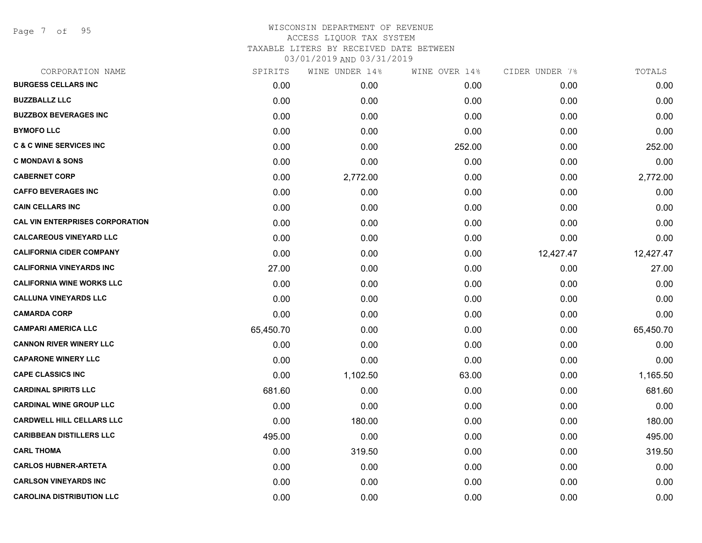Page 7 of 95

## WISCONSIN DEPARTMENT OF REVENUE ACCESS LIQUOR TAX SYSTEM TAXABLE LITERS BY RECEIVED DATE BETWEEN

| CORPORATION NAME                       | SPIRITS   | WINE UNDER 14% | WINE OVER 14% | CIDER UNDER 7% | TOTALS    |
|----------------------------------------|-----------|----------------|---------------|----------------|-----------|
| <b>BURGESS CELLARS INC</b>             | 0.00      | 0.00           | 0.00          | 0.00           | 0.00      |
| <b>BUZZBALLZ LLC</b>                   | 0.00      | 0.00           | 0.00          | 0.00           | 0.00      |
| <b>BUZZBOX BEVERAGES INC</b>           | 0.00      | 0.00           | 0.00          | 0.00           | 0.00      |
| <b>BYMOFO LLC</b>                      | 0.00      | 0.00           | 0.00          | 0.00           | 0.00      |
| <b>C &amp; C WINE SERVICES INC</b>     | 0.00      | 0.00           | 252.00        | 0.00           | 252.00    |
| <b>C MONDAVI &amp; SONS</b>            | 0.00      | 0.00           | 0.00          | 0.00           | 0.00      |
| <b>CABERNET CORP</b>                   | 0.00      | 2,772.00       | 0.00          | 0.00           | 2,772.00  |
| <b>CAFFO BEVERAGES INC</b>             | 0.00      | 0.00           | 0.00          | 0.00           | 0.00      |
| <b>CAIN CELLARS INC</b>                | 0.00      | 0.00           | 0.00          | 0.00           | 0.00      |
| <b>CAL VIN ENTERPRISES CORPORATION</b> | 0.00      | 0.00           | 0.00          | 0.00           | 0.00      |
| <b>CALCAREOUS VINEYARD LLC</b>         | 0.00      | 0.00           | 0.00          | 0.00           | 0.00      |
| <b>CALIFORNIA CIDER COMPANY</b>        | 0.00      | 0.00           | 0.00          | 12,427.47      | 12,427.47 |
| <b>CALIFORNIA VINEYARDS INC</b>        | 27.00     | 0.00           | 0.00          | 0.00           | 27.00     |
| <b>CALIFORNIA WINE WORKS LLC</b>       | 0.00      | 0.00           | 0.00          | 0.00           | 0.00      |
| <b>CALLUNA VINEYARDS LLC</b>           | 0.00      | 0.00           | 0.00          | 0.00           | 0.00      |
| <b>CAMARDA CORP</b>                    | 0.00      | 0.00           | 0.00          | 0.00           | 0.00      |
| <b>CAMPARI AMERICA LLC</b>             | 65,450.70 | 0.00           | 0.00          | 0.00           | 65,450.70 |
| <b>CANNON RIVER WINERY LLC</b>         | 0.00      | 0.00           | 0.00          | 0.00           | 0.00      |
| <b>CAPARONE WINERY LLC</b>             | 0.00      | 0.00           | 0.00          | 0.00           | 0.00      |
| <b>CAPE CLASSICS INC</b>               | 0.00      | 1,102.50       | 63.00         | 0.00           | 1,165.50  |
| <b>CARDINAL SPIRITS LLC</b>            | 681.60    | 0.00           | 0.00          | 0.00           | 681.60    |
| <b>CARDINAL WINE GROUP LLC</b>         | 0.00      | 0.00           | 0.00          | 0.00           | 0.00      |
| <b>CARDWELL HILL CELLARS LLC</b>       | 0.00      | 180.00         | 0.00          | 0.00           | 180.00    |
| <b>CARIBBEAN DISTILLERS LLC</b>        | 495.00    | 0.00           | 0.00          | 0.00           | 495.00    |
| <b>CARL THOMA</b>                      | 0.00      | 319.50         | 0.00          | 0.00           | 319.50    |
| <b>CARLOS HUBNER-ARTETA</b>            | 0.00      | 0.00           | 0.00          | 0.00           | 0.00      |
| <b>CARLSON VINEYARDS INC</b>           | 0.00      | 0.00           | 0.00          | 0.00           | 0.00      |
| <b>CAROLINA DISTRIBUTION LLC</b>       | 0.00      | 0.00           | 0.00          | 0.00           | 0.00      |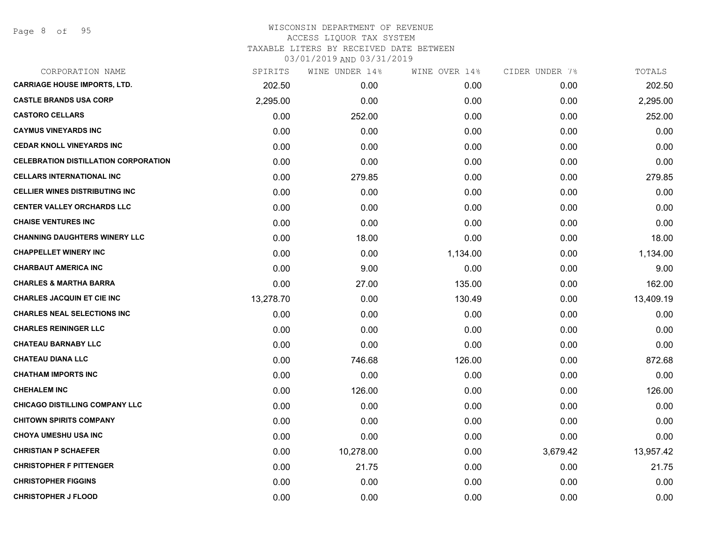### WISCONSIN DEPARTMENT OF REVENUE ACCESS LIQUOR TAX SYSTEM

TAXABLE LITERS BY RECEIVED DATE BETWEEN

| CORPORATION NAME                            | SPIRITS   | WINE UNDER 14% | WINE OVER 14% | CIDER UNDER 7% | TOTALS    |
|---------------------------------------------|-----------|----------------|---------------|----------------|-----------|
| <b>CARRIAGE HOUSE IMPORTS, LTD.</b>         | 202.50    | 0.00           | 0.00          | 0.00           | 202.50    |
| <b>CASTLE BRANDS USA CORP</b>               | 2,295.00  | 0.00           | 0.00          | 0.00           | 2,295.00  |
| <b>CASTORO CELLARS</b>                      | 0.00      | 252.00         | 0.00          | 0.00           | 252.00    |
| <b>CAYMUS VINEYARDS INC</b>                 | 0.00      | 0.00           | 0.00          | 0.00           | 0.00      |
| <b>CEDAR KNOLL VINEYARDS INC</b>            | 0.00      | 0.00           | 0.00          | 0.00           | 0.00      |
| <b>CELEBRATION DISTILLATION CORPORATION</b> | 0.00      | 0.00           | 0.00          | 0.00           | 0.00      |
| <b>CELLARS INTERNATIONAL INC</b>            | 0.00      | 279.85         | 0.00          | 0.00           | 279.85    |
| <b>CELLIER WINES DISTRIBUTING INC</b>       | 0.00      | 0.00           | 0.00          | 0.00           | 0.00      |
| <b>CENTER VALLEY ORCHARDS LLC</b>           | 0.00      | 0.00           | 0.00          | 0.00           | 0.00      |
| <b>CHAISE VENTURES INC</b>                  | 0.00      | 0.00           | 0.00          | 0.00           | 0.00      |
| <b>CHANNING DAUGHTERS WINERY LLC</b>        | 0.00      | 18.00          | 0.00          | 0.00           | 18.00     |
| <b>CHAPPELLET WINERY INC</b>                | 0.00      | 0.00           | 1,134.00      | 0.00           | 1,134.00  |
| <b>CHARBAUT AMERICA INC</b>                 | 0.00      | 9.00           | 0.00          | 0.00           | 9.00      |
| <b>CHARLES &amp; MARTHA BARRA</b>           | 0.00      | 27.00          | 135.00        | 0.00           | 162.00    |
| <b>CHARLES JACQUIN ET CIE INC</b>           | 13,278.70 | 0.00           | 130.49        | 0.00           | 13,409.19 |
| <b>CHARLES NEAL SELECTIONS INC</b>          | 0.00      | 0.00           | 0.00          | 0.00           | 0.00      |
| <b>CHARLES REININGER LLC</b>                | 0.00      | 0.00           | 0.00          | 0.00           | 0.00      |
| <b>CHATEAU BARNABY LLC</b>                  | 0.00      | 0.00           | 0.00          | 0.00           | 0.00      |
| <b>CHATEAU DIANA LLC</b>                    | 0.00      | 746.68         | 126.00        | 0.00           | 872.68    |
| <b>CHATHAM IMPORTS INC</b>                  | 0.00      | 0.00           | 0.00          | 0.00           | 0.00      |
| <b>CHEHALEM INC</b>                         | 0.00      | 126.00         | 0.00          | 0.00           | 126.00    |
| <b>CHICAGO DISTILLING COMPANY LLC</b>       | 0.00      | 0.00           | 0.00          | 0.00           | 0.00      |
| <b>CHITOWN SPIRITS COMPANY</b>              | 0.00      | 0.00           | 0.00          | 0.00           | 0.00      |
| <b>CHOYA UMESHU USA INC</b>                 | 0.00      | 0.00           | 0.00          | 0.00           | 0.00      |
| <b>CHRISTIAN P SCHAEFER</b>                 | 0.00      | 10,278.00      | 0.00          | 3,679.42       | 13,957.42 |
| <b>CHRISTOPHER F PITTENGER</b>              | 0.00      | 21.75          | 0.00          | 0.00           | 21.75     |
| <b>CHRISTOPHER FIGGINS</b>                  | 0.00      | 0.00           | 0.00          | 0.00           | 0.00      |
| <b>CHRISTOPHER J FLOOD</b>                  | 0.00      | 0.00           | 0.00          | 0.00           | 0.00      |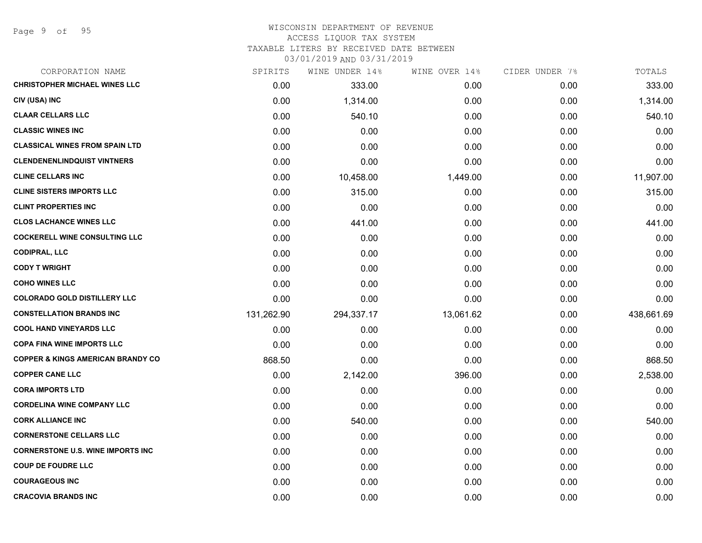### WISCONSIN DEPARTMENT OF REVENUE ACCESS LIQUOR TAX SYSTEM

TAXABLE LITERS BY RECEIVED DATE BETWEEN

| CORPORATION NAME                             | SPIRITS    | WINE UNDER 14% | WINE OVER 14% | CIDER UNDER 7% | TOTALS     |
|----------------------------------------------|------------|----------------|---------------|----------------|------------|
| <b>CHRISTOPHER MICHAEL WINES LLC</b>         | 0.00       | 333.00         | 0.00          | 0.00           | 333.00     |
| CIV (USA) INC                                | 0.00       | 1,314.00       | 0.00          | 0.00           | 1,314.00   |
| <b>CLAAR CELLARS LLC</b>                     | 0.00       | 540.10         | 0.00          | 0.00           | 540.10     |
| <b>CLASSIC WINES INC</b>                     | 0.00       | 0.00           | 0.00          | 0.00           | 0.00       |
| <b>CLASSICAL WINES FROM SPAIN LTD</b>        | 0.00       | 0.00           | 0.00          | 0.00           | 0.00       |
| <b>CLENDENENLINDQUIST VINTNERS</b>           | 0.00       | 0.00           | 0.00          | 0.00           | 0.00       |
| <b>CLINE CELLARS INC</b>                     | 0.00       | 10,458.00      | 1,449.00      | 0.00           | 11,907.00  |
| <b>CLINE SISTERS IMPORTS LLC</b>             | 0.00       | 315.00         | 0.00          | 0.00           | 315.00     |
| <b>CLINT PROPERTIES INC</b>                  | 0.00       | 0.00           | 0.00          | 0.00           | 0.00       |
| <b>CLOS LACHANCE WINES LLC</b>               | 0.00       | 441.00         | 0.00          | 0.00           | 441.00     |
| <b>COCKERELL WINE CONSULTING LLC</b>         | 0.00       | 0.00           | 0.00          | 0.00           | 0.00       |
| <b>CODIPRAL, LLC</b>                         | 0.00       | 0.00           | 0.00          | 0.00           | 0.00       |
| <b>CODY T WRIGHT</b>                         | 0.00       | 0.00           | 0.00          | 0.00           | 0.00       |
| <b>COHO WINES LLC</b>                        | 0.00       | 0.00           | 0.00          | 0.00           | 0.00       |
| <b>COLORADO GOLD DISTILLERY LLC</b>          | 0.00       | 0.00           | 0.00          | 0.00           | 0.00       |
| <b>CONSTELLATION BRANDS INC</b>              | 131,262.90 | 294,337.17     | 13,061.62     | 0.00           | 438,661.69 |
| <b>COOL HAND VINEYARDS LLC</b>               | 0.00       | 0.00           | 0.00          | 0.00           | 0.00       |
| <b>COPA FINA WINE IMPORTS LLC</b>            | 0.00       | 0.00           | 0.00          | 0.00           | 0.00       |
| <b>COPPER &amp; KINGS AMERICAN BRANDY CO</b> | 868.50     | 0.00           | 0.00          | 0.00           | 868.50     |
| <b>COPPER CANE LLC</b>                       | 0.00       | 2,142.00       | 396.00        | 0.00           | 2,538.00   |
| <b>CORA IMPORTS LTD</b>                      | 0.00       | 0.00           | 0.00          | 0.00           | 0.00       |
| <b>CORDELINA WINE COMPANY LLC</b>            | 0.00       | 0.00           | 0.00          | 0.00           | 0.00       |
| <b>CORK ALLIANCE INC</b>                     | 0.00       | 540.00         | 0.00          | 0.00           | 540.00     |
| <b>CORNERSTONE CELLARS LLC</b>               | 0.00       | 0.00           | 0.00          | 0.00           | 0.00       |
| <b>CORNERSTONE U.S. WINE IMPORTS INC</b>     | 0.00       | 0.00           | 0.00          | 0.00           | 0.00       |
| <b>COUP DE FOUDRE LLC</b>                    | 0.00       | 0.00           | 0.00          | 0.00           | 0.00       |
| <b>COURAGEOUS INC</b>                        | 0.00       | 0.00           | 0.00          | 0.00           | 0.00       |
| <b>CRACOVIA BRANDS INC</b>                   | 0.00       | 0.00           | 0.00          | 0.00           | 0.00       |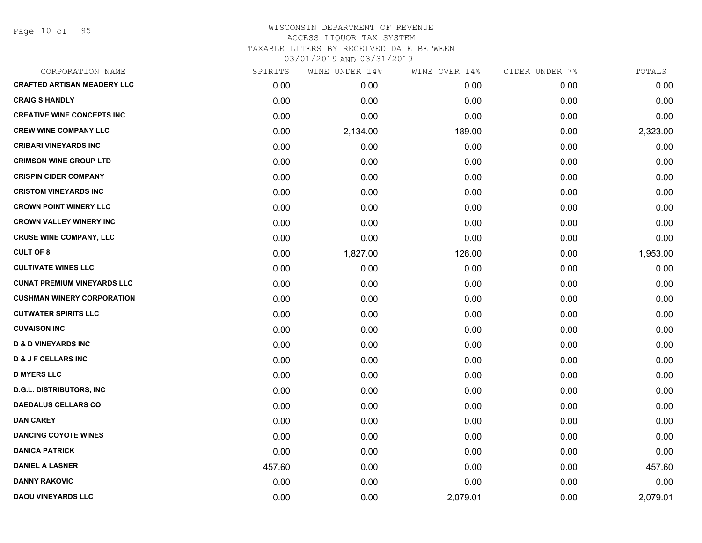Page 10 of 95

| CORPORATION NAME                   | SPIRITS | WINE UNDER 14% | WINE OVER 14% | CIDER UNDER 7% | TOTALS   |
|------------------------------------|---------|----------------|---------------|----------------|----------|
| <b>CRAFTED ARTISAN MEADERY LLC</b> | 0.00    | 0.00           | 0.00          | 0.00           | 0.00     |
| <b>CRAIG S HANDLY</b>              | 0.00    | 0.00           | 0.00          | 0.00           | 0.00     |
| <b>CREATIVE WINE CONCEPTS INC</b>  | 0.00    | 0.00           | 0.00          | 0.00           | 0.00     |
| <b>CREW WINE COMPANY LLC</b>       | 0.00    | 2,134.00       | 189.00        | 0.00           | 2,323.00 |
| <b>CRIBARI VINEYARDS INC</b>       | 0.00    | 0.00           | 0.00          | 0.00           | 0.00     |
| <b>CRIMSON WINE GROUP LTD</b>      | 0.00    | 0.00           | 0.00          | 0.00           | 0.00     |
| <b>CRISPIN CIDER COMPANY</b>       | 0.00    | 0.00           | 0.00          | 0.00           | 0.00     |
| <b>CRISTOM VINEYARDS INC</b>       | 0.00    | 0.00           | 0.00          | 0.00           | 0.00     |
| <b>CROWN POINT WINERY LLC</b>      | 0.00    | 0.00           | 0.00          | 0.00           | 0.00     |
| <b>CROWN VALLEY WINERY INC</b>     | 0.00    | 0.00           | 0.00          | 0.00           | 0.00     |
| <b>CRUSE WINE COMPANY, LLC</b>     | 0.00    | 0.00           | 0.00          | 0.00           | 0.00     |
| <b>CULT OF 8</b>                   | 0.00    | 1,827.00       | 126.00        | 0.00           | 1,953.00 |
| <b>CULTIVATE WINES LLC</b>         | 0.00    | 0.00           | 0.00          | 0.00           | 0.00     |
| <b>CUNAT PREMIUM VINEYARDS LLC</b> | 0.00    | 0.00           | 0.00          | 0.00           | 0.00     |
| <b>CUSHMAN WINERY CORPORATION</b>  | 0.00    | 0.00           | 0.00          | 0.00           | 0.00     |
| <b>CUTWATER SPIRITS LLC</b>        | 0.00    | 0.00           | 0.00          | 0.00           | 0.00     |
| <b>CUVAISON INC</b>                | 0.00    | 0.00           | 0.00          | 0.00           | 0.00     |
| <b>D &amp; D VINEYARDS INC</b>     | 0.00    | 0.00           | 0.00          | 0.00           | 0.00     |
| <b>D &amp; J F CELLARS INC</b>     | 0.00    | 0.00           | 0.00          | 0.00           | 0.00     |
| <b>D MYERS LLC</b>                 | 0.00    | 0.00           | 0.00          | 0.00           | 0.00     |
| <b>D.G.L. DISTRIBUTORS, INC</b>    | 0.00    | 0.00           | 0.00          | 0.00           | 0.00     |
| <b>DAEDALUS CELLARS CO</b>         | 0.00    | 0.00           | 0.00          | 0.00           | 0.00     |
| <b>DAN CAREY</b>                   | 0.00    | 0.00           | 0.00          | 0.00           | 0.00     |
| <b>DANCING COYOTE WINES</b>        | 0.00    | 0.00           | 0.00          | 0.00           | 0.00     |
| <b>DANICA PATRICK</b>              | 0.00    | 0.00           | 0.00          | 0.00           | 0.00     |
| <b>DANIEL A LASNER</b>             | 457.60  | 0.00           | 0.00          | 0.00           | 457.60   |
| <b>DANNY RAKOVIC</b>               | 0.00    | 0.00           | 0.00          | 0.00           | 0.00     |
| <b>DAOU VINEYARDS LLC</b>          | 0.00    | 0.00           | 2,079.01      | 0.00           | 2,079.01 |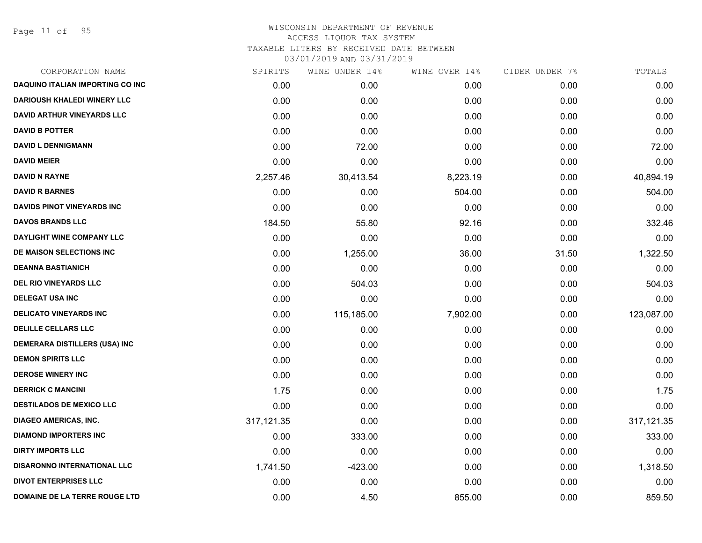Page 11 of 95

| CORPORATION NAME                        | SPIRITS    | WINE UNDER 14% | WINE OVER 14% | CIDER UNDER 7% | TOTALS      |
|-----------------------------------------|------------|----------------|---------------|----------------|-------------|
| <b>DAQUINO ITALIAN IMPORTING CO INC</b> | 0.00       | 0.00           | 0.00          | 0.00           | 0.00        |
| <b>DARIOUSH KHALEDI WINERY LLC</b>      | 0.00       | 0.00           | 0.00          | 0.00           | 0.00        |
| <b>DAVID ARTHUR VINEYARDS LLC</b>       | 0.00       | 0.00           | 0.00          | 0.00           | 0.00        |
| <b>DAVID B POTTER</b>                   | 0.00       | 0.00           | 0.00          | 0.00           | 0.00        |
| <b>DAVID L DENNIGMANN</b>               | 0.00       | 72.00          | 0.00          | 0.00           | 72.00       |
| <b>DAVID MEIER</b>                      | 0.00       | 0.00           | 0.00          | 0.00           | 0.00        |
| <b>DAVID N RAYNE</b>                    | 2,257.46   | 30,413.54      | 8,223.19      | 0.00           | 40,894.19   |
| <b>DAVID R BARNES</b>                   | 0.00       | 0.00           | 504.00        | 0.00           | 504.00      |
| <b>DAVIDS PINOT VINEYARDS INC</b>       | 0.00       | 0.00           | 0.00          | 0.00           | 0.00        |
| <b>DAVOS BRANDS LLC</b>                 | 184.50     | 55.80          | 92.16         | 0.00           | 332.46      |
| DAYLIGHT WINE COMPANY LLC               | 0.00       | 0.00           | 0.00          | 0.00           | 0.00        |
| DE MAISON SELECTIONS INC                | 0.00       | 1,255.00       | 36.00         | 31.50          | 1,322.50    |
| <b>DEANNA BASTIANICH</b>                | 0.00       | 0.00           | 0.00          | 0.00           | 0.00        |
| <b>DEL RIO VINEYARDS LLC</b>            | 0.00       | 504.03         | 0.00          | 0.00           | 504.03      |
| <b>DELEGAT USA INC</b>                  | 0.00       | 0.00           | 0.00          | 0.00           | 0.00        |
| <b>DELICATO VINEYARDS INC</b>           | 0.00       | 115,185.00     | 7,902.00      | 0.00           | 123,087.00  |
| <b>DELILLE CELLARS LLC</b>              | 0.00       | 0.00           | 0.00          | 0.00           | 0.00        |
| <b>DEMERARA DISTILLERS (USA) INC</b>    | 0.00       | 0.00           | 0.00          | 0.00           | 0.00        |
| <b>DEMON SPIRITS LLC</b>                | 0.00       | 0.00           | 0.00          | 0.00           | 0.00        |
| <b>DEROSE WINERY INC</b>                | 0.00       | 0.00           | 0.00          | 0.00           | 0.00        |
| <b>DERRICK C MANCINI</b>                | 1.75       | 0.00           | 0.00          | 0.00           | 1.75        |
| <b>DESTILADOS DE MEXICO LLC</b>         | 0.00       | 0.00           | 0.00          | 0.00           | 0.00        |
| <b>DIAGEO AMERICAS, INC.</b>            | 317,121.35 | 0.00           | 0.00          | 0.00           | 317, 121.35 |
| <b>DIAMOND IMPORTERS INC</b>            | 0.00       | 333.00         | 0.00          | 0.00           | 333.00      |
| <b>DIRTY IMPORTS LLC</b>                | 0.00       | 0.00           | 0.00          | 0.00           | 0.00        |
| <b>DISARONNO INTERNATIONAL LLC</b>      | 1,741.50   | $-423.00$      | 0.00          | 0.00           | 1,318.50    |
| <b>DIVOT ENTERPRISES LLC</b>            | 0.00       | 0.00           | 0.00          | 0.00           | 0.00        |
| DOMAINE DE LA TERRE ROUGE LTD           | 0.00       | 4.50           | 855.00        | 0.00           | 859.50      |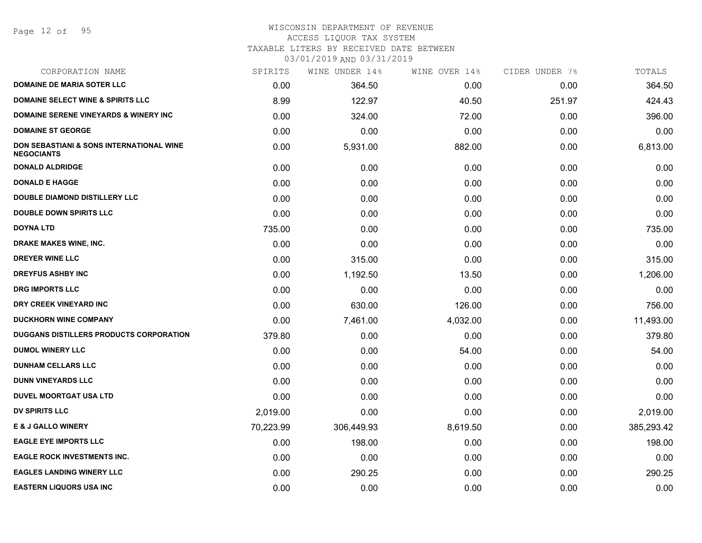## WISCONSIN DEPARTMENT OF REVENUE

### ACCESS LIQUOR TAX SYSTEM

TAXABLE LITERS BY RECEIVED DATE BETWEEN

| CORPORATION NAME                                                         | SPIRITS   | WINE UNDER 14% | WINE OVER 14% | CIDER UNDER 7% | TOTALS     |
|--------------------------------------------------------------------------|-----------|----------------|---------------|----------------|------------|
| <b>DOMAINE DE MARIA SOTER LLC</b>                                        | 0.00      | 364.50         | 0.00          | 0.00           | 364.50     |
| <b>DOMAINE SELECT WINE &amp; SPIRITS LLC</b>                             | 8.99      | 122.97         | 40.50         | 251.97         | 424.43     |
| <b>DOMAINE SERENE VINEYARDS &amp; WINERY INC</b>                         | 0.00      | 324.00         | 72.00         | 0.00           | 396.00     |
| <b>DOMAINE ST GEORGE</b>                                                 | 0.00      | 0.00           | 0.00          | 0.00           | 0.00       |
| <b>DON SEBASTIANI &amp; SONS INTERNATIONAL WINE</b><br><b>NEGOCIANTS</b> | 0.00      | 5,931.00       | 882.00        | 0.00           | 6,813.00   |
| <b>DONALD ALDRIDGE</b>                                                   | 0.00      | 0.00           | 0.00          | 0.00           | 0.00       |
| <b>DONALD E HAGGE</b>                                                    | 0.00      | 0.00           | 0.00          | 0.00           | 0.00       |
| <b>DOUBLE DIAMOND DISTILLERY LLC</b>                                     | 0.00      | 0.00           | 0.00          | 0.00           | 0.00       |
| <b>DOUBLE DOWN SPIRITS LLC</b>                                           | 0.00      | 0.00           | 0.00          | 0.00           | 0.00       |
| <b>DOYNA LTD</b>                                                         | 735.00    | 0.00           | 0.00          | 0.00           | 735.00     |
| DRAKE MAKES WINE, INC.                                                   | 0.00      | 0.00           | 0.00          | 0.00           | 0.00       |
| <b>DREYER WINE LLC</b>                                                   | 0.00      | 315.00         | 0.00          | 0.00           | 315.00     |
| <b>DREYFUS ASHBY INC</b>                                                 | 0.00      | 1,192.50       | 13.50         | 0.00           | 1,206.00   |
| <b>DRG IMPORTS LLC</b>                                                   | 0.00      | 0.00           | 0.00          | 0.00           | 0.00       |
| DRY CREEK VINEYARD INC                                                   | 0.00      | 630.00         | 126.00        | 0.00           | 756.00     |
| <b>DUCKHORN WINE COMPANY</b>                                             | 0.00      | 7,461.00       | 4,032.00      | 0.00           | 11,493.00  |
| DUGGANS DISTILLERS PRODUCTS CORPORATION                                  | 379.80    | 0.00           | 0.00          | 0.00           | 379.80     |
| <b>DUMOL WINERY LLC</b>                                                  | 0.00      | 0.00           | 54.00         | 0.00           | 54.00      |
| <b>DUNHAM CELLARS LLC</b>                                                | 0.00      | 0.00           | 0.00          | 0.00           | 0.00       |
| <b>DUNN VINEYARDS LLC</b>                                                | 0.00      | 0.00           | 0.00          | 0.00           | 0.00       |
| <b>DUVEL MOORTGAT USA LTD</b>                                            | 0.00      | 0.00           | 0.00          | 0.00           | 0.00       |
| <b>DV SPIRITS LLC</b>                                                    | 2,019.00  | 0.00           | 0.00          | 0.00           | 2,019.00   |
| <b>E &amp; J GALLO WINERY</b>                                            | 70,223.99 | 306,449.93     | 8,619.50      | 0.00           | 385,293.42 |
| <b>EAGLE EYE IMPORTS LLC</b>                                             | 0.00      | 198.00         | 0.00          | 0.00           | 198.00     |
| <b>EAGLE ROCK INVESTMENTS INC.</b>                                       | 0.00      | 0.00           | 0.00          | 0.00           | 0.00       |
| <b>EAGLES LANDING WINERY LLC</b>                                         | 0.00      | 290.25         | 0.00          | 0.00           | 290.25     |
| <b>EASTERN LIQUORS USA INC</b>                                           | 0.00      | 0.00           | 0.00          | 0.00           | 0.00       |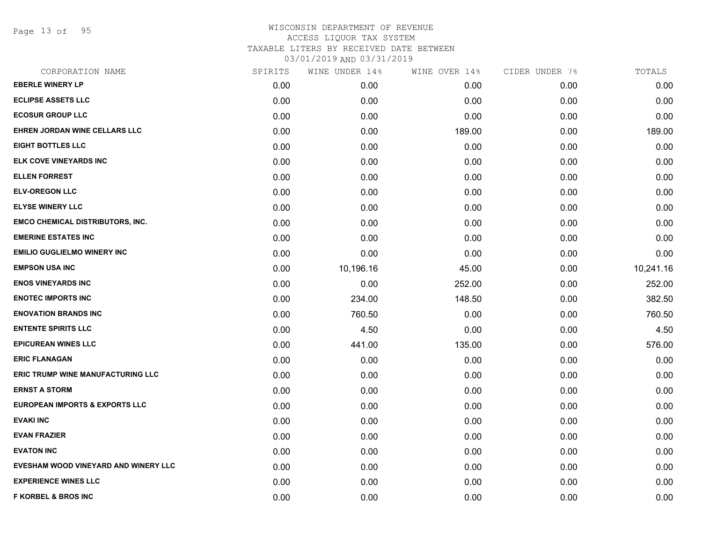Page 13 of 95

| CORPORATION NAME                          | SPIRITS | WINE UNDER 14% | WINE OVER 14% | CIDER UNDER 7% | TOTALS    |
|-------------------------------------------|---------|----------------|---------------|----------------|-----------|
| <b>EBERLE WINERY LP</b>                   | 0.00    | 0.00           | 0.00          | 0.00           | 0.00      |
| <b>ECLIPSE ASSETS LLC</b>                 | 0.00    | 0.00           | 0.00          | 0.00           | 0.00      |
| <b>ECOSUR GROUP LLC</b>                   | 0.00    | 0.00           | 0.00          | 0.00           | 0.00      |
| <b>EHREN JORDAN WINE CELLARS LLC</b>      | 0.00    | 0.00           | 189.00        | 0.00           | 189.00    |
| <b>EIGHT BOTTLES LLC</b>                  | 0.00    | 0.00           | 0.00          | 0.00           | 0.00      |
| ELK COVE VINEYARDS INC                    | 0.00    | 0.00           | 0.00          | 0.00           | 0.00      |
| <b>ELLEN FORREST</b>                      | 0.00    | 0.00           | 0.00          | 0.00           | 0.00      |
| <b>ELV-OREGON LLC</b>                     | 0.00    | 0.00           | 0.00          | 0.00           | 0.00      |
| <b>ELYSE WINERY LLC</b>                   | 0.00    | 0.00           | 0.00          | 0.00           | 0.00      |
| <b>EMCO CHEMICAL DISTRIBUTORS, INC.</b>   | 0.00    | 0.00           | 0.00          | 0.00           | 0.00      |
| <b>EMERINE ESTATES INC</b>                | 0.00    | 0.00           | 0.00          | 0.00           | 0.00      |
| <b>EMILIO GUGLIELMO WINERY INC</b>        | 0.00    | 0.00           | 0.00          | 0.00           | 0.00      |
| <b>EMPSON USA INC</b>                     | 0.00    | 10,196.16      | 45.00         | 0.00           | 10,241.16 |
| <b>ENOS VINEYARDS INC</b>                 | 0.00    | 0.00           | 252.00        | 0.00           | 252.00    |
| <b>ENOTEC IMPORTS INC</b>                 | 0.00    | 234.00         | 148.50        | 0.00           | 382.50    |
| <b>ENOVATION BRANDS INC</b>               | 0.00    | 760.50         | 0.00          | 0.00           | 760.50    |
| <b>ENTENTE SPIRITS LLC</b>                | 0.00    | 4.50           | 0.00          | 0.00           | 4.50      |
| <b>EPICUREAN WINES LLC</b>                | 0.00    | 441.00         | 135.00        | 0.00           | 576.00    |
| <b>ERIC FLANAGAN</b>                      | 0.00    | 0.00           | 0.00          | 0.00           | 0.00      |
| ERIC TRUMP WINE MANUFACTURING LLC         | 0.00    | 0.00           | 0.00          | 0.00           | 0.00      |
| <b>ERNST A STORM</b>                      | 0.00    | 0.00           | 0.00          | 0.00           | 0.00      |
| <b>EUROPEAN IMPORTS &amp; EXPORTS LLC</b> | 0.00    | 0.00           | 0.00          | 0.00           | 0.00      |
| <b>EVAKI INC</b>                          | 0.00    | 0.00           | 0.00          | 0.00           | 0.00      |
| <b>EVAN FRAZIER</b>                       | 0.00    | 0.00           | 0.00          | 0.00           | 0.00      |
| <b>EVATON INC</b>                         | 0.00    | 0.00           | 0.00          | 0.00           | 0.00      |
| EVESHAM WOOD VINEYARD AND WINERY LLC      | 0.00    | 0.00           | 0.00          | 0.00           | 0.00      |
| <b>EXPERIENCE WINES LLC</b>               | 0.00    | 0.00           | 0.00          | 0.00           | 0.00      |
| <b>F KORBEL &amp; BROS INC</b>            | 0.00    | 0.00           | 0.00          | 0.00           | 0.00      |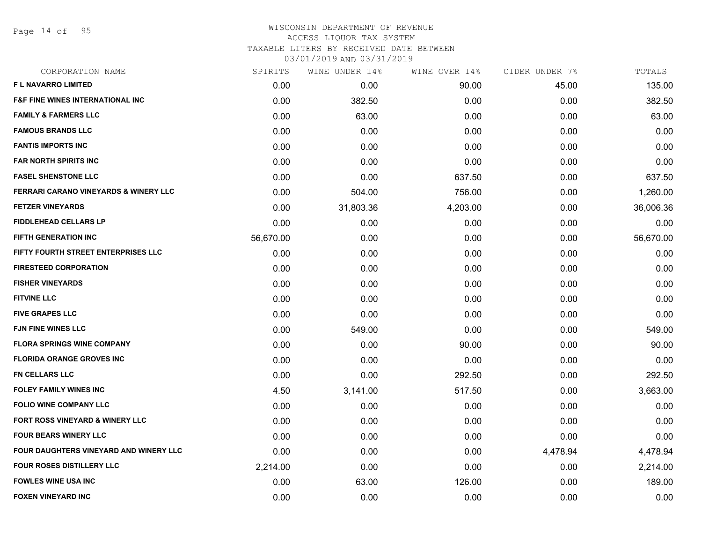Page 14 of 95

# WISCONSIN DEPARTMENT OF REVENUE ACCESS LIQUOR TAX SYSTEM

TAXABLE LITERS BY RECEIVED DATE BETWEEN

| CORPORATION NAME                                 | SPIRITS   | WINE UNDER 14% | WINE OVER 14% | CIDER UNDER 7% | TOTALS    |
|--------------------------------------------------|-----------|----------------|---------------|----------------|-----------|
| <b>FL NAVARRO LIMITED</b>                        | 0.00      | 0.00           | 90.00         | 45.00          | 135.00    |
| <b>F&amp;F FINE WINES INTERNATIONAL INC</b>      | 0.00      | 382.50         | 0.00          | 0.00           | 382.50    |
| <b>FAMILY &amp; FARMERS LLC</b>                  | 0.00      | 63.00          | 0.00          | 0.00           | 63.00     |
| <b>FAMOUS BRANDS LLC</b>                         | 0.00      | 0.00           | 0.00          | 0.00           | 0.00      |
| <b>FANTIS IMPORTS INC</b>                        | 0.00      | 0.00           | 0.00          | 0.00           | 0.00      |
| <b>FAR NORTH SPIRITS INC</b>                     | 0.00      | 0.00           | 0.00          | 0.00           | 0.00      |
| <b>FASEL SHENSTONE LLC</b>                       | 0.00      | 0.00           | 637.50        | 0.00           | 637.50    |
| <b>FERRARI CARANO VINEYARDS &amp; WINERY LLC</b> | 0.00      | 504.00         | 756.00        | 0.00           | 1,260.00  |
| <b>FETZER VINEYARDS</b>                          | 0.00      | 31,803.36      | 4,203.00      | 0.00           | 36,006.36 |
| <b>FIDDLEHEAD CELLARS LP</b>                     | 0.00      | 0.00           | 0.00          | 0.00           | 0.00      |
| <b>FIFTH GENERATION INC</b>                      | 56,670.00 | 0.00           | 0.00          | 0.00           | 56,670.00 |
| FIFTY FOURTH STREET ENTERPRISES LLC              | 0.00      | 0.00           | 0.00          | 0.00           | 0.00      |
| <b>FIRESTEED CORPORATION</b>                     | 0.00      | 0.00           | 0.00          | 0.00           | 0.00      |
| <b>FISHER VINEYARDS</b>                          | 0.00      | 0.00           | 0.00          | 0.00           | 0.00      |
| <b>FITVINE LLC</b>                               | 0.00      | 0.00           | 0.00          | 0.00           | 0.00      |
| <b>FIVE GRAPES LLC</b>                           | 0.00      | 0.00           | 0.00          | 0.00           | 0.00      |
| <b>FJN FINE WINES LLC</b>                        | 0.00      | 549.00         | 0.00          | 0.00           | 549.00    |
| <b>FLORA SPRINGS WINE COMPANY</b>                | 0.00      | 0.00           | 90.00         | 0.00           | 90.00     |
| <b>FLORIDA ORANGE GROVES INC</b>                 | 0.00      | 0.00           | 0.00          | 0.00           | 0.00      |
| <b>FN CELLARS LLC</b>                            | 0.00      | 0.00           | 292.50        | 0.00           | 292.50    |
| <b>FOLEY FAMILY WINES INC</b>                    | 4.50      | 3,141.00       | 517.50        | 0.00           | 3,663.00  |
| <b>FOLIO WINE COMPANY LLC</b>                    | 0.00      | 0.00           | 0.00          | 0.00           | 0.00      |
| FORT ROSS VINEYARD & WINERY LLC                  | 0.00      | 0.00           | 0.00          | 0.00           | 0.00      |
| <b>FOUR BEARS WINERY LLC</b>                     | 0.00      | 0.00           | 0.00          | 0.00           | 0.00      |
| FOUR DAUGHTERS VINEYARD AND WINERY LLC           | 0.00      | 0.00           | 0.00          | 4,478.94       | 4,478.94  |
| <b>FOUR ROSES DISTILLERY LLC</b>                 | 2,214.00  | 0.00           | 0.00          | 0.00           | 2,214.00  |
| <b>FOWLES WINE USA INC</b>                       | 0.00      | 63.00          | 126.00        | 0.00           | 189.00    |
| <b>FOXEN VINEYARD INC</b>                        | 0.00      | 0.00           | 0.00          | 0.00           | 0.00      |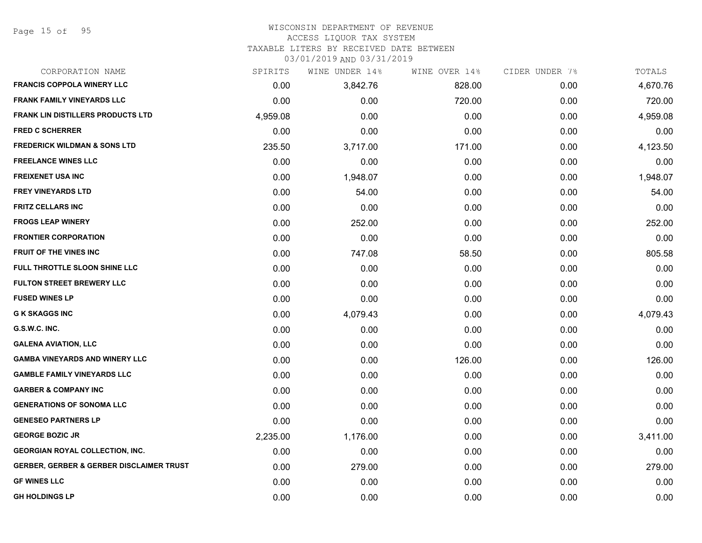## WISCONSIN DEPARTMENT OF REVENUE

### ACCESS LIQUOR TAX SYSTEM

TAXABLE LITERS BY RECEIVED DATE BETWEEN

| CORPORATION NAME                                    | SPIRITS  | WINE UNDER 14% | WINE OVER 14% | CIDER UNDER 7% | TOTALS   |
|-----------------------------------------------------|----------|----------------|---------------|----------------|----------|
| <b>FRANCIS COPPOLA WINERY LLC</b>                   | 0.00     | 3,842.76       | 828.00        | 0.00           | 4,670.76 |
| <b>FRANK FAMILY VINEYARDS LLC</b>                   | 0.00     | 0.00           | 720.00        | 0.00           | 720.00   |
| <b>FRANK LIN DISTILLERS PRODUCTS LTD</b>            | 4,959.08 | 0.00           | 0.00          | 0.00           | 4,959.08 |
| <b>FRED C SCHERRER</b>                              | 0.00     | 0.00           | 0.00          | 0.00           | 0.00     |
| <b>FREDERICK WILDMAN &amp; SONS LTD</b>             | 235.50   | 3,717.00       | 171.00        | 0.00           | 4,123.50 |
| <b>FREELANCE WINES LLC</b>                          | 0.00     | 0.00           | 0.00          | 0.00           | 0.00     |
| <b>FREIXENET USA INC</b>                            | 0.00     | 1,948.07       | 0.00          | 0.00           | 1,948.07 |
| <b>FREY VINEYARDS LTD</b>                           | 0.00     | 54.00          | 0.00          | 0.00           | 54.00    |
| <b>FRITZ CELLARS INC</b>                            | 0.00     | 0.00           | 0.00          | 0.00           | 0.00     |
| <b>FROGS LEAP WINERY</b>                            | 0.00     | 252.00         | 0.00          | 0.00           | 252.00   |
| <b>FRONTIER CORPORATION</b>                         | 0.00     | 0.00           | 0.00          | 0.00           | 0.00     |
| <b>FRUIT OF THE VINES INC</b>                       | 0.00     | 747.08         | 58.50         | 0.00           | 805.58   |
| FULL THROTTLE SLOON SHINE LLC                       | 0.00     | 0.00           | 0.00          | 0.00           | 0.00     |
| <b>FULTON STREET BREWERY LLC</b>                    | 0.00     | 0.00           | 0.00          | 0.00           | 0.00     |
| <b>FUSED WINES LP</b>                               | 0.00     | 0.00           | 0.00          | 0.00           | 0.00     |
| <b>G K SKAGGS INC</b>                               | 0.00     | 4,079.43       | 0.00          | 0.00           | 4,079.43 |
| G.S.W.C. INC.                                       | 0.00     | 0.00           | 0.00          | 0.00           | 0.00     |
| <b>GALENA AVIATION, LLC</b>                         | 0.00     | 0.00           | 0.00          | 0.00           | 0.00     |
| <b>GAMBA VINEYARDS AND WINERY LLC</b>               | 0.00     | 0.00           | 126.00        | 0.00           | 126.00   |
| <b>GAMBLE FAMILY VINEYARDS LLC</b>                  | 0.00     | 0.00           | 0.00          | 0.00           | 0.00     |
| <b>GARBER &amp; COMPANY INC</b>                     | 0.00     | 0.00           | 0.00          | 0.00           | 0.00     |
| <b>GENERATIONS OF SONOMA LLC</b>                    | 0.00     | 0.00           | 0.00          | 0.00           | 0.00     |
| <b>GENESEO PARTNERS LP</b>                          | 0.00     | 0.00           | 0.00          | 0.00           | 0.00     |
| <b>GEORGE BOZIC JR</b>                              | 2,235.00 | 1,176.00       | 0.00          | 0.00           | 3,411.00 |
| <b>GEORGIAN ROYAL COLLECTION, INC.</b>              | 0.00     | 0.00           | 0.00          | 0.00           | 0.00     |
| <b>GERBER, GERBER &amp; GERBER DISCLAIMER TRUST</b> | 0.00     | 279.00         | 0.00          | 0.00           | 279.00   |
| <b>GF WINES LLC</b>                                 | 0.00     | 0.00           | 0.00          | 0.00           | 0.00     |
| <b>GH HOLDINGS LP</b>                               | 0.00     | 0.00           | 0.00          | 0.00           | 0.00     |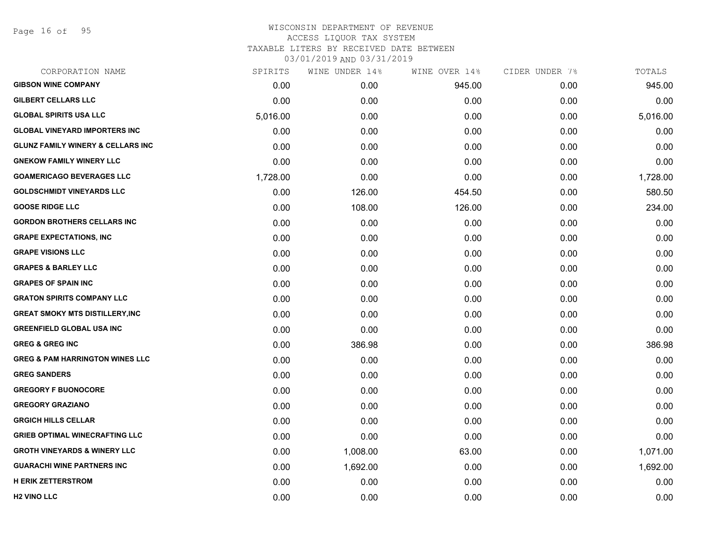Page 16 of 95

| CORPORATION NAME                             | SPIRITS  | WINE UNDER 14% | WINE OVER 14% | CIDER UNDER 7% | TOTALS   |
|----------------------------------------------|----------|----------------|---------------|----------------|----------|
| <b>GIBSON WINE COMPANY</b>                   | 0.00     | 0.00           | 945.00        | 0.00           | 945.00   |
| <b>GILBERT CELLARS LLC</b>                   | 0.00     | 0.00           | 0.00          | 0.00           | 0.00     |
| <b>GLOBAL SPIRITS USA LLC</b>                | 5,016.00 | 0.00           | 0.00          | 0.00           | 5,016.00 |
| <b>GLOBAL VINEYARD IMPORTERS INC</b>         | 0.00     | 0.00           | 0.00          | 0.00           | 0.00     |
| <b>GLUNZ FAMILY WINERY &amp; CELLARS INC</b> | 0.00     | 0.00           | 0.00          | 0.00           | 0.00     |
| <b>GNEKOW FAMILY WINERY LLC</b>              | 0.00     | 0.00           | 0.00          | 0.00           | 0.00     |
| <b>GOAMERICAGO BEVERAGES LLC</b>             | 1,728.00 | 0.00           | 0.00          | 0.00           | 1,728.00 |
| <b>GOLDSCHMIDT VINEYARDS LLC</b>             | 0.00     | 126.00         | 454.50        | 0.00           | 580.50   |
| <b>GOOSE RIDGE LLC</b>                       | 0.00     | 108.00         | 126.00        | 0.00           | 234.00   |
| <b>GORDON BROTHERS CELLARS INC</b>           | 0.00     | 0.00           | 0.00          | 0.00           | 0.00     |
| <b>GRAPE EXPECTATIONS, INC</b>               | 0.00     | 0.00           | 0.00          | 0.00           | 0.00     |
| <b>GRAPE VISIONS LLC</b>                     | 0.00     | 0.00           | 0.00          | 0.00           | 0.00     |
| <b>GRAPES &amp; BARLEY LLC</b>               | 0.00     | 0.00           | 0.00          | 0.00           | 0.00     |
| <b>GRAPES OF SPAIN INC</b>                   | 0.00     | 0.00           | 0.00          | 0.00           | 0.00     |
| <b>GRATON SPIRITS COMPANY LLC</b>            | 0.00     | 0.00           | 0.00          | 0.00           | 0.00     |
| <b>GREAT SMOKY MTS DISTILLERY, INC</b>       | 0.00     | 0.00           | 0.00          | 0.00           | 0.00     |
| <b>GREENFIELD GLOBAL USA INC</b>             | 0.00     | 0.00           | 0.00          | 0.00           | 0.00     |
| <b>GREG &amp; GREG INC</b>                   | 0.00     | 386.98         | 0.00          | 0.00           | 386.98   |
| <b>GREG &amp; PAM HARRINGTON WINES LLC</b>   | 0.00     | 0.00           | 0.00          | 0.00           | 0.00     |
| <b>GREG SANDERS</b>                          | 0.00     | 0.00           | 0.00          | 0.00           | 0.00     |
| <b>GREGORY F BUONOCORE</b>                   | 0.00     | 0.00           | 0.00          | 0.00           | 0.00     |
| <b>GREGORY GRAZIANO</b>                      | 0.00     | 0.00           | 0.00          | 0.00           | 0.00     |
| <b>GRGICH HILLS CELLAR</b>                   | 0.00     | 0.00           | 0.00          | 0.00           | 0.00     |
| <b>GRIEB OPTIMAL WINECRAFTING LLC</b>        | 0.00     | 0.00           | 0.00          | 0.00           | 0.00     |
| <b>GROTH VINEYARDS &amp; WINERY LLC</b>      | 0.00     | 1,008.00       | 63.00         | 0.00           | 1,071.00 |
| <b>GUARACHI WINE PARTNERS INC</b>            | 0.00     | 1,692.00       | 0.00          | 0.00           | 1,692.00 |
| <b>H ERIK ZETTERSTROM</b>                    | 0.00     | 0.00           | 0.00          | 0.00           | 0.00     |
| <b>H2 VINO LLC</b>                           | 0.00     | 0.00           | 0.00          | 0.00           | 0.00     |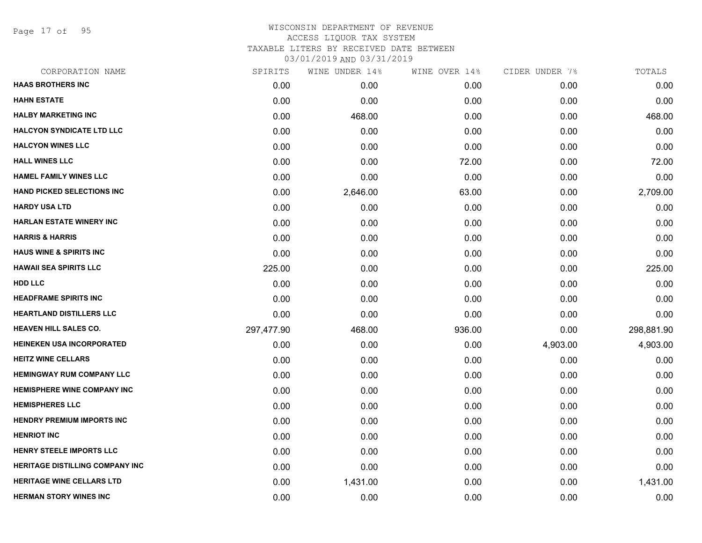Page 17 of 95

## WISCONSIN DEPARTMENT OF REVENUE ACCESS LIQUOR TAX SYSTEM TAXABLE LITERS BY RECEIVED DATE BETWEEN

| CORPORATION NAME                       | SPIRITS    | WINE UNDER 14% | WINE OVER 14% | CIDER UNDER 7% | TOTALS     |
|----------------------------------------|------------|----------------|---------------|----------------|------------|
| <b>HAAS BROTHERS INC</b>               | 0.00       | 0.00           | 0.00          | 0.00           | 0.00       |
| <b>HAHN ESTATE</b>                     | 0.00       | 0.00           | 0.00          | 0.00           | 0.00       |
| <b>HALBY MARKETING INC</b>             | 0.00       | 468.00         | 0.00          | 0.00           | 468.00     |
| <b>HALCYON SYNDICATE LTD LLC</b>       | 0.00       | 0.00           | 0.00          | 0.00           | 0.00       |
| <b>HALCYON WINES LLC</b>               | 0.00       | 0.00           | 0.00          | 0.00           | 0.00       |
| <b>HALL WINES LLC</b>                  | 0.00       | 0.00           | 72.00         | 0.00           | 72.00      |
| <b>HAMEL FAMILY WINES LLC</b>          | 0.00       | 0.00           | 0.00          | 0.00           | 0.00       |
| <b>HAND PICKED SELECTIONS INC</b>      | 0.00       | 2,646.00       | 63.00         | 0.00           | 2,709.00   |
| <b>HARDY USA LTD</b>                   | 0.00       | 0.00           | 0.00          | 0.00           | 0.00       |
| <b>HARLAN ESTATE WINERY INC</b>        | 0.00       | 0.00           | 0.00          | 0.00           | 0.00       |
| <b>HARRIS &amp; HARRIS</b>             | 0.00       | 0.00           | 0.00          | 0.00           | 0.00       |
| <b>HAUS WINE &amp; SPIRITS INC</b>     | 0.00       | 0.00           | 0.00          | 0.00           | 0.00       |
| <b>HAWAII SEA SPIRITS LLC</b>          | 225.00     | 0.00           | 0.00          | 0.00           | 225.00     |
| <b>HDD LLC</b>                         | 0.00       | 0.00           | 0.00          | 0.00           | 0.00       |
| <b>HEADFRAME SPIRITS INC</b>           | 0.00       | 0.00           | 0.00          | 0.00           | 0.00       |
| <b>HEARTLAND DISTILLERS LLC</b>        | 0.00       | 0.00           | 0.00          | 0.00           | 0.00       |
| <b>HEAVEN HILL SALES CO.</b>           | 297,477.90 | 468.00         | 936.00        | 0.00           | 298,881.90 |
| HEINEKEN USA INCORPORATED              | 0.00       | 0.00           | 0.00          | 4,903.00       | 4,903.00   |
| <b>HEITZ WINE CELLARS</b>              | 0.00       | 0.00           | 0.00          | 0.00           | 0.00       |
| <b>HEMINGWAY RUM COMPANY LLC</b>       | 0.00       | 0.00           | 0.00          | 0.00           | 0.00       |
| <b>HEMISPHERE WINE COMPANY INC</b>     | 0.00       | 0.00           | 0.00          | 0.00           | 0.00       |
| <b>HEMISPHERES LLC</b>                 | 0.00       | 0.00           | 0.00          | 0.00           | 0.00       |
| <b>HENDRY PREMIUM IMPORTS INC</b>      | 0.00       | 0.00           | 0.00          | 0.00           | 0.00       |
| <b>HENRIOT INC</b>                     | 0.00       | 0.00           | 0.00          | 0.00           | 0.00       |
| <b>HENRY STEELE IMPORTS LLC</b>        | 0.00       | 0.00           | 0.00          | 0.00           | 0.00       |
| <b>HERITAGE DISTILLING COMPANY INC</b> | 0.00       | 0.00           | 0.00          | 0.00           | 0.00       |
| <b>HERITAGE WINE CELLARS LTD</b>       | 0.00       | 1,431.00       | 0.00          | 0.00           | 1,431.00   |
| <b>HERMAN STORY WINES INC</b>          | 0.00       | 0.00           | 0.00          | 0.00           | 0.00       |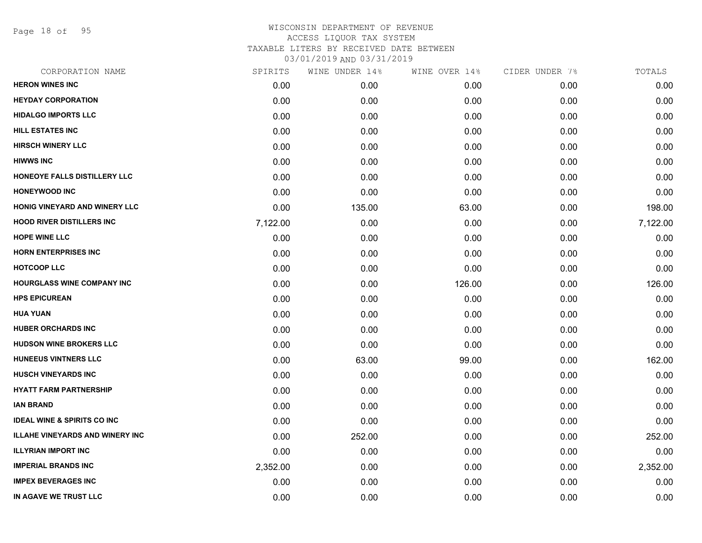Page 18 of 95

# WISCONSIN DEPARTMENT OF REVENUE ACCESS LIQUOR TAX SYSTEM TAXABLE LITERS BY RECEIVED DATE BETWEEN

| CORPORATION NAME                       | SPIRITS  | WINE UNDER 14% | WINE OVER 14% | CIDER UNDER 7% | TOTALS   |
|----------------------------------------|----------|----------------|---------------|----------------|----------|
| <b>HERON WINES INC</b>                 | 0.00     | 0.00           | 0.00          | 0.00           | 0.00     |
| <b>HEYDAY CORPORATION</b>              | 0.00     | 0.00           | 0.00          | 0.00           | 0.00     |
| <b>HIDALGO IMPORTS LLC</b>             | 0.00     | 0.00           | 0.00          | 0.00           | 0.00     |
| <b>HILL ESTATES INC</b>                | 0.00     | 0.00           | 0.00          | 0.00           | 0.00     |
| <b>HIRSCH WINERY LLC</b>               | 0.00     | 0.00           | 0.00          | 0.00           | 0.00     |
| <b>HIWWS INC</b>                       | 0.00     | 0.00           | 0.00          | 0.00           | 0.00     |
| HONEOYE FALLS DISTILLERY LLC           | 0.00     | 0.00           | 0.00          | 0.00           | 0.00     |
| <b>HONEYWOOD INC</b>                   | 0.00     | 0.00           | 0.00          | 0.00           | 0.00     |
| HONIG VINEYARD AND WINERY LLC          | 0.00     | 135.00         | 63.00         | 0.00           | 198.00   |
| <b>HOOD RIVER DISTILLERS INC</b>       | 7,122.00 | 0.00           | 0.00          | 0.00           | 7,122.00 |
| <b>HOPE WINE LLC</b>                   | 0.00     | 0.00           | 0.00          | 0.00           | 0.00     |
| <b>HORN ENTERPRISES INC</b>            | 0.00     | 0.00           | 0.00          | 0.00           | 0.00     |
| <b>HOTCOOP LLC</b>                     | 0.00     | 0.00           | 0.00          | 0.00           | 0.00     |
| <b>HOURGLASS WINE COMPANY INC</b>      | 0.00     | 0.00           | 126.00        | 0.00           | 126.00   |
| <b>HPS EPICUREAN</b>                   | 0.00     | 0.00           | 0.00          | 0.00           | 0.00     |
| <b>HUA YUAN</b>                        | 0.00     | 0.00           | 0.00          | 0.00           | 0.00     |
| <b>HUBER ORCHARDS INC</b>              | 0.00     | 0.00           | 0.00          | 0.00           | 0.00     |
| <b>HUDSON WINE BROKERS LLC</b>         | 0.00     | 0.00           | 0.00          | 0.00           | 0.00     |
| <b>HUNEEUS VINTNERS LLC</b>            | 0.00     | 63.00          | 99.00         | 0.00           | 162.00   |
| <b>HUSCH VINEYARDS INC</b>             | 0.00     | 0.00           | 0.00          | 0.00           | 0.00     |
| <b>HYATT FARM PARTNERSHIP</b>          | 0.00     | 0.00           | 0.00          | 0.00           | 0.00     |
| <b>IAN BRAND</b>                       | 0.00     | 0.00           | 0.00          | 0.00           | 0.00     |
| <b>IDEAL WINE &amp; SPIRITS CO INC</b> | 0.00     | 0.00           | 0.00          | 0.00           | 0.00     |
| <b>ILLAHE VINEYARDS AND WINERY INC</b> | 0.00     | 252.00         | 0.00          | 0.00           | 252.00   |
| <b>ILLYRIAN IMPORT INC</b>             | 0.00     | 0.00           | 0.00          | 0.00           | 0.00     |
| <b>IMPERIAL BRANDS INC</b>             | 2,352.00 | 0.00           | 0.00          | 0.00           | 2,352.00 |
| <b>IMPEX BEVERAGES INC</b>             | 0.00     | 0.00           | 0.00          | 0.00           | 0.00     |
| IN AGAVE WE TRUST LLC                  | 0.00     | 0.00           | 0.00          | 0.00           | 0.00     |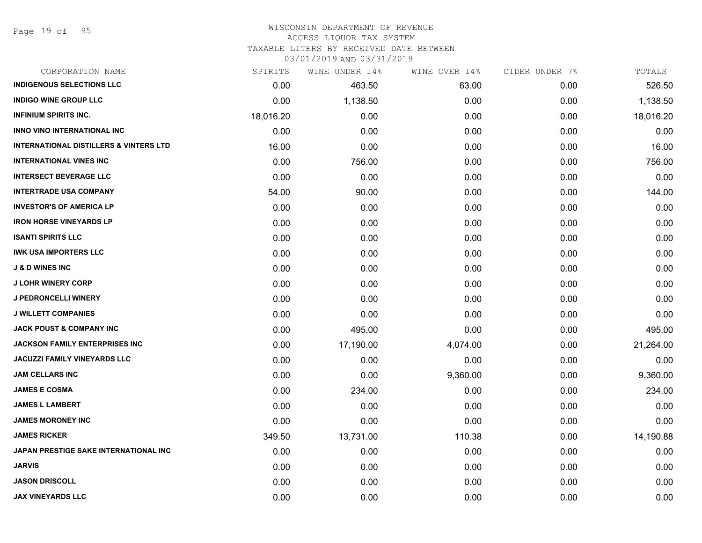### WISCONSIN DEPARTMENT OF REVENUE ACCESS LIQUOR TAX SYSTEM

TAXABLE LITERS BY RECEIVED DATE BETWEEN

| CORPORATION NAME                                  | SPIRITS   | WINE UNDER 14% | WINE OVER 14% | CIDER UNDER 7% | TOTALS    |
|---------------------------------------------------|-----------|----------------|---------------|----------------|-----------|
| <b>INDIGENOUS SELECTIONS LLC</b>                  | 0.00      | 463.50         | 63.00         | 0.00           | 526.50    |
| <b>INDIGO WINE GROUP LLC</b>                      | 0.00      | 1,138.50       | 0.00          | 0.00           | 1,138.50  |
| <b>INFINIUM SPIRITS INC.</b>                      | 18,016.20 | 0.00           | 0.00          | 0.00           | 18,016.20 |
| <b>INNO VINO INTERNATIONAL INC.</b>               | 0.00      | 0.00           | 0.00          | 0.00           | 0.00      |
| <b>INTERNATIONAL DISTILLERS &amp; VINTERS LTD</b> | 16.00     | 0.00           | 0.00          | 0.00           | 16.00     |
| <b>INTERNATIONAL VINES INC</b>                    | 0.00      | 756.00         | 0.00          | 0.00           | 756.00    |
| <b>INTERSECT BEVERAGE LLC</b>                     | 0.00      | 0.00           | 0.00          | 0.00           | 0.00      |
| <b>INTERTRADE USA COMPANY</b>                     | 54.00     | 90.00          | 0.00          | 0.00           | 144.00    |
| <b>INVESTOR'S OF AMERICA LP</b>                   | 0.00      | 0.00           | 0.00          | 0.00           | 0.00      |
| <b>IRON HORSE VINEYARDS LP</b>                    | 0.00      | 0.00           | 0.00          | 0.00           | 0.00      |
| <b>ISANTI SPIRITS LLC</b>                         | 0.00      | 0.00           | 0.00          | 0.00           | 0.00      |
| <b>IWK USA IMPORTERS LLC</b>                      | 0.00      | 0.00           | 0.00          | 0.00           | 0.00      |
| <b>J &amp; D WINES INC</b>                        | 0.00      | 0.00           | 0.00          | 0.00           | 0.00      |
| <b>J LOHR WINERY CORP</b>                         | 0.00      | 0.00           | 0.00          | 0.00           | 0.00      |
| <b>J PEDRONCELLI WINERY</b>                       | 0.00      | 0.00           | 0.00          | 0.00           | 0.00      |
| <b>J WILLETT COMPANIES</b>                        | 0.00      | 0.00           | 0.00          | 0.00           | 0.00      |
| <b>JACK POUST &amp; COMPANY INC</b>               | 0.00      | 495.00         | 0.00          | 0.00           | 495.00    |
| <b>JACKSON FAMILY ENTERPRISES INC</b>             | 0.00      | 17,190.00      | 4,074.00      | 0.00           | 21,264.00 |
| JACUZZI FAMILY VINEYARDS LLC                      | 0.00      | 0.00           | 0.00          | 0.00           | 0.00      |
| <b>JAM CELLARS INC</b>                            | 0.00      | 0.00           | 9,360.00      | 0.00           | 9,360.00  |
| <b>JAMES E COSMA</b>                              | 0.00      | 234.00         | 0.00          | 0.00           | 234.00    |
| <b>JAMES L LAMBERT</b>                            | 0.00      | 0.00           | 0.00          | 0.00           | 0.00      |
| <b>JAMES MORONEY INC</b>                          | 0.00      | 0.00           | 0.00          | 0.00           | 0.00      |
| <b>JAMES RICKER</b>                               | 349.50    | 13,731.00      | 110.38        | 0.00           | 14,190.88 |
| JAPAN PRESTIGE SAKE INTERNATIONAL INC             | 0.00      | 0.00           | 0.00          | 0.00           | 0.00      |
| <b>JARVIS</b>                                     | 0.00      | 0.00           | 0.00          | 0.00           | 0.00      |
| <b>JASON DRISCOLL</b>                             | 0.00      | 0.00           | 0.00          | 0.00           | 0.00      |
| <b>JAX VINEYARDS LLC</b>                          | 0.00      | 0.00           | 0.00          | 0.00           | 0.00      |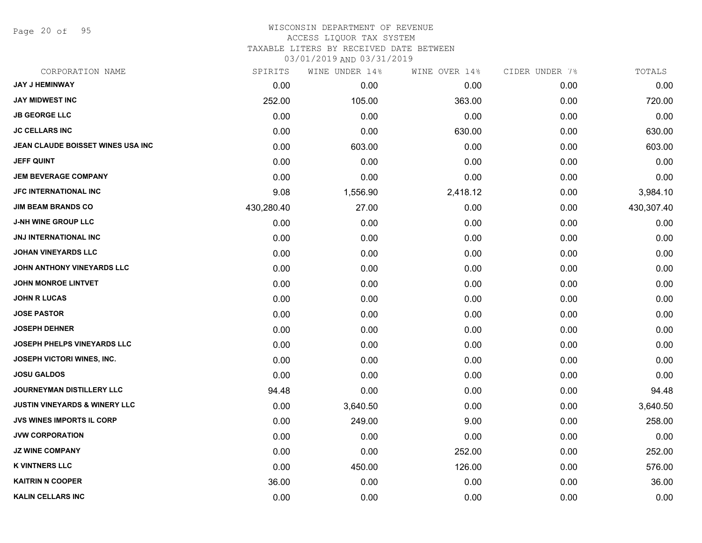Page 20 of 95

# WISCONSIN DEPARTMENT OF REVENUE

# ACCESS LIQUOR TAX SYSTEM

TAXABLE LITERS BY RECEIVED DATE BETWEEN

| CORPORATION NAME                         | SPIRITS    | WINE UNDER 14% | WINE OVER 14% | CIDER UNDER 7% | TOTALS     |
|------------------------------------------|------------|----------------|---------------|----------------|------------|
| <b>JAY J HEMINWAY</b>                    | 0.00       | 0.00           | 0.00          | 0.00           | 0.00       |
| <b>JAY MIDWEST INC</b>                   | 252.00     | 105.00         | 363.00        | 0.00           | 720.00     |
| <b>JB GEORGE LLC</b>                     | 0.00       | 0.00           | 0.00          | 0.00           | 0.00       |
| <b>JC CELLARS INC</b>                    | 0.00       | 0.00           | 630.00        | 0.00           | 630.00     |
| JEAN CLAUDE BOISSET WINES USA INC        | 0.00       | 603.00         | 0.00          | 0.00           | 603.00     |
| <b>JEFF QUINT</b>                        | 0.00       | 0.00           | 0.00          | 0.00           | 0.00       |
| <b>JEM BEVERAGE COMPANY</b>              | 0.00       | 0.00           | 0.00          | 0.00           | 0.00       |
| <b>JFC INTERNATIONAL INC</b>             | 9.08       | 1,556.90       | 2,418.12      | 0.00           | 3,984.10   |
| <b>JIM BEAM BRANDS CO</b>                | 430,280.40 | 27.00          | 0.00          | 0.00           | 430,307.40 |
| <b>J-NH WINE GROUP LLC</b>               | 0.00       | 0.00           | 0.00          | 0.00           | 0.00       |
| JNJ INTERNATIONAL INC                    | 0.00       | 0.00           | 0.00          | 0.00           | 0.00       |
| <b>JOHAN VINEYARDS LLC</b>               | 0.00       | 0.00           | 0.00          | 0.00           | 0.00       |
| JOHN ANTHONY VINEYARDS LLC               | 0.00       | 0.00           | 0.00          | 0.00           | 0.00       |
| JOHN MONROE LINTVET                      | 0.00       | 0.00           | 0.00          | 0.00           | 0.00       |
| <b>JOHN R LUCAS</b>                      | 0.00       | 0.00           | 0.00          | 0.00           | 0.00       |
| <b>JOSE PASTOR</b>                       | 0.00       | 0.00           | 0.00          | 0.00           | 0.00       |
| <b>JOSEPH DEHNER</b>                     | 0.00       | 0.00           | 0.00          | 0.00           | 0.00       |
| <b>JOSEPH PHELPS VINEYARDS LLC</b>       | 0.00       | 0.00           | 0.00          | 0.00           | 0.00       |
| JOSEPH VICTORI WINES, INC.               | 0.00       | 0.00           | 0.00          | 0.00           | 0.00       |
| <b>JOSU GALDOS</b>                       | 0.00       | 0.00           | 0.00          | 0.00           | 0.00       |
| JOURNEYMAN DISTILLERY LLC                | 94.48      | 0.00           | 0.00          | 0.00           | 94.48      |
| <b>JUSTIN VINEYARDS &amp; WINERY LLC</b> | 0.00       | 3,640.50       | 0.00          | 0.00           | 3,640.50   |
| <b>JVS WINES IMPORTS IL CORP</b>         | 0.00       | 249.00         | 9.00          | 0.00           | 258.00     |
| <b>JVW CORPORATION</b>                   | 0.00       | 0.00           | 0.00          | 0.00           | 0.00       |
| <b>JZ WINE COMPANY</b>                   | 0.00       | 0.00           | 252.00        | 0.00           | 252.00     |
| <b>K VINTNERS LLC</b>                    | 0.00       | 450.00         | 126.00        | 0.00           | 576.00     |
| <b>KAITRIN N COOPER</b>                  | 36.00      | 0.00           | 0.00          | 0.00           | 36.00      |
| <b>KALIN CELLARS INC</b>                 | 0.00       | 0.00           | 0.00          | 0.00           | 0.00       |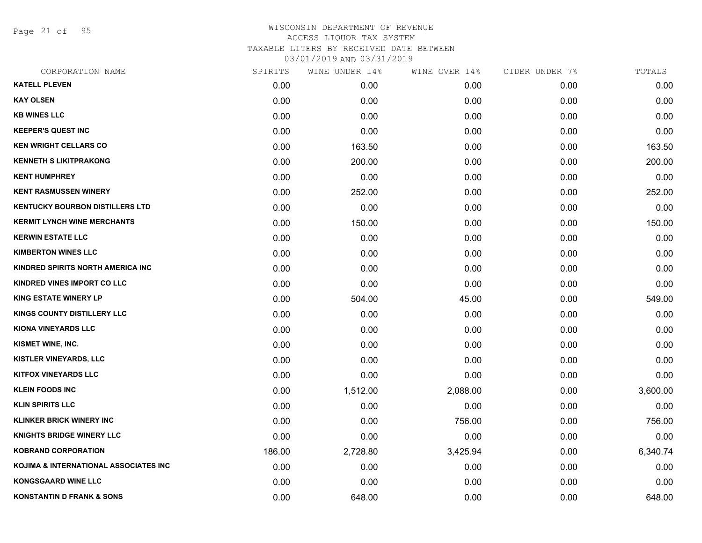Page 21 of 95

| CORPORATION NAME                       | SPIRITS | WINE UNDER 14% | WINE OVER 14% | CIDER UNDER 7% | TOTALS   |
|----------------------------------------|---------|----------------|---------------|----------------|----------|
| <b>KATELL PLEVEN</b>                   | 0.00    | 0.00           | 0.00          | 0.00           | 0.00     |
| <b>KAY OLSEN</b>                       | 0.00    | 0.00           | 0.00          | 0.00           | 0.00     |
| <b>KB WINES LLC</b>                    | 0.00    | 0.00           | 0.00          | 0.00           | 0.00     |
| <b>KEEPER'S QUEST INC</b>              | 0.00    | 0.00           | 0.00          | 0.00           | 0.00     |
| <b>KEN WRIGHT CELLARS CO</b>           | 0.00    | 163.50         | 0.00          | 0.00           | 163.50   |
| <b>KENNETH S LIKITPRAKONG</b>          | 0.00    | 200.00         | 0.00          | 0.00           | 200.00   |
| <b>KENT HUMPHREY</b>                   | 0.00    | 0.00           | 0.00          | 0.00           | 0.00     |
| <b>KENT RASMUSSEN WINERY</b>           | 0.00    | 252.00         | 0.00          | 0.00           | 252.00   |
| <b>KENTUCKY BOURBON DISTILLERS LTD</b> | 0.00    | 0.00           | 0.00          | 0.00           | 0.00     |
| <b>KERMIT LYNCH WINE MERCHANTS</b>     | 0.00    | 150.00         | 0.00          | 0.00           | 150.00   |
| <b>KERWIN ESTATE LLC</b>               | 0.00    | 0.00           | 0.00          | 0.00           | 0.00     |
| <b>KIMBERTON WINES LLC</b>             | 0.00    | 0.00           | 0.00          | 0.00           | 0.00     |
| KINDRED SPIRITS NORTH AMERICA INC      | 0.00    | 0.00           | 0.00          | 0.00           | 0.00     |
| KINDRED VINES IMPORT CO LLC            | 0.00    | 0.00           | 0.00          | 0.00           | 0.00     |
| <b>KING ESTATE WINERY LP</b>           | 0.00    | 504.00         | 45.00         | 0.00           | 549.00   |
| <b>KINGS COUNTY DISTILLERY LLC</b>     | 0.00    | 0.00           | 0.00          | 0.00           | 0.00     |
| <b>KIONA VINEYARDS LLC</b>             | 0.00    | 0.00           | 0.00          | 0.00           | 0.00     |
| KISMET WINE, INC.                      | 0.00    | 0.00           | 0.00          | 0.00           | 0.00     |
| <b>KISTLER VINEYARDS, LLC</b>          | 0.00    | 0.00           | 0.00          | 0.00           | 0.00     |
| <b>KITFOX VINEYARDS LLC</b>            | 0.00    | 0.00           | 0.00          | 0.00           | 0.00     |
| <b>KLEIN FOODS INC</b>                 | 0.00    | 1,512.00       | 2,088.00      | 0.00           | 3,600.00 |
| <b>KLIN SPIRITS LLC</b>                | 0.00    | 0.00           | 0.00          | 0.00           | 0.00     |
| <b>KLINKER BRICK WINERY INC</b>        | 0.00    | 0.00           | 756.00        | 0.00           | 756.00   |
| <b>KNIGHTS BRIDGE WINERY LLC</b>       | 0.00    | 0.00           | 0.00          | 0.00           | 0.00     |
| <b>KOBRAND CORPORATION</b>             | 186.00  | 2,728.80       | 3,425.94      | 0.00           | 6,340.74 |
| KOJIMA & INTERNATIONAL ASSOCIATES INC  | 0.00    | 0.00           | 0.00          | 0.00           | 0.00     |
| <b>KONGSGAARD WINE LLC</b>             | 0.00    | 0.00           | 0.00          | 0.00           | 0.00     |
| <b>KONSTANTIN D FRANK &amp; SONS</b>   | 0.00    | 648.00         | 0.00          | 0.00           | 648.00   |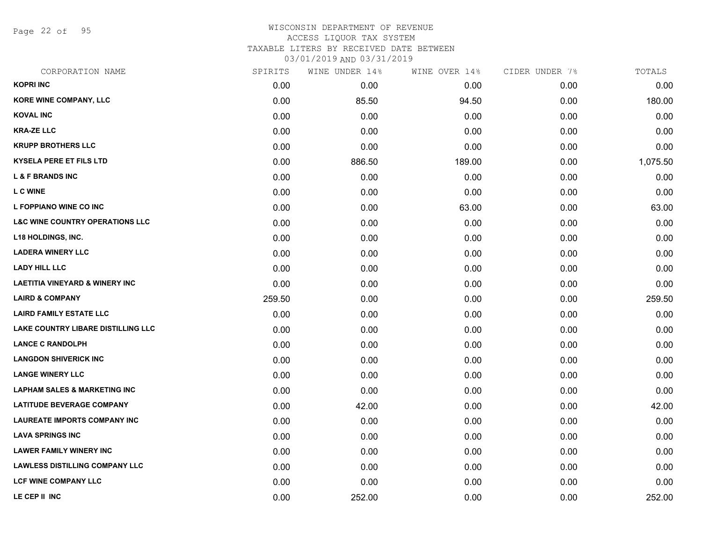Page 22 of 95

# WISCONSIN DEPARTMENT OF REVENUE ACCESS LIQUOR TAX SYSTEM

TAXABLE LITERS BY RECEIVED DATE BETWEEN

| CORPORATION NAME                           | SPIRITS | WINE UNDER 14% | WINE OVER 14% | CIDER UNDER 7% | TOTALS   |
|--------------------------------------------|---------|----------------|---------------|----------------|----------|
| <b>KOPRI INC</b>                           | 0.00    | 0.00           | 0.00          | 0.00           | 0.00     |
| KORE WINE COMPANY, LLC                     | 0.00    | 85.50          | 94.50         | 0.00           | 180.00   |
| <b>KOVAL INC</b>                           | 0.00    | 0.00           | 0.00          | 0.00           | 0.00     |
| <b>KRA-ZE LLC</b>                          | 0.00    | 0.00           | 0.00          | 0.00           | 0.00     |
| <b>KRUPP BROTHERS LLC</b>                  | 0.00    | 0.00           | 0.00          | 0.00           | 0.00     |
| <b>KYSELA PERE ET FILS LTD</b>             | 0.00    | 886.50         | 189.00        | 0.00           | 1,075.50 |
| <b>L &amp; F BRANDS INC</b>                | 0.00    | 0.00           | 0.00          | 0.00           | 0.00     |
| <b>L C WINE</b>                            | 0.00    | 0.00           | 0.00          | 0.00           | 0.00     |
| L FOPPIANO WINE CO INC                     | 0.00    | 0.00           | 63.00         | 0.00           | 63.00    |
| <b>L&amp;C WINE COUNTRY OPERATIONS LLC</b> | 0.00    | 0.00           | 0.00          | 0.00           | 0.00     |
| <b>L18 HOLDINGS, INC.</b>                  | 0.00    | 0.00           | 0.00          | 0.00           | 0.00     |
| <b>LADERA WINERY LLC</b>                   | 0.00    | 0.00           | 0.00          | 0.00           | 0.00     |
| <b>LADY HILL LLC</b>                       | 0.00    | 0.00           | 0.00          | 0.00           | 0.00     |
| <b>LAETITIA VINEYARD &amp; WINERY INC</b>  | 0.00    | 0.00           | 0.00          | 0.00           | 0.00     |
| <b>LAIRD &amp; COMPANY</b>                 | 259.50  | 0.00           | 0.00          | 0.00           | 259.50   |
| <b>LAIRD FAMILY ESTATE LLC</b>             | 0.00    | 0.00           | 0.00          | 0.00           | 0.00     |
| <b>LAKE COUNTRY LIBARE DISTILLING LLC</b>  | 0.00    | 0.00           | 0.00          | 0.00           | 0.00     |
| <b>LANCE C RANDOLPH</b>                    | 0.00    | 0.00           | 0.00          | 0.00           | 0.00     |
| <b>LANGDON SHIVERICK INC</b>               | 0.00    | 0.00           | 0.00          | 0.00           | 0.00     |
| <b>LANGE WINERY LLC</b>                    | 0.00    | 0.00           | 0.00          | 0.00           | 0.00     |
| <b>LAPHAM SALES &amp; MARKETING INC</b>    | 0.00    | 0.00           | 0.00          | 0.00           | 0.00     |
| <b>LATITUDE BEVERAGE COMPANY</b>           | 0.00    | 42.00          | 0.00          | 0.00           | 42.00    |
| <b>LAUREATE IMPORTS COMPANY INC</b>        | 0.00    | 0.00           | 0.00          | 0.00           | 0.00     |
| <b>LAVA SPRINGS INC</b>                    | 0.00    | 0.00           | 0.00          | 0.00           | 0.00     |
| <b>LAWER FAMILY WINERY INC</b>             | 0.00    | 0.00           | 0.00          | 0.00           | 0.00     |
| <b>LAWLESS DISTILLING COMPANY LLC</b>      | 0.00    | 0.00           | 0.00          | 0.00           | 0.00     |
| <b>LCF WINE COMPANY LLC</b>                | 0.00    | 0.00           | 0.00          | 0.00           | 0.00     |
| LE CEP II INC                              | 0.00    | 252.00         | 0.00          | 0.00           | 252.00   |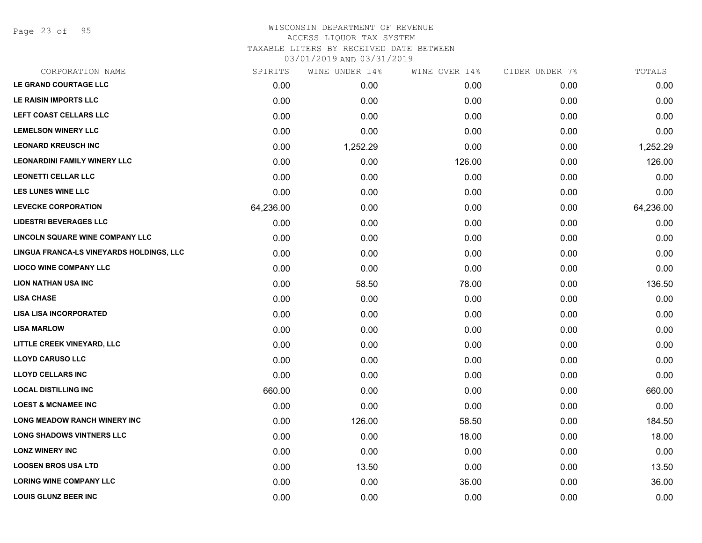Page 23 of 95

### WISCONSIN DEPARTMENT OF REVENUE ACCESS LIQUOR TAX SYSTEM

TAXABLE LITERS BY RECEIVED DATE BETWEEN

| CORPORATION NAME                         | SPIRITS   | WINE UNDER 14% | WINE OVER 14% | CIDER UNDER 7% | TOTALS    |
|------------------------------------------|-----------|----------------|---------------|----------------|-----------|
| LE GRAND COURTAGE LLC                    | 0.00      | 0.00           | 0.00          | 0.00           | 0.00      |
| LE RAISIN IMPORTS LLC                    | 0.00      | 0.00           | 0.00          | 0.00           | 0.00      |
| LEFT COAST CELLARS LLC                   | 0.00      | 0.00           | 0.00          | 0.00           | 0.00      |
| <b>LEMELSON WINERY LLC</b>               | 0.00      | 0.00           | 0.00          | 0.00           | 0.00      |
| <b>LEONARD KREUSCH INC</b>               | 0.00      | 1,252.29       | 0.00          | 0.00           | 1,252.29  |
| <b>LEONARDINI FAMILY WINERY LLC</b>      | 0.00      | 0.00           | 126.00        | 0.00           | 126.00    |
| <b>LEONETTI CELLAR LLC</b>               | 0.00      | 0.00           | 0.00          | 0.00           | 0.00      |
| <b>LES LUNES WINE LLC</b>                | 0.00      | 0.00           | 0.00          | 0.00           | 0.00      |
| <b>LEVECKE CORPORATION</b>               | 64,236.00 | 0.00           | 0.00          | 0.00           | 64,236.00 |
| <b>LIDESTRI BEVERAGES LLC</b>            | 0.00      | 0.00           | 0.00          | 0.00           | 0.00      |
| LINCOLN SQUARE WINE COMPANY LLC          | 0.00      | 0.00           | 0.00          | 0.00           | 0.00      |
| LINGUA FRANCA-LS VINEYARDS HOLDINGS, LLC | 0.00      | 0.00           | 0.00          | 0.00           | 0.00      |
| <b>LIOCO WINE COMPANY LLC</b>            | 0.00      | 0.00           | 0.00          | 0.00           | 0.00      |
| <b>LION NATHAN USA INC</b>               | 0.00      | 58.50          | 78.00         | 0.00           | 136.50    |
| <b>LISA CHASE</b>                        | 0.00      | 0.00           | 0.00          | 0.00           | 0.00      |
| <b>LISA LISA INCORPORATED</b>            | 0.00      | 0.00           | 0.00          | 0.00           | 0.00      |
| <b>LISA MARLOW</b>                       | 0.00      | 0.00           | 0.00          | 0.00           | 0.00      |
| LITTLE CREEK VINEYARD, LLC               | 0.00      | 0.00           | 0.00          | 0.00           | 0.00      |
| <b>LLOYD CARUSO LLC</b>                  | 0.00      | 0.00           | 0.00          | 0.00           | 0.00      |
| <b>LLOYD CELLARS INC</b>                 | 0.00      | 0.00           | 0.00          | 0.00           | 0.00      |
| <b>LOCAL DISTILLING INC</b>              | 660.00    | 0.00           | 0.00          | 0.00           | 660.00    |
| <b>LOEST &amp; MCNAMEE INC</b>           | 0.00      | 0.00           | 0.00          | 0.00           | 0.00      |
| LONG MEADOW RANCH WINERY INC             | 0.00      | 126.00         | 58.50         | 0.00           | 184.50    |
| <b>LONG SHADOWS VINTNERS LLC</b>         | 0.00      | 0.00           | 18.00         | 0.00           | 18.00     |
| <b>LONZ WINERY INC</b>                   | 0.00      | 0.00           | 0.00          | 0.00           | 0.00      |
| <b>LOOSEN BROS USA LTD</b>               | 0.00      | 13.50          | 0.00          | 0.00           | 13.50     |
| <b>LORING WINE COMPANY LLC</b>           | 0.00      | 0.00           | 36.00         | 0.00           | 36.00     |
| <b>LOUIS GLUNZ BEER INC</b>              | 0.00      | 0.00           | 0.00          | 0.00           | 0.00      |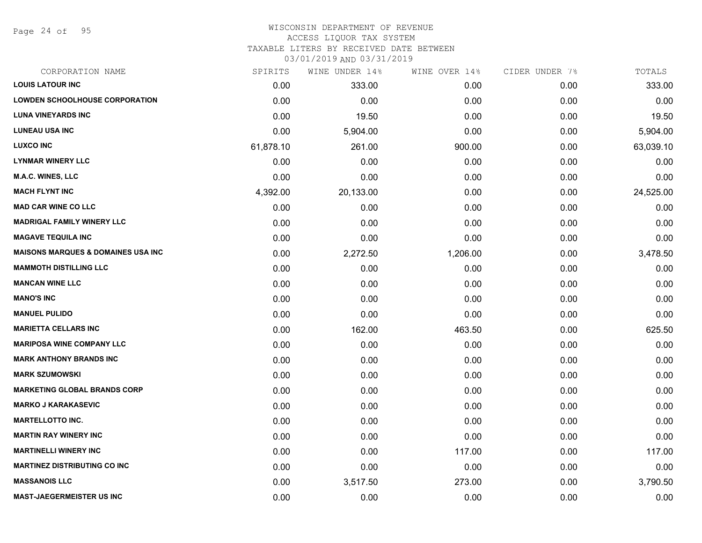Page 24 of 95

# WISCONSIN DEPARTMENT OF REVENUE

## ACCESS LIQUOR TAX SYSTEM

TAXABLE LITERS BY RECEIVED DATE BETWEEN

| CORPORATION NAME                              | SPIRITS   | WINE UNDER 14% | WINE OVER 14% | CIDER UNDER 7% | TOTALS    |
|-----------------------------------------------|-----------|----------------|---------------|----------------|-----------|
| <b>LOUIS LATOUR INC</b>                       | 0.00      | 333.00         | 0.00          | 0.00           | 333.00    |
| <b>LOWDEN SCHOOLHOUSE CORPORATION</b>         | 0.00      | 0.00           | 0.00          | 0.00           | 0.00      |
| <b>LUNA VINEYARDS INC</b>                     | 0.00      | 19.50          | 0.00          | 0.00           | 19.50     |
| <b>LUNEAU USA INC</b>                         | 0.00      | 5,904.00       | 0.00          | 0.00           | 5,904.00  |
| <b>LUXCO INC</b>                              | 61,878.10 | 261.00         | 900.00        | 0.00           | 63,039.10 |
| <b>LYNMAR WINERY LLC</b>                      | 0.00      | 0.00           | 0.00          | 0.00           | 0.00      |
| M.A.C. WINES, LLC                             | 0.00      | 0.00           | 0.00          | 0.00           | 0.00      |
| <b>MACH FLYNT INC</b>                         | 4,392.00  | 20,133.00      | 0.00          | 0.00           | 24,525.00 |
| <b>MAD CAR WINE CO LLC</b>                    | 0.00      | 0.00           | 0.00          | 0.00           | 0.00      |
| <b>MADRIGAL FAMILY WINERY LLC</b>             | 0.00      | 0.00           | 0.00          | 0.00           | 0.00      |
| <b>MAGAVE TEQUILA INC</b>                     | 0.00      | 0.00           | 0.00          | 0.00           | 0.00      |
| <b>MAISONS MARQUES &amp; DOMAINES USA INC</b> | 0.00      | 2,272.50       | 1,206.00      | 0.00           | 3,478.50  |
| <b>MAMMOTH DISTILLING LLC</b>                 | 0.00      | 0.00           | 0.00          | 0.00           | 0.00      |
| <b>MANCAN WINE LLC</b>                        | 0.00      | 0.00           | 0.00          | 0.00           | 0.00      |
| <b>MANO'S INC</b>                             | 0.00      | 0.00           | 0.00          | 0.00           | 0.00      |
| <b>MANUEL PULIDO</b>                          | 0.00      | 0.00           | 0.00          | 0.00           | 0.00      |
| <b>MARIETTA CELLARS INC</b>                   | 0.00      | 162.00         | 463.50        | 0.00           | 625.50    |
| <b>MARIPOSA WINE COMPANY LLC</b>              | 0.00      | 0.00           | 0.00          | 0.00           | 0.00      |
| <b>MARK ANTHONY BRANDS INC</b>                | 0.00      | 0.00           | 0.00          | 0.00           | 0.00      |
| <b>MARK SZUMOWSKI</b>                         | 0.00      | 0.00           | 0.00          | 0.00           | 0.00      |
| <b>MARKETING GLOBAL BRANDS CORP</b>           | 0.00      | 0.00           | 0.00          | 0.00           | 0.00      |
| <b>MARKO J KARAKASEVIC</b>                    | 0.00      | 0.00           | 0.00          | 0.00           | 0.00      |
| <b>MARTELLOTTO INC.</b>                       | 0.00      | 0.00           | 0.00          | 0.00           | 0.00      |
| <b>MARTIN RAY WINERY INC</b>                  | 0.00      | 0.00           | 0.00          | 0.00           | 0.00      |
| <b>MARTINELLI WINERY INC</b>                  | 0.00      | 0.00           | 117.00        | 0.00           | 117.00    |
| <b>MARTINEZ DISTRIBUTING CO INC</b>           | 0.00      | 0.00           | 0.00          | 0.00           | 0.00      |
| <b>MASSANOIS LLC</b>                          | 0.00      | 3,517.50       | 273.00        | 0.00           | 3,790.50  |
| <b>MAST-JAEGERMEISTER US INC</b>              | 0.00      | 0.00           | 0.00          | 0.00           | 0.00      |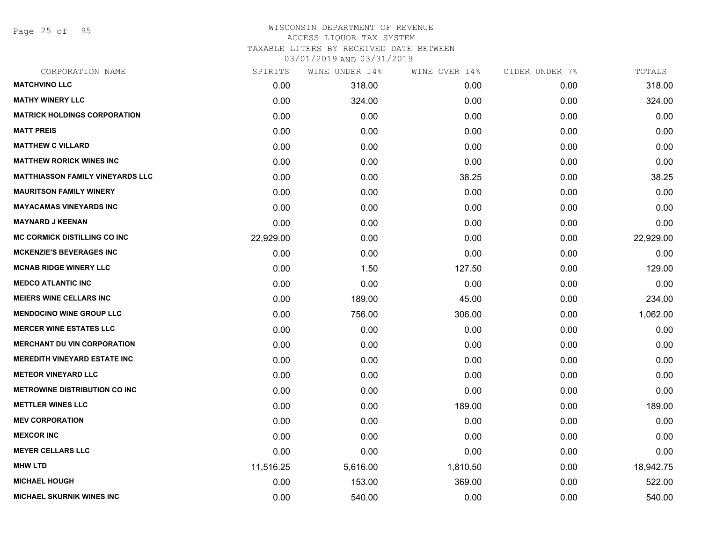Page 25 of 95

### WISCONSIN DEPARTMENT OF REVENUE ACCESS LIQUOR TAX SYSTEM TAXABLE LITERS BY RECEIVED DATE BETWEEN

| CORPORATION NAME                        | SPIRITS   | WINE UNDER 14% | WINE OVER 14% | CIDER UNDER 7% | TOTALS    |
|-----------------------------------------|-----------|----------------|---------------|----------------|-----------|
| <b>MATCHVINO LLC</b>                    | 0.00      | 318.00         | 0.00          | 0.00           | 318.00    |
| <b>MATHY WINERY LLC</b>                 | 0.00      | 324.00         | 0.00          | 0.00           | 324.00    |
| <b>MATRICK HOLDINGS CORPORATION</b>     | 0.00      | 0.00           | 0.00          | 0.00           | 0.00      |
| <b>MATT PREIS</b>                       | 0.00      | 0.00           | 0.00          | 0.00           | 0.00      |
| <b>MATTHEW C VILLARD</b>                | 0.00      | 0.00           | 0.00          | 0.00           | 0.00      |
| <b>MATTHEW RORICK WINES INC</b>         | 0.00      | 0.00           | 0.00          | 0.00           | 0.00      |
| <b>MATTHIASSON FAMILY VINEYARDS LLC</b> | 0.00      | 0.00           | 38.25         | 0.00           | 38.25     |
| <b>MAURITSON FAMILY WINERY</b>          | 0.00      | 0.00           | 0.00          | 0.00           | 0.00      |
| <b>MAYACAMAS VINEYARDS INC</b>          | 0.00      | 0.00           | 0.00          | 0.00           | 0.00      |
| <b>MAYNARD J KEENAN</b>                 | 0.00      | 0.00           | 0.00          | 0.00           | 0.00      |
| <b>MC CORMICK DISTILLING CO INC</b>     | 22,929.00 | 0.00           | 0.00          | 0.00           | 22,929.00 |
| <b>MCKENZIE'S BEVERAGES INC</b>         | 0.00      | 0.00           | 0.00          | 0.00           | 0.00      |
| <b>MCNAB RIDGE WINERY LLC</b>           | 0.00      | 1.50           | 127.50        | 0.00           | 129.00    |
| <b>MEDCO ATLANTIC INC</b>               | 0.00      | 0.00           | 0.00          | 0.00           | 0.00      |
| <b>MEIERS WINE CELLARS INC</b>          | 0.00      | 189.00         | 45.00         | 0.00           | 234.00    |
| <b>MENDOCINO WINE GROUP LLC</b>         | 0.00      | 756.00         | 306.00        | 0.00           | 1,062.00  |
| <b>MERCER WINE ESTATES LLC</b>          | 0.00      | 0.00           | 0.00          | 0.00           | 0.00      |
| <b>MERCHANT DU VIN CORPORATION</b>      | 0.00      | 0.00           | 0.00          | 0.00           | 0.00      |
| <b>MEREDITH VINEYARD ESTATE INC</b>     | 0.00      | 0.00           | 0.00          | 0.00           | 0.00      |
| <b>METEOR VINEYARD LLC</b>              | 0.00      | 0.00           | 0.00          | 0.00           | 0.00      |
| <b>METROWINE DISTRIBUTION CO INC</b>    | 0.00      | 0.00           | 0.00          | 0.00           | 0.00      |
| <b>METTLER WINES LLC</b>                | 0.00      | 0.00           | 189.00        | 0.00           | 189.00    |
| <b>MEV CORPORATION</b>                  | 0.00      | 0.00           | 0.00          | 0.00           | 0.00      |
| <b>MEXCOR INC</b>                       | 0.00      | 0.00           | 0.00          | 0.00           | 0.00      |
| <b>MEYER CELLARS LLC</b>                | 0.00      | 0.00           | 0.00          | 0.00           | 0.00      |
| <b>MHW LTD</b>                          | 11,516.25 | 5,616.00       | 1,810.50      | 0.00           | 18,942.75 |
| <b>MICHAEL HOUGH</b>                    | 0.00      | 153.00         | 369.00        | 0.00           | 522.00    |
| <b>MICHAEL SKURNIK WINES INC</b>        | 0.00      | 540.00         | 0.00          | 0.00           | 540.00    |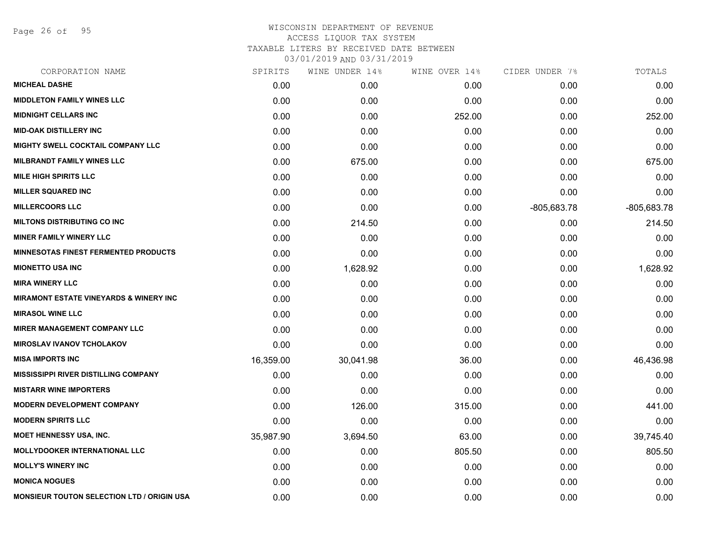Page 26 of 95

| CORPORATION NAME                                  | SPIRITS   | WINE UNDER 14% | WINE OVER 14% | CIDER UNDER 7% | TOTALS        |
|---------------------------------------------------|-----------|----------------|---------------|----------------|---------------|
| <b>MICHEAL DASHE</b>                              | 0.00      | 0.00           | 0.00          | 0.00           | 0.00          |
| <b>MIDDLETON FAMILY WINES LLC</b>                 | 0.00      | 0.00           | 0.00          | 0.00           | 0.00          |
| <b>MIDNIGHT CELLARS INC</b>                       | 0.00      | 0.00           | 252.00        | 0.00           | 252.00        |
| <b>MID-OAK DISTILLERY INC</b>                     | 0.00      | 0.00           | 0.00          | 0.00           | 0.00          |
| MIGHTY SWELL COCKTAIL COMPANY LLC                 | 0.00      | 0.00           | 0.00          | 0.00           | 0.00          |
| <b>MILBRANDT FAMILY WINES LLC</b>                 | 0.00      | 675.00         | 0.00          | 0.00           | 675.00        |
| <b>MILE HIGH SPIRITS LLC</b>                      | 0.00      | 0.00           | 0.00          | 0.00           | 0.00          |
| <b>MILLER SQUARED INC</b>                         | 0.00      | 0.00           | 0.00          | 0.00           | 0.00          |
| <b>MILLERCOORS LLC</b>                            | 0.00      | 0.00           | 0.00          | $-805,683.78$  | $-805,683.78$ |
| <b>MILTONS DISTRIBUTING CO INC</b>                | 0.00      | 214.50         | 0.00          | 0.00           | 214.50        |
| <b>MINER FAMILY WINERY LLC</b>                    | 0.00      | 0.00           | 0.00          | 0.00           | 0.00          |
| <b>MINNESOTAS FINEST FERMENTED PRODUCTS</b>       | 0.00      | 0.00           | 0.00          | 0.00           | 0.00          |
| <b>MIONETTO USA INC</b>                           | 0.00      | 1,628.92       | 0.00          | 0.00           | 1,628.92      |
| <b>MIRA WINERY LLC</b>                            | 0.00      | 0.00           | 0.00          | 0.00           | 0.00          |
| <b>MIRAMONT ESTATE VINEYARDS &amp; WINERY INC</b> | 0.00      | 0.00           | 0.00          | 0.00           | 0.00          |
| <b>MIRASOL WINE LLC</b>                           | 0.00      | 0.00           | 0.00          | 0.00           | 0.00          |
| <b>MIRER MANAGEMENT COMPANY LLC</b>               | 0.00      | 0.00           | 0.00          | 0.00           | 0.00          |
| <b>MIROSLAV IVANOV TCHOLAKOV</b>                  | 0.00      | 0.00           | 0.00          | 0.00           | 0.00          |
| <b>MISA IMPORTS INC</b>                           | 16,359.00 | 30,041.98      | 36.00         | 0.00           | 46,436.98     |
| <b>MISSISSIPPI RIVER DISTILLING COMPANY</b>       | 0.00      | 0.00           | 0.00          | 0.00           | 0.00          |
| <b>MISTARR WINE IMPORTERS</b>                     | 0.00      | 0.00           | 0.00          | 0.00           | 0.00          |
| <b>MODERN DEVELOPMENT COMPANY</b>                 | 0.00      | 126.00         | 315.00        | 0.00           | 441.00        |
| <b>MODERN SPIRITS LLC</b>                         | 0.00      | 0.00           | 0.00          | 0.00           | 0.00          |
| <b>MOET HENNESSY USA, INC.</b>                    | 35,987.90 | 3,694.50       | 63.00         | 0.00           | 39,745.40     |
| <b>MOLLYDOOKER INTERNATIONAL LLC</b>              | 0.00      | 0.00           | 805.50        | 0.00           | 805.50        |
| <b>MOLLY'S WINERY INC</b>                         | 0.00      | 0.00           | 0.00          | 0.00           | 0.00          |
| <b>MONICA NOGUES</b>                              | 0.00      | 0.00           | 0.00          | 0.00           | 0.00          |
| <b>MONSIEUR TOUTON SELECTION LTD / ORIGIN USA</b> | 0.00      | 0.00           | 0.00          | 0.00           | 0.00          |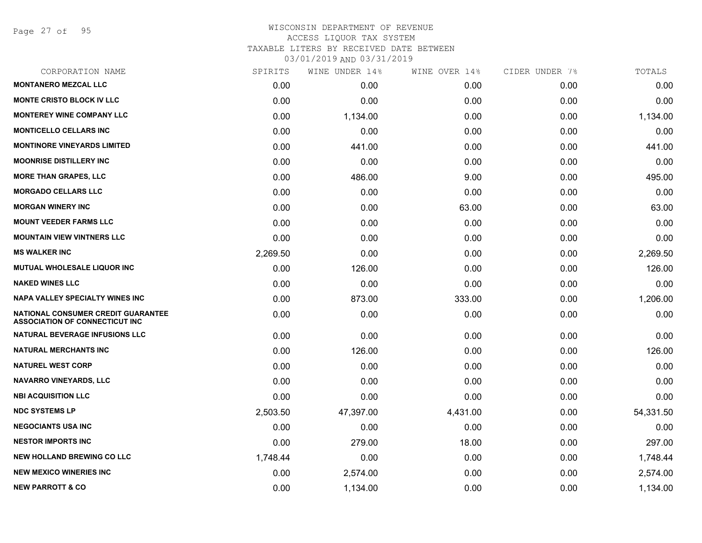Page 27 of 95

### WISCONSIN DEPARTMENT OF REVENUE ACCESS LIQUOR TAX SYSTEM TAXABLE LITERS BY RECEIVED DATE BETWEEN

| CORPORATION NAME                                                                   | SPIRITS  | WINE UNDER 14% | WINE OVER 14% | CIDER UNDER 7% | TOTALS    |
|------------------------------------------------------------------------------------|----------|----------------|---------------|----------------|-----------|
| <b>MONTANERO MEZCAL LLC</b>                                                        | 0.00     | 0.00           | 0.00          | 0.00           | 0.00      |
| <b>MONTE CRISTO BLOCK IV LLC</b>                                                   | 0.00     | 0.00           | 0.00          | 0.00           | 0.00      |
| <b>MONTEREY WINE COMPANY LLC</b>                                                   | 0.00     | 1,134.00       | 0.00          | 0.00           | 1,134.00  |
| <b>MONTICELLO CELLARS INC</b>                                                      | 0.00     | 0.00           | 0.00          | 0.00           | 0.00      |
| <b>MONTINORE VINEYARDS LIMITED</b>                                                 | 0.00     | 441.00         | 0.00          | 0.00           | 441.00    |
| <b>MOONRISE DISTILLERY INC</b>                                                     | 0.00     | 0.00           | 0.00          | 0.00           | 0.00      |
| <b>MORE THAN GRAPES, LLC</b>                                                       | 0.00     | 486.00         | 9.00          | 0.00           | 495.00    |
| <b>MORGADO CELLARS LLC</b>                                                         | 0.00     | 0.00           | 0.00          | 0.00           | 0.00      |
| <b>MORGAN WINERY INC</b>                                                           | 0.00     | 0.00           | 63.00         | 0.00           | 63.00     |
| <b>MOUNT VEEDER FARMS LLC</b>                                                      | 0.00     | 0.00           | 0.00          | 0.00           | 0.00      |
| <b>MOUNTAIN VIEW VINTNERS LLC</b>                                                  | 0.00     | 0.00           | 0.00          | 0.00           | 0.00      |
| <b>MS WALKER INC</b>                                                               | 2,269.50 | 0.00           | 0.00          | 0.00           | 2,269.50  |
| <b>MUTUAL WHOLESALE LIQUOR INC</b>                                                 | 0.00     | 126.00         | 0.00          | 0.00           | 126.00    |
| <b>NAKED WINES LLC</b>                                                             | 0.00     | 0.00           | 0.00          | 0.00           | 0.00      |
| <b>NAPA VALLEY SPECIALTY WINES INC</b>                                             | 0.00     | 873.00         | 333.00        | 0.00           | 1,206.00  |
| <b>NATIONAL CONSUMER CREDIT GUARANTEE</b><br><b>ASSOCIATION OF CONNECTICUT INC</b> | 0.00     | 0.00           | 0.00          | 0.00           | 0.00      |
| <b>NATURAL BEVERAGE INFUSIONS LLC</b>                                              | 0.00     | 0.00           | 0.00          | 0.00           | 0.00      |
| <b>NATURAL MERCHANTS INC</b>                                                       | 0.00     | 126.00         | 0.00          | 0.00           | 126.00    |
| <b>NATUREL WEST CORP</b>                                                           | 0.00     | 0.00           | 0.00          | 0.00           | 0.00      |
| <b>NAVARRO VINEYARDS, LLC</b>                                                      | 0.00     | 0.00           | 0.00          | 0.00           | 0.00      |
| <b>NBI ACQUISITION LLC</b>                                                         | 0.00     | 0.00           | 0.00          | 0.00           | 0.00      |
| <b>NDC SYSTEMS LP</b>                                                              | 2,503.50 | 47,397.00      | 4,431.00      | 0.00           | 54,331.50 |
| <b>NEGOCIANTS USA INC</b>                                                          | 0.00     | 0.00           | 0.00          | 0.00           | 0.00      |
| <b>NESTOR IMPORTS INC</b>                                                          | 0.00     | 279.00         | 18.00         | 0.00           | 297.00    |
| <b>NEW HOLLAND BREWING CO LLC</b>                                                  | 1,748.44 | 0.00           | 0.00          | 0.00           | 1,748.44  |
| <b>NEW MEXICO WINERIES INC</b>                                                     | 0.00     | 2,574.00       | 0.00          | 0.00           | 2,574.00  |
| <b>NEW PARROTT &amp; CO</b>                                                        | 0.00     | 1,134.00       | 0.00          | 0.00           | 1,134.00  |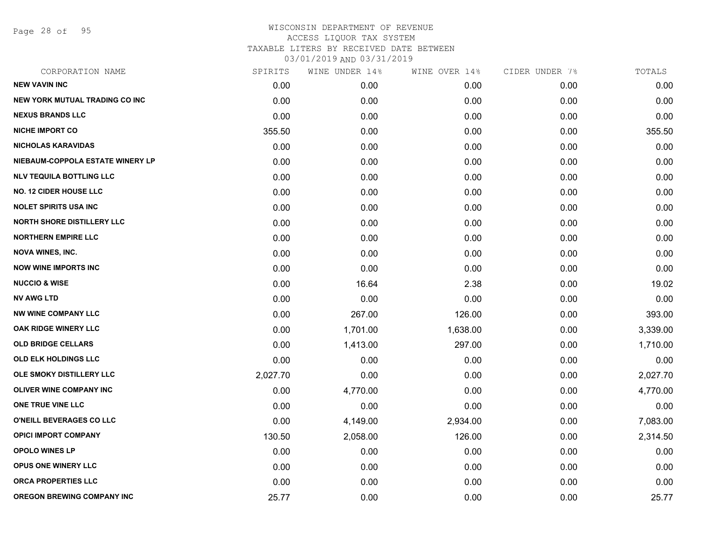Page 28 of 95

| CORPORATION NAME                      | SPIRITS  | WINE UNDER 14% | WINE OVER 14% | CIDER UNDER 7% | TOTALS   |
|---------------------------------------|----------|----------------|---------------|----------------|----------|
| <b>NEW VAVIN INC</b>                  | 0.00     | 0.00           | 0.00          | 0.00           | 0.00     |
| <b>NEW YORK MUTUAL TRADING CO INC</b> | 0.00     | 0.00           | 0.00          | 0.00           | 0.00     |
| <b>NEXUS BRANDS LLC</b>               | 0.00     | 0.00           | 0.00          | 0.00           | 0.00     |
| <b>NICHE IMPORT CO</b>                | 355.50   | 0.00           | 0.00          | 0.00           | 355.50   |
| <b>NICHOLAS KARAVIDAS</b>             | 0.00     | 0.00           | 0.00          | 0.00           | 0.00     |
| NIEBAUM-COPPOLA ESTATE WINERY LP      | 0.00     | 0.00           | 0.00          | 0.00           | 0.00     |
| <b>NLV TEQUILA BOTTLING LLC</b>       | 0.00     | 0.00           | 0.00          | 0.00           | 0.00     |
| <b>NO. 12 CIDER HOUSE LLC</b>         | 0.00     | 0.00           | 0.00          | 0.00           | 0.00     |
| <b>NOLET SPIRITS USA INC</b>          | 0.00     | 0.00           | 0.00          | 0.00           | 0.00     |
| <b>NORTH SHORE DISTILLERY LLC</b>     | 0.00     | 0.00           | 0.00          | 0.00           | 0.00     |
| <b>NORTHERN EMPIRE LLC</b>            | 0.00     | 0.00           | 0.00          | 0.00           | 0.00     |
| <b>NOVA WINES, INC.</b>               | 0.00     | 0.00           | 0.00          | 0.00           | 0.00     |
| <b>NOW WINE IMPORTS INC</b>           | 0.00     | 0.00           | 0.00          | 0.00           | 0.00     |
| <b>NUCCIO &amp; WISE</b>              | 0.00     | 16.64          | 2.38          | 0.00           | 19.02    |
| <b>NV AWG LTD</b>                     | 0.00     | 0.00           | 0.00          | 0.00           | 0.00     |
| <b>NW WINE COMPANY LLC</b>            | 0.00     | 267.00         | 126.00        | 0.00           | 393.00   |
| OAK RIDGE WINERY LLC                  | 0.00     | 1,701.00       | 1,638.00      | 0.00           | 3,339.00 |
| <b>OLD BRIDGE CELLARS</b>             | 0.00     | 1,413.00       | 297.00        | 0.00           | 1,710.00 |
| <b>OLD ELK HOLDINGS LLC</b>           | 0.00     | 0.00           | 0.00          | 0.00           | 0.00     |
| OLE SMOKY DISTILLERY LLC              | 2,027.70 | 0.00           | 0.00          | 0.00           | 2,027.70 |
| <b>OLIVER WINE COMPANY INC</b>        | 0.00     | 4,770.00       | 0.00          | 0.00           | 4,770.00 |
| ONE TRUE VINE LLC                     | 0.00     | 0.00           | 0.00          | 0.00           | 0.00     |
| O'NEILL BEVERAGES CO LLC              | 0.00     | 4,149.00       | 2,934.00      | 0.00           | 7,083.00 |
| <b>OPICI IMPORT COMPANY</b>           | 130.50   | 2,058.00       | 126.00        | 0.00           | 2,314.50 |
| OPOLO WINES LP                        | 0.00     | 0.00           | 0.00          | 0.00           | 0.00     |
| OPUS ONE WINERY LLC                   | 0.00     | 0.00           | 0.00          | 0.00           | 0.00     |
| <b>ORCA PROPERTIES LLC</b>            | 0.00     | 0.00           | 0.00          | 0.00           | 0.00     |
| <b>OREGON BREWING COMPANY INC</b>     | 25.77    | 0.00           | 0.00          | 0.00           | 25.77    |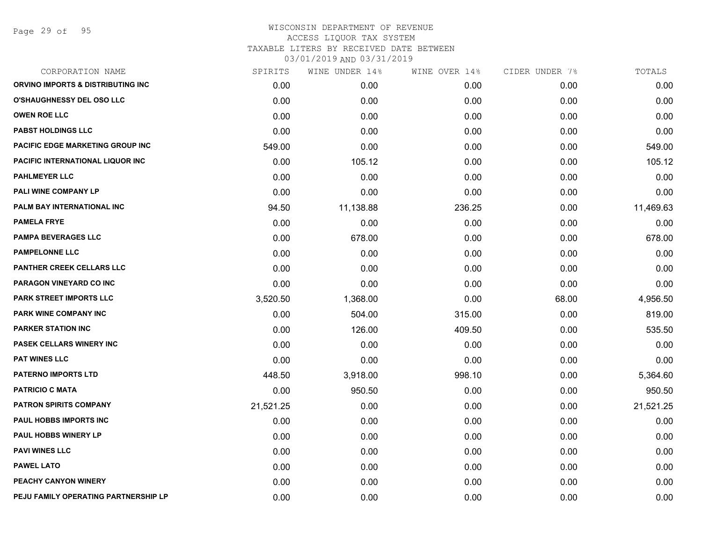Page 29 of 95

| CORPORATION NAME                        | SPIRITS   | WINE UNDER 14% | WINE OVER 14% | CIDER UNDER 7% | TOTALS    |
|-----------------------------------------|-----------|----------------|---------------|----------------|-----------|
| ORVINO IMPORTS & DISTRIBUTING INC       | 0.00      | 0.00           | 0.00          | 0.00           | 0.00      |
| <b>O'SHAUGHNESSY DEL OSO LLC</b>        | 0.00      | 0.00           | 0.00          | 0.00           | 0.00      |
| <b>OWEN ROE LLC</b>                     | 0.00      | 0.00           | 0.00          | 0.00           | 0.00      |
| <b>PABST HOLDINGS LLC</b>               | 0.00      | 0.00           | 0.00          | 0.00           | 0.00      |
| <b>PACIFIC EDGE MARKETING GROUP INC</b> | 549.00    | 0.00           | 0.00          | 0.00           | 549.00    |
| <b>PACIFIC INTERNATIONAL LIQUOR INC</b> | 0.00      | 105.12         | 0.00          | 0.00           | 105.12    |
| <b>PAHLMEYER LLC</b>                    | 0.00      | 0.00           | 0.00          | 0.00           | 0.00      |
| PALI WINE COMPANY LP                    | 0.00      | 0.00           | 0.00          | 0.00           | 0.00      |
| PALM BAY INTERNATIONAL INC              | 94.50     | 11,138.88      | 236.25        | 0.00           | 11,469.63 |
| <b>PAMELA FRYE</b>                      | 0.00      | 0.00           | 0.00          | 0.00           | 0.00      |
| <b>PAMPA BEVERAGES LLC</b>              | 0.00      | 678.00         | 0.00          | 0.00           | 678.00    |
| <b>PAMPELONNE LLC</b>                   | 0.00      | 0.00           | 0.00          | 0.00           | 0.00      |
| PANTHER CREEK CELLARS LLC               | 0.00      | 0.00           | 0.00          | 0.00           | 0.00      |
| <b>PARAGON VINEYARD CO INC</b>          | 0.00      | 0.00           | 0.00          | 0.00           | 0.00      |
| <b>PARK STREET IMPORTS LLC</b>          | 3,520.50  | 1,368.00       | 0.00          | 68.00          | 4,956.50  |
| PARK WINE COMPANY INC                   | 0.00      | 504.00         | 315.00        | 0.00           | 819.00    |
| <b>PARKER STATION INC</b>               | 0.00      | 126.00         | 409.50        | 0.00           | 535.50    |
| <b>PASEK CELLARS WINERY INC</b>         | 0.00      | 0.00           | 0.00          | 0.00           | 0.00      |
| <b>PAT WINES LLC</b>                    | 0.00      | 0.00           | 0.00          | 0.00           | 0.00      |
| <b>PATERNO IMPORTS LTD</b>              | 448.50    | 3,918.00       | 998.10        | 0.00           | 5,364.60  |
| <b>PATRICIO C MATA</b>                  | 0.00      | 950.50         | 0.00          | 0.00           | 950.50    |
| <b>PATRON SPIRITS COMPANY</b>           | 21,521.25 | 0.00           | 0.00          | 0.00           | 21,521.25 |
| <b>PAUL HOBBS IMPORTS INC</b>           | 0.00      | 0.00           | 0.00          | 0.00           | 0.00      |
| PAUL HOBBS WINERY LP                    | 0.00      | 0.00           | 0.00          | 0.00           | 0.00      |
| <b>PAVI WINES LLC</b>                   | 0.00      | 0.00           | 0.00          | 0.00           | 0.00      |
| <b>PAWEL LATO</b>                       | 0.00      | 0.00           | 0.00          | 0.00           | 0.00      |
| PEACHY CANYON WINERY                    | 0.00      | 0.00           | 0.00          | 0.00           | 0.00      |
| PEJU FAMILY OPERATING PARTNERSHIP LP    | 0.00      | 0.00           | 0.00          | 0.00           | 0.00      |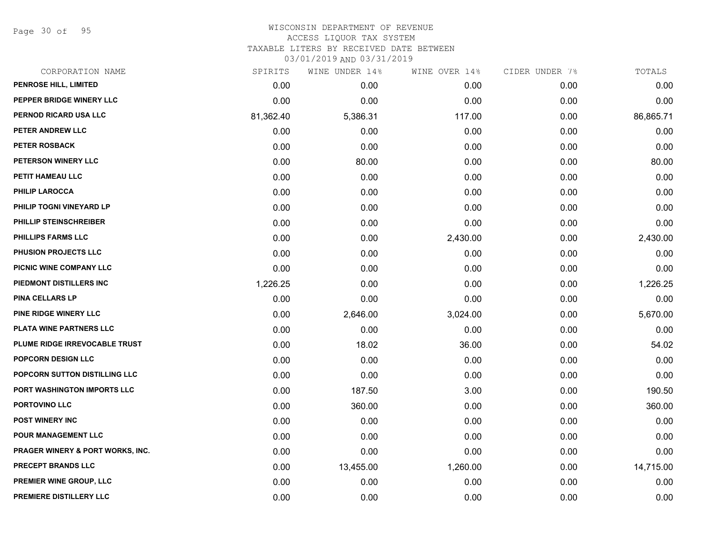Page 30 of 95

### WISCONSIN DEPARTMENT OF REVENUE ACCESS LIQUOR TAX SYSTEM TAXABLE LITERS BY RECEIVED DATE BETWEEN

| CORPORATION NAME                   | SPIRITS   | WINE UNDER 14% | WINE OVER 14% | CIDER UNDER 7% | TOTALS    |
|------------------------------------|-----------|----------------|---------------|----------------|-----------|
| PENROSE HILL, LIMITED              | 0.00      | 0.00           | 0.00          | 0.00           | 0.00      |
| PEPPER BRIDGE WINERY LLC           | 0.00      | 0.00           | 0.00          | 0.00           | 0.00      |
| PERNOD RICARD USA LLC              | 81,362.40 | 5,386.31       | 117.00        | 0.00           | 86,865.71 |
| PETER ANDREW LLC                   | 0.00      | 0.00           | 0.00          | 0.00           | 0.00      |
| <b>PETER ROSBACK</b>               | 0.00      | 0.00           | 0.00          | 0.00           | 0.00      |
| PETERSON WINERY LLC                | 0.00      | 80.00          | 0.00          | 0.00           | 80.00     |
| PETIT HAMEAU LLC                   | 0.00      | 0.00           | 0.00          | 0.00           | 0.00      |
| <b>PHILIP LAROCCA</b>              | 0.00      | 0.00           | 0.00          | 0.00           | 0.00      |
| PHILIP TOGNI VINEYARD LP           | 0.00      | 0.00           | 0.00          | 0.00           | 0.00      |
| PHILLIP STEINSCHREIBER             | 0.00      | 0.00           | 0.00          | 0.00           | 0.00      |
| <b>PHILLIPS FARMS LLC</b>          | 0.00      | 0.00           | 2,430.00      | 0.00           | 2,430.00  |
| PHUSION PROJECTS LLC               | 0.00      | 0.00           | 0.00          | 0.00           | 0.00      |
| PICNIC WINE COMPANY LLC            | 0.00      | 0.00           | 0.00          | 0.00           | 0.00      |
| PIEDMONT DISTILLERS INC            | 1,226.25  | 0.00           | 0.00          | 0.00           | 1,226.25  |
| <b>PINA CELLARS LP</b>             | 0.00      | 0.00           | 0.00          | 0.00           | 0.00      |
| PINE RIDGE WINERY LLC              | 0.00      | 2,646.00       | 3,024.00      | 0.00           | 5,670.00  |
| PLATA WINE PARTNERS LLC            | 0.00      | 0.00           | 0.00          | 0.00           | 0.00      |
| PLUME RIDGE IRREVOCABLE TRUST      | 0.00      | 18.02          | 36.00         | 0.00           | 54.02     |
| POPCORN DESIGN LLC                 | 0.00      | 0.00           | 0.00          | 0.00           | 0.00      |
| POPCORN SUTTON DISTILLING LLC      | 0.00      | 0.00           | 0.00          | 0.00           | 0.00      |
| <b>PORT WASHINGTON IMPORTS LLC</b> | 0.00      | 187.50         | 3.00          | 0.00           | 190.50    |
| PORTOVINO LLC                      | 0.00      | 360.00         | 0.00          | 0.00           | 360.00    |
| POST WINERY INC                    | 0.00      | 0.00           | 0.00          | 0.00           | 0.00      |
| POUR MANAGEMENT LLC                | 0.00      | 0.00           | 0.00          | 0.00           | 0.00      |
| PRAGER WINERY & PORT WORKS, INC.   | 0.00      | 0.00           | 0.00          | 0.00           | 0.00      |
| PRECEPT BRANDS LLC                 | 0.00      | 13,455.00      | 1,260.00      | 0.00           | 14,715.00 |
| PREMIER WINE GROUP, LLC            | 0.00      | 0.00           | 0.00          | 0.00           | 0.00      |
| PREMIERE DISTILLERY LLC            | 0.00      | 0.00           | 0.00          | 0.00           | 0.00      |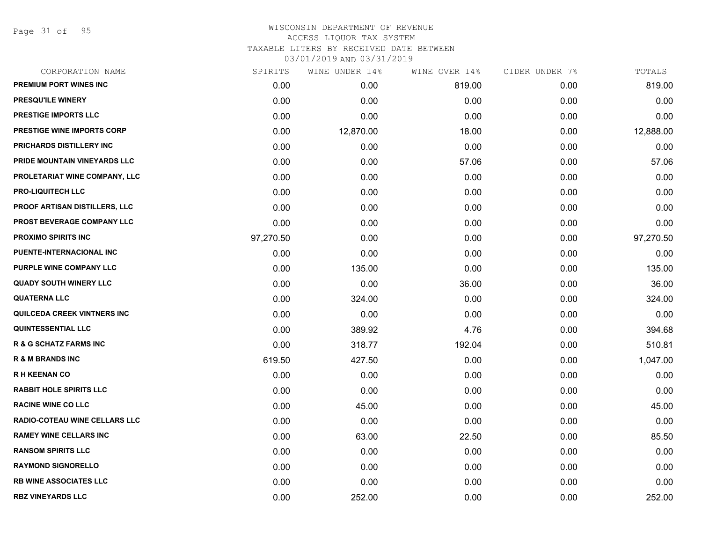Page 31 of 95

| CORPORATION NAME                  | SPIRITS   | WINE UNDER 14% | WINE OVER 14% | CIDER UNDER 7% | TOTALS    |
|-----------------------------------|-----------|----------------|---------------|----------------|-----------|
| <b>PREMIUM PORT WINES INC</b>     | 0.00      | 0.00           | 819.00        | 0.00           | 819.00    |
| <b>PRESQU'ILE WINERY</b>          | 0.00      | 0.00           | 0.00          | 0.00           | 0.00      |
| <b>PRESTIGE IMPORTS LLC</b>       | 0.00      | 0.00           | 0.00          | 0.00           | 0.00      |
| <b>PRESTIGE WINE IMPORTS CORP</b> | 0.00      | 12,870.00      | 18.00         | 0.00           | 12,888.00 |
| <b>PRICHARDS DISTILLERY INC</b>   | 0.00      | 0.00           | 0.00          | 0.00           | 0.00      |
| PRIDE MOUNTAIN VINEYARDS LLC      | 0.00      | 0.00           | 57.06         | 0.00           | 57.06     |
| PROLETARIAT WINE COMPANY, LLC     | 0.00      | 0.00           | 0.00          | 0.00           | 0.00      |
| <b>PRO-LIQUITECH LLC</b>          | 0.00      | 0.00           | 0.00          | 0.00           | 0.00      |
| PROOF ARTISAN DISTILLERS, LLC     | 0.00      | 0.00           | 0.00          | 0.00           | 0.00      |
| PROST BEVERAGE COMPANY LLC        | 0.00      | 0.00           | 0.00          | 0.00           | 0.00      |
| <b>PROXIMO SPIRITS INC</b>        | 97,270.50 | 0.00           | 0.00          | 0.00           | 97,270.50 |
| PUENTE-INTERNACIONAL INC          | 0.00      | 0.00           | 0.00          | 0.00           | 0.00      |
| PURPLE WINE COMPANY LLC           | 0.00      | 135.00         | 0.00          | 0.00           | 135.00    |
| <b>QUADY SOUTH WINERY LLC</b>     | 0.00      | 0.00           | 36.00         | 0.00           | 36.00     |
| <b>QUATERNA LLC</b>               | 0.00      | 324.00         | 0.00          | 0.00           | 324.00    |
| QUILCEDA CREEK VINTNERS INC       | 0.00      | 0.00           | 0.00          | 0.00           | 0.00      |
| <b>QUINTESSENTIAL LLC</b>         | 0.00      | 389.92         | 4.76          | 0.00           | 394.68    |
| <b>R &amp; G SCHATZ FARMS INC</b> | 0.00      | 318.77         | 192.04        | 0.00           | 510.81    |
| <b>R &amp; M BRANDS INC</b>       | 619.50    | 427.50         | 0.00          | 0.00           | 1,047.00  |
| <b>RH KEENAN CO</b>               | 0.00      | 0.00           | 0.00          | 0.00           | 0.00      |
| <b>RABBIT HOLE SPIRITS LLC</b>    | 0.00      | 0.00           | 0.00          | 0.00           | 0.00      |
| <b>RACINE WINE CO LLC</b>         | 0.00      | 45.00          | 0.00          | 0.00           | 45.00     |
| RADIO-COTEAU WINE CELLARS LLC     | 0.00      | 0.00           | 0.00          | 0.00           | 0.00      |
| <b>RAMEY WINE CELLARS INC</b>     | 0.00      | 63.00          | 22.50         | 0.00           | 85.50     |
| <b>RANSOM SPIRITS LLC</b>         | 0.00      | 0.00           | 0.00          | 0.00           | 0.00      |
| <b>RAYMOND SIGNORELLO</b>         | 0.00      | 0.00           | 0.00          | 0.00           | 0.00      |
| <b>RB WINE ASSOCIATES LLC</b>     | 0.00      | 0.00           | 0.00          | 0.00           | 0.00      |
| <b>RBZ VINEYARDS LLC</b>          | 0.00      | 252.00         | 0.00          | 0.00           | 252.00    |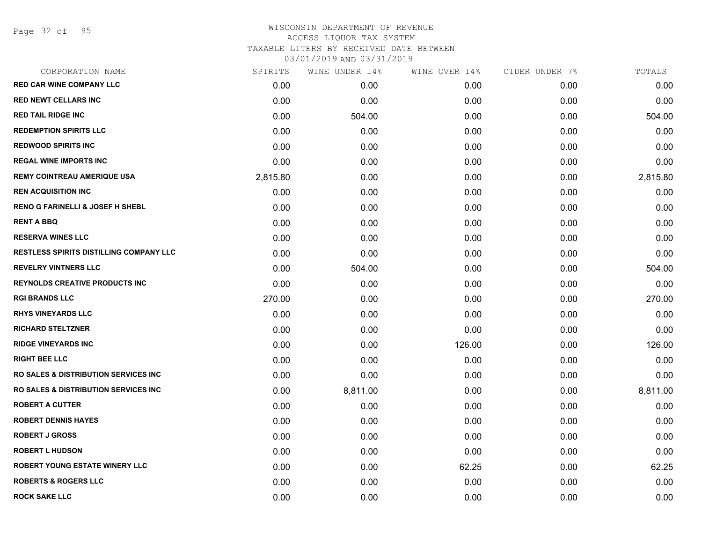Page 32 of 95

| CORPORATION NAME                                | SPIRITS  | WINE UNDER 14% | WINE OVER 14% | CIDER UNDER 7% | TOTALS   |
|-------------------------------------------------|----------|----------------|---------------|----------------|----------|
| <b>RED CAR WINE COMPANY LLC</b>                 | 0.00     | 0.00           | 0.00          | 0.00           | 0.00     |
| <b>RED NEWT CELLARS INC</b>                     | 0.00     | 0.00           | 0.00          | 0.00           | 0.00     |
| <b>RED TAIL RIDGE INC</b>                       | 0.00     | 504.00         | 0.00          | 0.00           | 504.00   |
| <b>REDEMPTION SPIRITS LLC</b>                   | 0.00     | 0.00           | 0.00          | 0.00           | 0.00     |
| <b>REDWOOD SPIRITS INC</b>                      | 0.00     | 0.00           | 0.00          | 0.00           | 0.00     |
| <b>REGAL WINE IMPORTS INC</b>                   | 0.00     | 0.00           | 0.00          | 0.00           | 0.00     |
| <b>REMY COINTREAU AMERIQUE USA</b>              | 2,815.80 | 0.00           | 0.00          | 0.00           | 2,815.80 |
| <b>REN ACQUISITION INC</b>                      | 0.00     | 0.00           | 0.00          | 0.00           | 0.00     |
| <b>RENO G FARINELLI &amp; JOSEF H SHEBL</b>     | 0.00     | 0.00           | 0.00          | 0.00           | 0.00     |
| <b>RENT A BBQ</b>                               | 0.00     | 0.00           | 0.00          | 0.00           | 0.00     |
| <b>RESERVA WINES LLC</b>                        | 0.00     | 0.00           | 0.00          | 0.00           | 0.00     |
| RESTLESS SPIRITS DISTILLING COMPANY LLC         | 0.00     | 0.00           | 0.00          | 0.00           | 0.00     |
| <b>REVELRY VINTNERS LLC</b>                     | 0.00     | 504.00         | 0.00          | 0.00           | 504.00   |
| <b>REYNOLDS CREATIVE PRODUCTS INC</b>           | 0.00     | 0.00           | 0.00          | 0.00           | 0.00     |
| <b>RGI BRANDS LLC</b>                           | 270.00   | 0.00           | 0.00          | 0.00           | 270.00   |
| <b>RHYS VINEYARDS LLC</b>                       | 0.00     | 0.00           | 0.00          | 0.00           | 0.00     |
| <b>RICHARD STELTZNER</b>                        | 0.00     | 0.00           | 0.00          | 0.00           | 0.00     |
| <b>RIDGE VINEYARDS INC</b>                      | 0.00     | 0.00           | 126.00        | 0.00           | 126.00   |
| <b>RIGHT BEE LLC</b>                            | 0.00     | 0.00           | 0.00          | 0.00           | 0.00     |
| <b>RO SALES &amp; DISTRIBUTION SERVICES INC</b> | 0.00     | 0.00           | 0.00          | 0.00           | 0.00     |
| <b>RO SALES &amp; DISTRIBUTION SERVICES INC</b> | 0.00     | 8,811.00       | 0.00          | 0.00           | 8,811.00 |
| <b>ROBERT A CUTTER</b>                          | 0.00     | 0.00           | 0.00          | 0.00           | 0.00     |
| <b>ROBERT DENNIS HAYES</b>                      | 0.00     | 0.00           | 0.00          | 0.00           | 0.00     |
| <b>ROBERT J GROSS</b>                           | 0.00     | 0.00           | 0.00          | 0.00           | 0.00     |
| <b>ROBERT L HUDSON</b>                          | 0.00     | 0.00           | 0.00          | 0.00           | 0.00     |
| <b>ROBERT YOUNG ESTATE WINERY LLC</b>           | 0.00     | 0.00           | 62.25         | 0.00           | 62.25    |
| <b>ROBERTS &amp; ROGERS LLC</b>                 | 0.00     | 0.00           | 0.00          | 0.00           | 0.00     |
| <b>ROCK SAKE LLC</b>                            | 0.00     | 0.00           | 0.00          | 0.00           | 0.00     |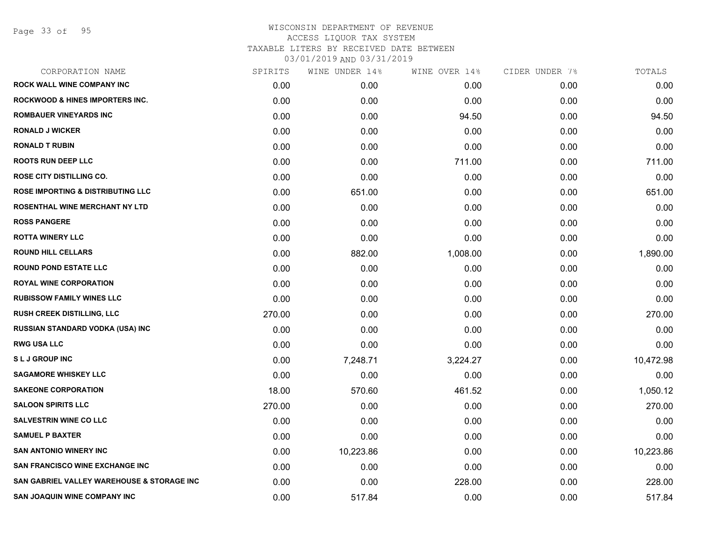Page 33 of 95

| CORPORATION NAME                             | SPIRITS | WINE UNDER 14% | WINE OVER 14% | CIDER UNDER 7% | TOTALS    |
|----------------------------------------------|---------|----------------|---------------|----------------|-----------|
| <b>ROCK WALL WINE COMPANY INC</b>            | 0.00    | 0.00           | 0.00          | 0.00           | 0.00      |
| <b>ROCKWOOD &amp; HINES IMPORTERS INC.</b>   | 0.00    | 0.00           | 0.00          | 0.00           | 0.00      |
| <b>ROMBAUER VINEYARDS INC</b>                | 0.00    | 0.00           | 94.50         | 0.00           | 94.50     |
| <b>RONALD J WICKER</b>                       | 0.00    | 0.00           | 0.00          | 0.00           | 0.00      |
| <b>RONALD T RUBIN</b>                        | 0.00    | 0.00           | 0.00          | 0.00           | 0.00      |
| <b>ROOTS RUN DEEP LLC</b>                    | 0.00    | 0.00           | 711.00        | 0.00           | 711.00    |
| <b>ROSE CITY DISTILLING CO.</b>              | 0.00    | 0.00           | 0.00          | 0.00           | 0.00      |
| <b>ROSE IMPORTING &amp; DISTRIBUTING LLC</b> | 0.00    | 651.00         | 0.00          | 0.00           | 651.00    |
| <b>ROSENTHAL WINE MERCHANT NY LTD</b>        | 0.00    | 0.00           | 0.00          | 0.00           | 0.00      |
| <b>ROSS PANGERE</b>                          | 0.00    | 0.00           | 0.00          | 0.00           | 0.00      |
| <b>ROTTA WINERY LLC</b>                      | 0.00    | 0.00           | 0.00          | 0.00           | 0.00      |
| <b>ROUND HILL CELLARS</b>                    | 0.00    | 882.00         | 1,008.00      | 0.00           | 1,890.00  |
| <b>ROUND POND ESTATE LLC</b>                 | 0.00    | 0.00           | 0.00          | 0.00           | 0.00      |
| <b>ROYAL WINE CORPORATION</b>                | 0.00    | 0.00           | 0.00          | 0.00           | 0.00      |
| <b>RUBISSOW FAMILY WINES LLC</b>             | 0.00    | 0.00           | 0.00          | 0.00           | 0.00      |
| <b>RUSH CREEK DISTILLING, LLC</b>            | 270.00  | 0.00           | 0.00          | 0.00           | 270.00    |
| <b>RUSSIAN STANDARD VODKA (USA) INC</b>      | 0.00    | 0.00           | 0.00          | 0.00           | 0.00      |
| <b>RWG USA LLC</b>                           | 0.00    | 0.00           | 0.00          | 0.00           | 0.00      |
| <b>SLJ GROUP INC</b>                         | 0.00    | 7,248.71       | 3,224.27      | 0.00           | 10,472.98 |
| <b>SAGAMORE WHISKEY LLC</b>                  | 0.00    | 0.00           | 0.00          | 0.00           | 0.00      |
| <b>SAKEONE CORPORATION</b>                   | 18.00   | 570.60         | 461.52        | 0.00           | 1,050.12  |
| <b>SALOON SPIRITS LLC</b>                    | 270.00  | 0.00           | 0.00          | 0.00           | 270.00    |
| <b>SALVESTRIN WINE CO LLC</b>                | 0.00    | 0.00           | 0.00          | 0.00           | 0.00      |
| <b>SAMUEL P BAXTER</b>                       | 0.00    | 0.00           | 0.00          | 0.00           | 0.00      |
| <b>SAN ANTONIO WINERY INC</b>                | 0.00    | 10,223.86      | 0.00          | 0.00           | 10,223.86 |
| <b>SAN FRANCISCO WINE EXCHANGE INC</b>       | 0.00    | 0.00           | 0.00          | 0.00           | 0.00      |
| SAN GABRIEL VALLEY WAREHOUSE & STORAGE INC   | 0.00    | 0.00           | 228.00        | 0.00           | 228.00    |
| <b>SAN JOAQUIN WINE COMPANY INC</b>          | 0.00    | 517.84         | 0.00          | 0.00           | 517.84    |
|                                              |         |                |               |                |           |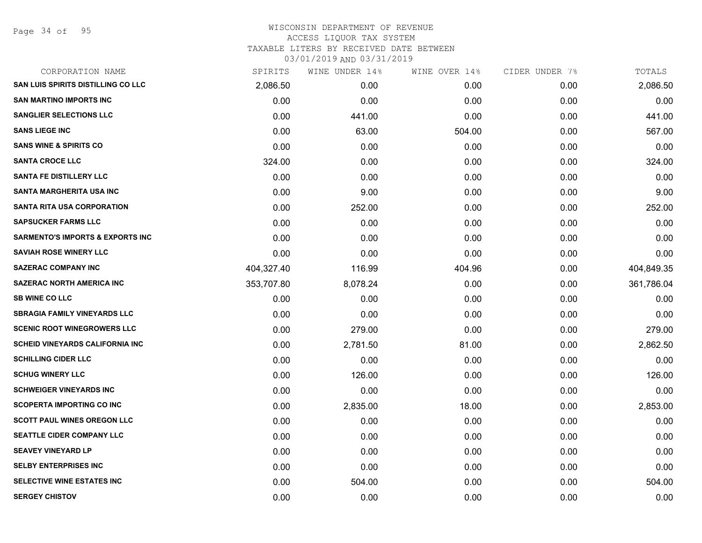Page 34 of 95

| CORPORATION NAME                            | SPIRITS    | WINE UNDER 14% | WINE OVER 14% | CIDER UNDER 7% | TOTALS     |
|---------------------------------------------|------------|----------------|---------------|----------------|------------|
| <b>SAN LUIS SPIRITS DISTILLING CO LLC</b>   | 2,086.50   | 0.00           | 0.00          | 0.00           | 2,086.50   |
| <b>SAN MARTINO IMPORTS INC</b>              | 0.00       | 0.00           | 0.00          | 0.00           | 0.00       |
| <b>SANGLIER SELECTIONS LLC</b>              | 0.00       | 441.00         | 0.00          | 0.00           | 441.00     |
| <b>SANS LIEGE INC</b>                       | 0.00       | 63.00          | 504.00        | 0.00           | 567.00     |
| <b>SANS WINE &amp; SPIRITS CO</b>           | 0.00       | 0.00           | 0.00          | 0.00           | 0.00       |
| <b>SANTA CROCE LLC</b>                      | 324.00     | 0.00           | 0.00          | 0.00           | 324.00     |
| <b>SANTA FE DISTILLERY LLC</b>              | 0.00       | 0.00           | 0.00          | 0.00           | 0.00       |
| SANTA MARGHERITA USA INC                    | 0.00       | 9.00           | 0.00          | 0.00           | 9.00       |
| <b>SANTA RITA USA CORPORATION</b>           | 0.00       | 252.00         | 0.00          | 0.00           | 252.00     |
| <b>SAPSUCKER FARMS LLC</b>                  | 0.00       | 0.00           | 0.00          | 0.00           | 0.00       |
| <b>SARMENTO'S IMPORTS &amp; EXPORTS INC</b> | 0.00       | 0.00           | 0.00          | 0.00           | 0.00       |
| SAVIAH ROSE WINERY LLC                      | 0.00       | 0.00           | 0.00          | 0.00           | 0.00       |
| <b>SAZERAC COMPANY INC</b>                  | 404,327.40 | 116.99         | 404.96        | 0.00           | 404,849.35 |
| <b>SAZERAC NORTH AMERICA INC</b>            | 353,707.80 | 8,078.24       | 0.00          | 0.00           | 361,786.04 |
| <b>SB WINE CO LLC</b>                       | 0.00       | 0.00           | 0.00          | 0.00           | 0.00       |
| <b>SBRAGIA FAMILY VINEYARDS LLC</b>         | 0.00       | 0.00           | 0.00          | 0.00           | 0.00       |
| <b>SCENIC ROOT WINEGROWERS LLC</b>          | 0.00       | 279.00         | 0.00          | 0.00           | 279.00     |
| <b>SCHEID VINEYARDS CALIFORNIA INC</b>      | 0.00       | 2,781.50       | 81.00         | 0.00           | 2,862.50   |
| <b>SCHILLING CIDER LLC</b>                  | 0.00       | 0.00           | 0.00          | 0.00           | 0.00       |
| <b>SCHUG WINERY LLC</b>                     | 0.00       | 126.00         | 0.00          | 0.00           | 126.00     |
| <b>SCHWEIGER VINEYARDS INC</b>              | 0.00       | 0.00           | 0.00          | 0.00           | 0.00       |
| <b>SCOPERTA IMPORTING CO INC</b>            | 0.00       | 2,835.00       | 18.00         | 0.00           | 2,853.00   |
| <b>SCOTT PAUL WINES OREGON LLC</b>          | 0.00       | 0.00           | 0.00          | 0.00           | 0.00       |
| <b>SEATTLE CIDER COMPANY LLC</b>            | 0.00       | 0.00           | 0.00          | 0.00           | 0.00       |
| <b>SEAVEY VINEYARD LP</b>                   | 0.00       | 0.00           | 0.00          | 0.00           | 0.00       |
| <b>SELBY ENTERPRISES INC</b>                | 0.00       | 0.00           | 0.00          | 0.00           | 0.00       |
| <b>SELECTIVE WINE ESTATES INC</b>           | 0.00       | 504.00         | 0.00          | 0.00           | 504.00     |
| <b>SERGEY CHISTOV</b>                       | 0.00       | 0.00           | 0.00          | 0.00           | 0.00       |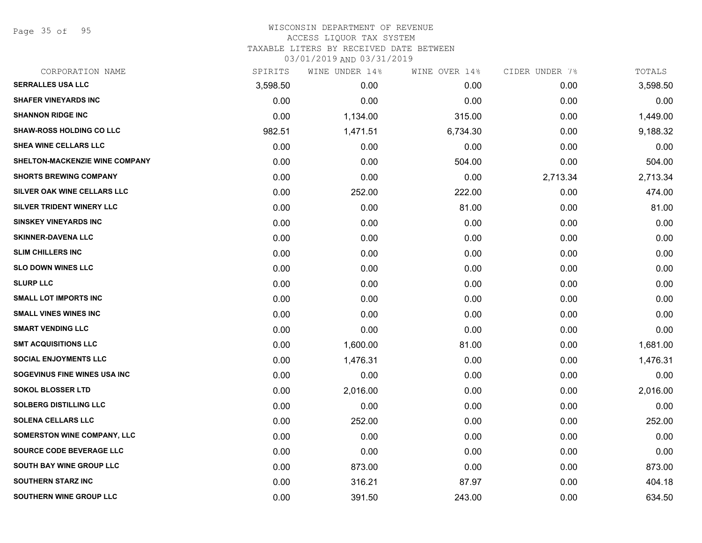Page 35 of 95

# WISCONSIN DEPARTMENT OF REVENUE ACCESS LIQUOR TAX SYSTEM TAXABLE LITERS BY RECEIVED DATE BETWEEN

| CORPORATION NAME                | SPIRITS  | WINE UNDER 14% | WINE OVER 14% | CIDER UNDER 7% | TOTALS   |
|---------------------------------|----------|----------------|---------------|----------------|----------|
| <b>SERRALLES USA LLC</b>        | 3,598.50 | 0.00           | 0.00          | 0.00           | 3,598.50 |
| <b>SHAFER VINEYARDS INC</b>     | 0.00     | 0.00           | 0.00          | 0.00           | 0.00     |
| <b>SHANNON RIDGE INC</b>        | 0.00     | 1,134.00       | 315.00        | 0.00           | 1,449.00 |
| <b>SHAW-ROSS HOLDING CO LLC</b> | 982.51   | 1,471.51       | 6,734.30      | 0.00           | 9,188.32 |
| SHEA WINE CELLARS LLC           | 0.00     | 0.00           | 0.00          | 0.00           | 0.00     |
| SHELTON-MACKENZIE WINE COMPANY  | 0.00     | 0.00           | 504.00        | 0.00           | 504.00   |
| <b>SHORTS BREWING COMPANY</b>   | 0.00     | 0.00           | 0.00          | 2,713.34       | 2,713.34 |
| SILVER OAK WINE CELLARS LLC     | 0.00     | 252.00         | 222.00        | 0.00           | 474.00   |
| SILVER TRIDENT WINERY LLC       | 0.00     | 0.00           | 81.00         | 0.00           | 81.00    |
| <b>SINSKEY VINEYARDS INC</b>    | 0.00     | 0.00           | 0.00          | 0.00           | 0.00     |
| <b>SKINNER-DAVENA LLC</b>       | 0.00     | 0.00           | 0.00          | 0.00           | 0.00     |
| <b>SLIM CHILLERS INC</b>        | 0.00     | 0.00           | 0.00          | 0.00           | 0.00     |
| <b>SLO DOWN WINES LLC</b>       | 0.00     | 0.00           | 0.00          | 0.00           | 0.00     |
| <b>SLURP LLC</b>                | 0.00     | 0.00           | 0.00          | 0.00           | 0.00     |
| <b>SMALL LOT IMPORTS INC</b>    | 0.00     | 0.00           | 0.00          | 0.00           | 0.00     |
| <b>SMALL VINES WINES INC</b>    | 0.00     | 0.00           | 0.00          | 0.00           | 0.00     |
| <b>SMART VENDING LLC</b>        | 0.00     | 0.00           | 0.00          | 0.00           | 0.00     |
| <b>SMT ACQUISITIONS LLC</b>     | 0.00     | 1,600.00       | 81.00         | 0.00           | 1,681.00 |
| <b>SOCIAL ENJOYMENTS LLC</b>    | 0.00     | 1,476.31       | 0.00          | 0.00           | 1,476.31 |
| SOGEVINUS FINE WINES USA INC    | 0.00     | 0.00           | 0.00          | 0.00           | 0.00     |
| <b>SOKOL BLOSSER LTD</b>        | 0.00     | 2,016.00       | 0.00          | 0.00           | 2,016.00 |
| <b>SOLBERG DISTILLING LLC</b>   | 0.00     | 0.00           | 0.00          | 0.00           | 0.00     |
| <b>SOLENA CELLARS LLC</b>       | 0.00     | 252.00         | 0.00          | 0.00           | 252.00   |
| SOMERSTON WINE COMPANY, LLC     | 0.00     | 0.00           | 0.00          | 0.00           | 0.00     |
| <b>SOURCE CODE BEVERAGE LLC</b> | 0.00     | 0.00           | 0.00          | 0.00           | 0.00     |
| <b>SOUTH BAY WINE GROUP LLC</b> | 0.00     | 873.00         | 0.00          | 0.00           | 873.00   |
| <b>SOUTHERN STARZ INC</b>       | 0.00     | 316.21         | 87.97         | 0.00           | 404.18   |
| SOUTHERN WINE GROUP LLC         | 0.00     | 391.50         | 243.00        | 0.00           | 634.50   |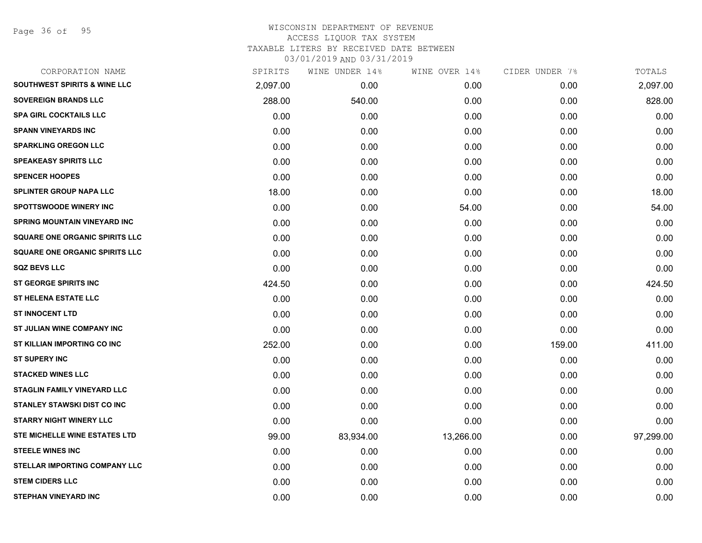Page 36 of 95

### WISCONSIN DEPARTMENT OF REVENUE ACCESS LIQUOR TAX SYSTEM

TAXABLE LITERS BY RECEIVED DATE BETWEEN

| CORPORATION NAME                        | SPIRITS  | WINE UNDER 14% | WINE OVER 14% | CIDER UNDER 7% | TOTALS    |
|-----------------------------------------|----------|----------------|---------------|----------------|-----------|
| <b>SOUTHWEST SPIRITS &amp; WINE LLC</b> | 2,097.00 | 0.00           | 0.00          | 0.00           | 2,097.00  |
| <b>SOVEREIGN BRANDS LLC</b>             | 288.00   | 540.00         | 0.00          | 0.00           | 828.00    |
| <b>SPA GIRL COCKTAILS LLC</b>           | 0.00     | 0.00           | 0.00          | 0.00           | 0.00      |
| <b>SPANN VINEYARDS INC</b>              | 0.00     | 0.00           | 0.00          | 0.00           | 0.00      |
| <b>SPARKLING OREGON LLC</b>             | 0.00     | 0.00           | 0.00          | 0.00           | 0.00      |
| <b>SPEAKEASY SPIRITS LLC</b>            | 0.00     | 0.00           | 0.00          | 0.00           | 0.00      |
| <b>SPENCER HOOPES</b>                   | 0.00     | 0.00           | 0.00          | 0.00           | 0.00      |
| <b>SPLINTER GROUP NAPA LLC</b>          | 18.00    | 0.00           | 0.00          | 0.00           | 18.00     |
| <b>SPOTTSWOODE WINERY INC</b>           | 0.00     | 0.00           | 54.00         | 0.00           | 54.00     |
| <b>SPRING MOUNTAIN VINEYARD INC</b>     | 0.00     | 0.00           | 0.00          | 0.00           | 0.00      |
| <b>SQUARE ONE ORGANIC SPIRITS LLC</b>   | 0.00     | 0.00           | 0.00          | 0.00           | 0.00      |
| <b>SQUARE ONE ORGANIC SPIRITS LLC</b>   | 0.00     | 0.00           | 0.00          | 0.00           | 0.00      |
| <b>SQZ BEVS LLC</b>                     | 0.00     | 0.00           | 0.00          | 0.00           | 0.00      |
| ST GEORGE SPIRITS INC                   | 424.50   | 0.00           | 0.00          | 0.00           | 424.50    |
| <b>ST HELENA ESTATE LLC</b>             | 0.00     | 0.00           | 0.00          | 0.00           | 0.00      |
| <b>ST INNOCENT LTD</b>                  | 0.00     | 0.00           | 0.00          | 0.00           | 0.00      |
| ST JULIAN WINE COMPANY INC              | 0.00     | 0.00           | 0.00          | 0.00           | 0.00      |
| ST KILLIAN IMPORTING CO INC             | 252.00   | 0.00           | 0.00          | 159.00         | 411.00    |
| <b>ST SUPERY INC</b>                    | 0.00     | 0.00           | 0.00          | 0.00           | 0.00      |
| <b>STACKED WINES LLC</b>                | 0.00     | 0.00           | 0.00          | 0.00           | 0.00      |
| <b>STAGLIN FAMILY VINEYARD LLC</b>      | 0.00     | 0.00           | 0.00          | 0.00           | 0.00      |
| STANLEY STAWSKI DIST CO INC             | 0.00     | 0.00           | 0.00          | 0.00           | 0.00      |
| <b>STARRY NIGHT WINERY LLC</b>          | 0.00     | 0.00           | 0.00          | 0.00           | 0.00      |
| STE MICHELLE WINE ESTATES LTD           | 99.00    | 83,934.00      | 13,266.00     | 0.00           | 97,299.00 |
| <b>STEELE WINES INC</b>                 | 0.00     | 0.00           | 0.00          | 0.00           | 0.00      |
| STELLAR IMPORTING COMPANY LLC           | 0.00     | 0.00           | 0.00          | 0.00           | 0.00      |
| <b>STEM CIDERS LLC</b>                  | 0.00     | 0.00           | 0.00          | 0.00           | 0.00      |
| <b>STEPHAN VINEYARD INC</b>             | 0.00     | 0.00           | 0.00          | 0.00           | 0.00      |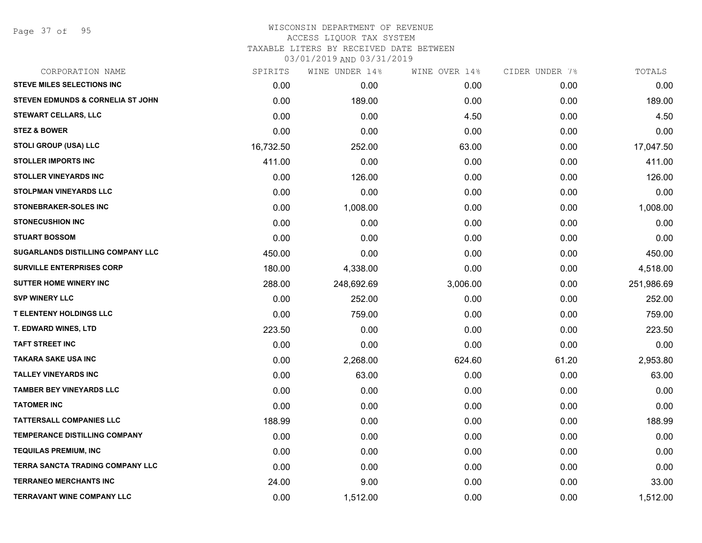Page 37 of 95

| CORPORATION NAME                             | SPIRITS   | WINE UNDER 14% | WINE OVER 14% | CIDER UNDER 7% | TOTALS     |
|----------------------------------------------|-----------|----------------|---------------|----------------|------------|
| <b>STEVE MILES SELECTIONS INC</b>            | 0.00      | 0.00           | 0.00          | 0.00           | 0.00       |
| <b>STEVEN EDMUNDS &amp; CORNELIA ST JOHN</b> | 0.00      | 189.00         | 0.00          | 0.00           | 189.00     |
| <b>STEWART CELLARS, LLC</b>                  | 0.00      | 0.00           | 4.50          | 0.00           | 4.50       |
| <b>STEZ &amp; BOWER</b>                      | 0.00      | 0.00           | 0.00          | 0.00           | 0.00       |
| <b>STOLI GROUP (USA) LLC</b>                 | 16,732.50 | 252.00         | 63.00         | 0.00           | 17,047.50  |
| <b>STOLLER IMPORTS INC</b>                   | 411.00    | 0.00           | 0.00          | 0.00           | 411.00     |
| <b>STOLLER VINEYARDS INC</b>                 | 0.00      | 126.00         | 0.00          | 0.00           | 126.00     |
| <b>STOLPMAN VINEYARDS LLC</b>                | 0.00      | 0.00           | 0.00          | 0.00           | 0.00       |
| <b>STONEBRAKER-SOLES INC</b>                 | 0.00      | 1,008.00       | 0.00          | 0.00           | 1,008.00   |
| <b>STONECUSHION INC</b>                      | 0.00      | 0.00           | 0.00          | 0.00           | 0.00       |
| <b>STUART BOSSOM</b>                         | 0.00      | 0.00           | 0.00          | 0.00           | 0.00       |
| SUGARLANDS DISTILLING COMPANY LLC            | 450.00    | 0.00           | 0.00          | 0.00           | 450.00     |
| <b>SURVILLE ENTERPRISES CORP</b>             | 180.00    | 4,338.00       | 0.00          | 0.00           | 4,518.00   |
| <b>SUTTER HOME WINERY INC</b>                | 288.00    | 248,692.69     | 3,006.00      | 0.00           | 251,986.69 |
| <b>SVP WINERY LLC</b>                        | 0.00      | 252.00         | 0.00          | 0.00           | 252.00     |
| <b>T ELENTENY HOLDINGS LLC</b>               | 0.00      | 759.00         | 0.00          | 0.00           | 759.00     |
| T. EDWARD WINES, LTD                         | 223.50    | 0.00           | 0.00          | 0.00           | 223.50     |
| <b>TAFT STREET INC</b>                       | 0.00      | 0.00           | 0.00          | 0.00           | 0.00       |
| <b>TAKARA SAKE USA INC</b>                   | 0.00      | 2,268.00       | 624.60        | 61.20          | 2,953.80   |
| <b>TALLEY VINEYARDS INC</b>                  | 0.00      | 63.00          | 0.00          | 0.00           | 63.00      |
| <b>TAMBER BEY VINEYARDS LLC</b>              | 0.00      | 0.00           | 0.00          | 0.00           | 0.00       |
| <b>TATOMER INC</b>                           | 0.00      | 0.00           | 0.00          | 0.00           | 0.00       |
| <b>TATTERSALL COMPANIES LLC</b>              | 188.99    | 0.00           | 0.00          | 0.00           | 188.99     |
| TEMPERANCE DISTILLING COMPANY                | 0.00      | 0.00           | 0.00          | 0.00           | 0.00       |
| <b>TEQUILAS PREMIUM, INC</b>                 | 0.00      | 0.00           | 0.00          | 0.00           | 0.00       |
| TERRA SANCTA TRADING COMPANY LLC             | 0.00      | 0.00           | 0.00          | 0.00           | 0.00       |
| <b>TERRANEO MERCHANTS INC</b>                | 24.00     | 9.00           | 0.00          | 0.00           | 33.00      |
| <b>TERRAVANT WINE COMPANY LLC</b>            | 0.00      | 1,512.00       | 0.00          | 0.00           | 1,512.00   |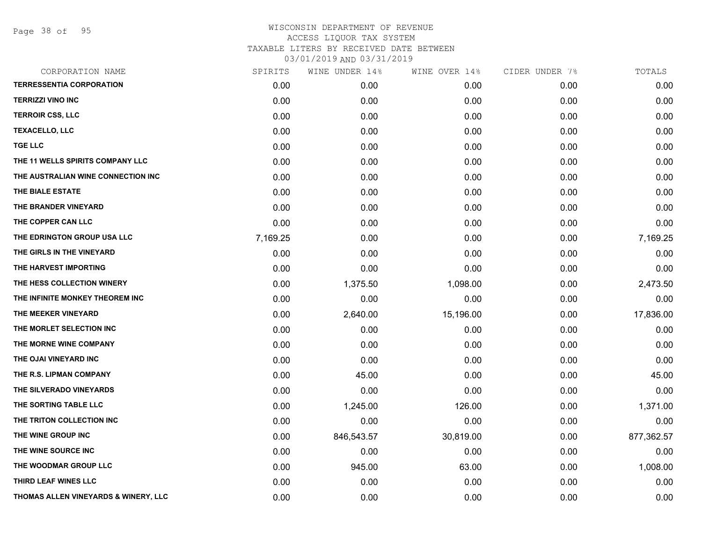Page 38 of 95

| CORPORATION NAME                     | SPIRITS  | WINE UNDER 14% | WINE OVER 14% | CIDER UNDER 7% | TOTALS     |
|--------------------------------------|----------|----------------|---------------|----------------|------------|
| <b>TERRESSENTIA CORPORATION</b>      | 0.00     | 0.00           | 0.00          | 0.00           | 0.00       |
| <b>TERRIZZI VINO INC</b>             | 0.00     | 0.00           | 0.00          | 0.00           | 0.00       |
| <b>TERROIR CSS, LLC</b>              | 0.00     | 0.00           | 0.00          | 0.00           | 0.00       |
| <b>TEXACELLO, LLC</b>                | 0.00     | 0.00           | 0.00          | 0.00           | 0.00       |
| <b>TGE LLC</b>                       | 0.00     | 0.00           | 0.00          | 0.00           | 0.00       |
| THE 11 WELLS SPIRITS COMPANY LLC     | 0.00     | 0.00           | 0.00          | 0.00           | 0.00       |
| THE AUSTRALIAN WINE CONNECTION INC   | 0.00     | 0.00           | 0.00          | 0.00           | 0.00       |
| THE BIALE ESTATE                     | 0.00     | 0.00           | 0.00          | 0.00           | 0.00       |
| THE BRANDER VINEYARD                 | 0.00     | 0.00           | 0.00          | 0.00           | 0.00       |
| THE COPPER CAN LLC                   | 0.00     | 0.00           | 0.00          | 0.00           | 0.00       |
| THE EDRINGTON GROUP USA LLC          | 7,169.25 | 0.00           | 0.00          | 0.00           | 7,169.25   |
| THE GIRLS IN THE VINEYARD            | 0.00     | 0.00           | 0.00          | 0.00           | 0.00       |
| THE HARVEST IMPORTING                | 0.00     | 0.00           | 0.00          | 0.00           | 0.00       |
| THE HESS COLLECTION WINERY           | 0.00     | 1,375.50       | 1,098.00      | 0.00           | 2,473.50   |
| THE INFINITE MONKEY THEOREM INC      | 0.00     | 0.00           | 0.00          | 0.00           | 0.00       |
| THE MEEKER VINEYARD                  | 0.00     | 2,640.00       | 15,196.00     | 0.00           | 17,836.00  |
| THE MORLET SELECTION INC             | 0.00     | 0.00           | 0.00          | 0.00           | 0.00       |
| THE MORNE WINE COMPANY               | 0.00     | 0.00           | 0.00          | 0.00           | 0.00       |
| THE OJAI VINEYARD INC                | 0.00     | 0.00           | 0.00          | 0.00           | 0.00       |
| THE R.S. LIPMAN COMPANY              | 0.00     | 45.00          | 0.00          | 0.00           | 45.00      |
| THE SILVERADO VINEYARDS              | 0.00     | 0.00           | 0.00          | 0.00           | 0.00       |
| THE SORTING TABLE LLC                | 0.00     | 1,245.00       | 126.00        | 0.00           | 1,371.00   |
| THE TRITON COLLECTION INC            | 0.00     | 0.00           | 0.00          | 0.00           | 0.00       |
| THE WINE GROUP INC                   | 0.00     | 846,543.57     | 30,819.00     | 0.00           | 877,362.57 |
| THE WINE SOURCE INC                  | 0.00     | 0.00           | 0.00          | 0.00           | 0.00       |
| THE WOODMAR GROUP LLC                | 0.00     | 945.00         | 63.00         | 0.00           | 1,008.00   |
| THIRD LEAF WINES LLC                 | 0.00     | 0.00           | 0.00          | 0.00           | 0.00       |
| THOMAS ALLEN VINEYARDS & WINERY, LLC | 0.00     | 0.00           | 0.00          | 0.00           | 0.00       |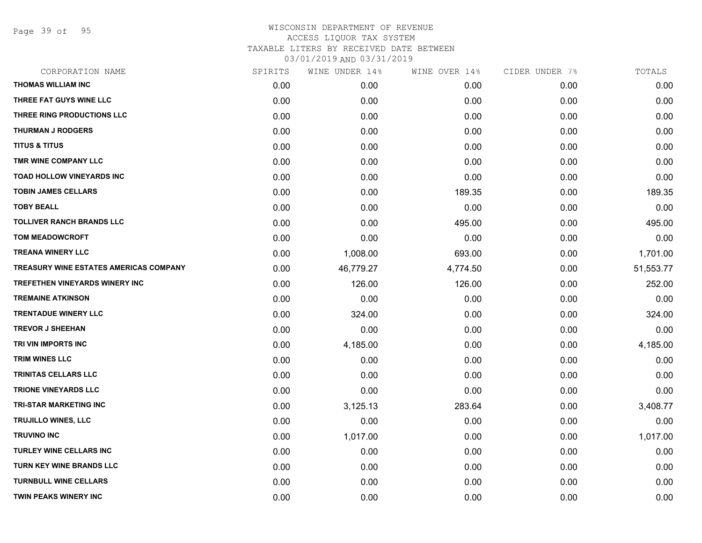Page 39 of 95

| CORPORATION NAME                       | SPIRITS | WINE UNDER 14% | WINE OVER 14% | CIDER UNDER 7% | TOTALS    |
|----------------------------------------|---------|----------------|---------------|----------------|-----------|
| <b>THOMAS WILLIAM INC</b>              | 0.00    | 0.00           | 0.00          | 0.00           | 0.00      |
| THREE FAT GUYS WINE LLC                | 0.00    | 0.00           | 0.00          | 0.00           | 0.00      |
| THREE RING PRODUCTIONS LLC             | 0.00    | 0.00           | 0.00          | 0.00           | 0.00      |
| <b>THURMAN J RODGERS</b>               | 0.00    | 0.00           | 0.00          | 0.00           | 0.00      |
| <b>TITUS &amp; TITUS</b>               | 0.00    | 0.00           | 0.00          | 0.00           | 0.00      |
| TMR WINE COMPANY LLC                   | 0.00    | 0.00           | 0.00          | 0.00           | 0.00      |
| TOAD HOLLOW VINEYARDS INC              | 0.00    | 0.00           | 0.00          | 0.00           | 0.00      |
| <b>TOBIN JAMES CELLARS</b>             | 0.00    | 0.00           | 189.35        | 0.00           | 189.35    |
| <b>TOBY BEALL</b>                      | 0.00    | 0.00           | 0.00          | 0.00           | 0.00      |
| <b>TOLLIVER RANCH BRANDS LLC</b>       | 0.00    | 0.00           | 495.00        | 0.00           | 495.00    |
| <b>TOM MEADOWCROFT</b>                 | 0.00    | 0.00           | 0.00          | 0.00           | 0.00      |
| <b>TREANA WINERY LLC</b>               | 0.00    | 1,008.00       | 693.00        | 0.00           | 1,701.00  |
| TREASURY WINE ESTATES AMERICAS COMPANY | 0.00    | 46,779.27      | 4,774.50      | 0.00           | 51,553.77 |
| <b>TREFETHEN VINEYARDS WINERY INC</b>  | 0.00    | 126.00         | 126.00        | 0.00           | 252.00    |
| <b>TREMAINE ATKINSON</b>               | 0.00    | 0.00           | 0.00          | 0.00           | 0.00      |
| <b>TRENTADUE WINERY LLC</b>            | 0.00    | 324.00         | 0.00          | 0.00           | 324.00    |
| <b>TREVOR J SHEEHAN</b>                | 0.00    | 0.00           | 0.00          | 0.00           | 0.00      |
| TRI VIN IMPORTS INC                    | 0.00    | 4,185.00       | 0.00          | 0.00           | 4,185.00  |
| <b>TRIM WINES LLC</b>                  | 0.00    | 0.00           | 0.00          | 0.00           | 0.00      |
| <b>TRINITAS CELLARS LLC</b>            | 0.00    | 0.00           | 0.00          | 0.00           | 0.00      |
| <b>TRIONE VINEYARDS LLC</b>            | 0.00    | 0.00           | 0.00          | 0.00           | 0.00      |
| <b>TRI-STAR MARKETING INC</b>          | 0.00    | 3,125.13       | 283.64        | 0.00           | 3,408.77  |
| <b>TRUJILLO WINES, LLC</b>             | 0.00    | 0.00           | 0.00          | 0.00           | 0.00      |
| <b>TRUVINO INC</b>                     | 0.00    | 1,017.00       | 0.00          | 0.00           | 1,017.00  |
| <b>TURLEY WINE CELLARS INC</b>         | 0.00    | 0.00           | 0.00          | 0.00           | 0.00      |
| <b>TURN KEY WINE BRANDS LLC</b>        | 0.00    | 0.00           | 0.00          | 0.00           | 0.00      |
| <b>TURNBULL WINE CELLARS</b>           | 0.00    | 0.00           | 0.00          | 0.00           | 0.00      |
| <b>TWIN PEAKS WINERY INC</b>           | 0.00    | 0.00           | 0.00          | 0.00           | 0.00      |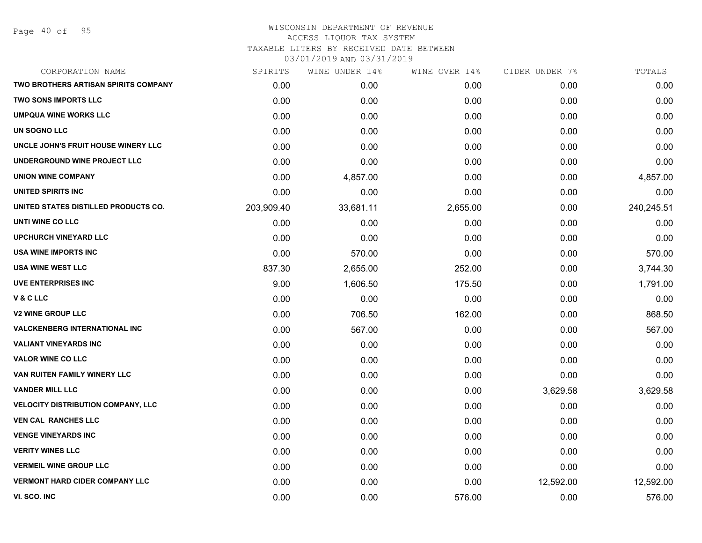Page 40 of 95

#### WISCONSIN DEPARTMENT OF REVENUE ACCESS LIQUOR TAX SYSTEM TAXABLE LITERS BY RECEIVED DATE BETWEEN

| CORPORATION NAME                            | SPIRITS    | WINE UNDER 14% | WINE OVER 14% | CIDER UNDER 7% | TOTALS     |
|---------------------------------------------|------------|----------------|---------------|----------------|------------|
| <b>TWO BROTHERS ARTISAN SPIRITS COMPANY</b> | 0.00       | 0.00           | 0.00          | 0.00           | 0.00       |
| <b>TWO SONS IMPORTS LLC</b>                 | 0.00       | 0.00           | 0.00          | 0.00           | 0.00       |
| <b>UMPQUA WINE WORKS LLC</b>                | 0.00       | 0.00           | 0.00          | 0.00           | 0.00       |
| <b>UN SOGNO LLC</b>                         | 0.00       | 0.00           | 0.00          | 0.00           | 0.00       |
| UNCLE JOHN'S FRUIT HOUSE WINERY LLC         | 0.00       | 0.00           | 0.00          | 0.00           | 0.00       |
| UNDERGROUND WINE PROJECT LLC                | 0.00       | 0.00           | 0.00          | 0.00           | 0.00       |
| <b>UNION WINE COMPANY</b>                   | 0.00       | 4,857.00       | 0.00          | 0.00           | 4,857.00   |
| UNITED SPIRITS INC                          | 0.00       | 0.00           | 0.00          | 0.00           | 0.00       |
| UNITED STATES DISTILLED PRODUCTS CO.        | 203,909.40 | 33,681.11      | 2,655.00      | 0.00           | 240,245.51 |
| UNTI WINE CO LLC                            | 0.00       | 0.00           | 0.00          | 0.00           | 0.00       |
| <b>UPCHURCH VINEYARD LLC</b>                | 0.00       | 0.00           | 0.00          | 0.00           | 0.00       |
| <b>USA WINE IMPORTS INC</b>                 | 0.00       | 570.00         | 0.00          | 0.00           | 570.00     |
| <b>USA WINE WEST LLC</b>                    | 837.30     | 2,655.00       | 252.00        | 0.00           | 3,744.30   |
| <b>UVE ENTERPRISES INC</b>                  | 9.00       | 1,606.50       | 175.50        | 0.00           | 1,791.00   |
| V&CLLC                                      | 0.00       | 0.00           | 0.00          | 0.00           | 0.00       |
| <b>V2 WINE GROUP LLC</b>                    | 0.00       | 706.50         | 162.00        | 0.00           | 868.50     |
| <b>VALCKENBERG INTERNATIONAL INC.</b>       | 0.00       | 567.00         | 0.00          | 0.00           | 567.00     |
| <b>VALIANT VINEYARDS INC</b>                | 0.00       | 0.00           | 0.00          | 0.00           | 0.00       |
| <b>VALOR WINE CO LLC</b>                    | 0.00       | 0.00           | 0.00          | 0.00           | 0.00       |
| VAN RUITEN FAMILY WINERY LLC                | 0.00       | 0.00           | 0.00          | 0.00           | 0.00       |
| <b>VANDER MILL LLC</b>                      | 0.00       | 0.00           | 0.00          | 3,629.58       | 3,629.58   |
| VELOCITY DISTRIBUTION COMPANY, LLC          | 0.00       | 0.00           | 0.00          | 0.00           | 0.00       |
| <b>VEN CAL RANCHES LLC</b>                  | 0.00       | 0.00           | 0.00          | 0.00           | 0.00       |
| <b>VENGE VINEYARDS INC</b>                  | 0.00       | 0.00           | 0.00          | 0.00           | 0.00       |
| <b>VERITY WINES LLC</b>                     | 0.00       | 0.00           | 0.00          | 0.00           | 0.00       |
| <b>VERMEIL WINE GROUP LLC</b>               | 0.00       | 0.00           | 0.00          | 0.00           | 0.00       |
| <b>VERMONT HARD CIDER COMPANY LLC</b>       | 0.00       | 0.00           | 0.00          | 12,592.00      | 12,592.00  |
| VI. SCO. INC                                | 0.00       | 0.00           | 576.00        | 0.00           | 576.00     |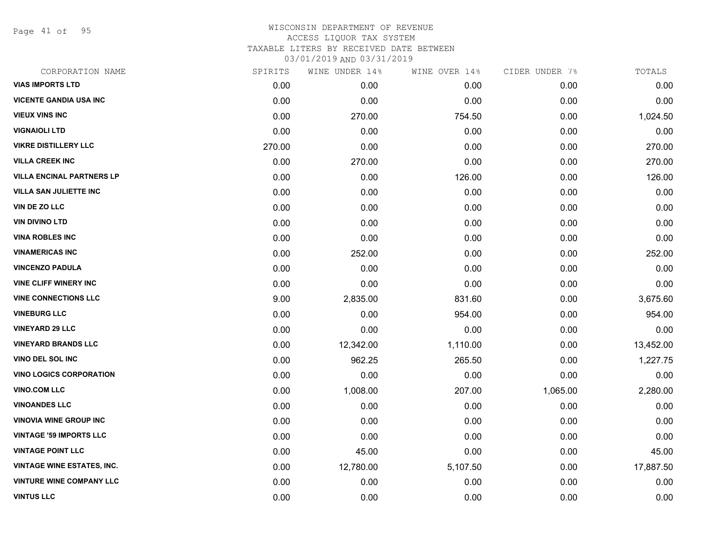Page 41 of 95

| CORPORATION NAME                  | SPIRITS | WINE UNDER 14% | WINE OVER 14% | CIDER UNDER 7% | TOTALS    |
|-----------------------------------|---------|----------------|---------------|----------------|-----------|
| <b>VIAS IMPORTS LTD</b>           | 0.00    | 0.00           | 0.00          | 0.00           | 0.00      |
| <b>VICENTE GANDIA USA INC</b>     | 0.00    | 0.00           | 0.00          | 0.00           | 0.00      |
| <b>VIEUX VINS INC</b>             | 0.00    | 270.00         | 754.50        | 0.00           | 1,024.50  |
| <b>VIGNAIOLI LTD</b>              | 0.00    | 0.00           | 0.00          | 0.00           | 0.00      |
| <b>VIKRE DISTILLERY LLC</b>       | 270.00  | 0.00           | 0.00          | 0.00           | 270.00    |
| <b>VILLA CREEK INC</b>            | 0.00    | 270.00         | 0.00          | 0.00           | 270.00    |
| <b>VILLA ENCINAL PARTNERS LP</b>  | 0.00    | 0.00           | 126.00        | 0.00           | 126.00    |
| <b>VILLA SAN JULIETTE INC</b>     | 0.00    | 0.00           | 0.00          | 0.00           | 0.00      |
| <b>VIN DE ZO LLC</b>              | 0.00    | 0.00           | 0.00          | 0.00           | 0.00      |
| <b>VIN DIVINO LTD</b>             | 0.00    | 0.00           | 0.00          | 0.00           | 0.00      |
| <b>VINA ROBLES INC</b>            | 0.00    | 0.00           | 0.00          | 0.00           | 0.00      |
| <b>VINAMERICAS INC</b>            | 0.00    | 252.00         | 0.00          | 0.00           | 252.00    |
| <b>VINCENZO PADULA</b>            | 0.00    | 0.00           | 0.00          | 0.00           | 0.00      |
| <b>VINE CLIFF WINERY INC</b>      | 0.00    | 0.00           | 0.00          | 0.00           | 0.00      |
| <b>VINE CONNECTIONS LLC</b>       | 9.00    | 2,835.00       | 831.60        | 0.00           | 3,675.60  |
| <b>VINEBURG LLC</b>               | 0.00    | 0.00           | 954.00        | 0.00           | 954.00    |
| <b>VINEYARD 29 LLC</b>            | 0.00    | 0.00           | 0.00          | 0.00           | 0.00      |
| <b>VINEYARD BRANDS LLC</b>        | 0.00    | 12,342.00      | 1,110.00      | 0.00           | 13,452.00 |
| VINO DEL SOL INC                  | 0.00    | 962.25         | 265.50        | 0.00           | 1,227.75  |
| <b>VINO LOGICS CORPORATION</b>    | 0.00    | 0.00           | 0.00          | 0.00           | 0.00      |
| <b>VINO.COM LLC</b>               | 0.00    | 1,008.00       | 207.00        | 1,065.00       | 2,280.00  |
| <b>VINOANDES LLC</b>              | 0.00    | 0.00           | 0.00          | 0.00           | 0.00      |
| <b>VINOVIA WINE GROUP INC</b>     | 0.00    | 0.00           | 0.00          | 0.00           | 0.00      |
| <b>VINTAGE '59 IMPORTS LLC</b>    | 0.00    | 0.00           | 0.00          | 0.00           | 0.00      |
| <b>VINTAGE POINT LLC</b>          | 0.00    | 45.00          | 0.00          | 0.00           | 45.00     |
| <b>VINTAGE WINE ESTATES, INC.</b> | 0.00    | 12,780.00      | 5,107.50      | 0.00           | 17,887.50 |
| <b>VINTURE WINE COMPANY LLC</b>   | 0.00    | 0.00           | 0.00          | 0.00           | 0.00      |
| <b>VINTUS LLC</b>                 | 0.00    | 0.00           | 0.00          | 0.00           | 0.00      |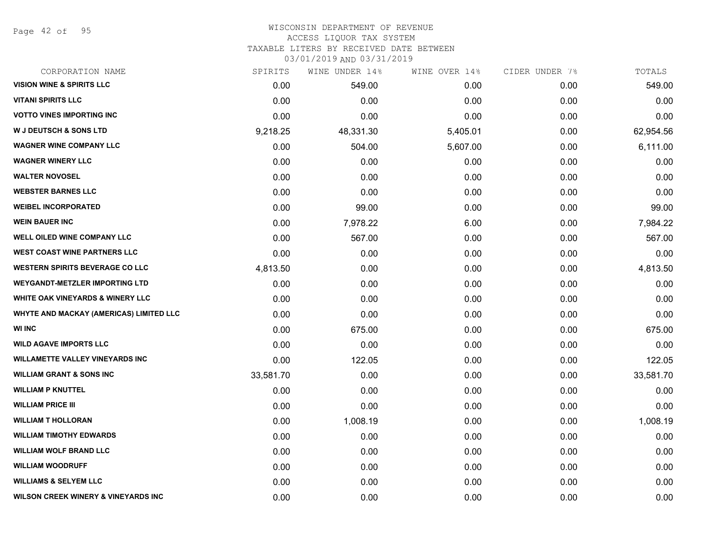Page 42 of 95

#### WISCONSIN DEPARTMENT OF REVENUE ACCESS LIQUOR TAX SYSTEM

TAXABLE LITERS BY RECEIVED DATE BETWEEN

| CORPORATION NAME                               | SPIRITS   | WINE UNDER 14% | WINE OVER 14% | CIDER UNDER 7% | TOTALS    |
|------------------------------------------------|-----------|----------------|---------------|----------------|-----------|
| <b>VISION WINE &amp; SPIRITS LLC</b>           | 0.00      | 549.00         | 0.00          | 0.00           | 549.00    |
| <b>VITANI SPIRITS LLC</b>                      | 0.00      | 0.00           | 0.00          | 0.00           | 0.00      |
| <b>VOTTO VINES IMPORTING INC</b>               | 0.00      | 0.00           | 0.00          | 0.00           | 0.00      |
| <b>W J DEUTSCH &amp; SONS LTD</b>              | 9,218.25  | 48,331.30      | 5,405.01      | 0.00           | 62,954.56 |
| <b>WAGNER WINE COMPANY LLC</b>                 | 0.00      | 504.00         | 5,607.00      | 0.00           | 6,111.00  |
| <b>WAGNER WINERY LLC</b>                       | 0.00      | 0.00           | 0.00          | 0.00           | 0.00      |
| <b>WALTER NOVOSEL</b>                          | 0.00      | 0.00           | 0.00          | 0.00           | 0.00      |
| <b>WEBSTER BARNES LLC</b>                      | 0.00      | 0.00           | 0.00          | 0.00           | 0.00      |
| <b>WEIBEL INCORPORATED</b>                     | 0.00      | 99.00          | 0.00          | 0.00           | 99.00     |
| <b>WEIN BAUER INC</b>                          | 0.00      | 7,978.22       | 6.00          | 0.00           | 7,984.22  |
| <b>WELL OILED WINE COMPANY LLC</b>             | 0.00      | 567.00         | 0.00          | 0.00           | 567.00    |
| <b>WEST COAST WINE PARTNERS LLC</b>            | 0.00      | 0.00           | 0.00          | 0.00           | 0.00      |
| <b>WESTERN SPIRITS BEVERAGE CO LLC</b>         | 4,813.50  | 0.00           | 0.00          | 0.00           | 4,813.50  |
| <b>WEYGANDT-METZLER IMPORTING LTD</b>          | 0.00      | 0.00           | 0.00          | 0.00           | 0.00      |
| <b>WHITE OAK VINEYARDS &amp; WINERY LLC</b>    | 0.00      | 0.00           | 0.00          | 0.00           | 0.00      |
| WHYTE AND MACKAY (AMERICAS) LIMITED LLC        | 0.00      | 0.00           | 0.00          | 0.00           | 0.00      |
| <b>WI INC</b>                                  | 0.00      | 675.00         | 0.00          | 0.00           | 675.00    |
| <b>WILD AGAVE IMPORTS LLC</b>                  | 0.00      | 0.00           | 0.00          | 0.00           | 0.00      |
| <b>WILLAMETTE VALLEY VINEYARDS INC</b>         | 0.00      | 122.05         | 0.00          | 0.00           | 122.05    |
| <b>WILLIAM GRANT &amp; SONS INC</b>            | 33,581.70 | 0.00           | 0.00          | 0.00           | 33,581.70 |
| <b>WILLIAM P KNUTTEL</b>                       | 0.00      | 0.00           | 0.00          | 0.00           | 0.00      |
| <b>WILLIAM PRICE III</b>                       | 0.00      | 0.00           | 0.00          | 0.00           | 0.00      |
| <b>WILLIAM T HOLLORAN</b>                      | 0.00      | 1,008.19       | 0.00          | 0.00           | 1,008.19  |
| <b>WILLIAM TIMOTHY EDWARDS</b>                 | 0.00      | 0.00           | 0.00          | 0.00           | 0.00      |
| <b>WILLIAM WOLF BRAND LLC</b>                  | 0.00      | 0.00           | 0.00          | 0.00           | 0.00      |
| <b>WILLIAM WOODRUFF</b>                        | 0.00      | 0.00           | 0.00          | 0.00           | 0.00      |
| <b>WILLIAMS &amp; SELYEM LLC</b>               | 0.00      | 0.00           | 0.00          | 0.00           | 0.00      |
| <b>WILSON CREEK WINERY &amp; VINEYARDS INC</b> | 0.00      | 0.00           | 0.00          | 0.00           | 0.00      |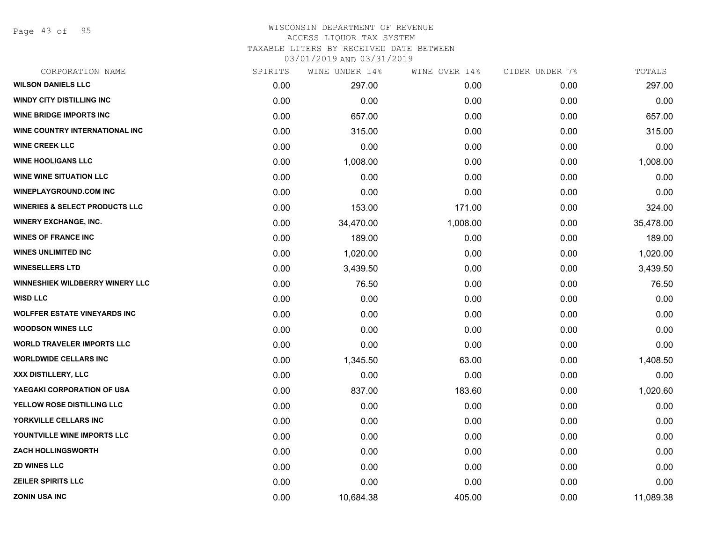Page 43 of 95

#### WISCONSIN DEPARTMENT OF REVENUE ACCESS LIQUOR TAX SYSTEM TAXABLE LITERS BY RECEIVED DATE BETWEEN

| CORPORATION NAME                          | SPIRITS | WINE UNDER 14% | WINE OVER 14% | CIDER UNDER 7% | TOTALS    |
|-------------------------------------------|---------|----------------|---------------|----------------|-----------|
| <b>WILSON DANIELS LLC</b>                 | 0.00    | 297.00         | 0.00          | 0.00           | 297.00    |
| <b>WINDY CITY DISTILLING INC</b>          | 0.00    | 0.00           | 0.00          | 0.00           | 0.00      |
| <b>WINE BRIDGE IMPORTS INC</b>            | 0.00    | 657.00         | 0.00          | 0.00           | 657.00    |
| WINE COUNTRY INTERNATIONAL INC            | 0.00    | 315.00         | 0.00          | 0.00           | 315.00    |
| <b>WINE CREEK LLC</b>                     | 0.00    | 0.00           | 0.00          | 0.00           | 0.00      |
| <b>WINE HOOLIGANS LLC</b>                 | 0.00    | 1,008.00       | 0.00          | 0.00           | 1,008.00  |
| <b>WINE WINE SITUATION LLC</b>            | 0.00    | 0.00           | 0.00          | 0.00           | 0.00      |
| <b>WINEPLAYGROUND.COM INC</b>             | 0.00    | 0.00           | 0.00          | 0.00           | 0.00      |
| <b>WINERIES &amp; SELECT PRODUCTS LLC</b> | 0.00    | 153.00         | 171.00        | 0.00           | 324.00    |
| <b>WINERY EXCHANGE, INC.</b>              | 0.00    | 34,470.00      | 1,008.00      | 0.00           | 35,478.00 |
| <b>WINES OF FRANCE INC</b>                | 0.00    | 189.00         | 0.00          | 0.00           | 189.00    |
| <b>WINES UNLIMITED INC</b>                | 0.00    | 1,020.00       | 0.00          | 0.00           | 1,020.00  |
| <b>WINESELLERS LTD</b>                    | 0.00    | 3,439.50       | 0.00          | 0.00           | 3,439.50  |
| <b>WINNESHIEK WILDBERRY WINERY LLC</b>    | 0.00    | 76.50          | 0.00          | 0.00           | 76.50     |
| <b>WISD LLC</b>                           | 0.00    | 0.00           | 0.00          | 0.00           | 0.00      |
| <b>WOLFFER ESTATE VINEYARDS INC</b>       | 0.00    | 0.00           | 0.00          | 0.00           | 0.00      |
| <b>WOODSON WINES LLC</b>                  | 0.00    | 0.00           | 0.00          | 0.00           | 0.00      |
| <b>WORLD TRAVELER IMPORTS LLC</b>         | 0.00    | 0.00           | 0.00          | 0.00           | 0.00      |
| <b>WORLDWIDE CELLARS INC</b>              | 0.00    | 1,345.50       | 63.00         | 0.00           | 1,408.50  |
| XXX DISTILLERY, LLC                       | 0.00    | 0.00           | 0.00          | 0.00           | 0.00      |
| YAEGAKI CORPORATION OF USA                | 0.00    | 837.00         | 183.60        | 0.00           | 1,020.60  |
| YELLOW ROSE DISTILLING LLC                | 0.00    | 0.00           | 0.00          | 0.00           | 0.00      |
| YORKVILLE CELLARS INC                     | 0.00    | 0.00           | 0.00          | 0.00           | 0.00      |
| YOUNTVILLE WINE IMPORTS LLC               | 0.00    | 0.00           | 0.00          | 0.00           | 0.00      |
| <b>ZACH HOLLINGSWORTH</b>                 | 0.00    | 0.00           | 0.00          | 0.00           | 0.00      |
| <b>ZD WINES LLC</b>                       | 0.00    | 0.00           | 0.00          | 0.00           | 0.00      |
| <b>ZEILER SPIRITS LLC</b>                 | 0.00    | 0.00           | 0.00          | 0.00           | 0.00      |
| <b>ZONIN USA INC</b>                      | 0.00    | 10,684.38      | 405.00        | 0.00           | 11,089.38 |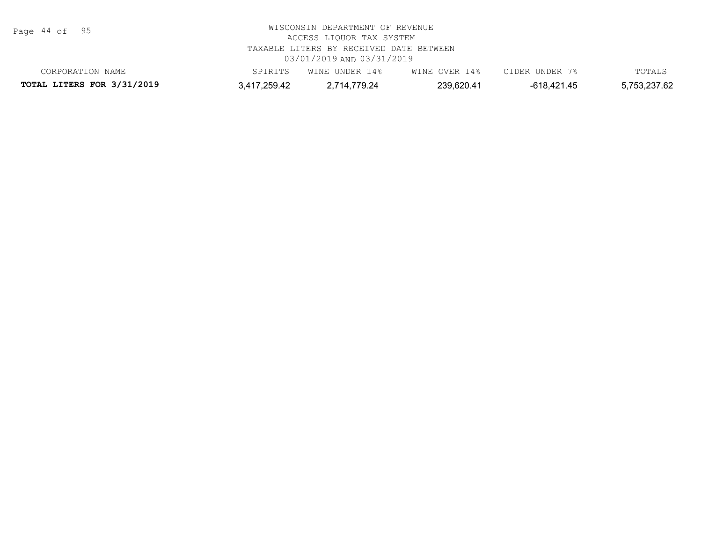Page 44 of 95

| CORPORATION NAME                  | SPIRITS      | WINE UNDER 14% | WINE OVER 14% | CIDER UNDER 7% | TOTALS       |
|-----------------------------------|--------------|----------------|---------------|----------------|--------------|
| <b>TOTAL LITERS FOR 3/31/2019</b> | 3,417,259.42 | 2,714,779.24   | 239,620.41    | -618,421.45    | 5,753,237.62 |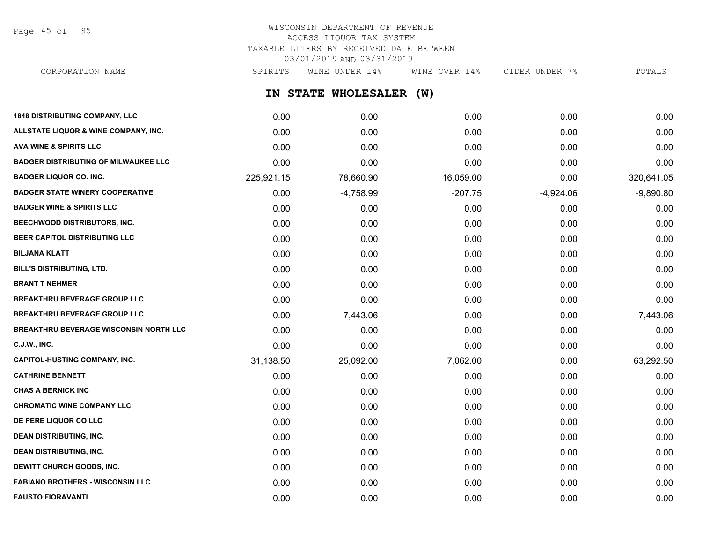Page 45 of 95

# WISCONSIN DEPARTMENT OF REVENUE ACCESS LIQUOR TAX SYSTEM TAXABLE LITERS BY RECEIVED DATE BETWEEN 03/01/2019 AND 03/31/2019

**IN STATE WHOLESALER (W) 1848 DISTRIBUTING COMPANY, LLC** 0.00 0.00 0.00 0.00 0.00 **ALLSTATE LIQUOR & WINE COMPANY, INC.** 0.00 0.00 0.00 0.00 0.00 **AVA WINE & SPIRITS LLC** 0.00 0.00 0.00 0.00 0.00 **BADGER DISTRIBUTING OF MILWAUKEE LLC BADGER ON CONCLUSION ON CONCLUSION ON CONCLUSION ON CONCLUSION ON CONCLUSION** CORPORATION NAME SPIRITS WINE UNDER 14% WINE OVER 14% CIDER UNDER 7% TOTALS

| <b>BADGER LIQUOR CO. INC.</b>                 | 225,921.15 | 78,660.90   | 16,059.00 | 0.00        | 320,641.05  |
|-----------------------------------------------|------------|-------------|-----------|-------------|-------------|
| <b>BADGER STATE WINERY COOPERATIVE</b>        | 0.00       | $-4,758.99$ | $-207.75$ | $-4,924.06$ | $-9,890.80$ |
| <b>BADGER WINE &amp; SPIRITS LLC</b>          | 0.00       | 0.00        | 0.00      | 0.00        | 0.00        |
| <b>BEECHWOOD DISTRIBUTORS, INC.</b>           | 0.00       | 0.00        | 0.00      | 0.00        | 0.00        |
| BEER CAPITOL DISTRIBUTING LLC                 | 0.00       | 0.00        | 0.00      | 0.00        | 0.00        |
| <b>BILJANA KLATT</b>                          | 0.00       | 0.00        | 0.00      | 0.00        | 0.00        |
| <b>BILL'S DISTRIBUTING, LTD.</b>              | 0.00       | 0.00        | 0.00      | 0.00        | 0.00        |
| <b>BRANT T NEHMER</b>                         | 0.00       | 0.00        | 0.00      | 0.00        | 0.00        |
| <b>BREAKTHRU BEVERAGE GROUP LLC</b>           | 0.00       | 0.00        | 0.00      | 0.00        | 0.00        |
| <b>BREAKTHRU BEVERAGE GROUP LLC</b>           | 0.00       | 7,443.06    | 0.00      | 0.00        | 7,443.06    |
| <b>BREAKTHRU BEVERAGE WISCONSIN NORTH LLC</b> | 0.00       | 0.00        | 0.00      | 0.00        | 0.00        |
| <b>C.J.W., INC.</b>                           | 0.00       | 0.00        | 0.00      | 0.00        | 0.00        |
| <b>CAPITOL-HUSTING COMPANY, INC.</b>          | 31,138.50  | 25,092.00   | 7,062.00  | 0.00        | 63,292.50   |
| <b>CATHRINE BENNETT</b>                       | 0.00       | 0.00        | 0.00      | 0.00        | 0.00        |
| <b>CHAS A BERNICK INC</b>                     | 0.00       | 0.00        | 0.00      | 0.00        | 0.00        |
| <b>CHROMATIC WINE COMPANY LLC</b>             | 0.00       | 0.00        | 0.00      | 0.00        | 0.00        |
| DE PERE LIQUOR CO LLC                         | 0.00       | 0.00        | 0.00      | 0.00        | 0.00        |
| <b>DEAN DISTRIBUTING, INC.</b>                | 0.00       | 0.00        | 0.00      | 0.00        | 0.00        |
| <b>DEAN DISTRIBUTING, INC.</b>                | 0.00       | 0.00        | 0.00      | 0.00        | 0.00        |
| <b>DEWITT CHURCH GOODS, INC.</b>              | 0.00       | 0.00        | 0.00      | 0.00        | 0.00        |
| <b>FABIANO BROTHERS - WISCONSIN LLC</b>       | 0.00       | 0.00        | 0.00      | 0.00        | 0.00        |
| <b>FAUSTO FIORAVANTI</b>                      | 0.00       | 0.00        | 0.00      | 0.00        | 0.00        |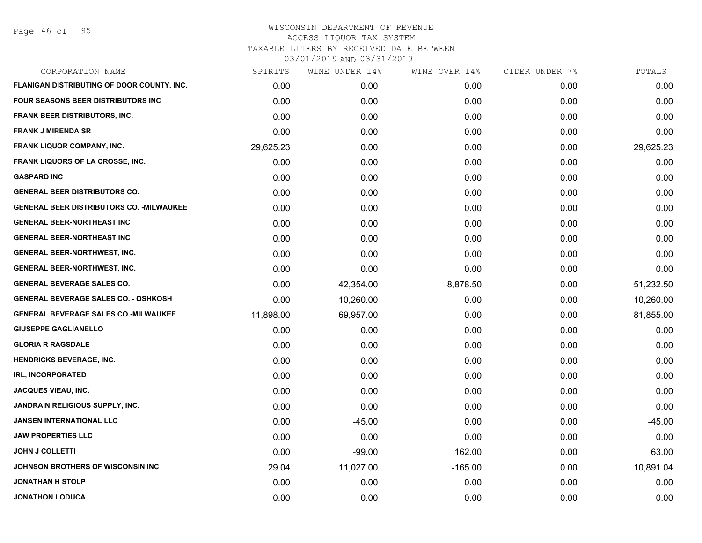Page 46 of 95

| CORPORATION NAME                                 | SPIRITS   | WINE UNDER 14% | WINE OVER 14% | CIDER UNDER 7% | TOTALS    |
|--------------------------------------------------|-----------|----------------|---------------|----------------|-----------|
| FLANIGAN DISTRIBUTING OF DOOR COUNTY, INC.       | 0.00      | 0.00           | 0.00          | 0.00           | 0.00      |
| <b>FOUR SEASONS BEER DISTRIBUTORS INC</b>        | 0.00      | 0.00           | 0.00          | 0.00           | 0.00      |
| <b>FRANK BEER DISTRIBUTORS, INC.</b>             | 0.00      | 0.00           | 0.00          | 0.00           | 0.00      |
| <b>FRANK J MIRENDA SR</b>                        | 0.00      | 0.00           | 0.00          | 0.00           | 0.00      |
| FRANK LIQUOR COMPANY, INC.                       | 29,625.23 | 0.00           | 0.00          | 0.00           | 29,625.23 |
| <b>FRANK LIQUORS OF LA CROSSE, INC.</b>          | 0.00      | 0.00           | 0.00          | 0.00           | 0.00      |
| <b>GASPARD INC</b>                               | 0.00      | 0.00           | 0.00          | 0.00           | 0.00      |
| <b>GENERAL BEER DISTRIBUTORS CO.</b>             | 0.00      | 0.00           | 0.00          | 0.00           | 0.00      |
| <b>GENERAL BEER DISTRIBUTORS CO. - MILWAUKEE</b> | 0.00      | 0.00           | 0.00          | 0.00           | 0.00      |
| <b>GENERAL BEER-NORTHEAST INC</b>                | 0.00      | 0.00           | 0.00          | 0.00           | 0.00      |
| <b>GENERAL BEER-NORTHEAST INC</b>                | 0.00      | 0.00           | 0.00          | 0.00           | 0.00      |
| <b>GENERAL BEER-NORTHWEST, INC.</b>              | 0.00      | 0.00           | 0.00          | 0.00           | 0.00      |
| <b>GENERAL BEER-NORTHWEST, INC.</b>              | 0.00      | 0.00           | 0.00          | 0.00           | 0.00      |
| <b>GENERAL BEVERAGE SALES CO.</b>                | 0.00      | 42,354.00      | 8,878.50      | 0.00           | 51,232.50 |
| <b>GENERAL BEVERAGE SALES CO. - OSHKOSH</b>      | 0.00      | 10,260.00      | 0.00          | 0.00           | 10,260.00 |
| <b>GENERAL BEVERAGE SALES CO.-MILWAUKEE</b>      | 11,898.00 | 69,957.00      | 0.00          | 0.00           | 81,855.00 |
| <b>GIUSEPPE GAGLIANELLO</b>                      | 0.00      | 0.00           | 0.00          | 0.00           | 0.00      |
| <b>GLORIA R RAGSDALE</b>                         | 0.00      | 0.00           | 0.00          | 0.00           | 0.00      |
| <b>HENDRICKS BEVERAGE, INC.</b>                  | 0.00      | 0.00           | 0.00          | 0.00           | 0.00      |
| <b>IRL, INCORPORATED</b>                         | 0.00      | 0.00           | 0.00          | 0.00           | 0.00      |
| JACQUES VIEAU, INC.                              | 0.00      | 0.00           | 0.00          | 0.00           | 0.00      |
| JANDRAIN RELIGIOUS SUPPLY, INC.                  | 0.00      | 0.00           | 0.00          | 0.00           | 0.00      |
| JANSEN INTERNATIONAL LLC                         | 0.00      | $-45.00$       | 0.00          | 0.00           | $-45.00$  |
| <b>JAW PROPERTIES LLC</b>                        | 0.00      | 0.00           | 0.00          | 0.00           | 0.00      |
| <b>JOHN J COLLETTI</b>                           | 0.00      | $-99.00$       | 162.00        | 0.00           | 63.00     |
| JOHNSON BROTHERS OF WISCONSIN INC                | 29.04     | 11,027.00      | $-165.00$     | 0.00           | 10,891.04 |
| <b>JONATHAN H STOLP</b>                          | 0.00      | 0.00           | 0.00          | 0.00           | 0.00      |
| <b>JONATHON LODUCA</b>                           | 0.00      | 0.00           | 0.00          | 0.00           | 0.00      |
|                                                  |           |                |               |                |           |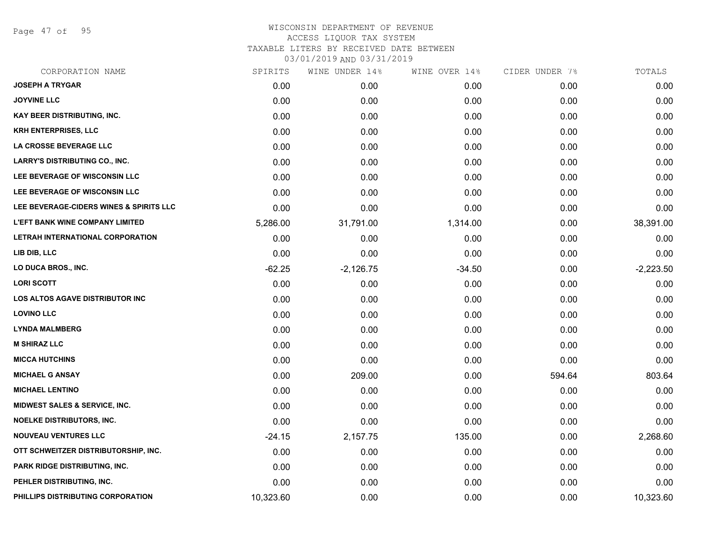Page 47 of 95

| CORPORATION NAME                        | SPIRITS   | WINE UNDER 14% | WINE OVER 14% | CIDER UNDER 7% | TOTALS      |
|-----------------------------------------|-----------|----------------|---------------|----------------|-------------|
| <b>JOSEPH A TRYGAR</b>                  | 0.00      | 0.00           | 0.00          | 0.00           | 0.00        |
| <b>JOYVINE LLC</b>                      | 0.00      | 0.00           | 0.00          | 0.00           | 0.00        |
| <b>KAY BEER DISTRIBUTING, INC.</b>      | 0.00      | 0.00           | 0.00          | 0.00           | 0.00        |
| <b>KRH ENTERPRISES, LLC</b>             | 0.00      | 0.00           | 0.00          | 0.00           | 0.00        |
| <b>LA CROSSE BEVERAGE LLC</b>           | 0.00      | 0.00           | 0.00          | 0.00           | 0.00        |
| <b>LARRY'S DISTRIBUTING CO., INC.</b>   | 0.00      | 0.00           | 0.00          | 0.00           | 0.00        |
| LEE BEVERAGE OF WISCONSIN LLC           | 0.00      | 0.00           | 0.00          | 0.00           | 0.00        |
| LEE BEVERAGE OF WISCONSIN LLC           | 0.00      | 0.00           | 0.00          | 0.00           | 0.00        |
| LEE BEVERAGE-CIDERS WINES & SPIRITS LLC | 0.00      | 0.00           | 0.00          | 0.00           | 0.00        |
| <b>L'EFT BANK WINE COMPANY LIMITED</b>  | 5,286.00  | 31,791.00      | 1,314.00      | 0.00           | 38,391.00   |
| LETRAH INTERNATIONAL CORPORATION        | 0.00      | 0.00           | 0.00          | 0.00           | 0.00        |
| LIB DIB, LLC                            | 0.00      | 0.00           | 0.00          | 0.00           | 0.00        |
| LO DUCA BROS., INC.                     | $-62.25$  | $-2,126.75$    | $-34.50$      | 0.00           | $-2,223.50$ |
| <b>LORI SCOTT</b>                       | 0.00      | 0.00           | 0.00          | 0.00           | 0.00        |
| <b>LOS ALTOS AGAVE DISTRIBUTOR INC</b>  | 0.00      | 0.00           | 0.00          | 0.00           | 0.00        |
| <b>LOVINO LLC</b>                       | 0.00      | 0.00           | 0.00          | 0.00           | 0.00        |
| <b>LYNDA MALMBERG</b>                   | 0.00      | 0.00           | 0.00          | 0.00           | 0.00        |
| <b>M SHIRAZ LLC</b>                     | 0.00      | 0.00           | 0.00          | 0.00           | 0.00        |
| <b>MICCA HUTCHINS</b>                   | 0.00      | 0.00           | 0.00          | 0.00           | 0.00        |
| <b>MICHAEL G ANSAY</b>                  | 0.00      | 209.00         | 0.00          | 594.64         | 803.64      |
| <b>MICHAEL LENTINO</b>                  | 0.00      | 0.00           | 0.00          | 0.00           | 0.00        |
| MIDWEST SALES & SERVICE, INC.           | 0.00      | 0.00           | 0.00          | 0.00           | 0.00        |
| <b>NOELKE DISTRIBUTORS, INC.</b>        | 0.00      | 0.00           | 0.00          | 0.00           | 0.00        |
| <b>NOUVEAU VENTURES LLC</b>             | $-24.15$  | 2,157.75       | 135.00        | 0.00           | 2,268.60    |
| OTT SCHWEITZER DISTRIBUTORSHIP, INC.    | 0.00      | 0.00           | 0.00          | 0.00           | 0.00        |
| PARK RIDGE DISTRIBUTING, INC.           | 0.00      | 0.00           | 0.00          | 0.00           | 0.00        |
| PEHLER DISTRIBUTING, INC.               | 0.00      | 0.00           | 0.00          | 0.00           | 0.00        |
| PHILLIPS DISTRIBUTING CORPORATION       | 10,323.60 | 0.00           | 0.00          | 0.00           | 10,323.60   |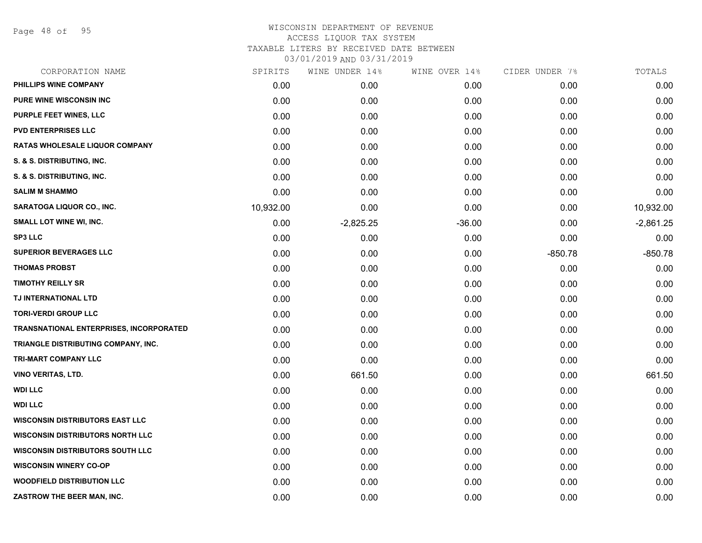Page 48 of 95

| CORPORATION NAME                        | SPIRITS   | WINE UNDER 14% | WINE OVER 14% | CIDER UNDER 7% | TOTALS      |
|-----------------------------------------|-----------|----------------|---------------|----------------|-------------|
| PHILLIPS WINE COMPANY                   | 0.00      | 0.00           | 0.00          | 0.00           | 0.00        |
| PURE WINE WISCONSIN INC                 | 0.00      | 0.00           | 0.00          | 0.00           | 0.00        |
| PURPLE FEET WINES, LLC                  | 0.00      | 0.00           | 0.00          | 0.00           | 0.00        |
| <b>PVD ENTERPRISES LLC</b>              | 0.00      | 0.00           | 0.00          | 0.00           | 0.00        |
| RATAS WHOLESALE LIQUOR COMPANY          | 0.00      | 0.00           | 0.00          | 0.00           | 0.00        |
| S. & S. DISTRIBUTING, INC.              | 0.00      | 0.00           | 0.00          | 0.00           | 0.00        |
| S. & S. DISTRIBUTING, INC.              | 0.00      | 0.00           | 0.00          | 0.00           | 0.00        |
| <b>SALIM M SHAMMO</b>                   | 0.00      | 0.00           | 0.00          | 0.00           | 0.00        |
| SARATOGA LIQUOR CO., INC.               | 10,932.00 | 0.00           | 0.00          | 0.00           | 10,932.00   |
| SMALL LOT WINE WI, INC.                 | 0.00      | $-2,825.25$    | $-36.00$      | 0.00           | $-2,861.25$ |
| <b>SP3 LLC</b>                          | 0.00      | 0.00           | 0.00          | 0.00           | 0.00        |
| <b>SUPERIOR BEVERAGES LLC</b>           | 0.00      | 0.00           | 0.00          | $-850.78$      | $-850.78$   |
| <b>THOMAS PROBST</b>                    | 0.00      | 0.00           | 0.00          | 0.00           | 0.00        |
| <b>TIMOTHY REILLY SR</b>                | 0.00      | 0.00           | 0.00          | 0.00           | 0.00        |
| TJ INTERNATIONAL LTD                    | 0.00      | 0.00           | 0.00          | 0.00           | 0.00        |
| <b>TORI-VERDI GROUP LLC</b>             | 0.00      | 0.00           | 0.00          | 0.00           | 0.00        |
| TRANSNATIONAL ENTERPRISES, INCORPORATED | 0.00      | 0.00           | 0.00          | 0.00           | 0.00        |
| TRIANGLE DISTRIBUTING COMPANY, INC.     | 0.00      | 0.00           | 0.00          | 0.00           | 0.00        |
| TRI-MART COMPANY LLC                    | 0.00      | 0.00           | 0.00          | 0.00           | 0.00        |
| <b>VINO VERITAS, LTD.</b>               | 0.00      | 661.50         | 0.00          | 0.00           | 661.50      |
| <b>WDI LLC</b>                          | 0.00      | 0.00           | 0.00          | 0.00           | 0.00        |
| <b>WDI LLC</b>                          | 0.00      | 0.00           | 0.00          | 0.00           | 0.00        |
| <b>WISCONSIN DISTRIBUTORS EAST LLC</b>  | 0.00      | 0.00           | 0.00          | 0.00           | 0.00        |
| <b>WISCONSIN DISTRIBUTORS NORTH LLC</b> | 0.00      | 0.00           | 0.00          | 0.00           | 0.00        |
| <b>WISCONSIN DISTRIBUTORS SOUTH LLC</b> | 0.00      | 0.00           | 0.00          | 0.00           | 0.00        |
| <b>WISCONSIN WINERY CO-OP</b>           | 0.00      | 0.00           | 0.00          | 0.00           | 0.00        |
| <b>WOODFIELD DISTRIBUTION LLC</b>       | 0.00      | 0.00           | 0.00          | 0.00           | 0.00        |
| ZASTROW THE BEER MAN, INC.              | 0.00      | 0.00           | 0.00          | 0.00           | 0.00        |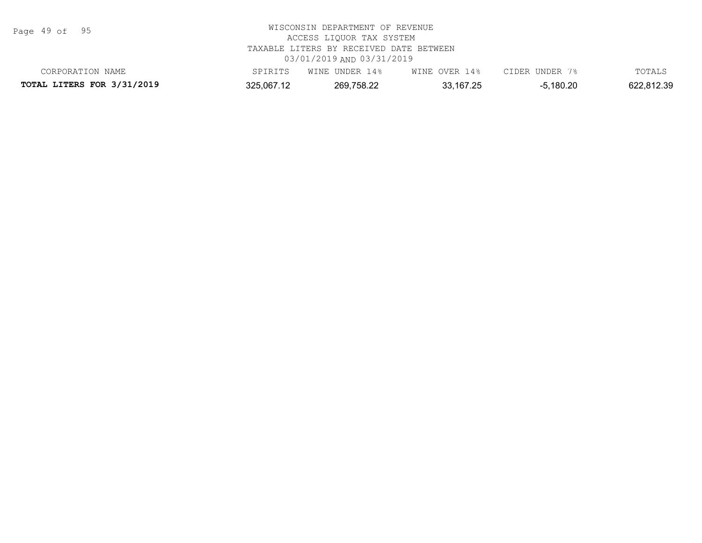Page 49 of 95

| CORPORATION NAME                  | SPIRITS    | WINE UNDER 1<br>14% | WINE OVER 1 | <b>UNDER</b><br>CIDER | TOTALS     |
|-----------------------------------|------------|---------------------|-------------|-----------------------|------------|
| <b>TOTAL LITERS FOR 3/31/2019</b> | 325.067.12 | 269.758.22          | 33,167.25   | 5,180.20              | 622,812.39 |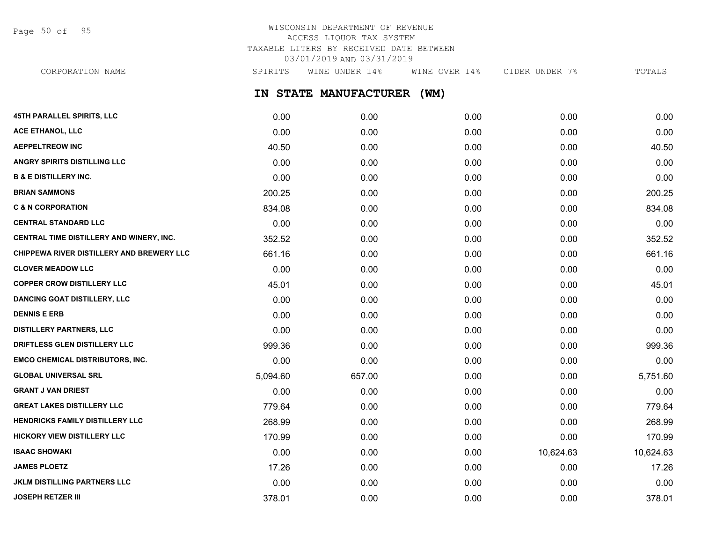Page 50 of 95

# WISCONSIN DEPARTMENT OF REVENUE ACCESS LIQUOR TAX SYSTEM TAXABLE LITERS BY RECEIVED DATE BETWEEN 03/01/2019 AND 03/31/2019

CORPORATION NAME SPIRITS WINE UNDER 14% WINE OVER 14% CIDER UNDER 7% TOTALS

**IN STATE MANUFACTURER (WM)**

| 45TH PARALLEL SPIRITS, LLC                       | 0.00     | 0.00   | 0.00 | 0.00      | 0.00      |
|--------------------------------------------------|----------|--------|------|-----------|-----------|
| <b>ACE ETHANOL, LLC</b>                          | 0.00     | 0.00   | 0.00 | 0.00      | 0.00      |
| <b>AEPPELTREOW INC</b>                           | 40.50    | 0.00   | 0.00 | 0.00      | 40.50     |
| <b>ANGRY SPIRITS DISTILLING LLC</b>              | 0.00     | 0.00   | 0.00 | 0.00      | 0.00      |
| <b>B &amp; E DISTILLERY INC.</b>                 | 0.00     | 0.00   | 0.00 | 0.00      | 0.00      |
| <b>BRIAN SAMMONS</b>                             | 200.25   | 0.00   | 0.00 | 0.00      | 200.25    |
| <b>C &amp; N CORPORATION</b>                     | 834.08   | 0.00   | 0.00 | 0.00      | 834.08    |
| <b>CENTRAL STANDARD LLC</b>                      | 0.00     | 0.00   | 0.00 | 0.00      | 0.00      |
| CENTRAL TIME DISTILLERY AND WINERY, INC.         | 352.52   | 0.00   | 0.00 | 0.00      | 352.52    |
| <b>CHIPPEWA RIVER DISTILLERY AND BREWERY LLC</b> | 661.16   | 0.00   | 0.00 | 0.00      | 661.16    |
| <b>CLOVER MEADOW LLC</b>                         | 0.00     | 0.00   | 0.00 | 0.00      | 0.00      |
| <b>COPPER CROW DISTILLERY LLC</b>                | 45.01    | 0.00   | 0.00 | 0.00      | 45.01     |
| DANCING GOAT DISTILLERY, LLC                     | 0.00     | 0.00   | 0.00 | 0.00      | 0.00      |
| <b>DENNIS E ERB</b>                              | 0.00     | 0.00   | 0.00 | 0.00      | 0.00      |
| DISTILLERY PARTNERS, LLC                         | 0.00     | 0.00   | 0.00 | 0.00      | 0.00      |
| DRIFTLESS GLEN DISTILLERY LLC                    | 999.36   | 0.00   | 0.00 | 0.00      | 999.36    |
| <b>EMCO CHEMICAL DISTRIBUTORS, INC.</b>          | 0.00     | 0.00   | 0.00 | 0.00      | 0.00      |
| <b>GLOBAL UNIVERSAL SRL</b>                      | 5,094.60 | 657.00 | 0.00 | 0.00      | 5,751.60  |
| <b>GRANT J VAN DRIEST</b>                        | 0.00     | 0.00   | 0.00 | 0.00      | 0.00      |
| <b>GREAT LAKES DISTILLERY LLC</b>                | 779.64   | 0.00   | 0.00 | 0.00      | 779.64    |
| <b>HENDRICKS FAMILY DISTILLERY LLC</b>           | 268.99   | 0.00   | 0.00 | 0.00      | 268.99    |
| HICKORY VIEW DISTILLERY LLC                      | 170.99   | 0.00   | 0.00 | 0.00      | 170.99    |
| <b>ISAAC SHOWAKI</b>                             | 0.00     | 0.00   | 0.00 | 10,624.63 | 10,624.63 |
| <b>JAMES PLOETZ</b>                              | 17.26    | 0.00   | 0.00 | 0.00      | 17.26     |
| <b>JKLM DISTILLING PARTNERS LLC</b>              | 0.00     | 0.00   | 0.00 | 0.00      | 0.00      |
| <b>JOSEPH RETZER III</b>                         | 378.01   | 0.00   | 0.00 | 0.00      | 378.01    |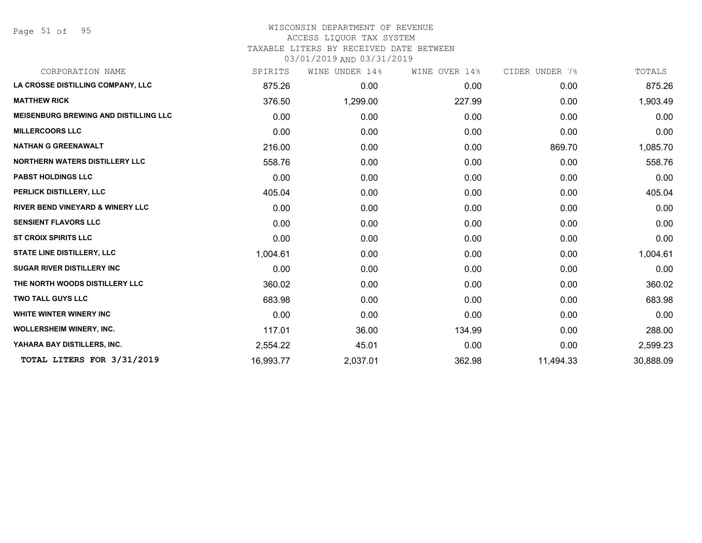Page 51 of 95

#### WISCONSIN DEPARTMENT OF REVENUE ACCESS LIQUOR TAX SYSTEM TAXABLE LITERS BY RECEIVED DATE BETWEEN

| CORPORATION NAME                             | SPIRITS   | WINE UNDER 14% | WINE OVER 14% | CIDER UNDER 7% | TOTALS    |
|----------------------------------------------|-----------|----------------|---------------|----------------|-----------|
| LA CROSSE DISTILLING COMPANY, LLC            | 875.26    | 0.00           | 0.00          | 0.00           | 875.26    |
| <b>MATTHEW RICK</b>                          | 376.50    | 1,299.00       | 227.99        | 0.00           | 1,903.49  |
| <b>MEISENBURG BREWING AND DISTILLING LLC</b> | 0.00      | 0.00           | 0.00          | 0.00           | 0.00      |
| <b>MILLERCOORS LLC</b>                       | 0.00      | 0.00           | 0.00          | 0.00           | 0.00      |
| <b>NATHAN G GREENAWALT</b>                   | 216.00    | 0.00           | 0.00          | 869.70         | 1,085.70  |
| <b>NORTHERN WATERS DISTILLERY LLC</b>        | 558.76    | 0.00           | 0.00          | 0.00           | 558.76    |
| <b>PABST HOLDINGS LLC</b>                    | 0.00      | 0.00           | 0.00          | 0.00           | 0.00      |
| PERLICK DISTILLERY, LLC                      | 405.04    | 0.00           | 0.00          | 0.00           | 405.04    |
| <b>RIVER BEND VINEYARD &amp; WINERY LLC</b>  | 0.00      | 0.00           | 0.00          | 0.00           | 0.00      |
| <b>SENSIENT FLAVORS LLC</b>                  | 0.00      | 0.00           | 0.00          | 0.00           | 0.00      |
| <b>ST CROIX SPIRITS LLC</b>                  | 0.00      | 0.00           | 0.00          | 0.00           | 0.00      |
| <b>STATE LINE DISTILLERY, LLC</b>            | 1,004.61  | 0.00           | 0.00          | 0.00           | 1,004.61  |
| <b>SUGAR RIVER DISTILLERY INC</b>            | 0.00      | 0.00           | 0.00          | 0.00           | 0.00      |
| THE NORTH WOODS DISTILLERY LLC               | 360.02    | 0.00           | 0.00          | 0.00           | 360.02    |
| <b>TWO TALL GUYS LLC</b>                     | 683.98    | 0.00           | 0.00          | 0.00           | 683.98    |
| <b>WHITE WINTER WINERY INC</b>               | 0.00      | 0.00           | 0.00          | 0.00           | 0.00      |
| <b>WOLLERSHEIM WINERY, INC.</b>              | 117.01    | 36.00          | 134.99        | 0.00           | 288.00    |
| YAHARA BAY DISTILLERS, INC.                  | 2,554.22  | 45.01          | 0.00          | 0.00           | 2,599.23  |
| TOTAL LITERS FOR 3/31/2019                   | 16,993.77 | 2,037.01       | 362.98        | 11,494.33      | 30,888.09 |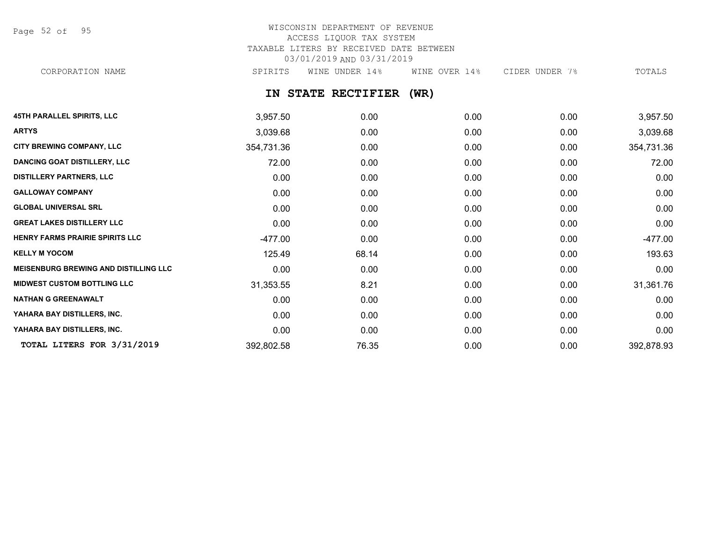Page 52 of 95

# WISCONSIN DEPARTMENT OF REVENUE ACCESS LIQUOR TAX SYSTEM TAXABLE LITERS BY RECEIVED DATE BETWEEN 03/01/2019 AND 03/31/2019

CORPORATION NAME SPIRITS WINE UNDER 14% WINE OVER 14% CIDER UNDER 7% TOTALS

## **IN STATE RECTIFIER (WR)**

| <b>45TH PARALLEL SPIRITS, LLC</b>            | 3,957.50   | 0.00  | 0.00 | 0.00 | 3,957.50   |
|----------------------------------------------|------------|-------|------|------|------------|
| <b>ARTYS</b>                                 | 3,039.68   | 0.00  | 0.00 | 0.00 | 3,039.68   |
| CITY BREWING COMPANY, LLC                    | 354,731.36 | 0.00  | 0.00 | 0.00 | 354,731.36 |
| <b>DANCING GOAT DISTILLERY, LLC</b>          | 72.00      | 0.00  | 0.00 | 0.00 | 72.00      |
| <b>DISTILLERY PARTNERS, LLC</b>              | 0.00       | 0.00  | 0.00 | 0.00 | 0.00       |
| <b>GALLOWAY COMPANY</b>                      | 0.00       | 0.00  | 0.00 | 0.00 | 0.00       |
| <b>GLOBAL UNIVERSAL SRL</b>                  | 0.00       | 0.00  | 0.00 | 0.00 | 0.00       |
| <b>GREAT LAKES DISTILLERY LLC</b>            | 0.00       | 0.00  | 0.00 | 0.00 | 0.00       |
| <b>HENRY FARMS PRAIRIE SPIRITS LLC</b>       | $-477.00$  | 0.00  | 0.00 | 0.00 | $-477.00$  |
| <b>KELLY M YOCOM</b>                         | 125.49     | 68.14 | 0.00 | 0.00 | 193.63     |
| <b>MEISENBURG BREWING AND DISTILLING LLC</b> | 0.00       | 0.00  | 0.00 | 0.00 | 0.00       |
| <b>MIDWEST CUSTOM BOTTLING LLC</b>           | 31,353.55  | 8.21  | 0.00 | 0.00 | 31,361.76  |
| <b>NATHAN G GREENAWALT</b>                   | 0.00       | 0.00  | 0.00 | 0.00 | 0.00       |
| YAHARA BAY DISTILLERS, INC.                  | 0.00       | 0.00  | 0.00 | 0.00 | 0.00       |
| YAHARA BAY DISTILLERS, INC.                  | 0.00       | 0.00  | 0.00 | 0.00 | 0.00       |
| TOTAL LITERS FOR 3/31/2019                   | 392,802.58 | 76.35 | 0.00 | 0.00 | 392,878.93 |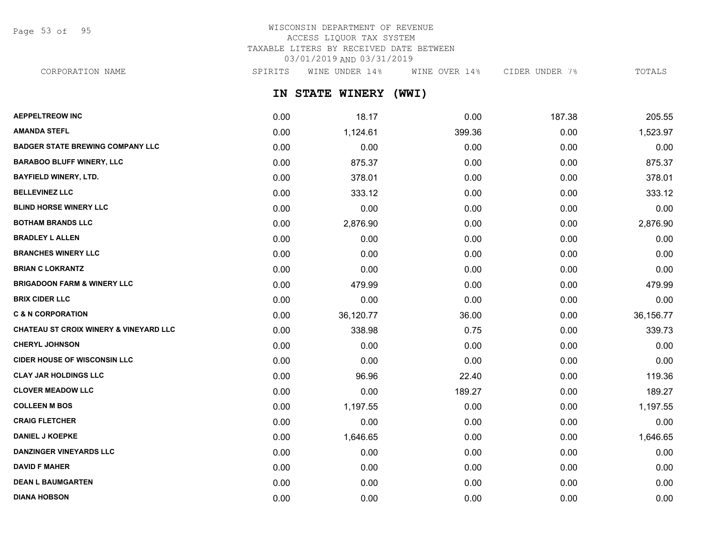Page 53 of 95

# WISCONSIN DEPARTMENT OF REVENUE ACCESS LIQUOR TAX SYSTEM TAXABLE LITERS BY RECEIVED DATE BETWEEN 03/01/2019 AND 03/31/2019

CORPORATION NAME SPIRITS WINE UNDER 14% WINE OVER 14% CIDER UNDER 7% TOTALS

**IN STATE WINERY (WWI)**

| <b>AEPPELTREOW INC</b>                            | 0.00 | 18.17     | 0.00   | 187.38 | 205.55    |
|---------------------------------------------------|------|-----------|--------|--------|-----------|
| <b>AMANDA STEFL</b>                               | 0.00 | 1,124.61  | 399.36 | 0.00   | 1,523.97  |
| <b>BADGER STATE BREWING COMPANY LLC</b>           | 0.00 | 0.00      | 0.00   | 0.00   | 0.00      |
| <b>BARABOO BLUFF WINERY, LLC</b>                  | 0.00 | 875.37    | 0.00   | 0.00   | 875.37    |
| <b>BAYFIELD WINERY, LTD.</b>                      | 0.00 | 378.01    | 0.00   | 0.00   | 378.01    |
| <b>BELLEVINEZ LLC</b>                             | 0.00 | 333.12    | 0.00   | 0.00   | 333.12    |
| <b>BLIND HORSE WINERY LLC</b>                     | 0.00 | 0.00      | 0.00   | 0.00   | 0.00      |
| <b>BOTHAM BRANDS LLC</b>                          | 0.00 | 2,876.90  | 0.00   | 0.00   | 2,876.90  |
| <b>BRADLEY L ALLEN</b>                            | 0.00 | 0.00      | 0.00   | 0.00   | 0.00      |
| <b>BRANCHES WINERY LLC</b>                        | 0.00 | 0.00      | 0.00   | 0.00   | 0.00      |
| <b>BRIAN C LOKRANTZ</b>                           | 0.00 | 0.00      | 0.00   | 0.00   | 0.00      |
| <b>BRIGADOON FARM &amp; WINERY LLC</b>            | 0.00 | 479.99    | 0.00   | 0.00   | 479.99    |
| <b>BRIX CIDER LLC</b>                             | 0.00 | 0.00      | 0.00   | 0.00   | 0.00      |
| <b>C &amp; N CORPORATION</b>                      | 0.00 | 36,120.77 | 36.00  | 0.00   | 36,156.77 |
| <b>CHATEAU ST CROIX WINERY &amp; VINEYARD LLC</b> | 0.00 | 338.98    | 0.75   | 0.00   | 339.73    |
| <b>CHERYL JOHNSON</b>                             | 0.00 | 0.00      | 0.00   | 0.00   | 0.00      |
| <b>CIDER HOUSE OF WISCONSIN LLC</b>               | 0.00 | 0.00      | 0.00   | 0.00   | 0.00      |
| <b>CLAY JAR HOLDINGS LLC</b>                      | 0.00 | 96.96     | 22.40  | 0.00   | 119.36    |
| <b>CLOVER MEADOW LLC</b>                          | 0.00 | 0.00      | 189.27 | 0.00   | 189.27    |
| <b>COLLEEN M BOS</b>                              | 0.00 | 1,197.55  | 0.00   | 0.00   | 1,197.55  |
| <b>CRAIG FLETCHER</b>                             | 0.00 | 0.00      | 0.00   | 0.00   | 0.00      |
| <b>DANIEL J KOEPKE</b>                            | 0.00 | 1,646.65  | 0.00   | 0.00   | 1,646.65  |
| <b>DANZINGER VINEYARDS LLC</b>                    | 0.00 | 0.00      | 0.00   | 0.00   | 0.00      |
| <b>DAVID F MAHER</b>                              | 0.00 | 0.00      | 0.00   | 0.00   | 0.00      |
| <b>DEAN L BAUMGARTEN</b>                          | 0.00 | 0.00      | 0.00   | 0.00   | 0.00      |
| <b>DIANA HOBSON</b>                               | 0.00 | 0.00      | 0.00   | 0.00   | 0.00      |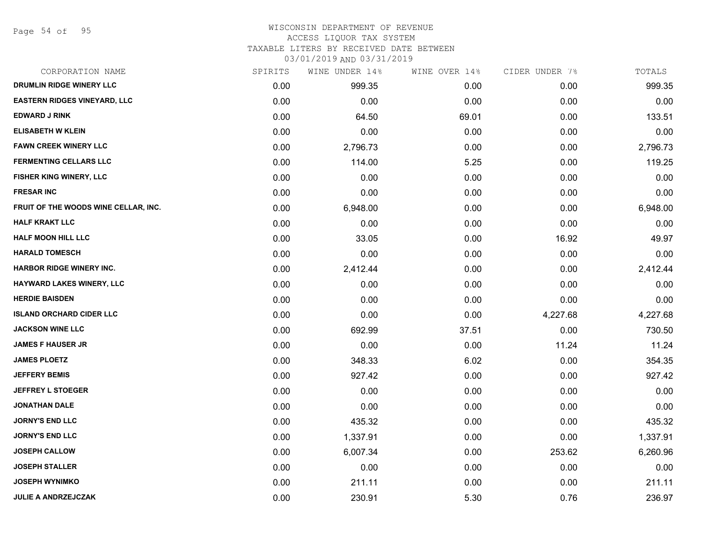Page 54 of 95

#### WISCONSIN DEPARTMENT OF REVENUE ACCESS LIQUOR TAX SYSTEM

TAXABLE LITERS BY RECEIVED DATE BETWEEN

| CORPORATION NAME                     | SPIRITS | WINE UNDER 14% | WINE OVER 14% | CIDER UNDER 7% | TOTALS   |
|--------------------------------------|---------|----------------|---------------|----------------|----------|
| DRUMLIN RIDGE WINERY LLC             | 0.00    | 999.35         | 0.00          | 0.00           | 999.35   |
| <b>EASTERN RIDGES VINEYARD, LLC</b>  | 0.00    | 0.00           | 0.00          | 0.00           | 0.00     |
| <b>EDWARD J RINK</b>                 | 0.00    | 64.50          | 69.01         | 0.00           | 133.51   |
| <b>ELISABETH W KLEIN</b>             | 0.00    | 0.00           | 0.00          | 0.00           | 0.00     |
| <b>FAWN CREEK WINERY LLC</b>         | 0.00    | 2,796.73       | 0.00          | 0.00           | 2,796.73 |
| <b>FERMENTING CELLARS LLC</b>        | 0.00    | 114.00         | 5.25          | 0.00           | 119.25   |
| FISHER KING WINERY, LLC              | 0.00    | 0.00           | 0.00          | 0.00           | 0.00     |
| <b>FRESAR INC</b>                    | 0.00    | 0.00           | 0.00          | 0.00           | 0.00     |
| FRUIT OF THE WOODS WINE CELLAR, INC. | 0.00    | 6,948.00       | 0.00          | 0.00           | 6,948.00 |
| <b>HALF KRAKT LLC</b>                | 0.00    | 0.00           | 0.00          | 0.00           | 0.00     |
| <b>HALF MOON HILL LLC</b>            | 0.00    | 33.05          | 0.00          | 16.92          | 49.97    |
| <b>HARALD TOMESCH</b>                | 0.00    | 0.00           | 0.00          | 0.00           | 0.00     |
| <b>HARBOR RIDGE WINERY INC.</b>      | 0.00    | 2,412.44       | 0.00          | 0.00           | 2,412.44 |
| <b>HAYWARD LAKES WINERY, LLC</b>     | 0.00    | 0.00           | 0.00          | 0.00           | 0.00     |
| <b>HERDIE BAISDEN</b>                | 0.00    | 0.00           | 0.00          | 0.00           | 0.00     |
| <b>ISLAND ORCHARD CIDER LLC</b>      | 0.00    | 0.00           | 0.00          | 4,227.68       | 4,227.68 |
| <b>JACKSON WINE LLC</b>              | 0.00    | 692.99         | 37.51         | 0.00           | 730.50   |
| <b>JAMES F HAUSER JR</b>             | 0.00    | 0.00           | 0.00          | 11.24          | 11.24    |
| <b>JAMES PLOETZ</b>                  | 0.00    | 348.33         | 6.02          | 0.00           | 354.35   |
| <b>JEFFERY BEMIS</b>                 | 0.00    | 927.42         | 0.00          | 0.00           | 927.42   |
| <b>JEFFREY L STOEGER</b>             | 0.00    | 0.00           | 0.00          | 0.00           | 0.00     |
| <b>JONATHAN DALE</b>                 | 0.00    | 0.00           | 0.00          | 0.00           | 0.00     |
| <b>JORNY'S END LLC</b>               | 0.00    | 435.32         | 0.00          | 0.00           | 435.32   |
| <b>JORNY'S END LLC</b>               | 0.00    | 1,337.91       | 0.00          | 0.00           | 1,337.91 |
| <b>JOSEPH CALLOW</b>                 | 0.00    | 6,007.34       | 0.00          | 253.62         | 6,260.96 |
| <b>JOSEPH STALLER</b>                | 0.00    | 0.00           | 0.00          | 0.00           | 0.00     |
| <b>JOSEPH WYNIMKO</b>                | 0.00    | 211.11         | 0.00          | 0.00           | 211.11   |
| <b>JULIE A ANDRZEJCZAK</b>           | 0.00    | 230.91         | 5.30          | 0.76           | 236.97   |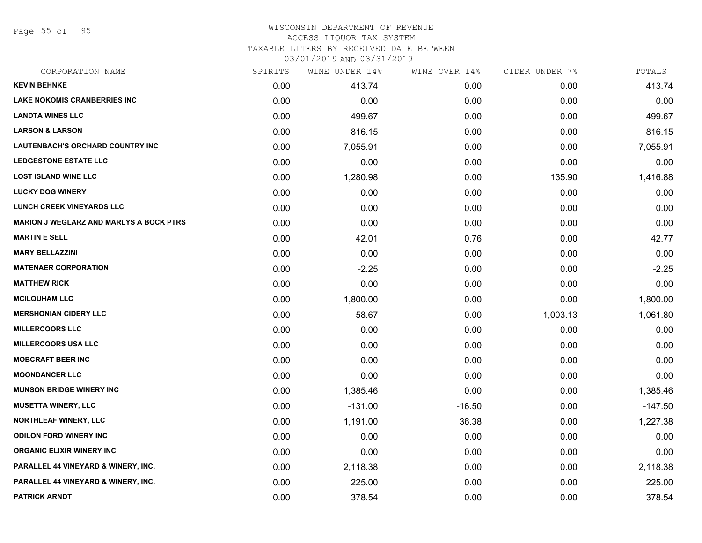Page 55 of 95

#### WISCONSIN DEPARTMENT OF REVENUE ACCESS LIQUOR TAX SYSTEM

TAXABLE LITERS BY RECEIVED DATE BETWEEN

| CORPORATION NAME                               | SPIRITS | WINE UNDER 14% | WINE OVER 14% | CIDER UNDER 7% | TOTALS    |
|------------------------------------------------|---------|----------------|---------------|----------------|-----------|
| <b>KEVIN BEHNKE</b>                            | 0.00    | 413.74         | 0.00          | 0.00           | 413.74    |
| <b>LAKE NOKOMIS CRANBERRIES INC</b>            | 0.00    | 0.00           | 0.00          | 0.00           | 0.00      |
| <b>LANDTA WINES LLC</b>                        | 0.00    | 499.67         | 0.00          | 0.00           | 499.67    |
| <b>LARSON &amp; LARSON</b>                     | 0.00    | 816.15         | 0.00          | 0.00           | 816.15    |
| LAUTENBACH'S ORCHARD COUNTRY INC               | 0.00    | 7,055.91       | 0.00          | 0.00           | 7,055.91  |
| <b>LEDGESTONE ESTATE LLC</b>                   | 0.00    | 0.00           | 0.00          | 0.00           | 0.00      |
| <b>LOST ISLAND WINE LLC</b>                    | 0.00    | 1,280.98       | 0.00          | 135.90         | 1,416.88  |
| <b>LUCKY DOG WINERY</b>                        | 0.00    | 0.00           | 0.00          | 0.00           | 0.00      |
| LUNCH CREEK VINEYARDS LLC                      | 0.00    | 0.00           | 0.00          | 0.00           | 0.00      |
| <b>MARION J WEGLARZ AND MARLYS A BOCK PTRS</b> | 0.00    | 0.00           | 0.00          | 0.00           | 0.00      |
| <b>MARTIN E SELL</b>                           | 0.00    | 42.01          | 0.76          | 0.00           | 42.77     |
| <b>MARY BELLAZZINI</b>                         | 0.00    | 0.00           | 0.00          | 0.00           | 0.00      |
| <b>MATENAER CORPORATION</b>                    | 0.00    | $-2.25$        | 0.00          | 0.00           | $-2.25$   |
| <b>MATTHEW RICK</b>                            | 0.00    | 0.00           | 0.00          | 0.00           | 0.00      |
| <b>MCILQUHAM LLC</b>                           | 0.00    | 1,800.00       | 0.00          | 0.00           | 1,800.00  |
| <b>MERSHONIAN CIDERY LLC</b>                   | 0.00    | 58.67          | 0.00          | 1,003.13       | 1,061.80  |
| <b>MILLERCOORS LLC</b>                         | 0.00    | 0.00           | 0.00          | 0.00           | 0.00      |
| <b>MILLERCOORS USA LLC</b>                     | 0.00    | 0.00           | 0.00          | 0.00           | 0.00      |
| <b>MOBCRAFT BEER INC</b>                       | 0.00    | 0.00           | 0.00          | 0.00           | 0.00      |
| <b>MOONDANCER LLC</b>                          | 0.00    | 0.00           | 0.00          | 0.00           | 0.00      |
| <b>MUNSON BRIDGE WINERY INC</b>                | 0.00    | 1,385.46       | 0.00          | 0.00           | 1,385.46  |
| <b>MUSETTA WINERY, LLC</b>                     | 0.00    | $-131.00$      | $-16.50$      | 0.00           | $-147.50$ |
| NORTHLEAF WINERY, LLC                          | 0.00    | 1,191.00       | 36.38         | 0.00           | 1,227.38  |
| <b>ODILON FORD WINERY INC</b>                  | 0.00    | 0.00           | 0.00          | 0.00           | 0.00      |
| ORGANIC ELIXIR WINERY INC                      | 0.00    | 0.00           | 0.00          | 0.00           | 0.00      |
| PARALLEL 44 VINEYARD & WINERY, INC.            | 0.00    | 2,118.38       | 0.00          | 0.00           | 2,118.38  |
| PARALLEL 44 VINEYARD & WINERY, INC.            | 0.00    | 225.00         | 0.00          | 0.00           | 225.00    |
| <b>PATRICK ARNDT</b>                           | 0.00    | 378.54         | 0.00          | 0.00           | 378.54    |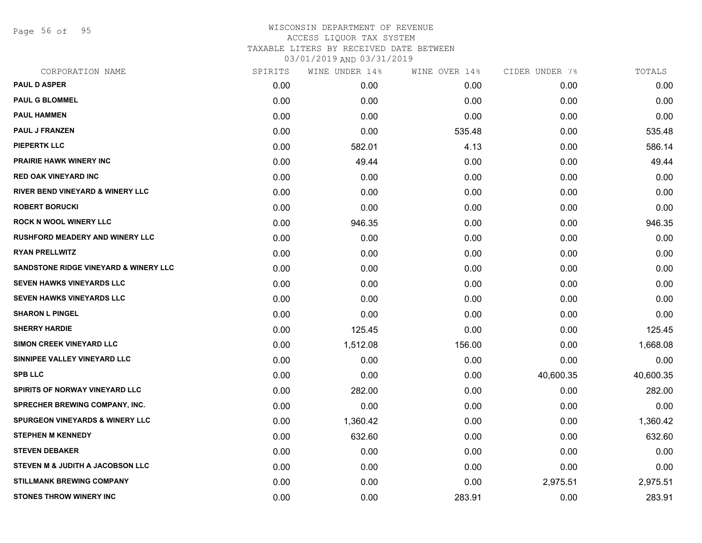Page 56 of 95

| CORPORATION NAME                            | SPIRITS | WINE UNDER 14% | WINE OVER 14% | CIDER UNDER 7% | TOTALS    |
|---------------------------------------------|---------|----------------|---------------|----------------|-----------|
| <b>PAUL D ASPER</b>                         | 0.00    | 0.00           | 0.00          | 0.00           | 0.00      |
| <b>PAUL G BLOMMEL</b>                       | 0.00    | 0.00           | 0.00          | 0.00           | 0.00      |
| <b>PAUL HAMMEN</b>                          | 0.00    | 0.00           | 0.00          | 0.00           | 0.00      |
| <b>PAUL J FRANZEN</b>                       | 0.00    | 0.00           | 535.48        | 0.00           | 535.48    |
| <b>PIEPERTK LLC</b>                         | 0.00    | 582.01         | 4.13          | 0.00           | 586.14    |
| <b>PRAIRIE HAWK WINERY INC</b>              | 0.00    | 49.44          | 0.00          | 0.00           | 49.44     |
| <b>RED OAK VINEYARD INC</b>                 | 0.00    | 0.00           | 0.00          | 0.00           | 0.00      |
| <b>RIVER BEND VINEYARD &amp; WINERY LLC</b> | 0.00    | 0.00           | 0.00          | 0.00           | 0.00      |
| <b>ROBERT BORUCKI</b>                       | 0.00    | 0.00           | 0.00          | 0.00           | 0.00      |
| <b>ROCK N WOOL WINERY LLC</b>               | 0.00    | 946.35         | 0.00          | 0.00           | 946.35    |
| <b>RUSHFORD MEADERY AND WINERY LLC</b>      | 0.00    | 0.00           | 0.00          | 0.00           | 0.00      |
| <b>RYAN PRELLWITZ</b>                       | 0.00    | 0.00           | 0.00          | 0.00           | 0.00      |
| SANDSTONE RIDGE VINEYARD & WINERY LLC       | 0.00    | 0.00           | 0.00          | 0.00           | 0.00      |
| <b>SEVEN HAWKS VINEYARDS LLC</b>            | 0.00    | 0.00           | 0.00          | 0.00           | 0.00      |
| <b>SEVEN HAWKS VINEYARDS LLC</b>            | 0.00    | 0.00           | 0.00          | 0.00           | 0.00      |
| <b>SHARON L PINGEL</b>                      | 0.00    | 0.00           | 0.00          | 0.00           | 0.00      |
| <b>SHERRY HARDIE</b>                        | 0.00    | 125.45         | 0.00          | 0.00           | 125.45    |
| <b>SIMON CREEK VINEYARD LLC</b>             | 0.00    | 1,512.08       | 156.00        | 0.00           | 1,668.08  |
| SINNIPEE VALLEY VINEYARD LLC                | 0.00    | 0.00           | 0.00          | 0.00           | 0.00      |
| <b>SPB LLC</b>                              | 0.00    | 0.00           | 0.00          | 40,600.35      | 40,600.35 |
| SPIRITS OF NORWAY VINEYARD LLC              | 0.00    | 282.00         | 0.00          | 0.00           | 282.00    |
| SPRECHER BREWING COMPANY, INC.              | 0.00    | 0.00           | 0.00          | 0.00           | 0.00      |
| <b>SPURGEON VINEYARDS &amp; WINERY LLC</b>  | 0.00    | 1,360.42       | 0.00          | 0.00           | 1,360.42  |
| <b>STEPHEN M KENNEDY</b>                    | 0.00    | 632.60         | 0.00          | 0.00           | 632.60    |
| <b>STEVEN DEBAKER</b>                       | 0.00    | 0.00           | 0.00          | 0.00           | 0.00      |
| STEVEN M & JUDITH A JACOBSON LLC            | 0.00    | 0.00           | 0.00          | 0.00           | 0.00      |
| <b>STILLMANK BREWING COMPANY</b>            | 0.00    | 0.00           | 0.00          | 2,975.51       | 2,975.51  |
| <b>STONES THROW WINERY INC</b>              | 0.00    | 0.00           | 283.91        | 0.00           | 283.91    |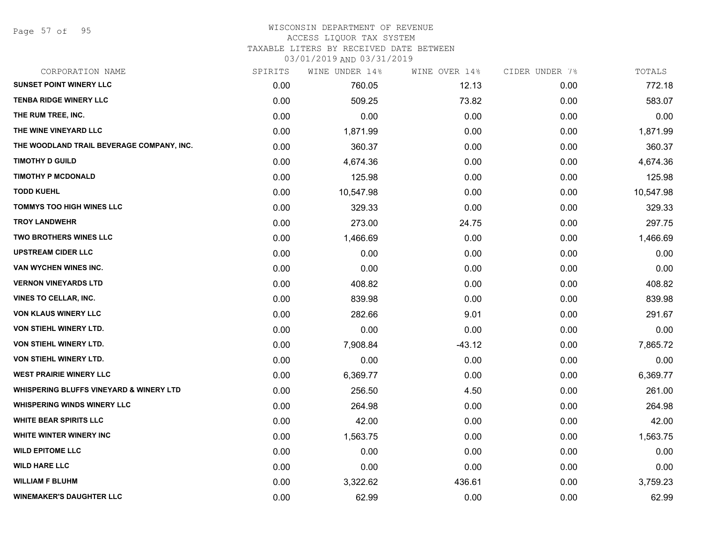## WISCONSIN DEPARTMENT OF REVENUE

#### ACCESS LIQUOR TAX SYSTEM

TAXABLE LITERS BY RECEIVED DATE BETWEEN

| CORPORATION NAME                                   | SPIRITS | WINE UNDER 14% | WINE OVER 14% | CIDER UNDER 7% | TOTALS    |
|----------------------------------------------------|---------|----------------|---------------|----------------|-----------|
| <b>SUNSET POINT WINERY LLC</b>                     | 0.00    | 760.05         | 12.13         | 0.00           | 772.18    |
| <b>TENBA RIDGE WINERY LLC</b>                      | 0.00    | 509.25         | 73.82         | 0.00           | 583.07    |
| THE RUM TREE, INC.                                 | 0.00    | 0.00           | 0.00          | 0.00           | 0.00      |
| THE WINE VINEYARD LLC                              | 0.00    | 1,871.99       | 0.00          | 0.00           | 1,871.99  |
| THE WOODLAND TRAIL BEVERAGE COMPANY, INC.          | 0.00    | 360.37         | 0.00          | 0.00           | 360.37    |
| <b>TIMOTHY D GUILD</b>                             | 0.00    | 4,674.36       | 0.00          | 0.00           | 4,674.36  |
| <b>TIMOTHY P MCDONALD</b>                          | 0.00    | 125.98         | 0.00          | 0.00           | 125.98    |
| <b>TODD KUEHL</b>                                  | 0.00    | 10,547.98      | 0.00          | 0.00           | 10,547.98 |
| <b>TOMMYS TOO HIGH WINES LLC</b>                   | 0.00    | 329.33         | 0.00          | 0.00           | 329.33    |
| <b>TROY LANDWEHR</b>                               | 0.00    | 273.00         | 24.75         | 0.00           | 297.75    |
| <b>TWO BROTHERS WINES LLC</b>                      | 0.00    | 1,466.69       | 0.00          | 0.00           | 1,466.69  |
| <b>UPSTREAM CIDER LLC</b>                          | 0.00    | 0.00           | 0.00          | 0.00           | 0.00      |
| VAN WYCHEN WINES INC.                              | 0.00    | 0.00           | 0.00          | 0.00           | 0.00      |
| <b>VERNON VINEYARDS LTD</b>                        | 0.00    | 408.82         | 0.00          | 0.00           | 408.82    |
| <b>VINES TO CELLAR, INC.</b>                       | 0.00    | 839.98         | 0.00          | 0.00           | 839.98    |
| <b>VON KLAUS WINERY LLC</b>                        | 0.00    | 282.66         | 9.01          | 0.00           | 291.67    |
| VON STIEHL WINERY LTD.                             | 0.00    | 0.00           | 0.00          | 0.00           | 0.00      |
| VON STIEHL WINERY LTD.                             | 0.00    | 7,908.84       | $-43.12$      | 0.00           | 7,865.72  |
| VON STIEHL WINERY LTD.                             | 0.00    | 0.00           | 0.00          | 0.00           | 0.00      |
| <b>WEST PRAIRIE WINERY LLC</b>                     | 0.00    | 6,369.77       | 0.00          | 0.00           | 6,369.77  |
| <b>WHISPERING BLUFFS VINEYARD &amp; WINERY LTD</b> | 0.00    | 256.50         | 4.50          | 0.00           | 261.00    |
| <b>WHISPERING WINDS WINERY LLC</b>                 | 0.00    | 264.98         | 0.00          | 0.00           | 264.98    |
| <b>WHITE BEAR SPIRITS LLC</b>                      | 0.00    | 42.00          | 0.00          | 0.00           | 42.00     |
| <b>WHITE WINTER WINERY INC.</b>                    | 0.00    | 1,563.75       | 0.00          | 0.00           | 1,563.75  |
| <b>WILD EPITOME LLC</b>                            | 0.00    | 0.00           | 0.00          | 0.00           | 0.00      |
| <b>WILD HARE LLC</b>                               | 0.00    | 0.00           | 0.00          | 0.00           | 0.00      |
| <b>WILLIAM F BLUHM</b>                             | 0.00    | 3,322.62       | 436.61        | 0.00           | 3,759.23  |
| <b>WINEMAKER'S DAUGHTER LLC</b>                    | 0.00    | 62.99          | 0.00          | 0.00           | 62.99     |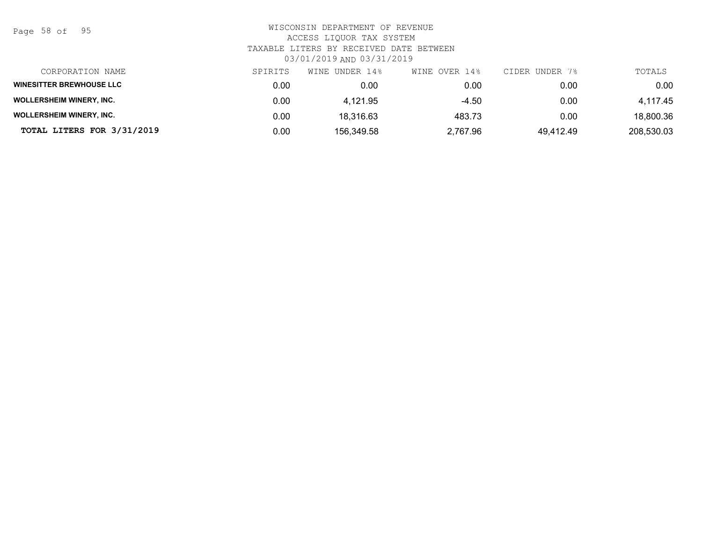Page 58 of 95

| CORPORATION NAME                | SPIRITS | WINE UNDER 14% | WINE OVER 14% | CIDER UNDER 7% | TOTALS     |
|---------------------------------|---------|----------------|---------------|----------------|------------|
| <b>WINESITTER BREWHOUSE LLC</b> | 0.00    | 0.00           | 0.00          | 0.00           | 0.00       |
| <b>WOLLERSHEIM WINERY, INC.</b> | 0.00    | 4.121.95       | $-4.50$       | 0.00           | 4,117.45   |
| <b>WOLLERSHEIM WINERY, INC.</b> | 0.00    | 18,316.63      | 483.73        | 0.00           | 18,800.36  |
| TOTAL LITERS FOR 3/31/2019      | 0.00    | 156,349.58     | 2,767.96      | 49.412.49      | 208,530.03 |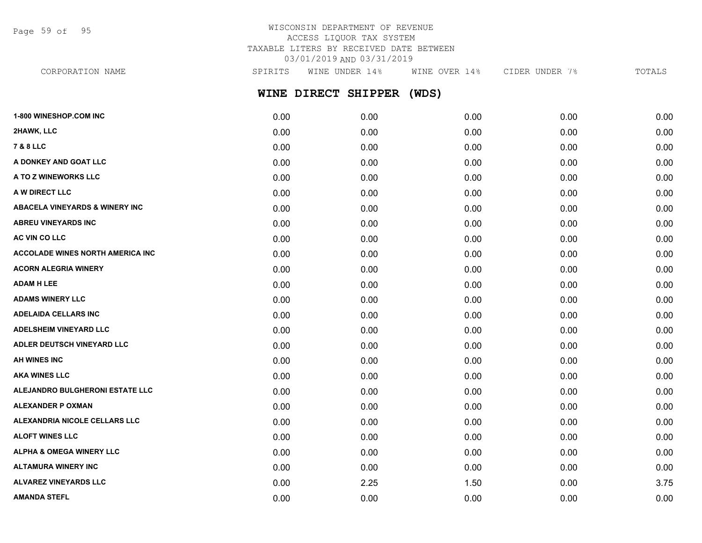Page 59 of 95

## WISCONSIN DEPARTMENT OF REVENUE ACCESS LIQUOR TAX SYSTEM TAXABLE LITERS BY RECEIVED DATE BETWEEN 03/01/2019 AND 03/31/2019

| CORPORATION NAME                          | SPIRITS | WINE UNDER 14%      |       | WINE OVER 14%<br>CIDER UNDER 7% |      |
|-------------------------------------------|---------|---------------------|-------|---------------------------------|------|
|                                           |         | WINE DIRECT SHIPPER | (WDS) |                                 |      |
| <b>1-800 WINESHOP.COM INC</b>             | 0.00    | 0.00                | 0.00  | 0.00                            | 0.00 |
| 2HAWK, LLC                                | 0.00    | 0.00                | 0.00  | 0.00                            | 0.00 |
| <b>7 &amp; 8 LLC</b>                      | 0.00    | 0.00                | 0.00  | 0.00                            | 0.00 |
| A DONKEY AND GOAT LLC                     | 0.00    | 0.00                | 0.00  | 0.00                            | 0.00 |
| A TO Z WINEWORKS LLC                      | 0.00    | 0.00                | 0.00  | 0.00                            | 0.00 |
| A W DIRECT LLC                            | 0.00    | 0.00                | 0.00  | 0.00                            | 0.00 |
| <b>ABACELA VINEYARDS &amp; WINERY INC</b> | 0.00    | 0.00                | 0.00  | 0.00                            | 0.00 |
| <b>ABREU VINEYARDS INC</b>                | 0.00    | 0.00                | 0.00  | 0.00                            | 0.00 |
| AC VIN CO LLC                             | 0.00    | 0.00                | 0.00  | 0.00                            | 0.00 |
| <b>ACCOLADE WINES NORTH AMERICA INC.</b>  | 0.00    | 0.00                | 0.00  | 0.00                            | 0.00 |
| <b>ACORN ALEGRIA WINERY</b>               | 0.00    | 0.00                | 0.00  | 0.00                            | 0.00 |
| <b>ADAM H LEE</b>                         | 0.00    | 0.00                | 0.00  | 0.00                            | 0.00 |

**ADAMS WINERY LLC** 0.00 0.00 0.00 0.00 0.00 **ADELAIDA CELLARS INC** 0.00 0.00 0.00 0.00 0.00

**ADELSHEIM VINEYARD LLC** 0.00 0.00 0.00 0.00 0.00

**ADLER DEUTSCH VINEYARD LLC** 0.00 0.00 0.00 0.00 0.00 **AH WINES INC** 0.00 0.00 0.00 0.00 0.00 **AKA WINES LLC** 0.00 0.00 0.00 0.00 0.00

| <b>ALEJANDRO BULGHERONI ESTATE LLC</b> | 0.00 | 0.00 | 0.00 | 0.00 | 0.00 |
|----------------------------------------|------|------|------|------|------|
| ALEXANDER P OXMAN                      | 0.00 | 0.00 | 0.00 | 0.00 | 0.00 |
| ALEXANDRIA NICOLE CELLARS LLC          | 0.00 | 0.00 | 0.00 | 0.00 | 0.00 |
| ALOFT WINES LLC                        | 0.00 | 0.00 | 0.00 | 0.00 | 0.00 |
| ALPHA & OMEGA WINERY LLC               | 0.00 | 0.00 | 0.00 | 0.00 | 0.00 |
| ALTAMURA WINERY INC                    | 0.00 | 0.00 | 0.00 | 0.00 | 0.00 |
| <b>ALVAREZ VINEYARDS LLC</b>           | 0.00 | 2.25 | 1.50 | 0.00 | 3.75 |
|                                        |      |      |      |      |      |

**AMANDA STEFL** 0.00 0.00 0.00 0.00 0.00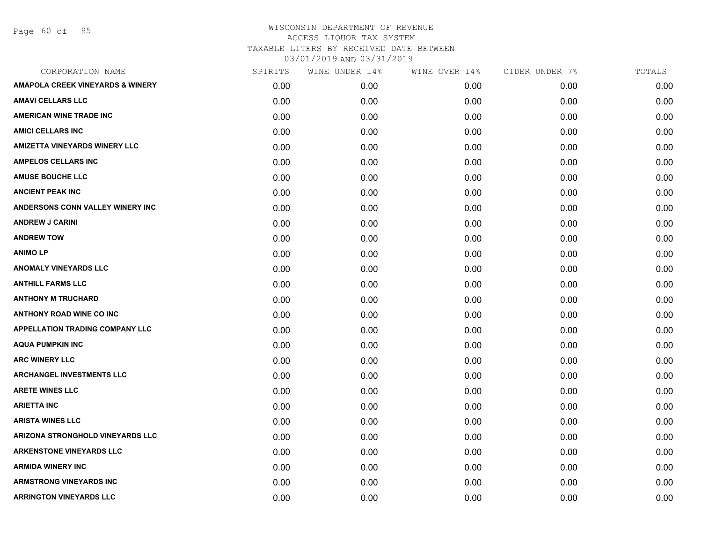Page 60 of 95

| CORPORATION NAME                            | SPIRITS | WINE UNDER 14% | WINE OVER 14% | CIDER UNDER 7% | TOTALS |
|---------------------------------------------|---------|----------------|---------------|----------------|--------|
| <b>AMAPOLA CREEK VINEYARDS &amp; WINERY</b> | 0.00    | 0.00           | 0.00          | 0.00           | 0.00   |
| <b>AMAVI CELLARS LLC</b>                    | 0.00    | 0.00           | 0.00          | 0.00           | 0.00   |
| <b>AMERICAN WINE TRADE INC</b>              | 0.00    | 0.00           | 0.00          | 0.00           | 0.00   |
| <b>AMICI CELLARS INC</b>                    | 0.00    | 0.00           | 0.00          | 0.00           | 0.00   |
| <b>AMIZETTA VINEYARDS WINERY LLC</b>        | 0.00    | 0.00           | 0.00          | 0.00           | 0.00   |
| <b>AMPELOS CELLARS INC</b>                  | 0.00    | 0.00           | 0.00          | 0.00           | 0.00   |
| <b>AMUSE BOUCHE LLC</b>                     | 0.00    | 0.00           | 0.00          | 0.00           | 0.00   |
| <b>ANCIENT PEAK INC</b>                     | 0.00    | 0.00           | 0.00          | 0.00           | 0.00   |
| ANDERSONS CONN VALLEY WINERY INC            | 0.00    | 0.00           | 0.00          | 0.00           | 0.00   |
| <b>ANDREW J CARINI</b>                      | 0.00    | 0.00           | 0.00          | 0.00           | 0.00   |
| <b>ANDREW TOW</b>                           | 0.00    | 0.00           | 0.00          | 0.00           | 0.00   |
| <b>ANIMOLP</b>                              | 0.00    | 0.00           | 0.00          | 0.00           | 0.00   |
| <b>ANOMALY VINEYARDS LLC</b>                | 0.00    | 0.00           | 0.00          | 0.00           | 0.00   |
| <b>ANTHILL FARMS LLC</b>                    | 0.00    | 0.00           | 0.00          | 0.00           | 0.00   |
| <b>ANTHONY M TRUCHARD</b>                   | 0.00    | 0.00           | 0.00          | 0.00           | 0.00   |
| <b>ANTHONY ROAD WINE CO INC</b>             | 0.00    | 0.00           | 0.00          | 0.00           | 0.00   |
| <b>APPELLATION TRADING COMPANY LLC</b>      | 0.00    | 0.00           | 0.00          | 0.00           | 0.00   |
| <b>AQUA PUMPKIN INC</b>                     | 0.00    | 0.00           | 0.00          | 0.00           | 0.00   |
| <b>ARC WINERY LLC</b>                       | 0.00    | 0.00           | 0.00          | 0.00           | 0.00   |
| <b>ARCHANGEL INVESTMENTS LLC</b>            | 0.00    | 0.00           | 0.00          | 0.00           | 0.00   |
| <b>ARETE WINES LLC</b>                      | 0.00    | 0.00           | 0.00          | 0.00           | 0.00   |
| <b>ARIETTA INC</b>                          | 0.00    | 0.00           | 0.00          | 0.00           | 0.00   |
| <b>ARISTA WINES LLC</b>                     | 0.00    | 0.00           | 0.00          | 0.00           | 0.00   |
| <b>ARIZONA STRONGHOLD VINEYARDS LLC</b>     | 0.00    | 0.00           | 0.00          | 0.00           | 0.00   |
| <b>ARKENSTONE VINEYARDS LLC</b>             | 0.00    | 0.00           | 0.00          | 0.00           | 0.00   |
| <b>ARMIDA WINERY INC</b>                    | 0.00    | 0.00           | 0.00          | 0.00           | 0.00   |
| <b>ARMSTRONG VINEYARDS INC</b>              | 0.00    | 0.00           | 0.00          | 0.00           | 0.00   |
| <b>ARRINGTON VINEYARDS LLC</b>              | 0.00    | 0.00           | 0.00          | 0.00           | 0.00   |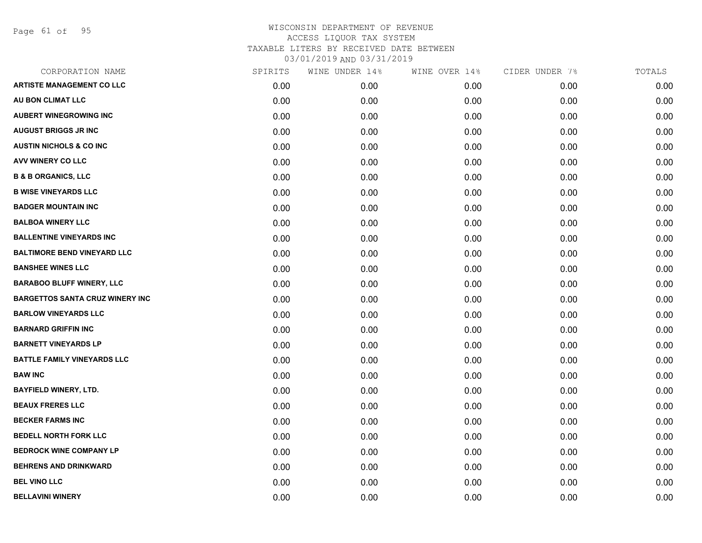Page 61 of 95

| CORPORATION NAME                       | SPIRITS | WINE UNDER 14% | WINE OVER 14% | CIDER UNDER 7% | TOTALS |
|----------------------------------------|---------|----------------|---------------|----------------|--------|
| <b>ARTISTE MANAGEMENT CO LLC</b>       | 0.00    | 0.00           | 0.00          | 0.00           | 0.00   |
| AU BON CLIMAT LLC                      | 0.00    | 0.00           | 0.00          | 0.00           | 0.00   |
| <b>AUBERT WINEGROWING INC</b>          | 0.00    | 0.00           | 0.00          | 0.00           | 0.00   |
| <b>AUGUST BRIGGS JR INC</b>            | 0.00    | 0.00           | 0.00          | 0.00           | 0.00   |
| <b>AUSTIN NICHOLS &amp; CO INC</b>     | 0.00    | 0.00           | 0.00          | 0.00           | 0.00   |
| <b>AVV WINERY CO LLC</b>               | 0.00    | 0.00           | 0.00          | 0.00           | 0.00   |
| <b>B &amp; B ORGANICS, LLC</b>         | 0.00    | 0.00           | 0.00          | 0.00           | 0.00   |
| <b>B WISE VINEYARDS LLC</b>            | 0.00    | 0.00           | 0.00          | 0.00           | 0.00   |
| <b>BADGER MOUNTAIN INC</b>             | 0.00    | 0.00           | 0.00          | 0.00           | 0.00   |
| <b>BALBOA WINERY LLC</b>               | 0.00    | 0.00           | 0.00          | 0.00           | 0.00   |
| <b>BALLENTINE VINEYARDS INC</b>        | 0.00    | 0.00           | 0.00          | 0.00           | 0.00   |
| <b>BALTIMORE BEND VINEYARD LLC</b>     | 0.00    | 0.00           | 0.00          | 0.00           | 0.00   |
| <b>BANSHEE WINES LLC</b>               | 0.00    | 0.00           | 0.00          | 0.00           | 0.00   |
| <b>BARABOO BLUFF WINERY, LLC</b>       | 0.00    | 0.00           | 0.00          | 0.00           | 0.00   |
| <b>BARGETTOS SANTA CRUZ WINERY INC</b> | 0.00    | 0.00           | 0.00          | 0.00           | 0.00   |
| <b>BARLOW VINEYARDS LLC</b>            | 0.00    | 0.00           | 0.00          | 0.00           | 0.00   |
| <b>BARNARD GRIFFIN INC</b>             | 0.00    | 0.00           | 0.00          | 0.00           | 0.00   |
| <b>BARNETT VINEYARDS LP</b>            | 0.00    | 0.00           | 0.00          | 0.00           | 0.00   |
| <b>BATTLE FAMILY VINEYARDS LLC</b>     | 0.00    | 0.00           | 0.00          | 0.00           | 0.00   |
| <b>BAW INC</b>                         | 0.00    | 0.00           | 0.00          | 0.00           | 0.00   |
| <b>BAYFIELD WINERY, LTD.</b>           | 0.00    | 0.00           | 0.00          | 0.00           | 0.00   |
| <b>BEAUX FRERES LLC</b>                | 0.00    | 0.00           | 0.00          | 0.00           | 0.00   |
| <b>BECKER FARMS INC</b>                | 0.00    | 0.00           | 0.00          | 0.00           | 0.00   |
| <b>BEDELL NORTH FORK LLC</b>           | 0.00    | 0.00           | 0.00          | 0.00           | 0.00   |
| <b>BEDROCK WINE COMPANY LP</b>         | 0.00    | 0.00           | 0.00          | 0.00           | 0.00   |
| <b>BEHRENS AND DRINKWARD</b>           | 0.00    | 0.00           | 0.00          | 0.00           | 0.00   |
| <b>BEL VINO LLC</b>                    | 0.00    | 0.00           | 0.00          | 0.00           | 0.00   |
| <b>BELLAVINI WINERY</b>                | 0.00    | 0.00           | 0.00          | 0.00           | 0.00   |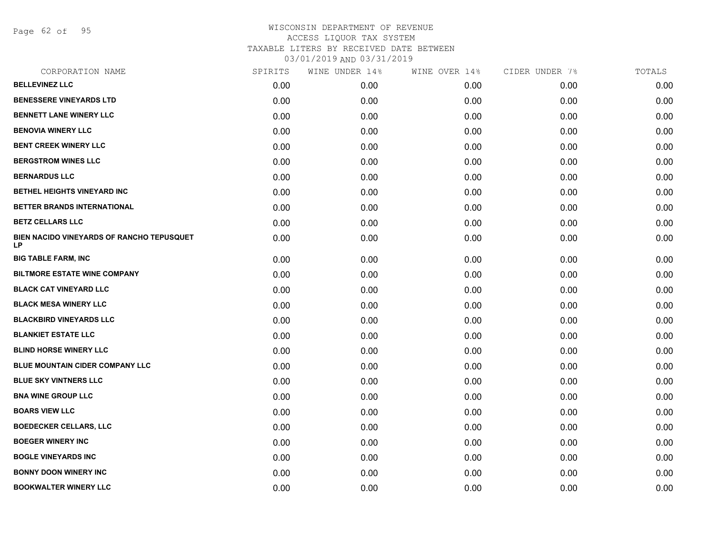Page 62 of 95

| CORPORATION NAME                                | SPIRITS | WINE UNDER 14% | WINE OVER 14% | CIDER UNDER 7% | TOTALS |
|-------------------------------------------------|---------|----------------|---------------|----------------|--------|
| <b>BELLEVINEZ LLC</b>                           | 0.00    | 0.00           | 0.00          | 0.00           | 0.00   |
| <b>BENESSERE VINEYARDS LTD</b>                  | 0.00    | 0.00           | 0.00          | 0.00           | 0.00   |
| <b>BENNETT LANE WINERY LLC</b>                  | 0.00    | 0.00           | 0.00          | 0.00           | 0.00   |
| <b>BENOVIA WINERY LLC</b>                       | 0.00    | 0.00           | 0.00          | 0.00           | 0.00   |
| BENT CREEK WINERY LLC                           | 0.00    | 0.00           | 0.00          | 0.00           | 0.00   |
| <b>BERGSTROM WINES LLC</b>                      | 0.00    | 0.00           | 0.00          | 0.00           | 0.00   |
| <b>BERNARDUS LLC</b>                            | 0.00    | 0.00           | 0.00          | 0.00           | 0.00   |
| BETHEL HEIGHTS VINEYARD INC                     | 0.00    | 0.00           | 0.00          | 0.00           | 0.00   |
| BETTER BRANDS INTERNATIONAL                     | 0.00    | 0.00           | 0.00          | 0.00           | 0.00   |
| <b>BETZ CELLARS LLC</b>                         | 0.00    | 0.00           | 0.00          | 0.00           | 0.00   |
| BIEN NACIDO VINEYARDS OF RANCHO TEPUSQUET<br>LP | 0.00    | 0.00           | 0.00          | 0.00           | 0.00   |
| <b>BIG TABLE FARM, INC</b>                      | 0.00    | 0.00           | 0.00          | 0.00           | 0.00   |
| <b>BILTMORE ESTATE WINE COMPANY</b>             | 0.00    | 0.00           | 0.00          | 0.00           | 0.00   |
| <b>BLACK CAT VINEYARD LLC</b>                   | 0.00    | 0.00           | 0.00          | 0.00           | 0.00   |
| <b>BLACK MESA WINERY LLC</b>                    | 0.00    | 0.00           | 0.00          | 0.00           | 0.00   |
| <b>BLACKBIRD VINEYARDS LLC</b>                  | 0.00    | 0.00           | 0.00          | 0.00           | 0.00   |
| <b>BLANKIET ESTATE LLC</b>                      | 0.00    | 0.00           | 0.00          | 0.00           | 0.00   |
| <b>BLIND HORSE WINERY LLC</b>                   | 0.00    | 0.00           | 0.00          | 0.00           | 0.00   |
| BLUE MOUNTAIN CIDER COMPANY LLC                 | 0.00    | 0.00           | 0.00          | 0.00           | 0.00   |
| <b>BLUE SKY VINTNERS LLC</b>                    | 0.00    | 0.00           | 0.00          | 0.00           | 0.00   |
| <b>BNA WINE GROUP LLC</b>                       | 0.00    | 0.00           | 0.00          | 0.00           | 0.00   |
| <b>BOARS VIEW LLC</b>                           | 0.00    | 0.00           | 0.00          | 0.00           | 0.00   |
| <b>BOEDECKER CELLARS, LLC</b>                   | 0.00    | 0.00           | 0.00          | 0.00           | 0.00   |
| <b>BOEGER WINERY INC</b>                        | 0.00    | 0.00           | 0.00          | 0.00           | 0.00   |
| <b>BOGLE VINEYARDS INC</b>                      | 0.00    | 0.00           | 0.00          | 0.00           | 0.00   |
| <b>BONNY DOON WINERY INC</b>                    | 0.00    | 0.00           | 0.00          | 0.00           | 0.00   |
| <b>BOOKWALTER WINERY LLC</b>                    | 0.00    | 0.00           | 0.00          | 0.00           | 0.00   |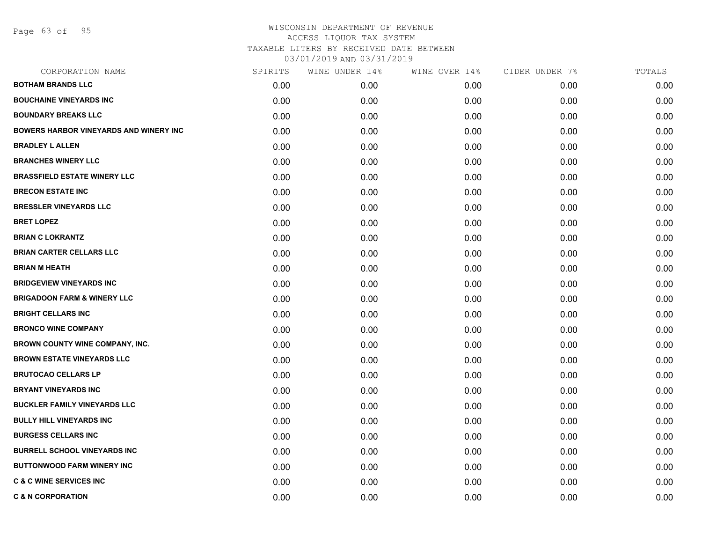Page 63 of 95

| CORPORATION NAME                       | SPIRITS | WINE UNDER 14% | WINE OVER 14% | CIDER UNDER 7% | TOTALS |
|----------------------------------------|---------|----------------|---------------|----------------|--------|
| <b>BOTHAM BRANDS LLC</b>               | 0.00    | 0.00           | 0.00          | 0.00           | 0.00   |
| <b>BOUCHAINE VINEYARDS INC</b>         | 0.00    | 0.00           | 0.00          | 0.00           | 0.00   |
| <b>BOUNDARY BREAKS LLC</b>             | 0.00    | 0.00           | 0.00          | 0.00           | 0.00   |
| BOWERS HARBOR VINEYARDS AND WINERY INC | 0.00    | 0.00           | 0.00          | 0.00           | 0.00   |
| <b>BRADLEY L ALLEN</b>                 | 0.00    | 0.00           | 0.00          | 0.00           | 0.00   |
| <b>BRANCHES WINERY LLC</b>             | 0.00    | 0.00           | 0.00          | 0.00           | 0.00   |
| <b>BRASSFIELD ESTATE WINERY LLC</b>    | 0.00    | 0.00           | 0.00          | 0.00           | 0.00   |
| <b>BRECON ESTATE INC</b>               | 0.00    | 0.00           | 0.00          | 0.00           | 0.00   |
| <b>BRESSLER VINEYARDS LLC</b>          | 0.00    | 0.00           | 0.00          | 0.00           | 0.00   |
| <b>BRET LOPEZ</b>                      | 0.00    | 0.00           | 0.00          | 0.00           | 0.00   |
| <b>BRIAN C LOKRANTZ</b>                | 0.00    | 0.00           | 0.00          | 0.00           | 0.00   |
| <b>BRIAN CARTER CELLARS LLC</b>        | 0.00    | 0.00           | 0.00          | 0.00           | 0.00   |
| <b>BRIAN M HEATH</b>                   | 0.00    | 0.00           | 0.00          | 0.00           | 0.00   |
| <b>BRIDGEVIEW VINEYARDS INC</b>        | 0.00    | 0.00           | 0.00          | 0.00           | 0.00   |
| <b>BRIGADOON FARM &amp; WINERY LLC</b> | 0.00    | 0.00           | 0.00          | 0.00           | 0.00   |
| <b>BRIGHT CELLARS INC</b>              | 0.00    | 0.00           | 0.00          | 0.00           | 0.00   |
| <b>BRONCO WINE COMPANY</b>             | 0.00    | 0.00           | 0.00          | 0.00           | 0.00   |
| <b>BROWN COUNTY WINE COMPANY, INC.</b> | 0.00    | 0.00           | 0.00          | 0.00           | 0.00   |
| <b>BROWN ESTATE VINEYARDS LLC</b>      | 0.00    | 0.00           | 0.00          | 0.00           | 0.00   |
| <b>BRUTOCAO CELLARS LP</b>             | 0.00    | 0.00           | 0.00          | 0.00           | 0.00   |
| <b>BRYANT VINEYARDS INC</b>            | 0.00    | 0.00           | 0.00          | 0.00           | 0.00   |
| <b>BUCKLER FAMILY VINEYARDS LLC</b>    | 0.00    | 0.00           | 0.00          | 0.00           | 0.00   |
| <b>BULLY HILL VINEYARDS INC</b>        | 0.00    | 0.00           | 0.00          | 0.00           | 0.00   |
| <b>BURGESS CELLARS INC</b>             | 0.00    | 0.00           | 0.00          | 0.00           | 0.00   |
| <b>BURRELL SCHOOL VINEYARDS INC</b>    | 0.00    | 0.00           | 0.00          | 0.00           | 0.00   |
| <b>BUTTONWOOD FARM WINERY INC</b>      | 0.00    | 0.00           | 0.00          | 0.00           | 0.00   |
| <b>C &amp; C WINE SERVICES INC</b>     | 0.00    | 0.00           | 0.00          | 0.00           | 0.00   |
| <b>C &amp; N CORPORATION</b>           | 0.00    | 0.00           | 0.00          | 0.00           | 0.00   |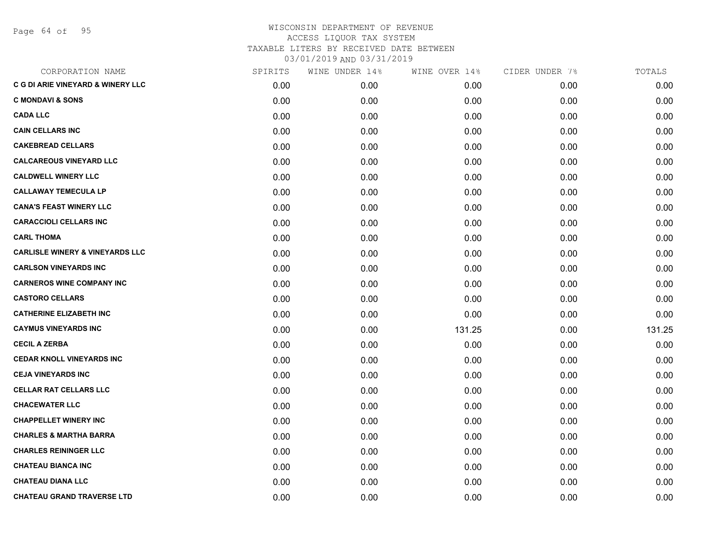Page 64 of 95

| CORPORATION NAME                             | SPIRITS | WINE UNDER 14% | WINE OVER 14% | CIDER UNDER 7% | TOTALS |
|----------------------------------------------|---------|----------------|---------------|----------------|--------|
| <b>C G DI ARIE VINEYARD &amp; WINERY LLC</b> | 0.00    | 0.00           | 0.00          | 0.00           | 0.00   |
| <b>C MONDAVI &amp; SONS</b>                  | 0.00    | 0.00           | 0.00          | 0.00           | 0.00   |
| <b>CADA LLC</b>                              | 0.00    | 0.00           | 0.00          | 0.00           | 0.00   |
| <b>CAIN CELLARS INC</b>                      | 0.00    | 0.00           | 0.00          | 0.00           | 0.00   |
| <b>CAKEBREAD CELLARS</b>                     | 0.00    | 0.00           | 0.00          | 0.00           | 0.00   |
| <b>CALCAREOUS VINEYARD LLC</b>               | 0.00    | 0.00           | 0.00          | 0.00           | 0.00   |
| <b>CALDWELL WINERY LLC</b>                   | 0.00    | 0.00           | 0.00          | 0.00           | 0.00   |
| <b>CALLAWAY TEMECULA LP</b>                  | 0.00    | 0.00           | 0.00          | 0.00           | 0.00   |
| <b>CANA'S FEAST WINERY LLC</b>               | 0.00    | 0.00           | 0.00          | 0.00           | 0.00   |
| <b>CARACCIOLI CELLARS INC</b>                | 0.00    | 0.00           | 0.00          | 0.00           | 0.00   |
| <b>CARL THOMA</b>                            | 0.00    | 0.00           | 0.00          | 0.00           | 0.00   |
| <b>CARLISLE WINERY &amp; VINEYARDS LLC</b>   | 0.00    | 0.00           | 0.00          | 0.00           | 0.00   |
| <b>CARLSON VINEYARDS INC</b>                 | 0.00    | 0.00           | 0.00          | 0.00           | 0.00   |
| <b>CARNEROS WINE COMPANY INC</b>             | 0.00    | 0.00           | 0.00          | 0.00           | 0.00   |
| <b>CASTORO CELLARS</b>                       | 0.00    | 0.00           | 0.00          | 0.00           | 0.00   |
| <b>CATHERINE ELIZABETH INC</b>               | 0.00    | 0.00           | 0.00          | 0.00           | 0.00   |
| <b>CAYMUS VINEYARDS INC</b>                  | 0.00    | 0.00           | 131.25        | 0.00           | 131.25 |
| <b>CECIL A ZERBA</b>                         | 0.00    | 0.00           | 0.00          | 0.00           | 0.00   |
| <b>CEDAR KNOLL VINEYARDS INC</b>             | 0.00    | 0.00           | 0.00          | 0.00           | 0.00   |
| <b>CEJA VINEYARDS INC</b>                    | 0.00    | 0.00           | 0.00          | 0.00           | 0.00   |
| <b>CELLAR RAT CELLARS LLC</b>                | 0.00    | 0.00           | 0.00          | 0.00           | 0.00   |
| <b>CHACEWATER LLC</b>                        | 0.00    | 0.00           | 0.00          | 0.00           | 0.00   |
| <b>CHAPPELLET WINERY INC</b>                 | 0.00    | 0.00           | 0.00          | 0.00           | 0.00   |
| <b>CHARLES &amp; MARTHA BARRA</b>            | 0.00    | 0.00           | 0.00          | 0.00           | 0.00   |
| <b>CHARLES REININGER LLC</b>                 | 0.00    | 0.00           | 0.00          | 0.00           | 0.00   |
| <b>CHATEAU BIANCA INC</b>                    | 0.00    | 0.00           | 0.00          | 0.00           | 0.00   |
| <b>CHATEAU DIANA LLC</b>                     | 0.00    | 0.00           | 0.00          | 0.00           | 0.00   |
| <b>CHATEAU GRAND TRAVERSE LTD</b>            | 0.00    | 0.00           | 0.00          | 0.00           | 0.00   |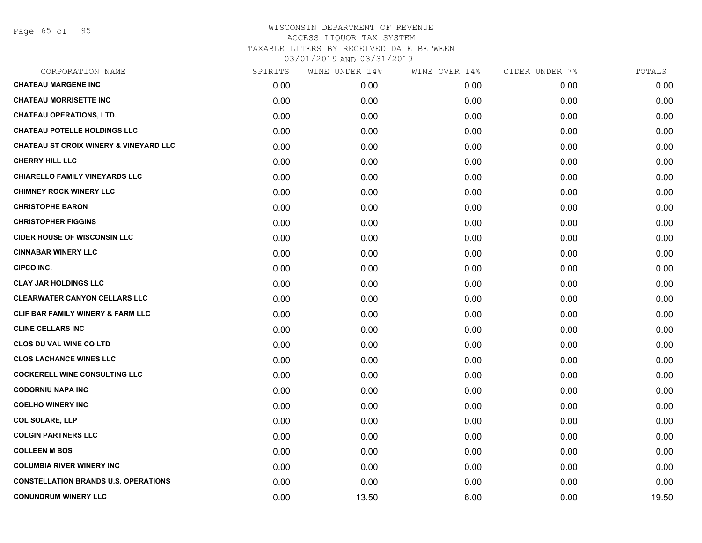Page 65 of 95

| CORPORATION NAME                                  | SPIRITS | WINE UNDER 14% | WINE OVER 14% | CIDER UNDER 7% | TOTALS |
|---------------------------------------------------|---------|----------------|---------------|----------------|--------|
| <b>CHATEAU MARGENE INC</b>                        | 0.00    | 0.00           | 0.00          | 0.00           | 0.00   |
| <b>CHATEAU MORRISETTE INC</b>                     | 0.00    | 0.00           | 0.00          | 0.00           | 0.00   |
| <b>CHATEAU OPERATIONS, LTD.</b>                   | 0.00    | 0.00           | 0.00          | 0.00           | 0.00   |
| <b>CHATEAU POTELLE HOLDINGS LLC</b>               | 0.00    | 0.00           | 0.00          | 0.00           | 0.00   |
| <b>CHATEAU ST CROIX WINERY &amp; VINEYARD LLC</b> | 0.00    | 0.00           | 0.00          | 0.00           | 0.00   |
| <b>CHERRY HILL LLC</b>                            | 0.00    | 0.00           | 0.00          | 0.00           | 0.00   |
| <b>CHIARELLO FAMILY VINEYARDS LLC</b>             | 0.00    | 0.00           | 0.00          | 0.00           | 0.00   |
| <b>CHIMNEY ROCK WINERY LLC</b>                    | 0.00    | 0.00           | 0.00          | 0.00           | 0.00   |
| <b>CHRISTOPHE BARON</b>                           | 0.00    | 0.00           | 0.00          | 0.00           | 0.00   |
| <b>CHRISTOPHER FIGGINS</b>                        | 0.00    | 0.00           | 0.00          | 0.00           | 0.00   |
| <b>CIDER HOUSE OF WISCONSIN LLC</b>               | 0.00    | 0.00           | 0.00          | 0.00           | 0.00   |
| <b>CINNABAR WINERY LLC</b>                        | 0.00    | 0.00           | 0.00          | 0.00           | 0.00   |
| <b>CIPCO INC.</b>                                 | 0.00    | 0.00           | 0.00          | 0.00           | 0.00   |
| <b>CLAY JAR HOLDINGS LLC</b>                      | 0.00    | 0.00           | 0.00          | 0.00           | 0.00   |
| <b>CLEARWATER CANYON CELLARS LLC</b>              | 0.00    | 0.00           | 0.00          | 0.00           | 0.00   |
| <b>CLIF BAR FAMILY WINERY &amp; FARM LLC</b>      | 0.00    | 0.00           | 0.00          | 0.00           | 0.00   |
| <b>CLINE CELLARS INC</b>                          | 0.00    | 0.00           | 0.00          | 0.00           | 0.00   |
| <b>CLOS DU VAL WINE CO LTD</b>                    | 0.00    | 0.00           | 0.00          | 0.00           | 0.00   |
| <b>CLOS LACHANCE WINES LLC</b>                    | 0.00    | 0.00           | 0.00          | 0.00           | 0.00   |
| <b>COCKERELL WINE CONSULTING LLC</b>              | 0.00    | 0.00           | 0.00          | 0.00           | 0.00   |
| <b>CODORNIU NAPA INC</b>                          | 0.00    | 0.00           | 0.00          | 0.00           | 0.00   |
| <b>COELHO WINERY INC</b>                          | 0.00    | 0.00           | 0.00          | 0.00           | 0.00   |
| <b>COL SOLARE, LLP</b>                            | 0.00    | 0.00           | 0.00          | 0.00           | 0.00   |
| <b>COLGIN PARTNERS LLC</b>                        | 0.00    | 0.00           | 0.00          | 0.00           | 0.00   |
| <b>COLLEEN M BOS</b>                              | 0.00    | 0.00           | 0.00          | 0.00           | 0.00   |
| <b>COLUMBIA RIVER WINERY INC</b>                  | 0.00    | 0.00           | 0.00          | 0.00           | 0.00   |
| <b>CONSTELLATION BRANDS U.S. OPERATIONS</b>       | 0.00    | 0.00           | 0.00          | 0.00           | 0.00   |
| <b>CONUNDRUM WINERY LLC</b>                       | 0.00    | 13.50          | 6.00          | 0.00           | 19.50  |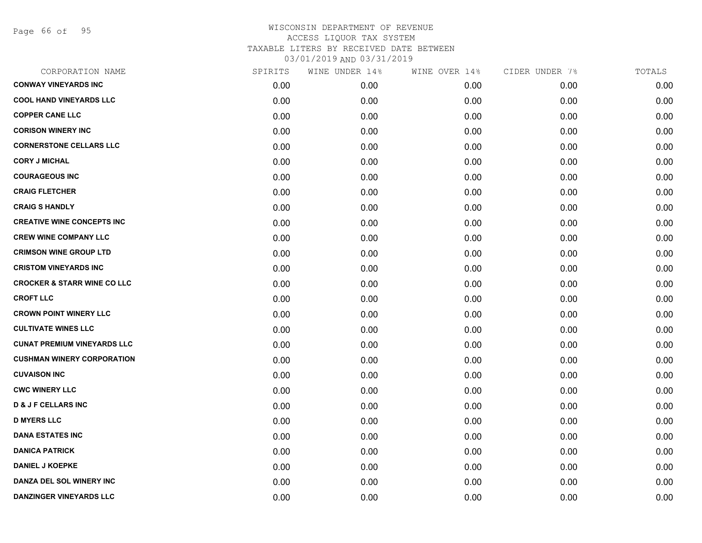Page 66 of 95

| CORPORATION NAME                       | SPIRITS | WINE UNDER 14% | WINE OVER 14% | CIDER UNDER 7% | TOTALS |
|----------------------------------------|---------|----------------|---------------|----------------|--------|
| <b>CONWAY VINEYARDS INC</b>            | 0.00    | 0.00           | 0.00          | 0.00           | 0.00   |
| <b>COOL HAND VINEYARDS LLC</b>         | 0.00    | 0.00           | 0.00          | 0.00           | 0.00   |
| <b>COPPER CANE LLC</b>                 | 0.00    | 0.00           | 0.00          | 0.00           | 0.00   |
| <b>CORISON WINERY INC</b>              | 0.00    | 0.00           | 0.00          | 0.00           | 0.00   |
| <b>CORNERSTONE CELLARS LLC</b>         | 0.00    | 0.00           | 0.00          | 0.00           | 0.00   |
| <b>CORY J MICHAL</b>                   | 0.00    | 0.00           | 0.00          | 0.00           | 0.00   |
| <b>COURAGEOUS INC</b>                  | 0.00    | 0.00           | 0.00          | 0.00           | 0.00   |
| <b>CRAIG FLETCHER</b>                  | 0.00    | 0.00           | 0.00          | 0.00           | 0.00   |
| <b>CRAIG S HANDLY</b>                  | 0.00    | 0.00           | 0.00          | 0.00           | 0.00   |
| <b>CREATIVE WINE CONCEPTS INC</b>      | 0.00    | 0.00           | 0.00          | 0.00           | 0.00   |
| <b>CREW WINE COMPANY LLC</b>           | 0.00    | 0.00           | 0.00          | 0.00           | 0.00   |
| <b>CRIMSON WINE GROUP LTD</b>          | 0.00    | 0.00           | 0.00          | 0.00           | 0.00   |
| <b>CRISTOM VINEYARDS INC</b>           | 0.00    | 0.00           | 0.00          | 0.00           | 0.00   |
| <b>CROCKER &amp; STARR WINE CO LLC</b> | 0.00    | 0.00           | 0.00          | 0.00           | 0.00   |
| <b>CROFT LLC</b>                       | 0.00    | 0.00           | 0.00          | 0.00           | 0.00   |
| <b>CROWN POINT WINERY LLC</b>          | 0.00    | 0.00           | 0.00          | 0.00           | 0.00   |
| <b>CULTIVATE WINES LLC</b>             | 0.00    | 0.00           | 0.00          | 0.00           | 0.00   |
| <b>CUNAT PREMIUM VINEYARDS LLC</b>     | 0.00    | 0.00           | 0.00          | 0.00           | 0.00   |
| <b>CUSHMAN WINERY CORPORATION</b>      | 0.00    | 0.00           | 0.00          | 0.00           | 0.00   |
| <b>CUVAISON INC</b>                    | 0.00    | 0.00           | 0.00          | 0.00           | 0.00   |
| <b>CWC WINERY LLC</b>                  | 0.00    | 0.00           | 0.00          | 0.00           | 0.00   |
| <b>D &amp; J F CELLARS INC</b>         | 0.00    | 0.00           | 0.00          | 0.00           | 0.00   |
| <b>D MYERS LLC</b>                     | 0.00    | 0.00           | 0.00          | 0.00           | 0.00   |
| <b>DANA ESTATES INC</b>                | 0.00    | 0.00           | 0.00          | 0.00           | 0.00   |
| <b>DANICA PATRICK</b>                  | 0.00    | 0.00           | 0.00          | 0.00           | 0.00   |
| <b>DANIEL J KOEPKE</b>                 | 0.00    | 0.00           | 0.00          | 0.00           | 0.00   |
| DANZA DEL SOL WINERY INC               | 0.00    | 0.00           | 0.00          | 0.00           | 0.00   |
| <b>DANZINGER VINEYARDS LLC</b>         | 0.00    | 0.00           | 0.00          | 0.00           | 0.00   |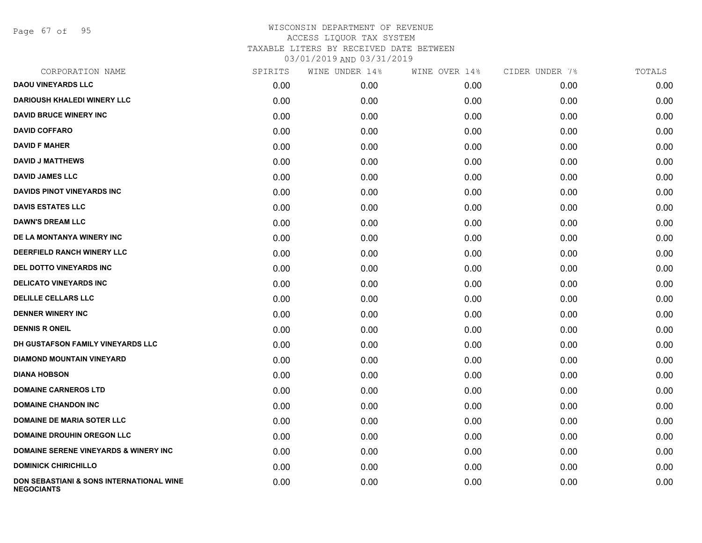Page 67 of 95

| CORPORATION NAME                                              | SPIRITS | WINE UNDER 14% | WINE OVER 14% | CIDER UNDER 7% | TOTALS |
|---------------------------------------------------------------|---------|----------------|---------------|----------------|--------|
| <b>DAOU VINEYARDS LLC</b>                                     | 0.00    | 0.00           | 0.00          | 0.00           | 0.00   |
| <b>DARIOUSH KHALEDI WINERY LLC</b>                            | 0.00    | 0.00           | 0.00          | 0.00           | 0.00   |
| <b>DAVID BRUCE WINERY INC</b>                                 | 0.00    | 0.00           | 0.00          | 0.00           | 0.00   |
| <b>DAVID COFFARO</b>                                          | 0.00    | 0.00           | 0.00          | 0.00           | 0.00   |
| <b>DAVID F MAHER</b>                                          | 0.00    | 0.00           | 0.00          | 0.00           | 0.00   |
| <b>DAVID J MATTHEWS</b>                                       | 0.00    | 0.00           | 0.00          | 0.00           | 0.00   |
| <b>DAVID JAMES LLC</b>                                        | 0.00    | 0.00           | 0.00          | 0.00           | 0.00   |
| <b>DAVIDS PINOT VINEYARDS INC</b>                             | 0.00    | 0.00           | 0.00          | 0.00           | 0.00   |
| <b>DAVIS ESTATES LLC</b>                                      | 0.00    | 0.00           | 0.00          | 0.00           | 0.00   |
| <b>DAWN'S DREAM LLC</b>                                       | 0.00    | 0.00           | 0.00          | 0.00           | 0.00   |
| DE LA MONTANYA WINERY INC                                     | 0.00    | 0.00           | 0.00          | 0.00           | 0.00   |
| DEERFIELD RANCH WINERY LLC                                    | 0.00    | 0.00           | 0.00          | 0.00           | 0.00   |
| DEL DOTTO VINEYARDS INC                                       | 0.00    | 0.00           | 0.00          | 0.00           | 0.00   |
| <b>DELICATO VINEYARDS INC</b>                                 | 0.00    | 0.00           | 0.00          | 0.00           | 0.00   |
| <b>DELILLE CELLARS LLC</b>                                    | 0.00    | 0.00           | 0.00          | 0.00           | 0.00   |
| <b>DENNER WINERY INC</b>                                      | 0.00    | 0.00           | 0.00          | 0.00           | 0.00   |
| <b>DENNIS R ONEIL</b>                                         | 0.00    | 0.00           | 0.00          | 0.00           | 0.00   |
| DH GUSTAFSON FAMILY VINEYARDS LLC                             | 0.00    | 0.00           | 0.00          | 0.00           | 0.00   |
| <b>DIAMOND MOUNTAIN VINEYARD</b>                              | 0.00    | 0.00           | 0.00          | 0.00           | 0.00   |
| <b>DIANA HOBSON</b>                                           | 0.00    | 0.00           | 0.00          | 0.00           | 0.00   |
| <b>DOMAINE CARNEROS LTD</b>                                   | 0.00    | 0.00           | 0.00          | 0.00           | 0.00   |
| <b>DOMAINE CHANDON INC</b>                                    | 0.00    | 0.00           | 0.00          | 0.00           | 0.00   |
| <b>DOMAINE DE MARIA SOTER LLC</b>                             | 0.00    | 0.00           | 0.00          | 0.00           | 0.00   |
| <b>DOMAINE DROUHIN OREGON LLC</b>                             | 0.00    | 0.00           | 0.00          | 0.00           | 0.00   |
| <b>DOMAINE SERENE VINEYARDS &amp; WINERY INC</b>              | 0.00    | 0.00           | 0.00          | 0.00           | 0.00   |
| <b>DOMINICK CHIRICHILLO</b>                                   | 0.00    | 0.00           | 0.00          | 0.00           | 0.00   |
| DON SEBASTIANI & SONS INTERNATIONAL WINE<br><b>NEGOCIANTS</b> | 0.00    | 0.00           | 0.00          | 0.00           | 0.00   |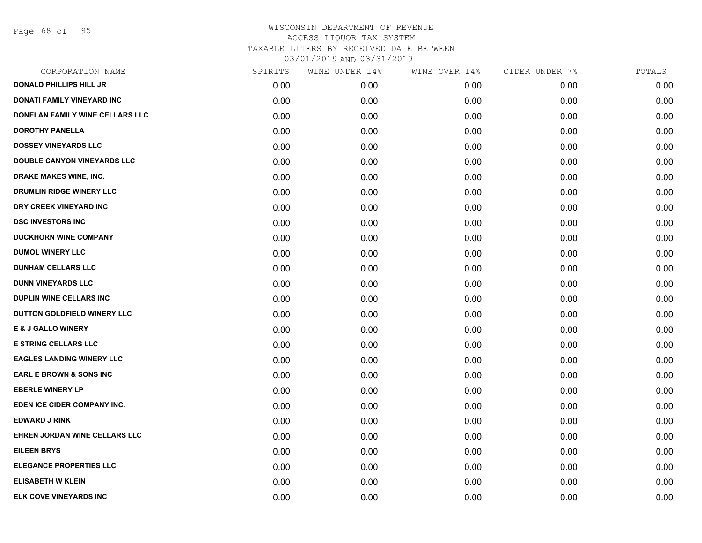Page 68 of 95

| CORPORATION NAME                   | SPIRITS | WINE UNDER 14% | WINE OVER 14% | CIDER UNDER 7% | TOTALS |
|------------------------------------|---------|----------------|---------------|----------------|--------|
| <b>DONALD PHILLIPS HILL JR</b>     | 0.00    | 0.00           | 0.00          | 0.00           | 0.00   |
| DONATI FAMILY VINEYARD INC         | 0.00    | 0.00           | 0.00          | 0.00           | 0.00   |
| DONELAN FAMILY WINE CELLARS LLC    | 0.00    | 0.00           | 0.00          | 0.00           | 0.00   |
| <b>DOROTHY PANELLA</b>             | 0.00    | 0.00           | 0.00          | 0.00           | 0.00   |
| <b>DOSSEY VINEYARDS LLC</b>        | 0.00    | 0.00           | 0.00          | 0.00           | 0.00   |
| DOUBLE CANYON VINEYARDS LLC        | 0.00    | 0.00           | 0.00          | 0.00           | 0.00   |
| DRAKE MAKES WINE, INC.             | 0.00    | 0.00           | 0.00          | 0.00           | 0.00   |
| DRUMLIN RIDGE WINERY LLC           | 0.00    | 0.00           | 0.00          | 0.00           | 0.00   |
| DRY CREEK VINEYARD INC             | 0.00    | 0.00           | 0.00          | 0.00           | 0.00   |
| <b>DSC INVESTORS INC</b>           | 0.00    | 0.00           | 0.00          | 0.00           | 0.00   |
| <b>DUCKHORN WINE COMPANY</b>       | 0.00    | 0.00           | 0.00          | 0.00           | 0.00   |
| <b>DUMOL WINERY LLC</b>            | 0.00    | 0.00           | 0.00          | 0.00           | 0.00   |
| <b>DUNHAM CELLARS LLC</b>          | 0.00    | 0.00           | 0.00          | 0.00           | 0.00   |
| <b>DUNN VINEYARDS LLC</b>          | 0.00    | 0.00           | 0.00          | 0.00           | 0.00   |
| <b>DUPLIN WINE CELLARS INC</b>     | 0.00    | 0.00           | 0.00          | 0.00           | 0.00   |
| DUTTON GOLDFIELD WINERY LLC        | 0.00    | 0.00           | 0.00          | 0.00           | 0.00   |
| <b>E &amp; J GALLO WINERY</b>      | 0.00    | 0.00           | 0.00          | 0.00           | 0.00   |
| <b>E STRING CELLARS LLC</b>        | 0.00    | 0.00           | 0.00          | 0.00           | 0.00   |
| <b>EAGLES LANDING WINERY LLC</b>   | 0.00    | 0.00           | 0.00          | 0.00           | 0.00   |
| <b>EARL E BROWN &amp; SONS INC</b> | 0.00    | 0.00           | 0.00          | 0.00           | 0.00   |
| <b>EBERLE WINERY LP</b>            | 0.00    | 0.00           | 0.00          | 0.00           | 0.00   |
| EDEN ICE CIDER COMPANY INC.        | 0.00    | 0.00           | 0.00          | 0.00           | 0.00   |
| <b>EDWARD J RINK</b>               | 0.00    | 0.00           | 0.00          | 0.00           | 0.00   |
| EHREN JORDAN WINE CELLARS LLC      | 0.00    | 0.00           | 0.00          | 0.00           | 0.00   |
| <b>EILEEN BRYS</b>                 | 0.00    | 0.00           | 0.00          | 0.00           | 0.00   |
| <b>ELEGANCE PROPERTIES LLC</b>     | 0.00    | 0.00           | 0.00          | 0.00           | 0.00   |
| <b>ELISABETH W KLEIN</b>           | 0.00    | 0.00           | 0.00          | 0.00           | 0.00   |
| ELK COVE VINEYARDS INC             | 0.00    | 0.00           | 0.00          | 0.00           | 0.00   |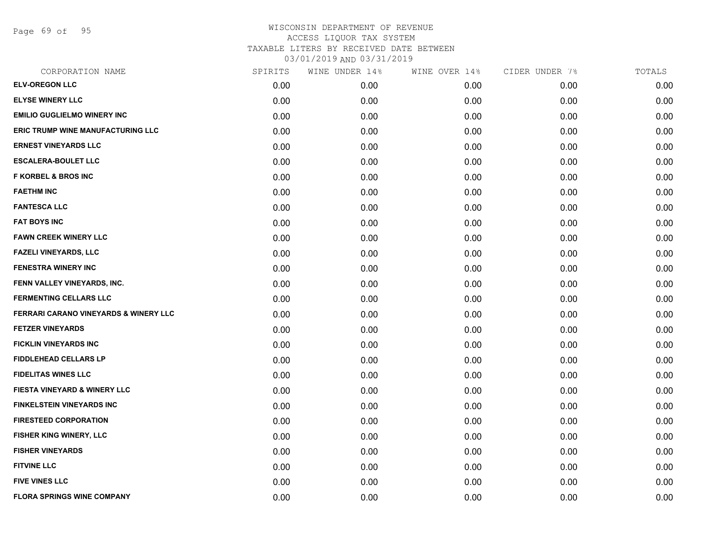Page 69 of 95

| CORPORATION NAME                         | SPIRITS | WINE UNDER 14% | WINE OVER 14% | CIDER UNDER 7% | TOTALS |
|------------------------------------------|---------|----------------|---------------|----------------|--------|
| <b>ELV-OREGON LLC</b>                    | 0.00    | 0.00           | 0.00          | 0.00           | 0.00   |
| <b>ELYSE WINERY LLC</b>                  | 0.00    | 0.00           | 0.00          | 0.00           | 0.00   |
| <b>EMILIO GUGLIELMO WINERY INC</b>       | 0.00    | 0.00           | 0.00          | 0.00           | 0.00   |
| <b>ERIC TRUMP WINE MANUFACTURING LLC</b> | 0.00    | 0.00           | 0.00          | 0.00           | 0.00   |
| <b>ERNEST VINEYARDS LLC</b>              | 0.00    | 0.00           | 0.00          | 0.00           | 0.00   |
| <b>ESCALERA-BOULET LLC</b>               | 0.00    | 0.00           | 0.00          | 0.00           | 0.00   |
| <b>F KORBEL &amp; BROS INC</b>           | 0.00    | 0.00           | 0.00          | 0.00           | 0.00   |
| <b>FAETHM INC</b>                        | 0.00    | 0.00           | 0.00          | 0.00           | 0.00   |
| <b>FANTESCA LLC</b>                      | 0.00    | 0.00           | 0.00          | 0.00           | 0.00   |
| <b>FAT BOYS INC</b>                      | 0.00    | 0.00           | 0.00          | 0.00           | 0.00   |
| <b>FAWN CREEK WINERY LLC</b>             | 0.00    | 0.00           | 0.00          | 0.00           | 0.00   |
| <b>FAZELI VINEYARDS, LLC</b>             | 0.00    | 0.00           | 0.00          | 0.00           | 0.00   |
| <b>FENESTRA WINERY INC</b>               | 0.00    | 0.00           | 0.00          | 0.00           | 0.00   |
| FENN VALLEY VINEYARDS, INC.              | 0.00    | 0.00           | 0.00          | 0.00           | 0.00   |
| <b>FERMENTING CELLARS LLC</b>            | 0.00    | 0.00           | 0.00          | 0.00           | 0.00   |
| FERRARI CARANO VINEYARDS & WINERY LLC    | 0.00    | 0.00           | 0.00          | 0.00           | 0.00   |
| <b>FETZER VINEYARDS</b>                  | 0.00    | 0.00           | 0.00          | 0.00           | 0.00   |
| <b>FICKLIN VINEYARDS INC</b>             | 0.00    | 0.00           | 0.00          | 0.00           | 0.00   |
| <b>FIDDLEHEAD CELLARS LP</b>             | 0.00    | 0.00           | 0.00          | 0.00           | 0.00   |
| <b>FIDELITAS WINES LLC</b>               | 0.00    | 0.00           | 0.00          | 0.00           | 0.00   |
| <b>FIESTA VINEYARD &amp; WINERY LLC</b>  | 0.00    | 0.00           | 0.00          | 0.00           | 0.00   |
| <b>FINKELSTEIN VINEYARDS INC</b>         | 0.00    | 0.00           | 0.00          | 0.00           | 0.00   |
| <b>FIRESTEED CORPORATION</b>             | 0.00    | 0.00           | 0.00          | 0.00           | 0.00   |
| FISHER KING WINERY, LLC                  | 0.00    | 0.00           | 0.00          | 0.00           | 0.00   |
| <b>FISHER VINEYARDS</b>                  | 0.00    | 0.00           | 0.00          | 0.00           | 0.00   |
| <b>FITVINE LLC</b>                       | 0.00    | 0.00           | 0.00          | 0.00           | 0.00   |
| <b>FIVE VINES LLC</b>                    | 0.00    | 0.00           | 0.00          | 0.00           | 0.00   |
| <b>FLORA SPRINGS WINE COMPANY</b>        | 0.00    | 0.00           | 0.00          | 0.00           | 0.00   |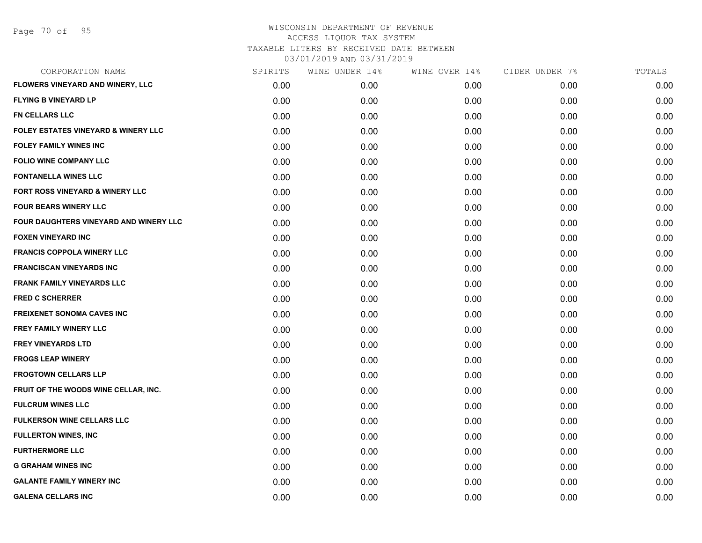| CORPORATION NAME                               | SPIRITS | WINE UNDER 14% | WINE OVER 14% | CIDER UNDER 7% | TOTALS |
|------------------------------------------------|---------|----------------|---------------|----------------|--------|
| FLOWERS VINEYARD AND WINERY, LLC               | 0.00    | 0.00           | 0.00          | 0.00           | 0.00   |
| <b>FLYING B VINEYARD LP</b>                    | 0.00    | 0.00           | 0.00          | 0.00           | 0.00   |
| FN CELLARS LLC                                 | 0.00    | 0.00           | 0.00          | 0.00           | 0.00   |
| <b>FOLEY ESTATES VINEYARD &amp; WINERY LLC</b> | 0.00    | 0.00           | 0.00          | 0.00           | 0.00   |
| <b>FOLEY FAMILY WINES INC</b>                  | 0.00    | 0.00           | 0.00          | 0.00           | 0.00   |
| <b>FOLIO WINE COMPANY LLC</b>                  | 0.00    | 0.00           | 0.00          | 0.00           | 0.00   |
| <b>FONTANELLA WINES LLC</b>                    | 0.00    | 0.00           | 0.00          | 0.00           | 0.00   |
| <b>FORT ROSS VINEYARD &amp; WINERY LLC</b>     | 0.00    | 0.00           | 0.00          | 0.00           | 0.00   |
| <b>FOUR BEARS WINERY LLC</b>                   | 0.00    | 0.00           | 0.00          | 0.00           | 0.00   |
| FOUR DAUGHTERS VINEYARD AND WINERY LLC         | 0.00    | 0.00           | 0.00          | 0.00           | 0.00   |
| <b>FOXEN VINEYARD INC</b>                      | 0.00    | 0.00           | 0.00          | 0.00           | 0.00   |
| <b>FRANCIS COPPOLA WINERY LLC</b>              | 0.00    | 0.00           | 0.00          | 0.00           | 0.00   |
| <b>FRANCISCAN VINEYARDS INC</b>                | 0.00    | 0.00           | 0.00          | 0.00           | 0.00   |
| <b>FRANK FAMILY VINEYARDS LLC</b>              | 0.00    | 0.00           | 0.00          | 0.00           | 0.00   |
| <b>FRED C SCHERRER</b>                         | 0.00    | 0.00           | 0.00          | 0.00           | 0.00   |
| <b>FREIXENET SONOMA CAVES INC</b>              | 0.00    | 0.00           | 0.00          | 0.00           | 0.00   |
| <b>FREY FAMILY WINERY LLC</b>                  | 0.00    | 0.00           | 0.00          | 0.00           | 0.00   |
| <b>FREY VINEYARDS LTD</b>                      | 0.00    | 0.00           | 0.00          | 0.00           | 0.00   |
| <b>FROGS LEAP WINERY</b>                       | 0.00    | 0.00           | 0.00          | 0.00           | 0.00   |
| <b>FROGTOWN CELLARS LLP</b>                    | 0.00    | 0.00           | 0.00          | 0.00           | 0.00   |
| FRUIT OF THE WOODS WINE CELLAR, INC.           | 0.00    | 0.00           | 0.00          | 0.00           | 0.00   |
| <b>FULCRUM WINES LLC</b>                       | 0.00    | 0.00           | 0.00          | 0.00           | 0.00   |
| <b>FULKERSON WINE CELLARS LLC</b>              | 0.00    | 0.00           | 0.00          | 0.00           | 0.00   |
| <b>FULLERTON WINES, INC</b>                    | 0.00    | 0.00           | 0.00          | 0.00           | 0.00   |
| <b>FURTHERMORE LLC</b>                         | 0.00    | 0.00           | 0.00          | 0.00           | 0.00   |
| <b>G GRAHAM WINES INC</b>                      | 0.00    | 0.00           | 0.00          | 0.00           | 0.00   |
| <b>GALANTE FAMILY WINERY INC</b>               | 0.00    | 0.00           | 0.00          | 0.00           | 0.00   |
| <b>GALENA CELLARS INC</b>                      | 0.00    | 0.00           | 0.00          | 0.00           | 0.00   |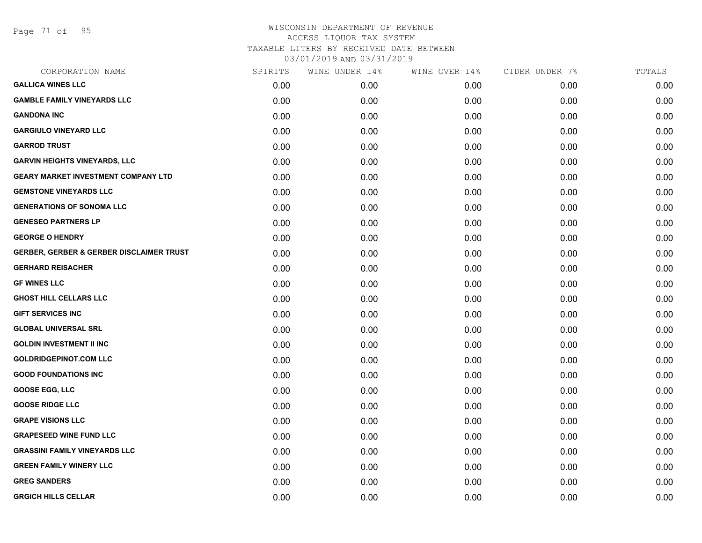Page 71 of 95

# WISCONSIN DEPARTMENT OF REVENUE ACCESS LIQUOR TAX SYSTEM

TAXABLE LITERS BY RECEIVED DATE BETWEEN

| CORPORATION NAME                                    | SPIRITS | WINE UNDER 14% | WINE OVER 14% | CIDER UNDER 7% | TOTALS |
|-----------------------------------------------------|---------|----------------|---------------|----------------|--------|
| <b>GALLICA WINES LLC</b>                            | 0.00    | 0.00           | 0.00          | 0.00           | 0.00   |
| <b>GAMBLE FAMILY VINEYARDS LLC</b>                  | 0.00    | 0.00           | 0.00          | 0.00           | 0.00   |
| <b>GANDONA INC</b>                                  | 0.00    | 0.00           | 0.00          | 0.00           | 0.00   |
| <b>GARGIULO VINEYARD LLC</b>                        | 0.00    | 0.00           | 0.00          | 0.00           | 0.00   |
| <b>GARROD TRUST</b>                                 | 0.00    | 0.00           | 0.00          | 0.00           | 0.00   |
| <b>GARVIN HEIGHTS VINEYARDS, LLC</b>                | 0.00    | 0.00           | 0.00          | 0.00           | 0.00   |
| <b>GEARY MARKET INVESTMENT COMPANY LTD</b>          | 0.00    | 0.00           | 0.00          | 0.00           | 0.00   |
| <b>GEMSTONE VINEYARDS LLC</b>                       | 0.00    | 0.00           | 0.00          | 0.00           | 0.00   |
| <b>GENERATIONS OF SONOMA LLC</b>                    | 0.00    | 0.00           | 0.00          | 0.00           | 0.00   |
| <b>GENESEO PARTNERS LP</b>                          | 0.00    | 0.00           | 0.00          | 0.00           | 0.00   |
| <b>GEORGE O HENDRY</b>                              | 0.00    | 0.00           | 0.00          | 0.00           | 0.00   |
| <b>GERBER, GERBER &amp; GERBER DISCLAIMER TRUST</b> | 0.00    | 0.00           | 0.00          | 0.00           | 0.00   |
| <b>GERHARD REISACHER</b>                            | 0.00    | 0.00           | 0.00          | 0.00           | 0.00   |
| <b>GF WINES LLC</b>                                 | 0.00    | 0.00           | 0.00          | 0.00           | 0.00   |
| <b>GHOST HILL CELLARS LLC</b>                       | 0.00    | 0.00           | 0.00          | 0.00           | 0.00   |
| <b>GIFT SERVICES INC</b>                            | 0.00    | 0.00           | 0.00          | 0.00           | 0.00   |
| <b>GLOBAL UNIVERSAL SRL</b>                         | 0.00    | 0.00           | 0.00          | 0.00           | 0.00   |
| <b>GOLDIN INVESTMENT II INC</b>                     | 0.00    | 0.00           | 0.00          | 0.00           | 0.00   |
| <b>GOLDRIDGEPINOT.COM LLC</b>                       | 0.00    | 0.00           | 0.00          | 0.00           | 0.00   |
| <b>GOOD FOUNDATIONS INC</b>                         | 0.00    | 0.00           | 0.00          | 0.00           | 0.00   |
| <b>GOOSE EGG, LLC</b>                               | 0.00    | 0.00           | 0.00          | 0.00           | 0.00   |
| <b>GOOSE RIDGE LLC</b>                              | 0.00    | 0.00           | 0.00          | 0.00           | 0.00   |
| <b>GRAPE VISIONS LLC</b>                            | 0.00    | 0.00           | 0.00          | 0.00           | 0.00   |
| <b>GRAPESEED WINE FUND LLC</b>                      | 0.00    | 0.00           | 0.00          | 0.00           | 0.00   |
| <b>GRASSINI FAMILY VINEYARDS LLC</b>                | 0.00    | 0.00           | 0.00          | 0.00           | 0.00   |
| <b>GREEN FAMILY WINERY LLC</b>                      | 0.00    | 0.00           | 0.00          | 0.00           | 0.00   |
| <b>GREG SANDERS</b>                                 | 0.00    | 0.00           | 0.00          | 0.00           | 0.00   |
| <b>GRGICH HILLS CELLAR</b>                          | 0.00    | 0.00           | 0.00          | 0.00           | 0.00   |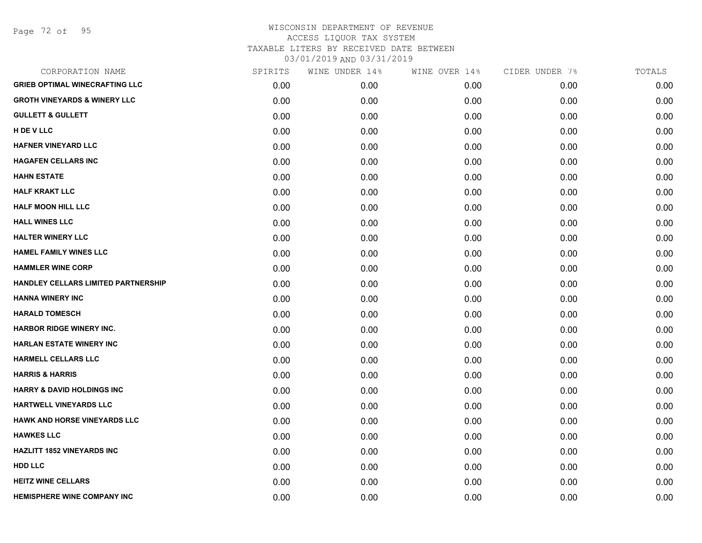Page 72 of 95

| CORPORATION NAME                           | SPIRITS | WINE UNDER 14% | WINE OVER 14% | CIDER UNDER 7% | TOTALS |
|--------------------------------------------|---------|----------------|---------------|----------------|--------|
| <b>GRIEB OPTIMAL WINECRAFTING LLC</b>      | 0.00    | 0.00           | 0.00          | 0.00           | 0.00   |
| <b>GROTH VINEYARDS &amp; WINERY LLC</b>    | 0.00    | 0.00           | 0.00          | 0.00           | 0.00   |
| <b>GULLETT &amp; GULLETT</b>               | 0.00    | 0.00           | 0.00          | 0.00           | 0.00   |
| H DE V LLC                                 | 0.00    | 0.00           | 0.00          | 0.00           | 0.00   |
| <b>HAFNER VINEYARD LLC</b>                 | 0.00    | 0.00           | 0.00          | 0.00           | 0.00   |
| <b>HAGAFEN CELLARS INC</b>                 | 0.00    | 0.00           | 0.00          | 0.00           | 0.00   |
| <b>HAHN ESTATE</b>                         | 0.00    | 0.00           | 0.00          | 0.00           | 0.00   |
| <b>HALF KRAKT LLC</b>                      | 0.00    | 0.00           | 0.00          | 0.00           | 0.00   |
| <b>HALF MOON HILL LLC</b>                  | 0.00    | 0.00           | 0.00          | 0.00           | 0.00   |
| <b>HALL WINES LLC</b>                      | 0.00    | 0.00           | 0.00          | 0.00           | 0.00   |
| <b>HALTER WINERY LLC</b>                   | 0.00    | 0.00           | 0.00          | 0.00           | 0.00   |
| <b>HAMEL FAMILY WINES LLC</b>              | 0.00    | 0.00           | 0.00          | 0.00           | 0.00   |
| <b>HAMMLER WINE CORP</b>                   | 0.00    | 0.00           | 0.00          | 0.00           | 0.00   |
| <b>HANDLEY CELLARS LIMITED PARTNERSHIP</b> | 0.00    | 0.00           | 0.00          | 0.00           | 0.00   |
| <b>HANNA WINERY INC</b>                    | 0.00    | 0.00           | 0.00          | 0.00           | 0.00   |
| <b>HARALD TOMESCH</b>                      | 0.00    | 0.00           | 0.00          | 0.00           | 0.00   |
| <b>HARBOR RIDGE WINERY INC.</b>            | 0.00    | 0.00           | 0.00          | 0.00           | 0.00   |
| <b>HARLAN ESTATE WINERY INC</b>            | 0.00    | 0.00           | 0.00          | 0.00           | 0.00   |
| <b>HARMELL CELLARS LLC</b>                 | 0.00    | 0.00           | 0.00          | 0.00           | 0.00   |
| <b>HARRIS &amp; HARRIS</b>                 | 0.00    | 0.00           | 0.00          | 0.00           | 0.00   |
| <b>HARRY &amp; DAVID HOLDINGS INC</b>      | 0.00    | 0.00           | 0.00          | 0.00           | 0.00   |
| <b>HARTWELL VINEYARDS LLC</b>              | 0.00    | 0.00           | 0.00          | 0.00           | 0.00   |
| <b>HAWK AND HORSE VINEYARDS LLC</b>        | 0.00    | 0.00           | 0.00          | 0.00           | 0.00   |
| <b>HAWKES LLC</b>                          | 0.00    | 0.00           | 0.00          | 0.00           | 0.00   |
| <b>HAZLITT 1852 VINEYARDS INC</b>          | 0.00    | 0.00           | 0.00          | 0.00           | 0.00   |
| <b>HDD LLC</b>                             | 0.00    | 0.00           | 0.00          | 0.00           | 0.00   |
| <b>HEITZ WINE CELLARS</b>                  | 0.00    | 0.00           | 0.00          | 0.00           | 0.00   |
| HEMISPHERE WINE COMPANY INC                | 0.00    | 0.00           | 0.00          | 0.00           | 0.00   |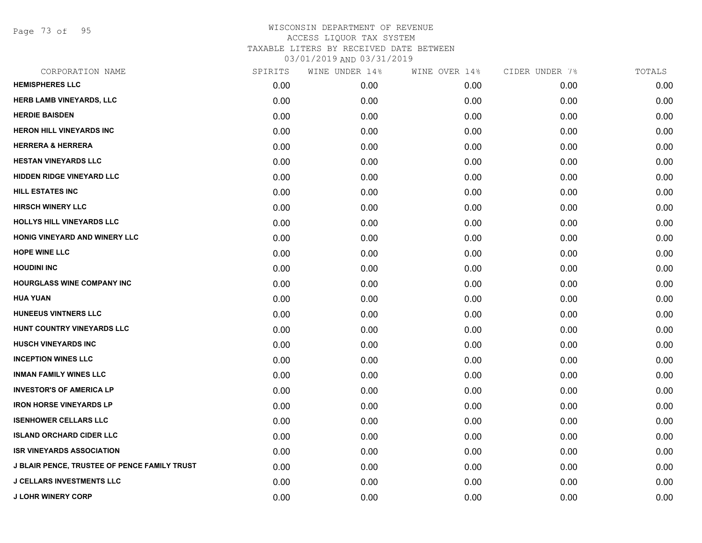Page 73 of 95

| CORPORATION NAME                                    | SPIRITS | WINE UNDER 14% | WINE OVER 14% | CIDER UNDER 7% | TOTALS |
|-----------------------------------------------------|---------|----------------|---------------|----------------|--------|
| <b>HEMISPHERES LLC</b>                              | 0.00    | 0.00           | 0.00          | 0.00           | 0.00   |
| <b>HERB LAMB VINEYARDS, LLC</b>                     | 0.00    | 0.00           | 0.00          | 0.00           | 0.00   |
| <b>HERDIE BAISDEN</b>                               | 0.00    | 0.00           | 0.00          | 0.00           | 0.00   |
| <b>HERON HILL VINEYARDS INC</b>                     | 0.00    | 0.00           | 0.00          | 0.00           | 0.00   |
| <b>HERRERA &amp; HERRERA</b>                        | 0.00    | 0.00           | 0.00          | 0.00           | 0.00   |
| <b>HESTAN VINEYARDS LLC</b>                         | 0.00    | 0.00           | 0.00          | 0.00           | 0.00   |
| <b>HIDDEN RIDGE VINEYARD LLC</b>                    | 0.00    | 0.00           | 0.00          | 0.00           | 0.00   |
| <b>HILL ESTATES INC</b>                             | 0.00    | 0.00           | 0.00          | 0.00           | 0.00   |
| <b>HIRSCH WINERY LLC</b>                            | 0.00    | 0.00           | 0.00          | 0.00           | 0.00   |
| <b>HOLLYS HILL VINEYARDS LLC</b>                    | 0.00    | 0.00           | 0.00          | 0.00           | 0.00   |
| <b>HONIG VINEYARD AND WINERY LLC</b>                | 0.00    | 0.00           | 0.00          | 0.00           | 0.00   |
| <b>HOPE WINE LLC</b>                                | 0.00    | 0.00           | 0.00          | 0.00           | 0.00   |
| <b>HOUDINI INC</b>                                  | 0.00    | 0.00           | 0.00          | 0.00           | 0.00   |
| <b>HOURGLASS WINE COMPANY INC</b>                   | 0.00    | 0.00           | 0.00          | 0.00           | 0.00   |
| <b>HUA YUAN</b>                                     | 0.00    | 0.00           | 0.00          | 0.00           | 0.00   |
| <b>HUNEEUS VINTNERS LLC</b>                         | 0.00    | 0.00           | 0.00          | 0.00           | 0.00   |
| HUNT COUNTRY VINEYARDS LLC                          | 0.00    | 0.00           | 0.00          | 0.00           | 0.00   |
| <b>HUSCH VINEYARDS INC</b>                          | 0.00    | 0.00           | 0.00          | 0.00           | 0.00   |
| <b>INCEPTION WINES LLC</b>                          | 0.00    | 0.00           | 0.00          | 0.00           | 0.00   |
| <b>INMAN FAMILY WINES LLC</b>                       | 0.00    | 0.00           | 0.00          | 0.00           | 0.00   |
| <b>INVESTOR'S OF AMERICA LP</b>                     | 0.00    | 0.00           | 0.00          | 0.00           | 0.00   |
| <b>IRON HORSE VINEYARDS LP</b>                      | 0.00    | 0.00           | 0.00          | 0.00           | 0.00   |
| <b>ISENHOWER CELLARS LLC</b>                        | 0.00    | 0.00           | 0.00          | 0.00           | 0.00   |
| <b>ISLAND ORCHARD CIDER LLC</b>                     | 0.00    | 0.00           | 0.00          | 0.00           | 0.00   |
| <b>ISR VINEYARDS ASSOCIATION</b>                    | 0.00    | 0.00           | 0.00          | 0.00           | 0.00   |
| <b>J BLAIR PENCE, TRUSTEE OF PENCE FAMILY TRUST</b> | 0.00    | 0.00           | 0.00          | 0.00           | 0.00   |
| <b>J CELLARS INVESTMENTS LLC</b>                    | 0.00    | 0.00           | 0.00          | 0.00           | 0.00   |
| <b>J LOHR WINERY CORP</b>                           | 0.00    | 0.00           | 0.00          | 0.00           | 0.00   |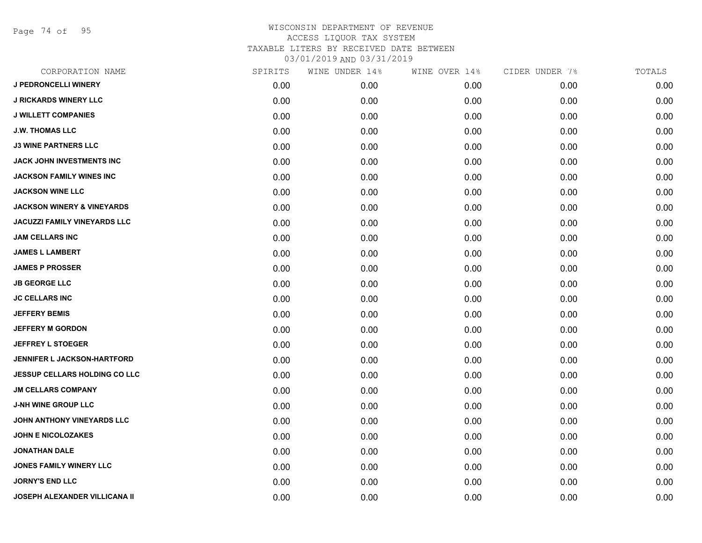Page 74 of 95

| CORPORATION NAME                      | SPIRITS | WINE UNDER 14% | WINE OVER 14% | CIDER UNDER 7% | TOTALS |
|---------------------------------------|---------|----------------|---------------|----------------|--------|
| <b>J PEDRONCELLI WINERY</b>           | 0.00    | 0.00           | 0.00          | 0.00           | 0.00   |
| <b>J RICKARDS WINERY LLC</b>          | 0.00    | 0.00           | 0.00          | 0.00           | 0.00   |
| <b>J WILLETT COMPANIES</b>            | 0.00    | 0.00           | 0.00          | 0.00           | 0.00   |
| <b>J.W. THOMAS LLC</b>                | 0.00    | 0.00           | 0.00          | 0.00           | 0.00   |
| <b>J3 WINE PARTNERS LLC</b>           | 0.00    | 0.00           | 0.00          | 0.00           | 0.00   |
| JACK JOHN INVESTMENTS INC             | 0.00    | 0.00           | 0.00          | 0.00           | 0.00   |
| <b>JACKSON FAMILY WINES INC</b>       | 0.00    | 0.00           | 0.00          | 0.00           | 0.00   |
| <b>JACKSON WINE LLC</b>               | 0.00    | 0.00           | 0.00          | 0.00           | 0.00   |
| <b>JACKSON WINERY &amp; VINEYARDS</b> | 0.00    | 0.00           | 0.00          | 0.00           | 0.00   |
| <b>JACUZZI FAMILY VINEYARDS LLC</b>   | 0.00    | 0.00           | 0.00          | 0.00           | 0.00   |
| <b>JAM CELLARS INC</b>                | 0.00    | 0.00           | 0.00          | 0.00           | 0.00   |
| <b>JAMES L LAMBERT</b>                | 0.00    | 0.00           | 0.00          | 0.00           | 0.00   |
| <b>JAMES P PROSSER</b>                | 0.00    | 0.00           | 0.00          | 0.00           | 0.00   |
| <b>JB GEORGE LLC</b>                  | 0.00    | 0.00           | 0.00          | 0.00           | 0.00   |
| <b>JC CELLARS INC</b>                 | 0.00    | 0.00           | 0.00          | 0.00           | 0.00   |
| <b>JEFFERY BEMIS</b>                  | 0.00    | 0.00           | 0.00          | 0.00           | 0.00   |
| <b>JEFFERY M GORDON</b>               | 0.00    | 0.00           | 0.00          | 0.00           | 0.00   |
| JEFFREY L STOEGER                     | 0.00    | 0.00           | 0.00          | 0.00           | 0.00   |
| <b>JENNIFER L JACKSON-HARTFORD</b>    | 0.00    | 0.00           | 0.00          | 0.00           | 0.00   |
| <b>JESSUP CELLARS HOLDING CO LLC</b>  | 0.00    | 0.00           | 0.00          | 0.00           | 0.00   |
| <b>JM CELLARS COMPANY</b>             | 0.00    | 0.00           | 0.00          | 0.00           | 0.00   |
| <b>J-NH WINE GROUP LLC</b>            | 0.00    | 0.00           | 0.00          | 0.00           | 0.00   |
| JOHN ANTHONY VINEYARDS LLC            | 0.00    | 0.00           | 0.00          | 0.00           | 0.00   |
| <b>JOHN E NICOLOZAKES</b>             | 0.00    | 0.00           | 0.00          | 0.00           | 0.00   |
| <b>JONATHAN DALE</b>                  | 0.00    | 0.00           | 0.00          | 0.00           | 0.00   |
| JONES FAMILY WINERY LLC               | 0.00    | 0.00           | 0.00          | 0.00           | 0.00   |
| <b>JORNY'S END LLC</b>                | 0.00    | 0.00           | 0.00          | 0.00           | 0.00   |
| JOSEPH ALEXANDER VILLICANA II         | 0.00    | 0.00           | 0.00          | 0.00           | 0.00   |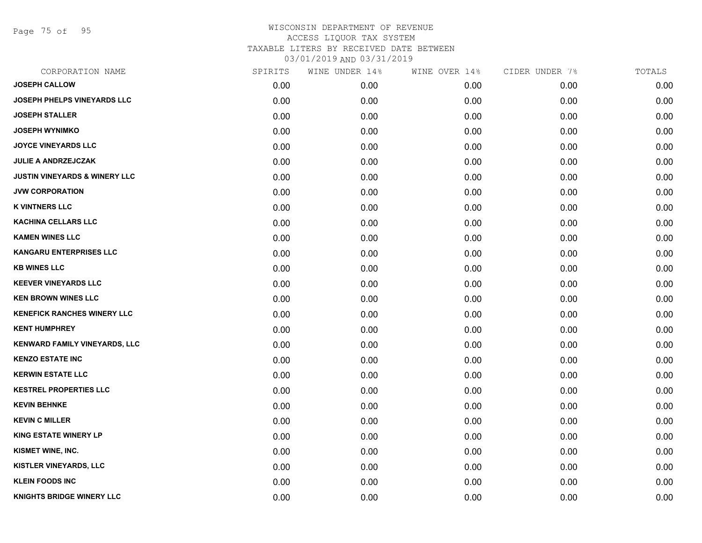Page 75 of 95

| CORPORATION NAME                         | SPIRITS | WINE UNDER 14% | WINE OVER 14% | CIDER UNDER 7% | TOTALS |
|------------------------------------------|---------|----------------|---------------|----------------|--------|
| <b>JOSEPH CALLOW</b>                     | 0.00    | 0.00           | 0.00          | 0.00           | 0.00   |
| <b>JOSEPH PHELPS VINEYARDS LLC</b>       | 0.00    | 0.00           | 0.00          | 0.00           | 0.00   |
| <b>JOSEPH STALLER</b>                    | 0.00    | 0.00           | 0.00          | 0.00           | 0.00   |
| <b>JOSEPH WYNIMKO</b>                    | 0.00    | 0.00           | 0.00          | 0.00           | 0.00   |
| <b>JOYCE VINEYARDS LLC</b>               | 0.00    | 0.00           | 0.00          | 0.00           | 0.00   |
| JULIE A ANDRZEJCZAK                      | 0.00    | 0.00           | 0.00          | 0.00           | 0.00   |
| <b>JUSTIN VINEYARDS &amp; WINERY LLC</b> | 0.00    | 0.00           | 0.00          | 0.00           | 0.00   |
| <b>JVW CORPORATION</b>                   | 0.00    | 0.00           | 0.00          | 0.00           | 0.00   |
| <b>K VINTNERS LLC</b>                    | 0.00    | 0.00           | 0.00          | 0.00           | 0.00   |
| <b>KACHINA CELLARS LLC</b>               | 0.00    | 0.00           | 0.00          | 0.00           | 0.00   |
| <b>KAMEN WINES LLC</b>                   | 0.00    | 0.00           | 0.00          | 0.00           | 0.00   |
| <b>KANGARU ENTERPRISES LLC</b>           | 0.00    | 0.00           | 0.00          | 0.00           | 0.00   |
| <b>KB WINES LLC</b>                      | 0.00    | 0.00           | 0.00          | 0.00           | 0.00   |
| <b>KEEVER VINEYARDS LLC</b>              | 0.00    | 0.00           | 0.00          | 0.00           | 0.00   |
| <b>KEN BROWN WINES LLC</b>               | 0.00    | 0.00           | 0.00          | 0.00           | 0.00   |
| <b>KENEFICK RANCHES WINERY LLC</b>       | 0.00    | 0.00           | 0.00          | 0.00           | 0.00   |
| <b>KENT HUMPHREY</b>                     | 0.00    | 0.00           | 0.00          | 0.00           | 0.00   |
| KENWARD FAMILY VINEYARDS, LLC            | 0.00    | 0.00           | 0.00          | 0.00           | 0.00   |
| <b>KENZO ESTATE INC</b>                  | 0.00    | 0.00           | 0.00          | 0.00           | 0.00   |
| <b>KERWIN ESTATE LLC</b>                 | 0.00    | 0.00           | 0.00          | 0.00           | 0.00   |
| <b>KESTREL PROPERTIES LLC</b>            | 0.00    | 0.00           | 0.00          | 0.00           | 0.00   |
| <b>KEVIN BEHNKE</b>                      | 0.00    | 0.00           | 0.00          | 0.00           | 0.00   |
| <b>KEVIN C MILLER</b>                    | 0.00    | 0.00           | 0.00          | 0.00           | 0.00   |
| <b>KING ESTATE WINERY LP</b>             | 0.00    | 0.00           | 0.00          | 0.00           | 0.00   |
| KISMET WINE, INC.                        | 0.00    | 0.00           | 0.00          | 0.00           | 0.00   |
| KISTLER VINEYARDS, LLC                   | 0.00    | 0.00           | 0.00          | 0.00           | 0.00   |
| <b>KLEIN FOODS INC</b>                   | 0.00    | 0.00           | 0.00          | 0.00           | 0.00   |
| <b>KNIGHTS BRIDGE WINERY LLC</b>         | 0.00    | 0.00           | 0.00          | 0.00           | 0.00   |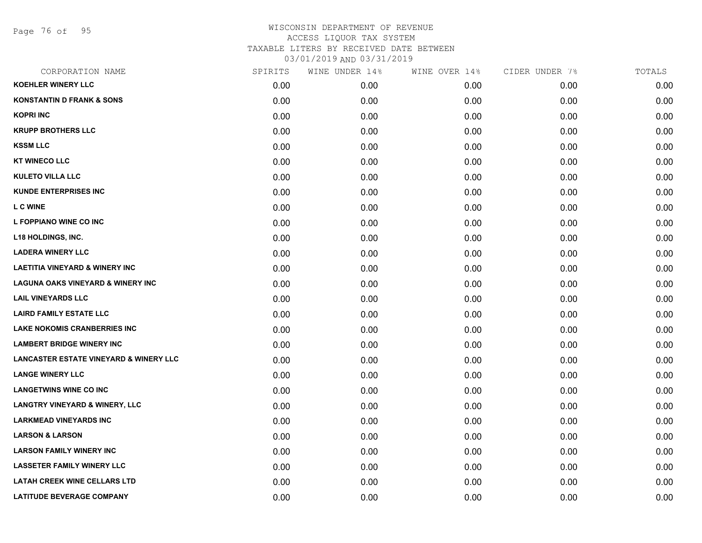Page 76 of 95

| CORPORATION NAME                                  | SPIRITS | WINE UNDER 14% | WINE OVER 14% | CIDER UNDER 7% | TOTALS |
|---------------------------------------------------|---------|----------------|---------------|----------------|--------|
| <b>KOEHLER WINERY LLC</b>                         | 0.00    | 0.00           | 0.00          | 0.00           | 0.00   |
| <b>KONSTANTIN D FRANK &amp; SONS</b>              | 0.00    | 0.00           | 0.00          | 0.00           | 0.00   |
| <b>KOPRI INC</b>                                  | 0.00    | 0.00           | 0.00          | 0.00           | 0.00   |
| <b>KRUPP BROTHERS LLC</b>                         | 0.00    | 0.00           | 0.00          | 0.00           | 0.00   |
| <b>KSSM LLC</b>                                   | 0.00    | 0.00           | 0.00          | 0.00           | 0.00   |
| <b>KT WINECO LLC</b>                              | 0.00    | 0.00           | 0.00          | 0.00           | 0.00   |
| <b>KULETO VILLA LLC</b>                           | 0.00    | 0.00           | 0.00          | 0.00           | 0.00   |
| <b>KUNDE ENTERPRISES INC</b>                      | 0.00    | 0.00           | 0.00          | 0.00           | 0.00   |
| <b>L C WINE</b>                                   | 0.00    | 0.00           | 0.00          | 0.00           | 0.00   |
| L FOPPIANO WINE CO INC                            | 0.00    | 0.00           | 0.00          | 0.00           | 0.00   |
| <b>L18 HOLDINGS, INC.</b>                         | 0.00    | 0.00           | 0.00          | 0.00           | 0.00   |
| <b>LADERA WINERY LLC</b>                          | 0.00    | 0.00           | 0.00          | 0.00           | 0.00   |
| <b>LAETITIA VINEYARD &amp; WINERY INC</b>         | 0.00    | 0.00           | 0.00          | 0.00           | 0.00   |
| <b>LAGUNA OAKS VINEYARD &amp; WINERY INC</b>      | 0.00    | 0.00           | 0.00          | 0.00           | 0.00   |
| <b>LAIL VINEYARDS LLC</b>                         | 0.00    | 0.00           | 0.00          | 0.00           | 0.00   |
| <b>LAIRD FAMILY ESTATE LLC</b>                    | 0.00    | 0.00           | 0.00          | 0.00           | 0.00   |
| <b>LAKE NOKOMIS CRANBERRIES INC</b>               | 0.00    | 0.00           | 0.00          | 0.00           | 0.00   |
| <b>LAMBERT BRIDGE WINERY INC</b>                  | 0.00    | 0.00           | 0.00          | 0.00           | 0.00   |
| <b>LANCASTER ESTATE VINEYARD &amp; WINERY LLC</b> | 0.00    | 0.00           | 0.00          | 0.00           | 0.00   |
| <b>LANGE WINERY LLC</b>                           | 0.00    | 0.00           | 0.00          | 0.00           | 0.00   |
| <b>LANGETWINS WINE CO INC</b>                     | 0.00    | 0.00           | 0.00          | 0.00           | 0.00   |
| <b>LANGTRY VINEYARD &amp; WINERY, LLC</b>         | 0.00    | 0.00           | 0.00          | 0.00           | 0.00   |
| <b>LARKMEAD VINEYARDS INC</b>                     | 0.00    | 0.00           | 0.00          | 0.00           | 0.00   |
| <b>LARSON &amp; LARSON</b>                        | 0.00    | 0.00           | 0.00          | 0.00           | 0.00   |
| <b>LARSON FAMILY WINERY INC</b>                   | 0.00    | 0.00           | 0.00          | 0.00           | 0.00   |
| <b>LASSETER FAMILY WINERY LLC</b>                 | 0.00    | 0.00           | 0.00          | 0.00           | 0.00   |
| <b>LATAH CREEK WINE CELLARS LTD</b>               | 0.00    | 0.00           | 0.00          | 0.00           | 0.00   |
| <b>LATITUDE BEVERAGE COMPANY</b>                  | 0.00    | 0.00           | 0.00          | 0.00           | 0.00   |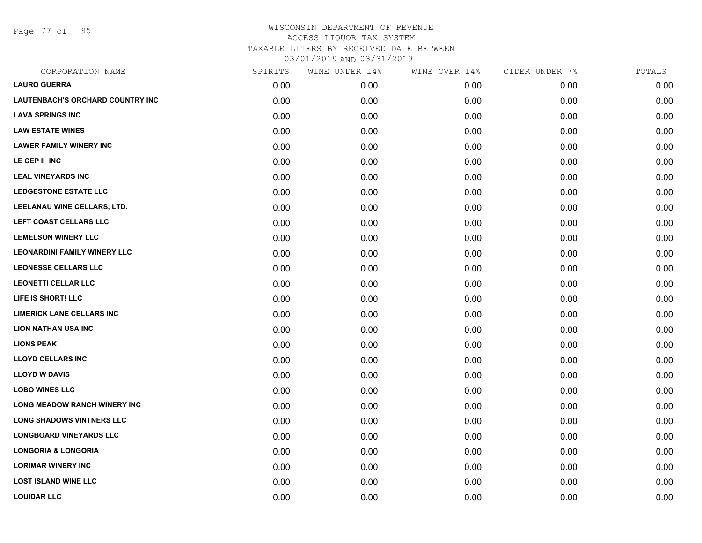Page 77 of 95

| CORPORATION NAME                        | SPIRITS | WINE UNDER 14% | WINE OVER 14% | CIDER UNDER 7% | TOTALS |
|-----------------------------------------|---------|----------------|---------------|----------------|--------|
| <b>LAURO GUERRA</b>                     | 0.00    | 0.00           | 0.00          | 0.00           | 0.00   |
| <b>LAUTENBACH'S ORCHARD COUNTRY INC</b> | 0.00    | 0.00           | 0.00          | 0.00           | 0.00   |
| <b>LAVA SPRINGS INC</b>                 | 0.00    | 0.00           | 0.00          | 0.00           | 0.00   |
| <b>LAW ESTATE WINES</b>                 | 0.00    | 0.00           | 0.00          | 0.00           | 0.00   |
| <b>LAWER FAMILY WINERY INC</b>          | 0.00    | 0.00           | 0.00          | 0.00           | 0.00   |
| LE CEP II INC                           | 0.00    | 0.00           | 0.00          | 0.00           | 0.00   |
| <b>LEAL VINEYARDS INC</b>               | 0.00    | 0.00           | 0.00          | 0.00           | 0.00   |
| <b>LEDGESTONE ESTATE LLC</b>            | 0.00    | 0.00           | 0.00          | 0.00           | 0.00   |
| LEELANAU WINE CELLARS, LTD.             | 0.00    | 0.00           | 0.00          | 0.00           | 0.00   |
| LEFT COAST CELLARS LLC                  | 0.00    | 0.00           | 0.00          | 0.00           | 0.00   |
| <b>LEMELSON WINERY LLC</b>              | 0.00    | 0.00           | 0.00          | 0.00           | 0.00   |
| <b>LEONARDINI FAMILY WINERY LLC</b>     | 0.00    | 0.00           | 0.00          | 0.00           | 0.00   |
| <b>LEONESSE CELLARS LLC</b>             | 0.00    | 0.00           | 0.00          | 0.00           | 0.00   |
| <b>LEONETTI CELLAR LLC</b>              | 0.00    | 0.00           | 0.00          | 0.00           | 0.00   |
| LIFE IS SHORT! LLC                      | 0.00    | 0.00           | 0.00          | 0.00           | 0.00   |
| <b>LIMERICK LANE CELLARS INC</b>        | 0.00    | 0.00           | 0.00          | 0.00           | 0.00   |
| <b>LION NATHAN USA INC</b>              | 0.00    | 0.00           | 0.00          | 0.00           | 0.00   |
| <b>LIONS PEAK</b>                       | 0.00    | 0.00           | 0.00          | 0.00           | 0.00   |
| <b>LLOYD CELLARS INC</b>                | 0.00    | 0.00           | 0.00          | 0.00           | 0.00   |
| <b>LLOYD W DAVIS</b>                    | 0.00    | 0.00           | 0.00          | 0.00           | 0.00   |
| <b>LOBO WINES LLC</b>                   | 0.00    | 0.00           | 0.00          | 0.00           | 0.00   |
| <b>LONG MEADOW RANCH WINERY INC</b>     | 0.00    | 0.00           | 0.00          | 0.00           | 0.00   |
| <b>LONG SHADOWS VINTNERS LLC</b>        | 0.00    | 0.00           | 0.00          | 0.00           | 0.00   |
| <b>LONGBOARD VINEYARDS LLC</b>          | 0.00    | 0.00           | 0.00          | 0.00           | 0.00   |
| <b>LONGORIA &amp; LONGORIA</b>          | 0.00    | 0.00           | 0.00          | 0.00           | 0.00   |
| <b>LORIMAR WINERY INC</b>               | 0.00    | 0.00           | 0.00          | 0.00           | 0.00   |
| <b>LOST ISLAND WINE LLC</b>             | 0.00    | 0.00           | 0.00          | 0.00           | 0.00   |
| <b>LOUIDAR LLC</b>                      | 0.00    | 0.00           | 0.00          | 0.00           | 0.00   |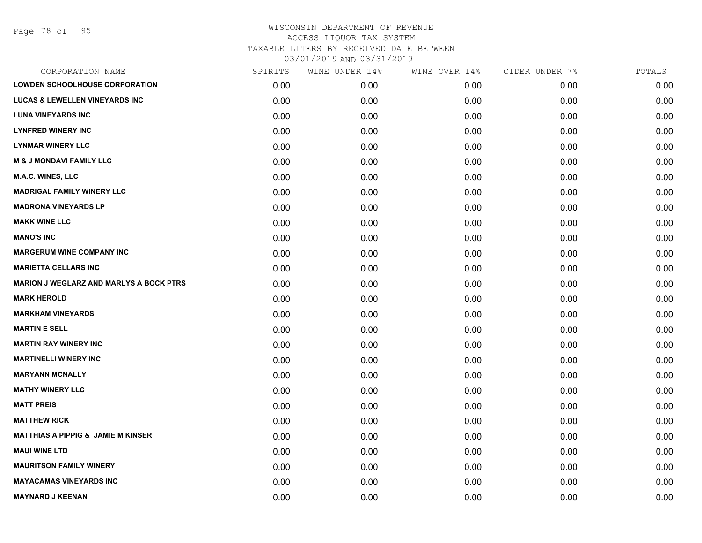Page 78 of 95

| CORPORATION NAME                               | SPIRITS | WINE UNDER 14% | WINE OVER 14% | CIDER UNDER 7% | TOTALS |
|------------------------------------------------|---------|----------------|---------------|----------------|--------|
| <b>LOWDEN SCHOOLHOUSE CORPORATION</b>          | 0.00    | 0.00           | 0.00          | 0.00           | 0.00   |
| <b>LUCAS &amp; LEWELLEN VINEYARDS INC</b>      | 0.00    | 0.00           | 0.00          | 0.00           | 0.00   |
| <b>LUNA VINEYARDS INC</b>                      | 0.00    | 0.00           | 0.00          | 0.00           | 0.00   |
| <b>LYNFRED WINERY INC</b>                      | 0.00    | 0.00           | 0.00          | 0.00           | 0.00   |
| <b>LYNMAR WINERY LLC</b>                       | 0.00    | 0.00           | 0.00          | 0.00           | 0.00   |
| <b>M &amp; J MONDAVI FAMILY LLC</b>            | 0.00    | 0.00           | 0.00          | 0.00           | 0.00   |
| M.A.C. WINES, LLC                              | 0.00    | 0.00           | 0.00          | 0.00           | 0.00   |
| <b>MADRIGAL FAMILY WINERY LLC</b>              | 0.00    | 0.00           | 0.00          | 0.00           | 0.00   |
| <b>MADRONA VINEYARDS LP</b>                    | 0.00    | 0.00           | 0.00          | 0.00           | 0.00   |
| <b>MAKK WINE LLC</b>                           | 0.00    | 0.00           | 0.00          | 0.00           | 0.00   |
| <b>MANO'S INC</b>                              | 0.00    | 0.00           | 0.00          | 0.00           | 0.00   |
| <b>MARGERUM WINE COMPANY INC</b>               | 0.00    | 0.00           | 0.00          | 0.00           | 0.00   |
| <b>MARIETTA CELLARS INC</b>                    | 0.00    | 0.00           | 0.00          | 0.00           | 0.00   |
| <b>MARION J WEGLARZ AND MARLYS A BOCK PTRS</b> | 0.00    | 0.00           | 0.00          | 0.00           | 0.00   |
| <b>MARK HEROLD</b>                             | 0.00    | 0.00           | 0.00          | 0.00           | 0.00   |
| <b>MARKHAM VINEYARDS</b>                       | 0.00    | 0.00           | 0.00          | 0.00           | 0.00   |
| <b>MARTIN E SELL</b>                           | 0.00    | 0.00           | 0.00          | 0.00           | 0.00   |
| <b>MARTIN RAY WINERY INC</b>                   | 0.00    | 0.00           | 0.00          | 0.00           | 0.00   |
| <b>MARTINELLI WINERY INC</b>                   | 0.00    | 0.00           | 0.00          | 0.00           | 0.00   |
| <b>MARYANN MCNALLY</b>                         | 0.00    | 0.00           | 0.00          | 0.00           | 0.00   |
| <b>MATHY WINERY LLC</b>                        | 0.00    | 0.00           | 0.00          | 0.00           | 0.00   |
| <b>MATT PREIS</b>                              | 0.00    | 0.00           | 0.00          | 0.00           | 0.00   |
| <b>MATTHEW RICK</b>                            | 0.00    | 0.00           | 0.00          | 0.00           | 0.00   |
| <b>MATTHIAS A PIPPIG &amp; JAMIE M KINSER</b>  | 0.00    | 0.00           | 0.00          | 0.00           | 0.00   |
| <b>MAUI WINE LTD</b>                           | 0.00    | 0.00           | 0.00          | 0.00           | 0.00   |
| <b>MAURITSON FAMILY WINERY</b>                 | 0.00    | 0.00           | 0.00          | 0.00           | 0.00   |
| <b>MAYACAMAS VINEYARDS INC</b>                 | 0.00    | 0.00           | 0.00          | 0.00           | 0.00   |
| <b>MAYNARD J KEENAN</b>                        | 0.00    | 0.00           | 0.00          | 0.00           | 0.00   |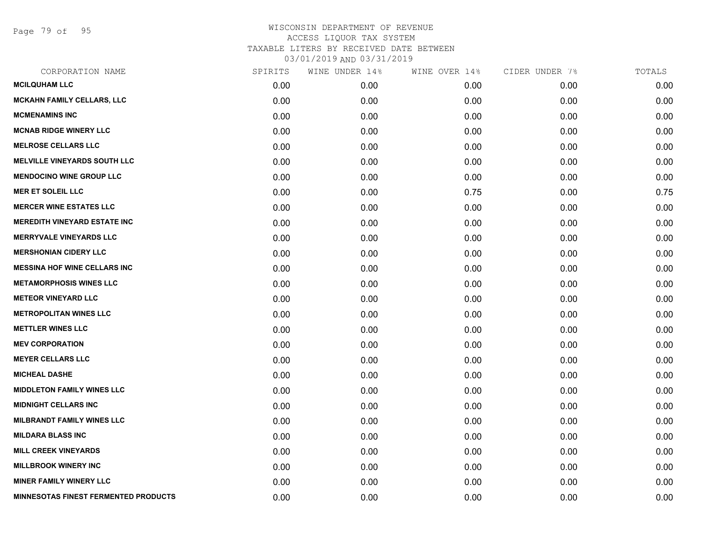Page 79 of 95

| CORPORATION NAME                            | SPIRITS | WINE UNDER 14% | WINE OVER 14% | CIDER UNDER 7% | TOTALS |
|---------------------------------------------|---------|----------------|---------------|----------------|--------|
| <b>MCILQUHAM LLC</b>                        | 0.00    | 0.00           | 0.00          | 0.00           | 0.00   |
| <b>MCKAHN FAMILY CELLARS, LLC</b>           | 0.00    | 0.00           | 0.00          | 0.00           | 0.00   |
| <b>MCMENAMINS INC</b>                       | 0.00    | 0.00           | 0.00          | 0.00           | 0.00   |
| <b>MCNAB RIDGE WINERY LLC</b>               | 0.00    | 0.00           | 0.00          | 0.00           | 0.00   |
| <b>MELROSE CELLARS LLC</b>                  | 0.00    | 0.00           | 0.00          | 0.00           | 0.00   |
| <b>MELVILLE VINEYARDS SOUTH LLC</b>         | 0.00    | 0.00           | 0.00          | 0.00           | 0.00   |
| <b>MENDOCINO WINE GROUP LLC</b>             | 0.00    | 0.00           | 0.00          | 0.00           | 0.00   |
| <b>MER ET SOLEIL LLC</b>                    | 0.00    | 0.00           | 0.75          | 0.00           | 0.75   |
| <b>MERCER WINE ESTATES LLC</b>              | 0.00    | 0.00           | 0.00          | 0.00           | 0.00   |
| <b>MEREDITH VINEYARD ESTATE INC</b>         | 0.00    | 0.00           | 0.00          | 0.00           | 0.00   |
| <b>MERRYVALE VINEYARDS LLC</b>              | 0.00    | 0.00           | 0.00          | 0.00           | 0.00   |
| <b>MERSHONIAN CIDERY LLC</b>                | 0.00    | 0.00           | 0.00          | 0.00           | 0.00   |
| <b>MESSINA HOF WINE CELLARS INC</b>         | 0.00    | 0.00           | 0.00          | 0.00           | 0.00   |
| <b>METAMORPHOSIS WINES LLC</b>              | 0.00    | 0.00           | 0.00          | 0.00           | 0.00   |
| <b>METEOR VINEYARD LLC</b>                  | 0.00    | 0.00           | 0.00          | 0.00           | 0.00   |
| <b>METROPOLITAN WINES LLC</b>               | 0.00    | 0.00           | 0.00          | 0.00           | 0.00   |
| <b>METTLER WINES LLC</b>                    | 0.00    | 0.00           | 0.00          | 0.00           | 0.00   |
| <b>MEV CORPORATION</b>                      | 0.00    | 0.00           | 0.00          | 0.00           | 0.00   |
| <b>MEYER CELLARS LLC</b>                    | 0.00    | 0.00           | 0.00          | 0.00           | 0.00   |
| <b>MICHEAL DASHE</b>                        | 0.00    | 0.00           | 0.00          | 0.00           | 0.00   |
| <b>MIDDLETON FAMILY WINES LLC</b>           | 0.00    | 0.00           | 0.00          | 0.00           | 0.00   |
| <b>MIDNIGHT CELLARS INC</b>                 | 0.00    | 0.00           | 0.00          | 0.00           | 0.00   |
| MILBRANDT FAMILY WINES LLC                  | 0.00    | 0.00           | 0.00          | 0.00           | 0.00   |
| <b>MILDARA BLASS INC</b>                    | 0.00    | 0.00           | 0.00          | 0.00           | 0.00   |
| <b>MILL CREEK VINEYARDS</b>                 | 0.00    | 0.00           | 0.00          | 0.00           | 0.00   |
| <b>MILLBROOK WINERY INC</b>                 | 0.00    | 0.00           | 0.00          | 0.00           | 0.00   |
| <b>MINER FAMILY WINERY LLC</b>              | 0.00    | 0.00           | 0.00          | 0.00           | 0.00   |
| <b>MINNESOTAS FINEST FERMENTED PRODUCTS</b> | 0.00    | 0.00           | 0.00          | 0.00           | 0.00   |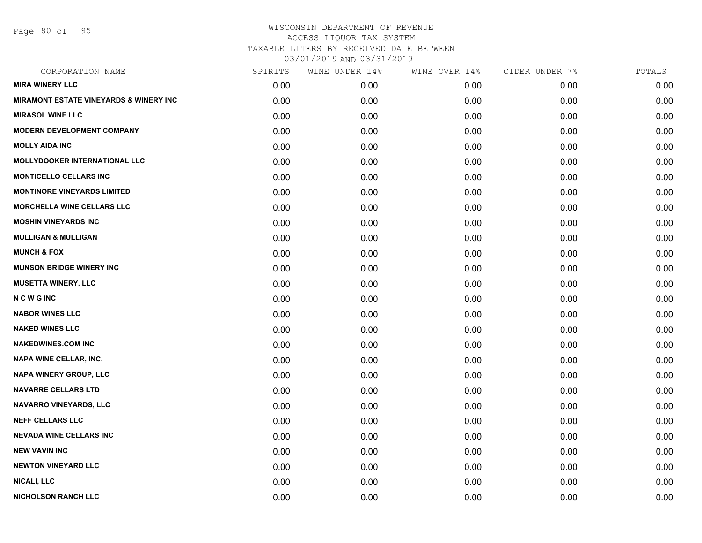Page 80 of 95

| CORPORATION NAME                                  | SPIRITS | WINE UNDER 14% | WINE OVER 14% | CIDER UNDER 7% | TOTALS |
|---------------------------------------------------|---------|----------------|---------------|----------------|--------|
| <b>MIRA WINERY LLC</b>                            | 0.00    | 0.00           | 0.00          | 0.00           | 0.00   |
| <b>MIRAMONT ESTATE VINEYARDS &amp; WINERY INC</b> | 0.00    | 0.00           | 0.00          | 0.00           | 0.00   |
| <b>MIRASOL WINE LLC</b>                           | 0.00    | 0.00           | 0.00          | 0.00           | 0.00   |
| <b>MODERN DEVELOPMENT COMPANY</b>                 | 0.00    | 0.00           | 0.00          | 0.00           | 0.00   |
| <b>MOLLY AIDA INC</b>                             | 0.00    | 0.00           | 0.00          | 0.00           | 0.00   |
| <b>MOLLYDOOKER INTERNATIONAL LLC</b>              | 0.00    | 0.00           | 0.00          | 0.00           | 0.00   |
| <b>MONTICELLO CELLARS INC</b>                     | 0.00    | 0.00           | 0.00          | 0.00           | 0.00   |
| <b>MONTINORE VINEYARDS LIMITED</b>                | 0.00    | 0.00           | 0.00          | 0.00           | 0.00   |
| <b>MORCHELLA WINE CELLARS LLC</b>                 | 0.00    | 0.00           | 0.00          | 0.00           | 0.00   |
| <b>MOSHIN VINEYARDS INC</b>                       | 0.00    | 0.00           | 0.00          | 0.00           | 0.00   |
| <b>MULLIGAN &amp; MULLIGAN</b>                    | 0.00    | 0.00           | 0.00          | 0.00           | 0.00   |
| <b>MUNCH &amp; FOX</b>                            | 0.00    | 0.00           | 0.00          | 0.00           | 0.00   |
| <b>MUNSON BRIDGE WINERY INC</b>                   | 0.00    | 0.00           | 0.00          | 0.00           | 0.00   |
| <b>MUSETTA WINERY, LLC</b>                        | 0.00    | 0.00           | 0.00          | 0.00           | 0.00   |
| <b>NCWGINC</b>                                    | 0.00    | 0.00           | 0.00          | 0.00           | 0.00   |
| <b>NABOR WINES LLC</b>                            | 0.00    | 0.00           | 0.00          | 0.00           | 0.00   |
| <b>NAKED WINES LLC</b>                            | 0.00    | 0.00           | 0.00          | 0.00           | 0.00   |
| <b>NAKEDWINES.COM INC</b>                         | 0.00    | 0.00           | 0.00          | 0.00           | 0.00   |
| <b>NAPA WINE CELLAR, INC.</b>                     | 0.00    | 0.00           | 0.00          | 0.00           | 0.00   |
| <b>NAPA WINERY GROUP, LLC</b>                     | 0.00    | 0.00           | 0.00          | 0.00           | 0.00   |
| <b>NAVARRE CELLARS LTD</b>                        | 0.00    | 0.00           | 0.00          | 0.00           | 0.00   |
| <b>NAVARRO VINEYARDS, LLC</b>                     | 0.00    | 0.00           | 0.00          | 0.00           | 0.00   |
| <b>NEFF CELLARS LLC</b>                           | 0.00    | 0.00           | 0.00          | 0.00           | 0.00   |
| <b>NEVADA WINE CELLARS INC</b>                    | 0.00    | 0.00           | 0.00          | 0.00           | 0.00   |
| <b>NEW VAVIN INC</b>                              | 0.00    | 0.00           | 0.00          | 0.00           | 0.00   |
| <b>NEWTON VINEYARD LLC</b>                        | 0.00    | 0.00           | 0.00          | 0.00           | 0.00   |
| <b>NICALI, LLC</b>                                | 0.00    | 0.00           | 0.00          | 0.00           | 0.00   |
| <b>NICHOLSON RANCH LLC</b>                        | 0.00    | 0.00           | 0.00          | 0.00           | 0.00   |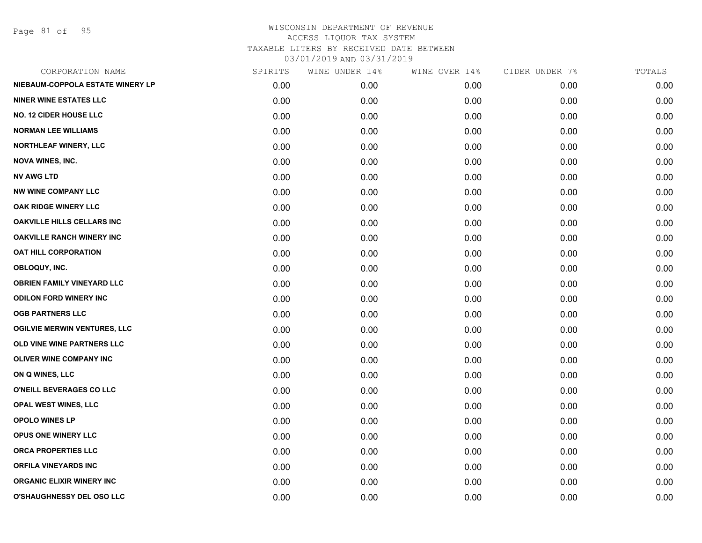Page 81 of 95

| CORPORATION NAME                    | SPIRITS | WINE UNDER 14% | WINE OVER 14% | CIDER UNDER 7% | TOTALS |
|-------------------------------------|---------|----------------|---------------|----------------|--------|
| NIEBAUM-COPPOLA ESTATE WINERY LP    | 0.00    | 0.00           | 0.00          | 0.00           | 0.00   |
| <b>NINER WINE ESTATES LLC</b>       | 0.00    | 0.00           | 0.00          | 0.00           | 0.00   |
| <b>NO. 12 CIDER HOUSE LLC</b>       | 0.00    | 0.00           | 0.00          | 0.00           | 0.00   |
| <b>NORMAN LEE WILLIAMS</b>          | 0.00    | 0.00           | 0.00          | 0.00           | 0.00   |
| <b>NORTHLEAF WINERY, LLC</b>        | 0.00    | 0.00           | 0.00          | 0.00           | 0.00   |
| <b>NOVA WINES, INC.</b>             | 0.00    | 0.00           | 0.00          | 0.00           | 0.00   |
| <b>NV AWG LTD</b>                   | 0.00    | 0.00           | 0.00          | 0.00           | 0.00   |
| <b>NW WINE COMPANY LLC</b>          | 0.00    | 0.00           | 0.00          | 0.00           | 0.00   |
| OAK RIDGE WINERY LLC                | 0.00    | 0.00           | 0.00          | 0.00           | 0.00   |
| <b>OAKVILLE HILLS CELLARS INC</b>   | 0.00    | 0.00           | 0.00          | 0.00           | 0.00   |
| <b>OAKVILLE RANCH WINERY INC</b>    | 0.00    | 0.00           | 0.00          | 0.00           | 0.00   |
| <b>OAT HILL CORPORATION</b>         | 0.00    | 0.00           | 0.00          | 0.00           | 0.00   |
| OBLOQUY, INC.                       | 0.00    | 0.00           | 0.00          | 0.00           | 0.00   |
| <b>OBRIEN FAMILY VINEYARD LLC</b>   | 0.00    | 0.00           | 0.00          | 0.00           | 0.00   |
| <b>ODILON FORD WINERY INC</b>       | 0.00    | 0.00           | 0.00          | 0.00           | 0.00   |
| <b>OGB PARTNERS LLC</b>             | 0.00    | 0.00           | 0.00          | 0.00           | 0.00   |
| <b>OGILVIE MERWIN VENTURES, LLC</b> | 0.00    | 0.00           | 0.00          | 0.00           | 0.00   |
| OLD VINE WINE PARTNERS LLC          | 0.00    | 0.00           | 0.00          | 0.00           | 0.00   |
| <b>OLIVER WINE COMPANY INC</b>      | 0.00    | 0.00           | 0.00          | 0.00           | 0.00   |
| ON Q WINES, LLC                     | 0.00    | 0.00           | 0.00          | 0.00           | 0.00   |
| O'NEILL BEVERAGES CO LLC            | 0.00    | 0.00           | 0.00          | 0.00           | 0.00   |
| OPAL WEST WINES, LLC                | 0.00    | 0.00           | 0.00          | 0.00           | 0.00   |
| <b>OPOLO WINES LP</b>               | 0.00    | 0.00           | 0.00          | 0.00           | 0.00   |
| <b>OPUS ONE WINERY LLC</b>          | 0.00    | 0.00           | 0.00          | 0.00           | 0.00   |
| ORCA PROPERTIES LLC                 | 0.00    | 0.00           | 0.00          | 0.00           | 0.00   |
| <b>ORFILA VINEYARDS INC</b>         | 0.00    | 0.00           | 0.00          | 0.00           | 0.00   |
| <b>ORGANIC ELIXIR WINERY INC</b>    | 0.00    | 0.00           | 0.00          | 0.00           | 0.00   |
| <b>O'SHAUGHNESSY DEL OSO LLC</b>    | 0.00    | 0.00           | 0.00          | 0.00           | 0.00   |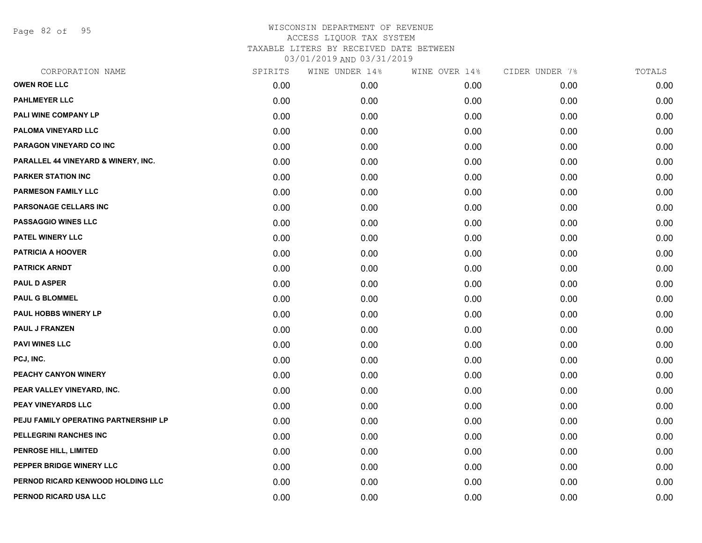Page 82 of 95

| CORPORATION NAME                     | SPIRITS | WINE UNDER 14% | WINE OVER 14% | CIDER UNDER 7% | TOTALS |
|--------------------------------------|---------|----------------|---------------|----------------|--------|
| <b>OWEN ROE LLC</b>                  | 0.00    | 0.00           | 0.00          | 0.00           | 0.00   |
| <b>PAHLMEYER LLC</b>                 | 0.00    | 0.00           | 0.00          | 0.00           | 0.00   |
| PALI WINE COMPANY LP                 | 0.00    | 0.00           | 0.00          | 0.00           | 0.00   |
| PALOMA VINEYARD LLC                  | 0.00    | 0.00           | 0.00          | 0.00           | 0.00   |
| PARAGON VINEYARD CO INC              | 0.00    | 0.00           | 0.00          | 0.00           | 0.00   |
| PARALLEL 44 VINEYARD & WINERY, INC.  | 0.00    | 0.00           | 0.00          | 0.00           | 0.00   |
| <b>PARKER STATION INC</b>            | 0.00    | 0.00           | 0.00          | 0.00           | 0.00   |
| <b>PARMESON FAMILY LLC</b>           | 0.00    | 0.00           | 0.00          | 0.00           | 0.00   |
| PARSONAGE CELLARS INC                | 0.00    | 0.00           | 0.00          | 0.00           | 0.00   |
| <b>PASSAGGIO WINES LLC</b>           | 0.00    | 0.00           | 0.00          | 0.00           | 0.00   |
| PATEL WINERY LLC                     | 0.00    | 0.00           | 0.00          | 0.00           | 0.00   |
| <b>PATRICIA A HOOVER</b>             | 0.00    | 0.00           | 0.00          | 0.00           | 0.00   |
| <b>PATRICK ARNDT</b>                 | 0.00    | 0.00           | 0.00          | 0.00           | 0.00   |
| <b>PAUL D ASPER</b>                  | 0.00    | 0.00           | 0.00          | 0.00           | 0.00   |
| <b>PAUL G BLOMMEL</b>                | 0.00    | 0.00           | 0.00          | 0.00           | 0.00   |
| PAUL HOBBS WINERY LP                 | 0.00    | 0.00           | 0.00          | 0.00           | 0.00   |
| <b>PAUL J FRANZEN</b>                | 0.00    | 0.00           | 0.00          | 0.00           | 0.00   |
| <b>PAVI WINES LLC</b>                | 0.00    | 0.00           | 0.00          | 0.00           | 0.00   |
| PCJ, INC.                            | 0.00    | 0.00           | 0.00          | 0.00           | 0.00   |
| PEACHY CANYON WINERY                 | 0.00    | 0.00           | 0.00          | 0.00           | 0.00   |
| PEAR VALLEY VINEYARD, INC.           | 0.00    | 0.00           | 0.00          | 0.00           | 0.00   |
| PEAY VINEYARDS LLC                   | 0.00    | 0.00           | 0.00          | 0.00           | 0.00   |
| PEJU FAMILY OPERATING PARTNERSHIP LP | 0.00    | 0.00           | 0.00          | 0.00           | 0.00   |
| PELLEGRINI RANCHES INC               | 0.00    | 0.00           | 0.00          | 0.00           | 0.00   |
| PENROSE HILL, LIMITED                | 0.00    | 0.00           | 0.00          | 0.00           | 0.00   |
| PEPPER BRIDGE WINERY LLC             | 0.00    | 0.00           | 0.00          | 0.00           | 0.00   |
| PERNOD RICARD KENWOOD HOLDING LLC    | 0.00    | 0.00           | 0.00          | 0.00           | 0.00   |
| PERNOD RICARD USA LLC                | 0.00    | 0.00           | 0.00          | 0.00           | 0.00   |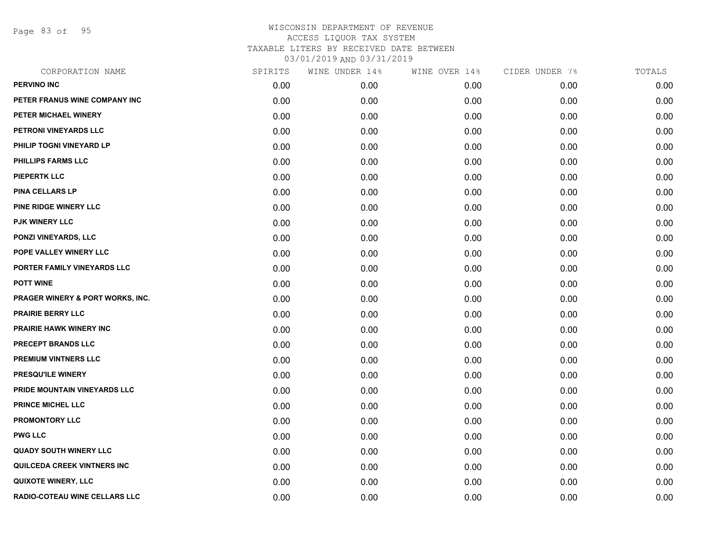Page 83 of 95

| CORPORATION NAME                     | SPIRITS | WINE UNDER 14% | WINE OVER 14% | CIDER UNDER 7% | TOTALS |
|--------------------------------------|---------|----------------|---------------|----------------|--------|
| <b>PERVINO INC</b>                   | 0.00    | 0.00           | 0.00          | 0.00           | 0.00   |
| PETER FRANUS WINE COMPANY INC        | 0.00    | 0.00           | 0.00          | 0.00           | 0.00   |
| PETER MICHAEL WINERY                 | 0.00    | 0.00           | 0.00          | 0.00           | 0.00   |
| PETRONI VINEYARDS LLC                | 0.00    | 0.00           | 0.00          | 0.00           | 0.00   |
| PHILIP TOGNI VINEYARD LP             | 0.00    | 0.00           | 0.00          | 0.00           | 0.00   |
| PHILLIPS FARMS LLC                   | 0.00    | 0.00           | 0.00          | 0.00           | 0.00   |
| <b>PIEPERTK LLC</b>                  | 0.00    | 0.00           | 0.00          | 0.00           | 0.00   |
| <b>PINA CELLARS LP</b>               | 0.00    | 0.00           | 0.00          | 0.00           | 0.00   |
| PINE RIDGE WINERY LLC                | 0.00    | 0.00           | 0.00          | 0.00           | 0.00   |
| PJK WINERY LLC                       | 0.00    | 0.00           | 0.00          | 0.00           | 0.00   |
| PONZI VINEYARDS, LLC                 | 0.00    | 0.00           | 0.00          | 0.00           | 0.00   |
| POPE VALLEY WINERY LLC               | 0.00    | 0.00           | 0.00          | 0.00           | 0.00   |
| PORTER FAMILY VINEYARDS LLC          | 0.00    | 0.00           | 0.00          | 0.00           | 0.00   |
| <b>POTT WINE</b>                     | 0.00    | 0.00           | 0.00          | 0.00           | 0.00   |
| PRAGER WINERY & PORT WORKS, INC.     | 0.00    | 0.00           | 0.00          | 0.00           | 0.00   |
| <b>PRAIRIE BERRY LLC</b>             | 0.00    | 0.00           | 0.00          | 0.00           | 0.00   |
| PRAIRIE HAWK WINERY INC              | 0.00    | 0.00           | 0.00          | 0.00           | 0.00   |
| PRECEPT BRANDS LLC                   | 0.00    | 0.00           | 0.00          | 0.00           | 0.00   |
| PREMIUM VINTNERS LLC                 | 0.00    | 0.00           | 0.00          | 0.00           | 0.00   |
| PRESQU'ILE WINERY                    | 0.00    | 0.00           | 0.00          | 0.00           | 0.00   |
| PRIDE MOUNTAIN VINEYARDS LLC         | 0.00    | 0.00           | 0.00          | 0.00           | 0.00   |
| PRINCE MICHEL LLC                    | 0.00    | 0.00           | 0.00          | 0.00           | 0.00   |
| <b>PROMONTORY LLC</b>                | 0.00    | 0.00           | 0.00          | 0.00           | 0.00   |
| <b>PWG LLC</b>                       | 0.00    | 0.00           | 0.00          | 0.00           | 0.00   |
| <b>QUADY SOUTH WINERY LLC</b>        | 0.00    | 0.00           | 0.00          | 0.00           | 0.00   |
| QUILCEDA CREEK VINTNERS INC          | 0.00    | 0.00           | 0.00          | 0.00           | 0.00   |
| <b>QUIXOTE WINERY, LLC</b>           | 0.00    | 0.00           | 0.00          | 0.00           | 0.00   |
| <b>RADIO-COTEAU WINE CELLARS LLC</b> | 0.00    | 0.00           | 0.00          | 0.00           | 0.00   |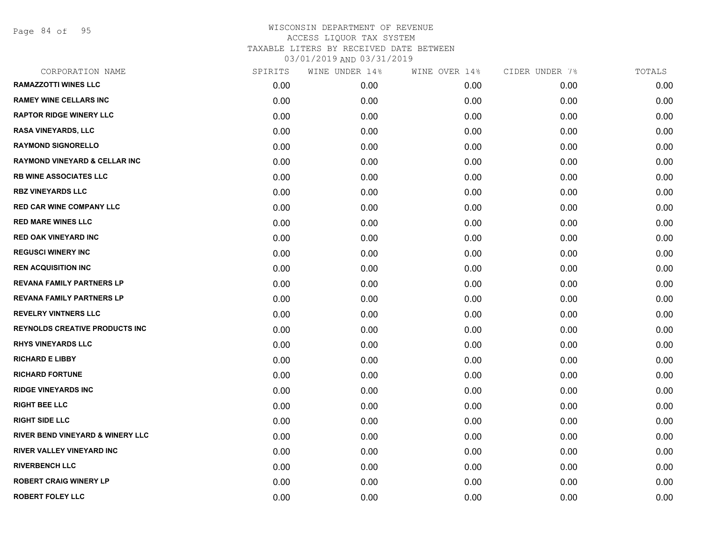Page 84 of 95

| CORPORATION NAME                            | SPIRITS | WINE UNDER 14% | WINE OVER 14% | CIDER UNDER 7% | TOTALS |
|---------------------------------------------|---------|----------------|---------------|----------------|--------|
| <b>RAMAZZOTTI WINES LLC</b>                 | 0.00    | 0.00           | 0.00          | 0.00           | 0.00   |
| <b>RAMEY WINE CELLARS INC</b>               | 0.00    | 0.00           | 0.00          | 0.00           | 0.00   |
| <b>RAPTOR RIDGE WINERY LLC</b>              | 0.00    | 0.00           | 0.00          | 0.00           | 0.00   |
| <b>RASA VINEYARDS, LLC</b>                  | 0.00    | 0.00           | 0.00          | 0.00           | 0.00   |
| <b>RAYMOND SIGNORELLO</b>                   | 0.00    | 0.00           | 0.00          | 0.00           | 0.00   |
| <b>RAYMOND VINEYARD &amp; CELLAR INC</b>    | 0.00    | 0.00           | 0.00          | 0.00           | 0.00   |
| <b>RB WINE ASSOCIATES LLC</b>               | 0.00    | 0.00           | 0.00          | 0.00           | 0.00   |
| <b>RBZ VINEYARDS LLC</b>                    | 0.00    | 0.00           | 0.00          | 0.00           | 0.00   |
| <b>RED CAR WINE COMPANY LLC</b>             | 0.00    | 0.00           | 0.00          | 0.00           | 0.00   |
| <b>RED MARE WINES LLC</b>                   | 0.00    | 0.00           | 0.00          | 0.00           | 0.00   |
| <b>RED OAK VINEYARD INC</b>                 | 0.00    | 0.00           | 0.00          | 0.00           | 0.00   |
| <b>REGUSCI WINERY INC</b>                   | 0.00    | 0.00           | 0.00          | 0.00           | 0.00   |
| <b>REN ACQUISITION INC</b>                  | 0.00    | 0.00           | 0.00          | 0.00           | 0.00   |
| <b>REVANA FAMILY PARTNERS LP</b>            | 0.00    | 0.00           | 0.00          | 0.00           | 0.00   |
| <b>REVANA FAMILY PARTNERS LP</b>            | 0.00    | 0.00           | 0.00          | 0.00           | 0.00   |
| <b>REVELRY VINTNERS LLC</b>                 | 0.00    | 0.00           | 0.00          | 0.00           | 0.00   |
| <b>REYNOLDS CREATIVE PRODUCTS INC</b>       | 0.00    | 0.00           | 0.00          | 0.00           | 0.00   |
| <b>RHYS VINEYARDS LLC</b>                   | 0.00    | 0.00           | 0.00          | 0.00           | 0.00   |
| <b>RICHARD E LIBBY</b>                      | 0.00    | 0.00           | 0.00          | 0.00           | 0.00   |
| <b>RICHARD FORTUNE</b>                      | 0.00    | 0.00           | 0.00          | 0.00           | 0.00   |
| <b>RIDGE VINEYARDS INC</b>                  | 0.00    | 0.00           | 0.00          | 0.00           | 0.00   |
| <b>RIGHT BEE LLC</b>                        | 0.00    | 0.00           | 0.00          | 0.00           | 0.00   |
| <b>RIGHT SIDE LLC</b>                       | 0.00    | 0.00           | 0.00          | 0.00           | 0.00   |
| <b>RIVER BEND VINEYARD &amp; WINERY LLC</b> | 0.00    | 0.00           | 0.00          | 0.00           | 0.00   |
| <b>RIVER VALLEY VINEYARD INC</b>            | 0.00    | 0.00           | 0.00          | 0.00           | 0.00   |
| <b>RIVERBENCH LLC</b>                       | 0.00    | 0.00           | 0.00          | 0.00           | 0.00   |
| <b>ROBERT CRAIG WINERY LP</b>               | 0.00    | 0.00           | 0.00          | 0.00           | 0.00   |
| <b>ROBERT FOLEY LLC</b>                     | 0.00    | 0.00           | 0.00          | 0.00           | 0.00   |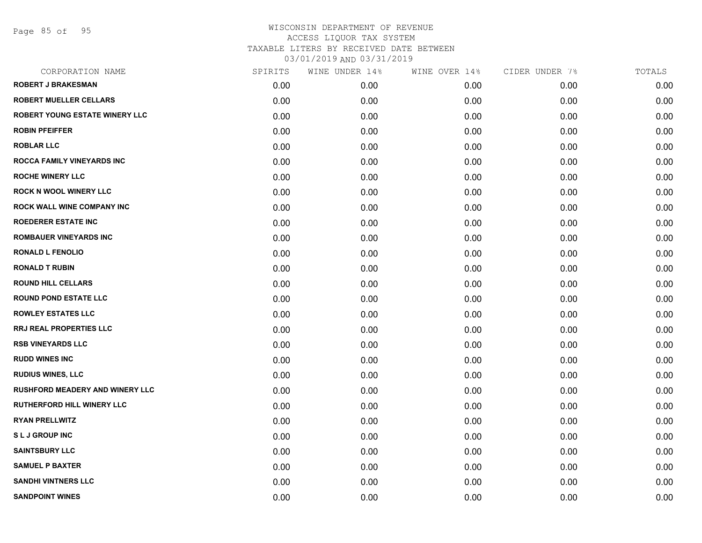Page 85 of 95

| CORPORATION NAME                       | SPIRITS | WINE UNDER 14% | WINE OVER 14% | CIDER UNDER 7% | TOTALS |
|----------------------------------------|---------|----------------|---------------|----------------|--------|
| <b>ROBERT J BRAKESMAN</b>              | 0.00    | 0.00           | 0.00          | 0.00           | 0.00   |
| <b>ROBERT MUELLER CELLARS</b>          | 0.00    | 0.00           | 0.00          | 0.00           | 0.00   |
| ROBERT YOUNG ESTATE WINERY LLC         | 0.00    | 0.00           | 0.00          | 0.00           | 0.00   |
| <b>ROBIN PFEIFFER</b>                  | 0.00    | 0.00           | 0.00          | 0.00           | 0.00   |
| <b>ROBLAR LLC</b>                      | 0.00    | 0.00           | 0.00          | 0.00           | 0.00   |
| <b>ROCCA FAMILY VINEYARDS INC</b>      | 0.00    | 0.00           | 0.00          | 0.00           | 0.00   |
| <b>ROCHE WINERY LLC</b>                | 0.00    | 0.00           | 0.00          | 0.00           | 0.00   |
| <b>ROCK N WOOL WINERY LLC</b>          | 0.00    | 0.00           | 0.00          | 0.00           | 0.00   |
| ROCK WALL WINE COMPANY INC             | 0.00    | 0.00           | 0.00          | 0.00           | 0.00   |
| <b>ROEDERER ESTATE INC</b>             | 0.00    | 0.00           | 0.00          | 0.00           | 0.00   |
| <b>ROMBAUER VINEYARDS INC</b>          | 0.00    | 0.00           | 0.00          | 0.00           | 0.00   |
| <b>RONALD L FENOLIO</b>                | 0.00    | 0.00           | 0.00          | 0.00           | 0.00   |
| <b>RONALD T RUBIN</b>                  | 0.00    | 0.00           | 0.00          | 0.00           | 0.00   |
| <b>ROUND HILL CELLARS</b>              | 0.00    | 0.00           | 0.00          | 0.00           | 0.00   |
| <b>ROUND POND ESTATE LLC</b>           | 0.00    | 0.00           | 0.00          | 0.00           | 0.00   |
| <b>ROWLEY ESTATES LLC</b>              | 0.00    | 0.00           | 0.00          | 0.00           | 0.00   |
| <b>RRJ REAL PROPERTIES LLC</b>         | 0.00    | 0.00           | 0.00          | 0.00           | 0.00   |
| <b>RSB VINEYARDS LLC</b>               | 0.00    | 0.00           | 0.00          | 0.00           | 0.00   |
| <b>RUDD WINES INC</b>                  | 0.00    | 0.00           | 0.00          | 0.00           | 0.00   |
| <b>RUDIUS WINES, LLC</b>               | 0.00    | 0.00           | 0.00          | 0.00           | 0.00   |
| <b>RUSHFORD MEADERY AND WINERY LLC</b> | 0.00    | 0.00           | 0.00          | 0.00           | 0.00   |
| RUTHERFORD HILL WINERY LLC             | 0.00    | 0.00           | 0.00          | 0.00           | 0.00   |
| <b>RYAN PRELLWITZ</b>                  | 0.00    | 0.00           | 0.00          | 0.00           | 0.00   |
| <b>SLJ GROUP INC</b>                   | 0.00    | 0.00           | 0.00          | 0.00           | 0.00   |
| <b>SAINTSBURY LLC</b>                  | 0.00    | 0.00           | 0.00          | 0.00           | 0.00   |
| <b>SAMUEL P BAXTER</b>                 | 0.00    | 0.00           | 0.00          | 0.00           | 0.00   |
| <b>SANDHI VINTNERS LLC</b>             | 0.00    | 0.00           | 0.00          | 0.00           | 0.00   |
| <b>SANDPOINT WINES</b>                 | 0.00    | 0.00           | 0.00          | 0.00           | 0.00   |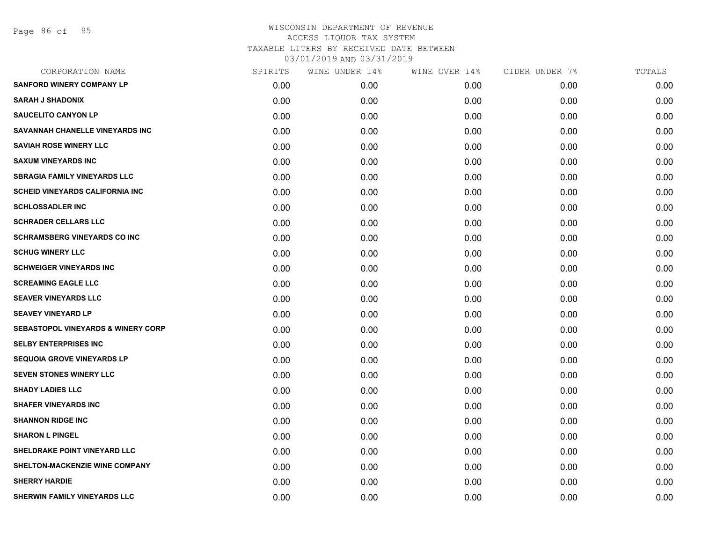| CORPORATION NAME                              | SPIRITS | WINE UNDER 14% | WINE OVER 14% | CIDER UNDER 7% | TOTALS |
|-----------------------------------------------|---------|----------------|---------------|----------------|--------|
| <b>SANFORD WINERY COMPANY LP</b>              | 0.00    | 0.00           | 0.00          | 0.00           | 0.00   |
| <b>SARAH J SHADONIX</b>                       | 0.00    | 0.00           | 0.00          | 0.00           | 0.00   |
| <b>SAUCELITO CANYON LP</b>                    | 0.00    | 0.00           | 0.00          | 0.00           | 0.00   |
| SAVANNAH CHANELLE VINEYARDS INC               | 0.00    | 0.00           | 0.00          | 0.00           | 0.00   |
| <b>SAVIAH ROSE WINERY LLC</b>                 | 0.00    | 0.00           | 0.00          | 0.00           | 0.00   |
| <b>SAXUM VINEYARDS INC</b>                    | 0.00    | 0.00           | 0.00          | 0.00           | 0.00   |
| <b>SBRAGIA FAMILY VINEYARDS LLC</b>           | 0.00    | 0.00           | 0.00          | 0.00           | 0.00   |
| <b>SCHEID VINEYARDS CALIFORNIA INC</b>        | 0.00    | 0.00           | 0.00          | 0.00           | 0.00   |
| <b>SCHLOSSADLER INC</b>                       | 0.00    | 0.00           | 0.00          | 0.00           | 0.00   |
| <b>SCHRADER CELLARS LLC</b>                   | 0.00    | 0.00           | 0.00          | 0.00           | 0.00   |
| <b>SCHRAMSBERG VINEYARDS CO INC</b>           | 0.00    | 0.00           | 0.00          | 0.00           | 0.00   |
| <b>SCHUG WINERY LLC</b>                       | 0.00    | 0.00           | 0.00          | 0.00           | 0.00   |
| <b>SCHWEIGER VINEYARDS INC</b>                | 0.00    | 0.00           | 0.00          | 0.00           | 0.00   |
| <b>SCREAMING EAGLE LLC</b>                    | 0.00    | 0.00           | 0.00          | 0.00           | 0.00   |
| <b>SEAVER VINEYARDS LLC</b>                   | 0.00    | 0.00           | 0.00          | 0.00           | 0.00   |
| <b>SEAVEY VINEYARD LP</b>                     | 0.00    | 0.00           | 0.00          | 0.00           | 0.00   |
| <b>SEBASTOPOL VINEYARDS &amp; WINERY CORP</b> | 0.00    | 0.00           | 0.00          | 0.00           | 0.00   |
| <b>SELBY ENTERPRISES INC</b>                  | 0.00    | 0.00           | 0.00          | 0.00           | 0.00   |
| <b>SEQUOIA GROVE VINEYARDS LP</b>             | 0.00    | 0.00           | 0.00          | 0.00           | 0.00   |
| <b>SEVEN STONES WINERY LLC</b>                | 0.00    | 0.00           | 0.00          | 0.00           | 0.00   |
| <b>SHADY LADIES LLC</b>                       | 0.00    | 0.00           | 0.00          | 0.00           | 0.00   |
| <b>SHAFER VINEYARDS INC</b>                   | 0.00    | 0.00           | 0.00          | 0.00           | 0.00   |
| <b>SHANNON RIDGE INC</b>                      | 0.00    | 0.00           | 0.00          | 0.00           | 0.00   |
| <b>SHARON L PINGEL</b>                        | 0.00    | 0.00           | 0.00          | 0.00           | 0.00   |
| SHELDRAKE POINT VINEYARD LLC                  | 0.00    | 0.00           | 0.00          | 0.00           | 0.00   |
| SHELTON-MACKENZIE WINE COMPANY                | 0.00    | 0.00           | 0.00          | 0.00           | 0.00   |
| <b>SHERRY HARDIE</b>                          | 0.00    | 0.00           | 0.00          | 0.00           | 0.00   |
| <b>SHERWIN FAMILY VINEYARDS LLC</b>           | 0.00    | 0.00           | 0.00          | 0.00           | 0.00   |
|                                               |         |                |               |                |        |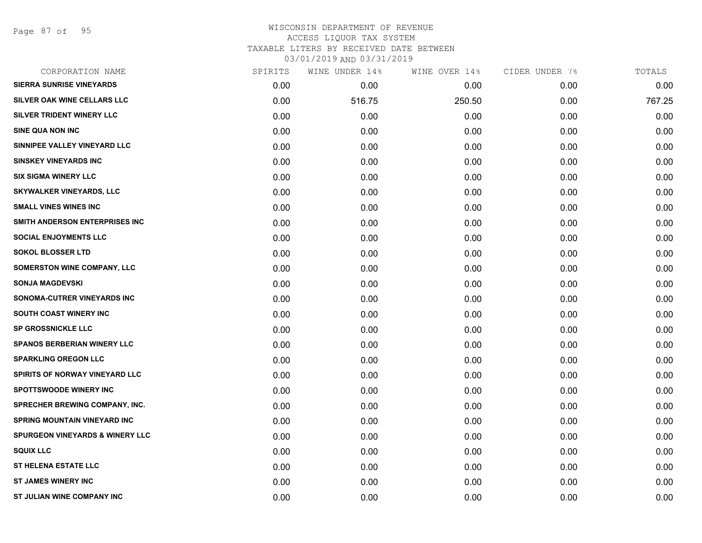Page 87 of 95

## WISCONSIN DEPARTMENT OF REVENUE ACCESS LIQUOR TAX SYSTEM TAXABLE LITERS BY RECEIVED DATE BETWEEN

03/01/2019 AND 03/31/2019

| CORPORATION NAME                           | SPIRITS | WINE UNDER 14% | WINE OVER 14% | CIDER UNDER 7% | TOTALS |
|--------------------------------------------|---------|----------------|---------------|----------------|--------|
| <b>SIERRA SUNRISE VINEYARDS</b>            | 0.00    | 0.00           | 0.00          | 0.00           | 0.00   |
| <b>SILVER OAK WINE CELLARS LLC</b>         | 0.00    | 516.75         | 250.50        | 0.00           | 767.25 |
| SILVER TRIDENT WINERY LLC                  | 0.00    | 0.00           | 0.00          | 0.00           | 0.00   |
| <b>SINE QUA NON INC</b>                    | 0.00    | 0.00           | 0.00          | 0.00           | 0.00   |
| SINNIPEE VALLEY VINEYARD LLC               | 0.00    | 0.00           | 0.00          | 0.00           | 0.00   |
| <b>SINSKEY VINEYARDS INC</b>               | 0.00    | 0.00           | 0.00          | 0.00           | 0.00   |
| <b>SIX SIGMA WINERY LLC</b>                | 0.00    | 0.00           | 0.00          | 0.00           | 0.00   |
| SKYWALKER VINEYARDS, LLC                   | 0.00    | 0.00           | 0.00          | 0.00           | 0.00   |
| <b>SMALL VINES WINES INC</b>               | 0.00    | 0.00           | 0.00          | 0.00           | 0.00   |
| SMITH ANDERSON ENTERPRISES INC             | 0.00    | 0.00           | 0.00          | 0.00           | 0.00   |
| <b>SOCIAL ENJOYMENTS LLC</b>               | 0.00    | 0.00           | 0.00          | 0.00           | 0.00   |
| <b>SOKOL BLOSSER LTD</b>                   | 0.00    | 0.00           | 0.00          | 0.00           | 0.00   |
| SOMERSTON WINE COMPANY, LLC                | 0.00    | 0.00           | 0.00          | 0.00           | 0.00   |
| <b>SONJA MAGDEVSKI</b>                     | 0.00    | 0.00           | 0.00          | 0.00           | 0.00   |
| SONOMA-CUTRER VINEYARDS INC                | 0.00    | 0.00           | 0.00          | 0.00           | 0.00   |
| SOUTH COAST WINERY INC                     | 0.00    | 0.00           | 0.00          | 0.00           | 0.00   |
| <b>SP GROSSNICKLE LLC</b>                  | 0.00    | 0.00           | 0.00          | 0.00           | 0.00   |
| <b>SPANOS BERBERIAN WINERY LLC</b>         | 0.00    | 0.00           | 0.00          | 0.00           | 0.00   |
| <b>SPARKLING OREGON LLC</b>                | 0.00    | 0.00           | 0.00          | 0.00           | 0.00   |
| <b>SPIRITS OF NORWAY VINEYARD LLC</b>      | 0.00    | 0.00           | 0.00          | 0.00           | 0.00   |
| <b>SPOTTSWOODE WINERY INC</b>              | 0.00    | 0.00           | 0.00          | 0.00           | 0.00   |
| <b>SPRECHER BREWING COMPANY, INC.</b>      | 0.00    | 0.00           | 0.00          | 0.00           | 0.00   |
| <b>SPRING MOUNTAIN VINEYARD INC</b>        | 0.00    | 0.00           | 0.00          | 0.00           | 0.00   |
| <b>SPURGEON VINEYARDS &amp; WINERY LLC</b> | 0.00    | 0.00           | 0.00          | 0.00           | 0.00   |
| <b>SQUIX LLC</b>                           | 0.00    | 0.00           | 0.00          | 0.00           | 0.00   |
| <b>ST HELENA ESTATE LLC</b>                | 0.00    | 0.00           | 0.00          | 0.00           | 0.00   |
| <b>ST JAMES WINERY INC</b>                 | 0.00    | 0.00           | 0.00          | 0.00           | 0.00   |
| ST JULIAN WINE COMPANY INC                 | 0.00    | 0.00           | 0.00          | 0.00           | 0.00   |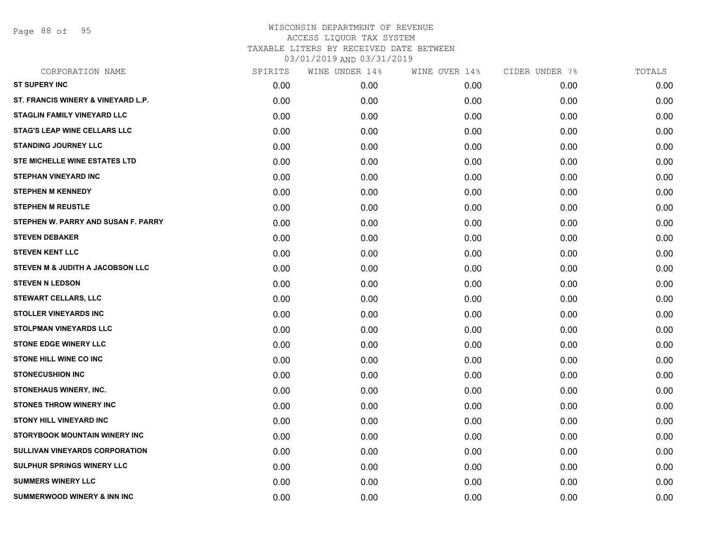Page 88 of 95

| CORPORATION NAME                       | SPIRITS | WINE UNDER 14% | WINE OVER 14% | CIDER UNDER 7% | TOTALS |
|----------------------------------------|---------|----------------|---------------|----------------|--------|
| <b>ST SUPERY INC</b>                   | 0.00    | 0.00           | 0.00          | 0.00           | 0.00   |
| ST. FRANCIS WINERY & VINEYARD L.P.     | 0.00    | 0.00           | 0.00          | 0.00           | 0.00   |
| STAGLIN FAMILY VINEYARD LLC            | 0.00    | 0.00           | 0.00          | 0.00           | 0.00   |
| <b>STAG'S LEAP WINE CELLARS LLC</b>    | 0.00    | 0.00           | 0.00          | 0.00           | 0.00   |
| <b>STANDING JOURNEY LLC</b>            | 0.00    | 0.00           | 0.00          | 0.00           | 0.00   |
| STE MICHELLE WINE ESTATES LTD          | 0.00    | 0.00           | 0.00          | 0.00           | 0.00   |
| <b>STEPHAN VINEYARD INC</b>            | 0.00    | 0.00           | 0.00          | 0.00           | 0.00   |
| <b>STEPHEN M KENNEDY</b>               | 0.00    | 0.00           | 0.00          | 0.00           | 0.00   |
| <b>STEPHEN M REUSTLE</b>               | 0.00    | 0.00           | 0.00          | 0.00           | 0.00   |
| STEPHEN W. PARRY AND SUSAN F. PARRY    | 0.00    | 0.00           | 0.00          | 0.00           | 0.00   |
| <b>STEVEN DEBAKER</b>                  | 0.00    | 0.00           | 0.00          | 0.00           | 0.00   |
| <b>STEVEN KENT LLC</b>                 | 0.00    | 0.00           | 0.00          | 0.00           | 0.00   |
| STEVEN M & JUDITH A JACOBSON LLC       | 0.00    | 0.00           | 0.00          | 0.00           | 0.00   |
| <b>STEVEN N LEDSON</b>                 | 0.00    | 0.00           | 0.00          | 0.00           | 0.00   |
| <b>STEWART CELLARS, LLC</b>            | 0.00    | 0.00           | 0.00          | 0.00           | 0.00   |
| <b>STOLLER VINEYARDS INC</b>           | 0.00    | 0.00           | 0.00          | 0.00           | 0.00   |
| <b>STOLPMAN VINEYARDS LLC</b>          | 0.00    | 0.00           | 0.00          | 0.00           | 0.00   |
| <b>STONE EDGE WINERY LLC</b>           | 0.00    | 0.00           | 0.00          | 0.00           | 0.00   |
| <b>STONE HILL WINE CO INC</b>          | 0.00    | 0.00           | 0.00          | 0.00           | 0.00   |
| <b>STONECUSHION INC</b>                | 0.00    | 0.00           | 0.00          | 0.00           | 0.00   |
| STONEHAUS WINERY, INC.                 | 0.00    | 0.00           | 0.00          | 0.00           | 0.00   |
| <b>STONES THROW WINERY INC</b>         | 0.00    | 0.00           | 0.00          | 0.00           | 0.00   |
| STONY HILL VINEYARD INC                | 0.00    | 0.00           | 0.00          | 0.00           | 0.00   |
| STORYBOOK MOUNTAIN WINERY INC          | 0.00    | 0.00           | 0.00          | 0.00           | 0.00   |
| SULLIVAN VINEYARDS CORPORATION         | 0.00    | 0.00           | 0.00          | 0.00           | 0.00   |
| <b>SULPHUR SPRINGS WINERY LLC</b>      | 0.00    | 0.00           | 0.00          | 0.00           | 0.00   |
| <b>SUMMERS WINERY LLC</b>              | 0.00    | 0.00           | 0.00          | 0.00           | 0.00   |
| <b>SUMMERWOOD WINERY &amp; INN INC</b> | 0.00    | 0.00           | 0.00          | 0.00           | 0.00   |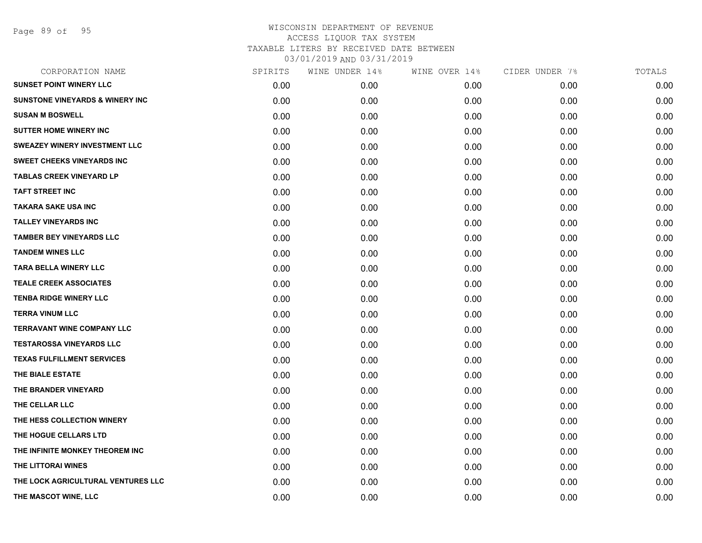Page 89 of 95

| CORPORATION NAME                           | SPIRITS | WINE UNDER 14% | WINE OVER 14% | CIDER UNDER 7% | TOTALS |
|--------------------------------------------|---------|----------------|---------------|----------------|--------|
| <b>SUNSET POINT WINERY LLC</b>             | 0.00    | 0.00           | 0.00          | 0.00           | 0.00   |
| <b>SUNSTONE VINEYARDS &amp; WINERY INC</b> | 0.00    | 0.00           | 0.00          | 0.00           | 0.00   |
| <b>SUSAN M BOSWELL</b>                     | 0.00    | 0.00           | 0.00          | 0.00           | 0.00   |
| SUTTER HOME WINERY INC                     | 0.00    | 0.00           | 0.00          | 0.00           | 0.00   |
| <b>SWEAZEY WINERY INVESTMENT LLC</b>       | 0.00    | 0.00           | 0.00          | 0.00           | 0.00   |
| <b>SWEET CHEEKS VINEYARDS INC</b>          | 0.00    | 0.00           | 0.00          | 0.00           | 0.00   |
| <b>TABLAS CREEK VINEYARD LP</b>            | 0.00    | 0.00           | 0.00          | 0.00           | 0.00   |
| <b>TAFT STREET INC</b>                     | 0.00    | 0.00           | 0.00          | 0.00           | 0.00   |
| <b>TAKARA SAKE USA INC</b>                 | 0.00    | 0.00           | 0.00          | 0.00           | 0.00   |
| <b>TALLEY VINEYARDS INC</b>                | 0.00    | 0.00           | 0.00          | 0.00           | 0.00   |
| <b>TAMBER BEY VINEYARDS LLC</b>            | 0.00    | 0.00           | 0.00          | 0.00           | 0.00   |
| <b>TANDEM WINES LLC</b>                    | 0.00    | 0.00           | 0.00          | 0.00           | 0.00   |
| <b>TARA BELLA WINERY LLC</b>               | 0.00    | 0.00           | 0.00          | 0.00           | 0.00   |
| <b>TEALE CREEK ASSOCIATES</b>              | 0.00    | 0.00           | 0.00          | 0.00           | 0.00   |
| <b>TENBA RIDGE WINERY LLC</b>              | 0.00    | 0.00           | 0.00          | 0.00           | 0.00   |
| <b>TERRA VINUM LLC</b>                     | 0.00    | 0.00           | 0.00          | 0.00           | 0.00   |
| <b>TERRAVANT WINE COMPANY LLC</b>          | 0.00    | 0.00           | 0.00          | 0.00           | 0.00   |
| <b>TESTAROSSA VINEYARDS LLC</b>            | 0.00    | 0.00           | 0.00          | 0.00           | 0.00   |
| <b>TEXAS FULFILLMENT SERVICES</b>          | 0.00    | 0.00           | 0.00          | 0.00           | 0.00   |
| THE BIALE ESTATE                           | 0.00    | 0.00           | 0.00          | 0.00           | 0.00   |
| THE BRANDER VINEYARD                       | 0.00    | 0.00           | 0.00          | 0.00           | 0.00   |
| THE CELLAR LLC                             | 0.00    | 0.00           | 0.00          | 0.00           | 0.00   |
| THE HESS COLLECTION WINERY                 | 0.00    | 0.00           | 0.00          | 0.00           | 0.00   |
| THE HOGUE CELLARS LTD                      | 0.00    | 0.00           | 0.00          | 0.00           | 0.00   |
| THE INFINITE MONKEY THEOREM INC            | 0.00    | 0.00           | 0.00          | 0.00           | 0.00   |
| THE LITTORAI WINES                         | 0.00    | 0.00           | 0.00          | 0.00           | 0.00   |
| THE LOCK AGRICULTURAL VENTURES LLC         | 0.00    | 0.00           | 0.00          | 0.00           | 0.00   |
| THE MASCOT WINE, LLC                       | 0.00    | 0.00           | 0.00          | 0.00           | 0.00   |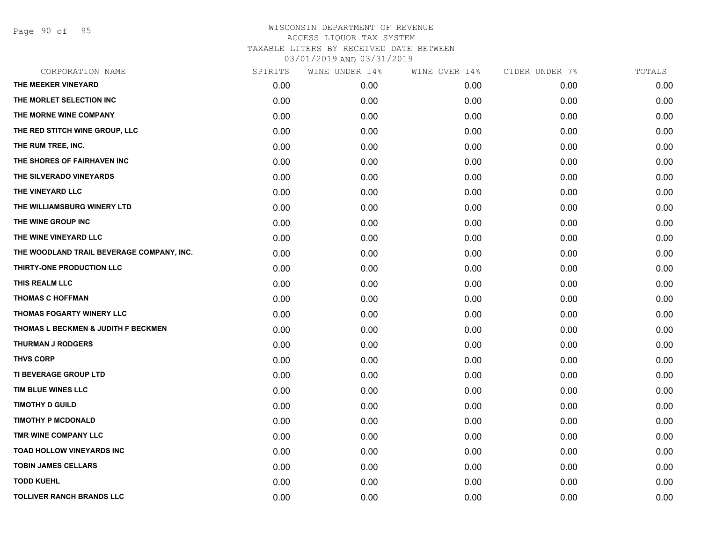Page 90 of 95

| CORPORATION NAME                          | SPIRITS | WINE UNDER 14% | WINE OVER 14% | CIDER UNDER 7% | TOTALS |
|-------------------------------------------|---------|----------------|---------------|----------------|--------|
| THE MEEKER VINEYARD                       | 0.00    | 0.00           | 0.00          | 0.00           | 0.00   |
| THE MORLET SELECTION INC                  | 0.00    | 0.00           | 0.00          | 0.00           | 0.00   |
| THE MORNE WINE COMPANY                    | 0.00    | 0.00           | 0.00          | 0.00           | 0.00   |
| THE RED STITCH WINE GROUP, LLC            | 0.00    | 0.00           | 0.00          | 0.00           | 0.00   |
| THE RUM TREE, INC.                        | 0.00    | 0.00           | 0.00          | 0.00           | 0.00   |
| THE SHORES OF FAIRHAVEN INC               | 0.00    | 0.00           | 0.00          | 0.00           | 0.00   |
| THE SILVERADO VINEYARDS                   | 0.00    | 0.00           | 0.00          | 0.00           | 0.00   |
| THE VINEYARD LLC                          | 0.00    | 0.00           | 0.00          | 0.00           | 0.00   |
| THE WILLIAMSBURG WINERY LTD               | 0.00    | 0.00           | 0.00          | 0.00           | 0.00   |
| THE WINE GROUP INC                        | 0.00    | 0.00           | 0.00          | 0.00           | 0.00   |
| THE WINE VINEYARD LLC                     | 0.00    | 0.00           | 0.00          | 0.00           | 0.00   |
| THE WOODLAND TRAIL BEVERAGE COMPANY, INC. | 0.00    | 0.00           | 0.00          | 0.00           | 0.00   |
| THIRTY-ONE PRODUCTION LLC                 | 0.00    | 0.00           | 0.00          | 0.00           | 0.00   |
| THIS REALM LLC                            | 0.00    | 0.00           | 0.00          | 0.00           | 0.00   |
| <b>THOMAS C HOFFMAN</b>                   | 0.00    | 0.00           | 0.00          | 0.00           | 0.00   |
| THOMAS FOGARTY WINERY LLC                 | 0.00    | 0.00           | 0.00          | 0.00           | 0.00   |
| THOMAS L BECKMEN & JUDITH F BECKMEN       | 0.00    | 0.00           | 0.00          | 0.00           | 0.00   |
| <b>THURMAN J RODGERS</b>                  | 0.00    | 0.00           | 0.00          | 0.00           | 0.00   |
| <b>THVS CORP</b>                          | 0.00    | 0.00           | 0.00          | 0.00           | 0.00   |
| TI BEVERAGE GROUP LTD                     | 0.00    | 0.00           | 0.00          | 0.00           | 0.00   |
| TIM BLUE WINES LLC                        | 0.00    | 0.00           | 0.00          | 0.00           | 0.00   |
| <b>TIMOTHY D GUILD</b>                    | 0.00    | 0.00           | 0.00          | 0.00           | 0.00   |
| <b>TIMOTHY P MCDONALD</b>                 | 0.00    | 0.00           | 0.00          | 0.00           | 0.00   |
| TMR WINE COMPANY LLC                      | 0.00    | 0.00           | 0.00          | 0.00           | 0.00   |
| <b>TOAD HOLLOW VINEYARDS INC</b>          | 0.00    | 0.00           | 0.00          | 0.00           | 0.00   |
| <b>TOBIN JAMES CELLARS</b>                | 0.00    | 0.00           | 0.00          | 0.00           | 0.00   |
| <b>TODD KUEHL</b>                         | 0.00    | 0.00           | 0.00          | 0.00           | 0.00   |
| <b>TOLLIVER RANCH BRANDS LLC</b>          | 0.00    | 0.00           | 0.00          | 0.00           | 0.00   |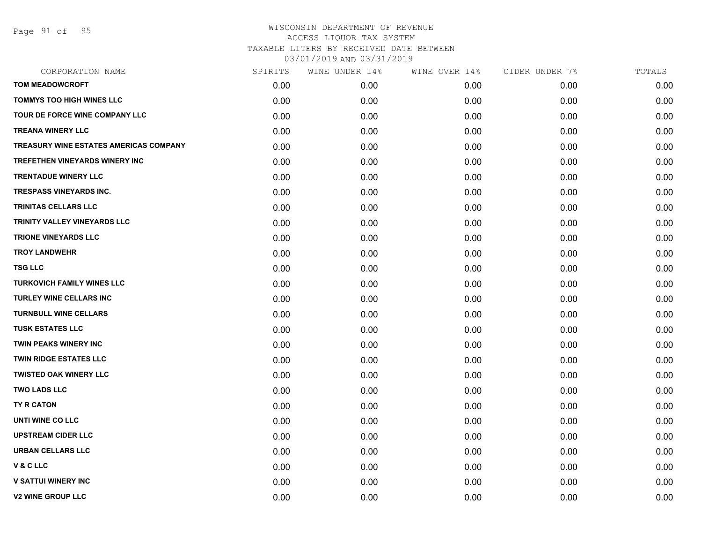Page 91 of 95

| CORPORATION NAME                       | SPIRITS | WINE UNDER 14% | WINE OVER 14% | CIDER UNDER 7% | TOTALS |
|----------------------------------------|---------|----------------|---------------|----------------|--------|
| <b>TOM MEADOWCROFT</b>                 | 0.00    | 0.00           | 0.00          | 0.00           | 0.00   |
| <b>TOMMYS TOO HIGH WINES LLC</b>       | 0.00    | 0.00           | 0.00          | 0.00           | 0.00   |
| TOUR DE FORCE WINE COMPANY LLC         | 0.00    | 0.00           | 0.00          | 0.00           | 0.00   |
| <b>TREANA WINERY LLC</b>               | 0.00    | 0.00           | 0.00          | 0.00           | 0.00   |
| TREASURY WINE ESTATES AMERICAS COMPANY | 0.00    | 0.00           | 0.00          | 0.00           | 0.00   |
| TREFETHEN VINEYARDS WINERY INC         | 0.00    | 0.00           | 0.00          | 0.00           | 0.00   |
| <b>TRENTADUE WINERY LLC</b>            | 0.00    | 0.00           | 0.00          | 0.00           | 0.00   |
| <b>TRESPASS VINEYARDS INC.</b>         | 0.00    | 0.00           | 0.00          | 0.00           | 0.00   |
| <b>TRINITAS CELLARS LLC</b>            | 0.00    | 0.00           | 0.00          | 0.00           | 0.00   |
| TRINITY VALLEY VINEYARDS LLC           | 0.00    | 0.00           | 0.00          | 0.00           | 0.00   |
| <b>TRIONE VINEYARDS LLC</b>            | 0.00    | 0.00           | 0.00          | 0.00           | 0.00   |
| <b>TROY LANDWEHR</b>                   | 0.00    | 0.00           | 0.00          | 0.00           | 0.00   |
| <b>TSG LLC</b>                         | 0.00    | 0.00           | 0.00          | 0.00           | 0.00   |
| <b>TURKOVICH FAMILY WINES LLC</b>      | 0.00    | 0.00           | 0.00          | 0.00           | 0.00   |
| <b>TURLEY WINE CELLARS INC</b>         | 0.00    | 0.00           | 0.00          | 0.00           | 0.00   |
| <b>TURNBULL WINE CELLARS</b>           | 0.00    | 0.00           | 0.00          | 0.00           | 0.00   |
| <b>TUSK ESTATES LLC</b>                | 0.00    | 0.00           | 0.00          | 0.00           | 0.00   |
| <b>TWIN PEAKS WINERY INC</b>           | 0.00    | 0.00           | 0.00          | 0.00           | 0.00   |
| <b>TWIN RIDGE ESTATES LLC</b>          | 0.00    | 0.00           | 0.00          | 0.00           | 0.00   |
| <b>TWISTED OAK WINERY LLC</b>          | 0.00    | 0.00           | 0.00          | 0.00           | 0.00   |
| <b>TWO LADS LLC</b>                    | 0.00    | 0.00           | 0.00          | 0.00           | 0.00   |
| TY R CATON                             | 0.00    | 0.00           | 0.00          | 0.00           | 0.00   |
| UNTI WINE CO LLC                       | 0.00    | 0.00           | 0.00          | 0.00           | 0.00   |
| <b>UPSTREAM CIDER LLC</b>              | 0.00    | 0.00           | 0.00          | 0.00           | 0.00   |
| <b>URBAN CELLARS LLC</b>               | 0.00    | 0.00           | 0.00          | 0.00           | 0.00   |
| <b>V&amp;CLLC</b>                      | 0.00    | 0.00           | 0.00          | 0.00           | 0.00   |
| <b>V SATTUI WINERY INC</b>             | 0.00    | 0.00           | 0.00          | 0.00           | 0.00   |
| <b>V2 WINE GROUP LLC</b>               | 0.00    | 0.00           | 0.00          | 0.00           | 0.00   |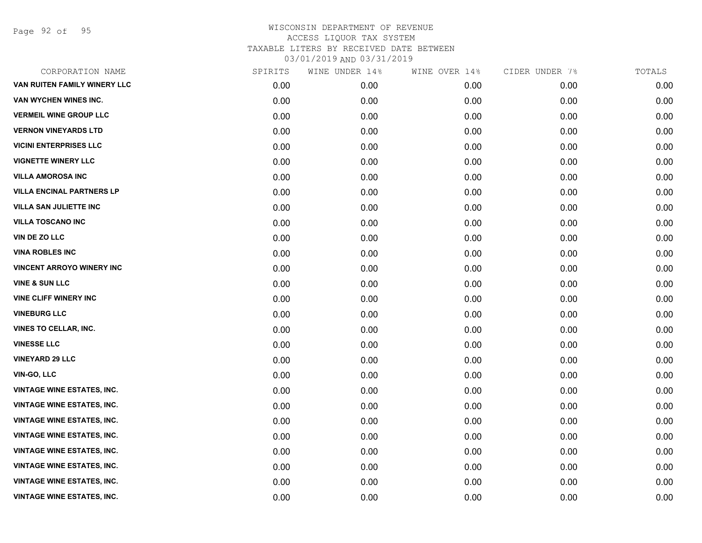Page 92 of 95

| CORPORATION NAME                  | SPIRITS | WINE UNDER 14% | WINE OVER 14% | CIDER UNDER 7% | TOTALS |
|-----------------------------------|---------|----------------|---------------|----------------|--------|
| VAN RUITEN FAMILY WINERY LLC      | 0.00    | 0.00           | 0.00          | 0.00           | 0.00   |
| VAN WYCHEN WINES INC.             | 0.00    | 0.00           | 0.00          | 0.00           | 0.00   |
| <b>VERMEIL WINE GROUP LLC</b>     | 0.00    | 0.00           | 0.00          | 0.00           | 0.00   |
| <b>VERNON VINEYARDS LTD</b>       | 0.00    | 0.00           | 0.00          | 0.00           | 0.00   |
| <b>VICINI ENTERPRISES LLC</b>     | 0.00    | 0.00           | 0.00          | 0.00           | 0.00   |
| <b>VIGNETTE WINERY LLC</b>        | 0.00    | 0.00           | 0.00          | 0.00           | 0.00   |
| <b>VILLA AMOROSA INC</b>          | 0.00    | 0.00           | 0.00          | 0.00           | 0.00   |
| <b>VILLA ENCINAL PARTNERS LP</b>  | 0.00    | 0.00           | 0.00          | 0.00           | 0.00   |
| <b>VILLA SAN JULIETTE INC</b>     | 0.00    | 0.00           | 0.00          | 0.00           | 0.00   |
| <b>VILLA TOSCANO INC</b>          | 0.00    | 0.00           | 0.00          | 0.00           | 0.00   |
| VIN DE ZO LLC                     | 0.00    | 0.00           | 0.00          | 0.00           | 0.00   |
| <b>VINA ROBLES INC</b>            | 0.00    | 0.00           | 0.00          | 0.00           | 0.00   |
| <b>VINCENT ARROYO WINERY INC</b>  | 0.00    | 0.00           | 0.00          | 0.00           | 0.00   |
| <b>VINE &amp; SUN LLC</b>         | 0.00    | 0.00           | 0.00          | 0.00           | 0.00   |
| <b>VINE CLIFF WINERY INC</b>      | 0.00    | 0.00           | 0.00          | 0.00           | 0.00   |
| <b>VINEBURG LLC</b>               | 0.00    | 0.00           | 0.00          | 0.00           | 0.00   |
| <b>VINES TO CELLAR, INC.</b>      | 0.00    | 0.00           | 0.00          | 0.00           | 0.00   |
| <b>VINESSE LLC</b>                | 0.00    | 0.00           | 0.00          | 0.00           | 0.00   |
| <b>VINEYARD 29 LLC</b>            | 0.00    | 0.00           | 0.00          | 0.00           | 0.00   |
| <b>VIN-GO, LLC</b>                | 0.00    | 0.00           | 0.00          | 0.00           | 0.00   |
| <b>VINTAGE WINE ESTATES, INC.</b> | 0.00    | 0.00           | 0.00          | 0.00           | 0.00   |
| <b>VINTAGE WINE ESTATES, INC.</b> | 0.00    | 0.00           | 0.00          | 0.00           | 0.00   |
| <b>VINTAGE WINE ESTATES, INC.</b> | 0.00    | 0.00           | 0.00          | 0.00           | 0.00   |
| <b>VINTAGE WINE ESTATES, INC.</b> | 0.00    | 0.00           | 0.00          | 0.00           | 0.00   |
| <b>VINTAGE WINE ESTATES, INC.</b> | 0.00    | 0.00           | 0.00          | 0.00           | 0.00   |
| <b>VINTAGE WINE ESTATES, INC.</b> | 0.00    | 0.00           | 0.00          | 0.00           | 0.00   |
| <b>VINTAGE WINE ESTATES, INC.</b> | 0.00    | 0.00           | 0.00          | 0.00           | 0.00   |
| <b>VINTAGE WINE ESTATES, INC.</b> | 0.00    | 0.00           | 0.00          | 0.00           | 0.00   |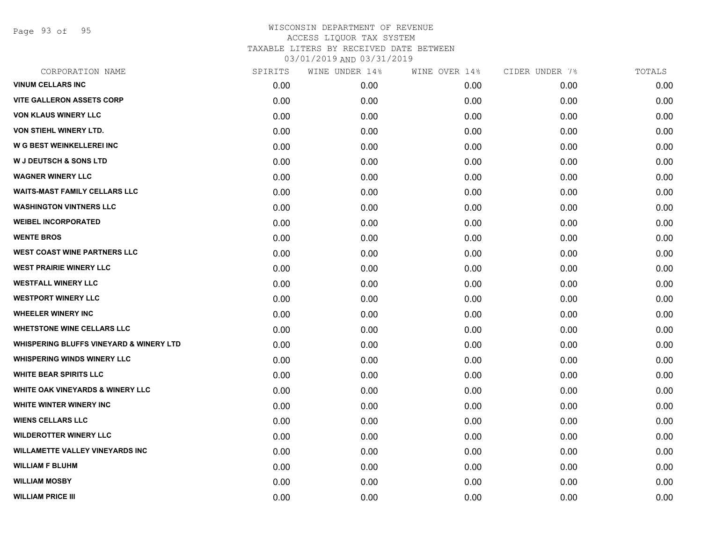Page 93 of 95

| CORPORATION NAME                                   | SPIRITS | WINE UNDER 14% | WINE OVER 14% | CIDER UNDER 7% | TOTALS |
|----------------------------------------------------|---------|----------------|---------------|----------------|--------|
| <b>VINUM CELLARS INC</b>                           | 0.00    | 0.00           | 0.00          | 0.00           | 0.00   |
| <b>VITE GALLERON ASSETS CORP</b>                   | 0.00    | 0.00           | 0.00          | 0.00           | 0.00   |
| <b>VON KLAUS WINERY LLC</b>                        | 0.00    | 0.00           | 0.00          | 0.00           | 0.00   |
| VON STIEHL WINERY LTD.                             | 0.00    | 0.00           | 0.00          | 0.00           | 0.00   |
| W G BEST WEINKELLEREI INC                          | 0.00    | 0.00           | 0.00          | 0.00           | 0.00   |
| <b>W J DEUTSCH &amp; SONS LTD</b>                  | 0.00    | 0.00           | 0.00          | 0.00           | 0.00   |
| <b>WAGNER WINERY LLC</b>                           | 0.00    | 0.00           | 0.00          | 0.00           | 0.00   |
| <b>WAITS-MAST FAMILY CELLARS LLC</b>               | 0.00    | 0.00           | 0.00          | 0.00           | 0.00   |
| <b>WASHINGTON VINTNERS LLC</b>                     | 0.00    | 0.00           | 0.00          | 0.00           | 0.00   |
| <b>WEIBEL INCORPORATED</b>                         | 0.00    | 0.00           | 0.00          | 0.00           | 0.00   |
| <b>WENTE BROS</b>                                  | 0.00    | 0.00           | 0.00          | 0.00           | 0.00   |
| <b>WEST COAST WINE PARTNERS LLC</b>                | 0.00    | 0.00           | 0.00          | 0.00           | 0.00   |
| <b>WEST PRAIRIE WINERY LLC</b>                     | 0.00    | 0.00           | 0.00          | 0.00           | 0.00   |
| <b>WESTFALL WINERY LLC</b>                         | 0.00    | 0.00           | 0.00          | 0.00           | 0.00   |
| <b>WESTPORT WINERY LLC</b>                         | 0.00    | 0.00           | 0.00          | 0.00           | 0.00   |
| <b>WHEELER WINERY INC</b>                          | 0.00    | 0.00           | 0.00          | 0.00           | 0.00   |
| <b>WHETSTONE WINE CELLARS LLC</b>                  | 0.00    | 0.00           | 0.00          | 0.00           | 0.00   |
| <b>WHISPERING BLUFFS VINEYARD &amp; WINERY LTD</b> | 0.00    | 0.00           | 0.00          | 0.00           | 0.00   |
| <b>WHISPERING WINDS WINERY LLC</b>                 | 0.00    | 0.00           | 0.00          | 0.00           | 0.00   |
| <b>WHITE BEAR SPIRITS LLC</b>                      | 0.00    | 0.00           | 0.00          | 0.00           | 0.00   |
| <b>WHITE OAK VINEYARDS &amp; WINERY LLC</b>        | 0.00    | 0.00           | 0.00          | 0.00           | 0.00   |
| WHITE WINTER WINERY INC                            | 0.00    | 0.00           | 0.00          | 0.00           | 0.00   |
| <b>WIENS CELLARS LLC</b>                           | 0.00    | 0.00           | 0.00          | 0.00           | 0.00   |
| <b>WILDEROTTER WINERY LLC</b>                      | 0.00    | 0.00           | 0.00          | 0.00           | 0.00   |
| <b>WILLAMETTE VALLEY VINEYARDS INC</b>             | 0.00    | 0.00           | 0.00          | 0.00           | 0.00   |
| <b>WILLIAM F BLUHM</b>                             | 0.00    | 0.00           | 0.00          | 0.00           | 0.00   |
| <b>WILLIAM MOSBY</b>                               | 0.00    | 0.00           | 0.00          | 0.00           | 0.00   |
| <b>WILLIAM PRICE III</b>                           | 0.00    | 0.00           | 0.00          | 0.00           | 0.00   |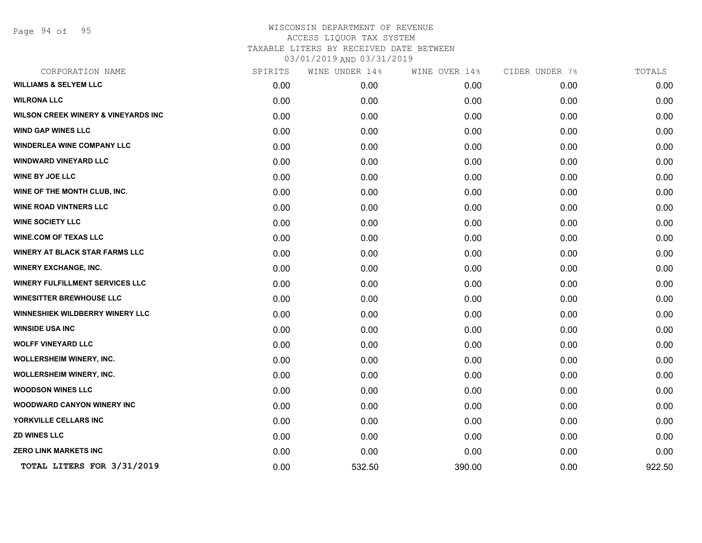Page 94 of 95

| CORPORATION NAME                               | SPIRITS | WINE UNDER 14% | WINE OVER 14% | CIDER UNDER 7% | TOTALS |
|------------------------------------------------|---------|----------------|---------------|----------------|--------|
| <b>WILLIAMS &amp; SELYEM LLC</b>               | 0.00    | 0.00           | 0.00          | 0.00           | 0.00   |
| <b>WILRONA LLC</b>                             | 0.00    | 0.00           | 0.00          | 0.00           | 0.00   |
| <b>WILSON CREEK WINERY &amp; VINEYARDS INC</b> | 0.00    | 0.00           | 0.00          | 0.00           | 0.00   |
| <b>WIND GAP WINES LLC</b>                      | 0.00    | 0.00           | 0.00          | 0.00           | 0.00   |
| <b>WINDERLEA WINE COMPANY LLC</b>              | 0.00    | 0.00           | 0.00          | 0.00           | 0.00   |
| <b>WINDWARD VINEYARD LLC</b>                   | 0.00    | 0.00           | 0.00          | 0.00           | 0.00   |
| <b>WINE BY JOE LLC</b>                         | 0.00    | 0.00           | 0.00          | 0.00           | 0.00   |
| WINE OF THE MONTH CLUB, INC.                   | 0.00    | 0.00           | 0.00          | 0.00           | 0.00   |
| <b>WINE ROAD VINTNERS LLC</b>                  | 0.00    | 0.00           | 0.00          | 0.00           | 0.00   |
| <b>WINE SOCIETY LLC</b>                        | 0.00    | 0.00           | 0.00          | 0.00           | 0.00   |
| <b>WINE.COM OF TEXAS LLC</b>                   | 0.00    | 0.00           | 0.00          | 0.00           | 0.00   |
| WINERY AT BLACK STAR FARMS LLC                 | 0.00    | 0.00           | 0.00          | 0.00           | 0.00   |
| <b>WINERY EXCHANGE, INC.</b>                   | 0.00    | 0.00           | 0.00          | 0.00           | 0.00   |
| WINERY FULFILLMENT SERVICES LLC                | 0.00    | 0.00           | 0.00          | 0.00           | 0.00   |
| <b>WINESITTER BREWHOUSE LLC</b>                | 0.00    | 0.00           | 0.00          | 0.00           | 0.00   |
| WINNESHIEK WILDBERRY WINERY LLC                | 0.00    | 0.00           | 0.00          | 0.00           | 0.00   |
| <b>WINSIDE USA INC</b>                         | 0.00    | 0.00           | 0.00          | 0.00           | 0.00   |
| <b>WOLFF VINEYARD LLC</b>                      | 0.00    | 0.00           | 0.00          | 0.00           | 0.00   |
| WOLLERSHEIM WINERY, INC.                       | 0.00    | 0.00           | 0.00          | 0.00           | 0.00   |
| WOLLERSHEIM WINERY, INC.                       | 0.00    | 0.00           | 0.00          | 0.00           | 0.00   |
| <b>WOODSON WINES LLC</b>                       | 0.00    | 0.00           | 0.00          | 0.00           | 0.00   |
| <b>WOODWARD CANYON WINERY INC</b>              | 0.00    | 0.00           | 0.00          | 0.00           | 0.00   |
| YORKVILLE CELLARS INC                          | 0.00    | 0.00           | 0.00          | 0.00           | 0.00   |
| <b>ZD WINES LLC</b>                            | 0.00    | 0.00           | 0.00          | 0.00           | 0.00   |
| <b>ZERO LINK MARKETS INC</b>                   | 0.00    | 0.00           | 0.00          | 0.00           | 0.00   |
| TOTAL LITERS FOR 3/31/2019                     | 0.00    | 532.50         | 390.00        | 0.00           | 922.50 |